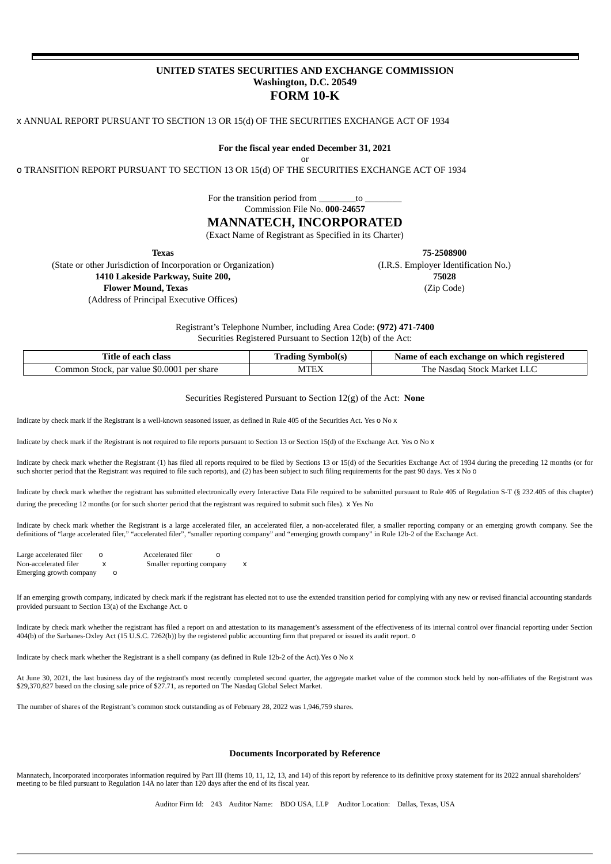# **UNITED STATES SECURITIES AND EXCHANGE COMMISSION Washington, D.C. 20549 FORM 10-K**

x ANNUAL REPORT PURSUANT TO SECTION 13 OR 15(d) OF THE SECURITIES EXCHANGE ACT OF 1934

### **For the fiscal year ended December 31, 2021**

or

o TRANSITION REPORT PURSUANT TO SECTION 13 OR 15(d) OF THE SECURITIES EXCHANGE ACT OF 1934

For the transition period from to Commission File No. **000-24657**

# **MANNATECH, INCORPORATED**

(Exact Name of Registrant as Specified in its Charter)

(State or other Jurisdiction of Incorporation or Organization) (I.R.S. Employer Identification No.)

**Texas 75-2508900**

**1410 Lakeside Parkway, Suite 200, 75028**

**Flower Mound, Texas** (Zip Code)

(Address of Principal Executive Offices)

Registrant's Telephone Number, including Area Code: **(972) 471-7400** Securities Registered Pursuant to Section 12(b) of the Act:

| Title of each                                            | <b>Symbol</b> (s | registered -                           |  |  |  |
|----------------------------------------------------------|------------------|----------------------------------------|--|--|--|
| class                                                    | Trading          | Name of each exchange on which         |  |  |  |
| \$0.0001<br>. per share<br>par value<br>ommon۔<br>Stock, | VI I L'A         | ' Stock Market<br>r ne<br>Nasdad<br>∸∟ |  |  |  |

Securities Registered Pursuant to Section 12(g) of the Act: **None**

Indicate by check mark if the Registrant is a well-known seasoned issuer, as defined in Rule 405 of the Securities Act. Yes o No x

Indicate by check mark if the Registrant is not required to file reports pursuant to Section 13 or Section 15(d) of the Exchange Act. Yes o No x

Indicate by check mark whether the Registrant (1) has filed all reports required to be filed by Sections 13 or 15(d) of the Securities Exchange Act of 1934 during the preceding 12 months (or for such shorter period that the Registrant was required to file such reports), and (2) has been subject to such filing requirements for the past 90 days. Yes x No o

Indicate by check mark whether the registrant has submitted electronically every Interactive Data File required to be submitted pursuant to Rule 405 of Regulation S-T (§ 232.405 of this chapter) during the preceding 12 months (or for such shorter period that the registrant was required to submit such files). x Yes No

Indicate by check mark whether the Registrant is a large accelerated filer, an accelerated filer, a non-accelerated filer, a smaller reporting company or an emerging growth company. See the definitions of "large accelerated filer," "accelerated filer", "smaller reporting company" and "emerging growth company" in Rule 12b-2 of the Exchange Act.

| Large accelerated filer |  | Accelerated filer         |  |
|-------------------------|--|---------------------------|--|
| Non-accelerated filer   |  | Smaller reporting company |  |
| Emerging growth company |  |                           |  |

If an emerging growth company, indicated by check mark if the registrant has elected not to use the extended transition period for complying with any new or revised financial accounting standards provided pursuant to Section 13(a) of the Exchange Act. o

Indicate by check mark whether the registrant has filed a report on and attestation to its management's assessment of the effectiveness of its internal control over financial reporting under Section 404(b) of the Sarbanes-Oxley Act (15 U.S.C. 7262(b)) by the registered public accounting firm that prepared or issued its audit report. o

Indicate by check mark whether the Registrant is a shell company (as defined in Rule 12b-2 of the Act).Yes o No x

At June 30, 2021, the last business day of the registrant's most recently completed second quarter, the aggregate market value of the common stock held by non-affiliates of the Registrant was \$29,370,827 based on the closing sale price of \$27.71, as reported on The Nasdaq Global Select Market.

The number of shares of the Registrant's common stock outstanding as of February 28, 2022 was 1,946,759 shares.

#### **Documents Incorporated by Reference**

Mannatech, Incorporated incorporates information required by Part III (Items 10, 11, 12, 13, and 14) of this report by reference to its definitive proxy statement for its 2022 annual shareholders' meeting to be filed pursuant to Regulation 14A no later than 120 days after the end of its fiscal year.

Auditor Firm Id: 243 Auditor Name: BDO USA, LLP Auditor Location: Dallas, Texas, USA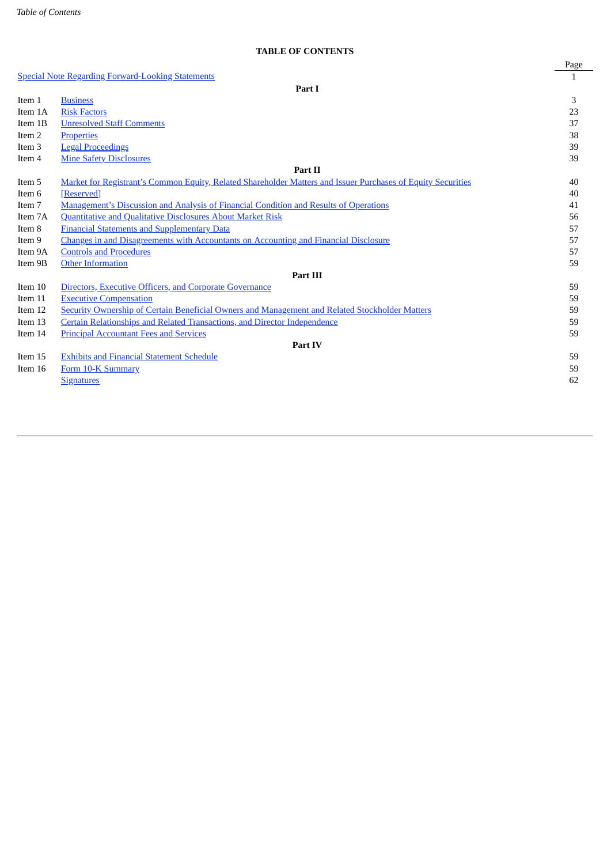# **TABLE OF CONTENTS**

 $\overline{\phantom{0}}$ 

<span id="page-1-0"></span>

|         |                                                                                                              | Page         |
|---------|--------------------------------------------------------------------------------------------------------------|--------------|
|         | <b>Special Note Regarding Forward-Looking Statements</b>                                                     | $\mathbf{1}$ |
|         | Part I                                                                                                       |              |
| Item 1  | <b>Business</b>                                                                                              | 3            |
| Item 1A | <b>Risk Factors</b>                                                                                          | 23           |
| Item 1B | <b>Unresolved Staff Comments</b>                                                                             | 37           |
| Item 2  | <b>Properties</b>                                                                                            | 38           |
| Item 3  | <b>Legal Proceedings</b>                                                                                     | 39           |
| Item 4  | <b>Mine Safety Disclosures</b>                                                                               | 39           |
|         | Part II                                                                                                      |              |
| Item 5  | Market for Registrant's Common Equity, Related Shareholder Matters and Issuer Purchases of Equity Securities | 40           |
| Item 6  | [Reserved]                                                                                                   | 40           |
| Item 7  | Management's Discussion and Analysis of Financial Condition and Results of Operations                        | 41           |
| Item 7A | Quantitative and Qualitative Disclosures About Market Risk                                                   | 56           |
| Item 8  | <b>Financial Statements and Supplementary Data</b>                                                           | 57           |
| Item 9  | Changes in and Disagreements with Accountants on Accounting and Financial Disclosure                         | 57           |
| Item 9A | <b>Controls and Procedures</b>                                                                               | 57           |
| Item 9B | <b>Other Information</b>                                                                                     | 59           |
|         | Part III                                                                                                     |              |
| Item 10 | Directors, Executive Officers, and Corporate Governance                                                      | 59           |
| Item 11 | <b>Executive Compensation</b>                                                                                | 59           |
| Item 12 | Security Ownership of Certain Beneficial Owners and Management and Related Stockholder Matters               | 59           |
| Item 13 | Certain Relationships and Related Transactions, and Director Independence                                    | 59           |
| Item 14 | <b>Principal Accountant Fees and Services</b>                                                                | 59           |
|         | Part IV                                                                                                      |              |
| Item 15 | <b>Exhibits and Financial Statement Schedule</b>                                                             | 59           |
| Item 16 | Form 10-K Summary                                                                                            | 59           |
|         | <b>Signatures</b>                                                                                            | 62           |
|         |                                                                                                              |              |
|         |                                                                                                              |              |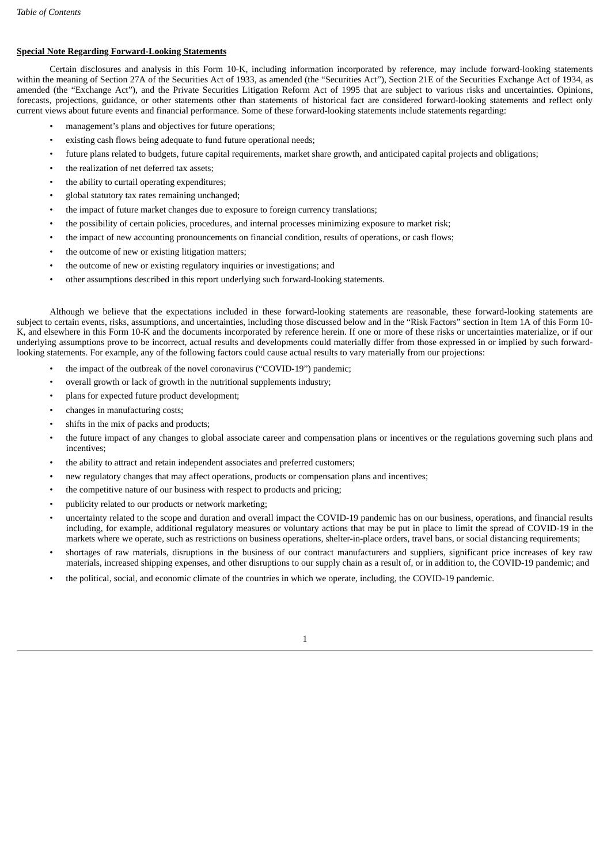# **Special Note Regarding Forward-Looking Statements**

Certain disclosures and analysis in this Form 10-K, including information incorporated by reference, may include forward-looking statements within the meaning of Section 27A of the Securities Act of 1933, as amended (the "Securities Act"), Section 21E of the Securities Exchange Act of 1934, as amended (the "Exchange Act"), and the Private Securities Litigation Reform Act of 1995 that are subject to various risks and uncertainties. Opinions, forecasts, projections, guidance, or other statements other than statements of historical fact are considered forward-looking statements and reflect only current views about future events and financial performance. Some of these forward-looking statements include statements regarding:

- management's plans and objectives for future operations;
- existing cash flows being adequate to fund future operational needs;
- future plans related to budgets, future capital requirements, market share growth, and anticipated capital projects and obligations;
- the realization of net deferred tax assets;
- the ability to curtail operating expenditures:
- global statutory tax rates remaining unchanged;
- the impact of future market changes due to exposure to foreign currency translations;
- the possibility of certain policies, procedures, and internal processes minimizing exposure to market risk;
- the impact of new accounting pronouncements on financial condition, results of operations, or cash flows;
- the outcome of new or existing litigation matters;
- the outcome of new or existing regulatory inquiries or investigations; and
- other assumptions described in this report underlying such forward-looking statements.

Although we believe that the expectations included in these forward-looking statements are reasonable, these forward-looking statements are subject to certain events, risks, assumptions, and uncertainties, including those discussed below and in the "Risk Factors" section in Item 1A of this Form 10- K, and elsewhere in this Form 10-K and the documents incorporated by reference herein. If one or more of these risks or uncertainties materialize, or if our underlying assumptions prove to be incorrect, actual results and developments could materially differ from those expressed in or implied by such forwardlooking statements. For example, any of the following factors could cause actual results to vary materially from our projections:

- the impact of the outbreak of the novel coronavirus ("COVID-19") pandemic;
- overall growth or lack of growth in the nutritional supplements industry;
- plans for expected future product development;
- changes in manufacturing costs;
- shifts in the mix of packs and products;
- the future impact of any changes to global associate career and compensation plans or incentives or the regulations governing such plans and incentives;
- the ability to attract and retain independent associates and preferred customers;
- new regulatory changes that may affect operations, products or compensation plans and incentives;
- the competitive nature of our business with respect to products and pricing;
- publicity related to our products or network marketing;
- uncertainty related to the scope and duration and overall impact the COVID-19 pandemic has on our business, operations, and financial results including, for example, additional regulatory measures or voluntary actions that may be put in place to limit the spread of COVID-19 in the markets where we operate, such as restrictions on business operations, shelter-in-place orders, travel bans, or social distancing requirements;
- shortages of raw materials, disruptions in the business of our contract manufacturers and suppliers, significant price increases of key raw materials, increased shipping expenses, and other disruptions to our supply chain as a result of, or in addition to, the COVID-19 pandemic; and
- the political, social, and economic climate of the countries in which we operate, including, the COVID-19 pandemic.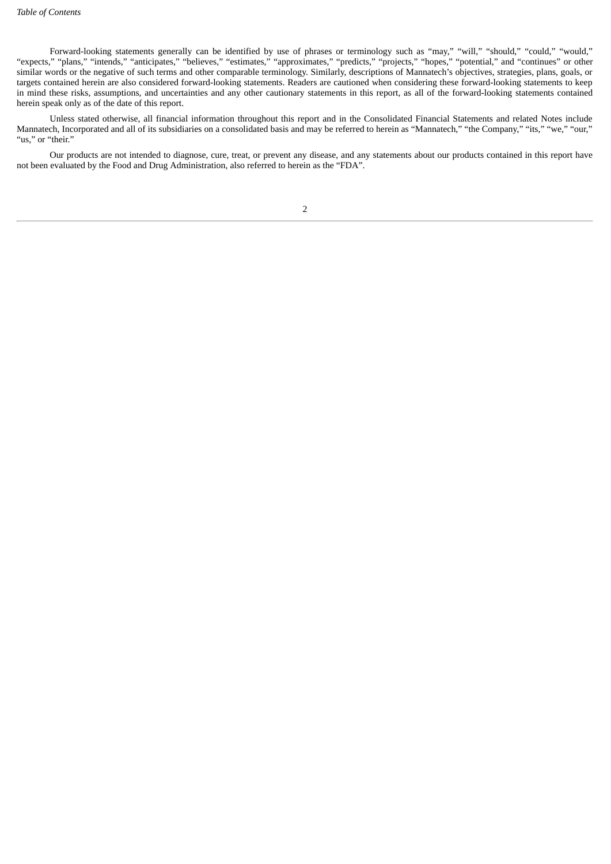Forward-looking statements generally can be identified by use of phrases or terminology such as "may," "will," "should," "could," "would," "expects," "plans," "intends," "anticipates," "believes," "estimates," "approximates," "predicts," "projects," "hopes," "potential," and "continues" or other similar words or the negative of such terms and other comparable terminology. Similarly, descriptions of Mannatech's objectives, strategies, plans, goals, or targets contained herein are also considered forward-looking statements. Readers are cautioned when considering these forward-looking statements to keep in mind these risks, assumptions, and uncertainties and any other cautionary statements in this report, as all of the forward-looking statements contained herein speak only as of the date of this report.

Unless stated otherwise, all financial information throughout this report and in the Consolidated Financial Statements and related Notes include Mannatech, Incorporated and all of its subsidiaries on a consolidated basis and may be referred to herein as "Mannatech," "the Company," "its," "we," "our," "us," or "their."

<span id="page-3-0"></span>Our products are not intended to diagnose, cure, treat, or prevent any disease, and any statements about our products contained in this report have not been evaluated by the Food and Drug Administration, also referred to herein as the "FDA".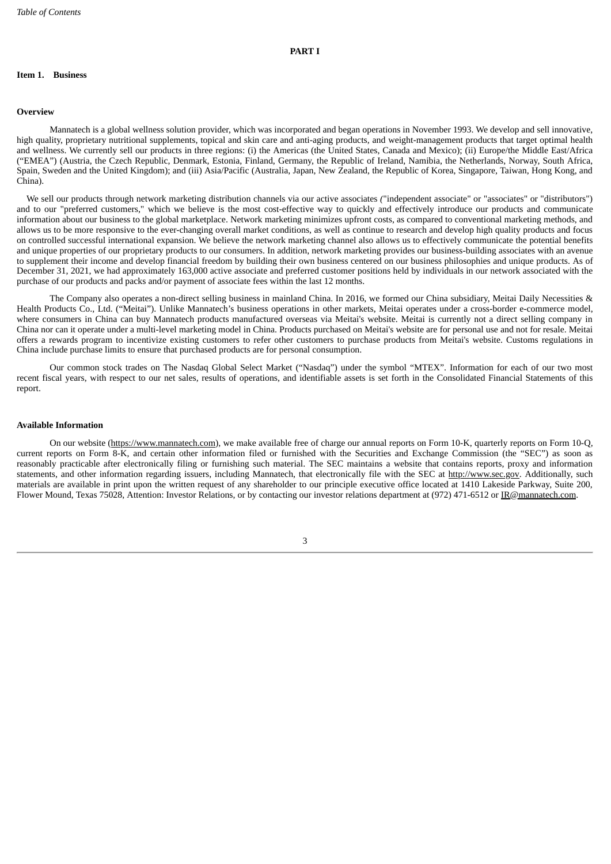# <span id="page-4-0"></span>**Item 1. Business**

#### **Overview**

Mannatech is a global wellness solution provider, which was incorporated and began operations in November 1993. We develop and sell innovative, high quality, proprietary nutritional supplements, topical and skin care and anti-aging products, and weight-management products that target optimal health and wellness. We currently sell our products in three regions: (i) the Americas (the United States, Canada and Mexico); (ii) Europe/the Middle East/Africa ("EMEA") (Austria, the Czech Republic, Denmark, Estonia, Finland, Germany, the Republic of Ireland, Namibia, the Netherlands, Norway, South Africa, Spain, Sweden and the United Kingdom); and (iii) Asia/Pacific (Australia, Japan, New Zealand, the Republic of Korea, Singapore, Taiwan, Hong Kong, and China).

We sell our products through network marketing distribution channels via our active associates *(*"independent associate" or "associates" or "distributors") and to our "preferred customers," which we believe is the most cost-effective way to quickly and effectively introduce our products and communicate information about our business to the global marketplace. Network marketing minimizes upfront costs, as compared to conventional marketing methods, and allows us to be more responsive to the ever-changing overall market conditions, as well as continue to research and develop high quality products and focus on controlled successful international expansion. We believe the network marketing channel also allows us to effectively communicate the potential benefits and unique properties of our proprietary products to our consumers. In addition, network marketing provides our business-building associates with an avenue to supplement their income and develop financial freedom by building their own business centered on our business philosophies and unique products. As of December 31, 2021, we had approximately 163,000 active associate and preferred customer positions held by individuals in our network associated with the purchase of our products and packs and/or payment of associate fees within the last 12 months.

The Company also operates a non-direct selling business in mainland China. In 2016, we formed our China subsidiary, Meitai Daily Necessities & Health Products Co., Ltd. ("Meitai"). Unlike Mannatech's business operations in other markets, Meitai operates under a cross-border e-commerce model, where consumers in China can buy Mannatech products manufactured overseas via Meitai's website. Meitai is currently not a direct selling company in China nor can it operate under a multi-level marketing model in China. Products purchased on Meitai's website are for personal use and not for resale. Meitai offers a rewards program to incentivize existing customers to refer other customers to purchase products from Meitai's website. Customs regulations in China include purchase limits to ensure that purchased products are for personal consumption.

Our common stock trades on The Nasdaq Global Select Market ("Nasdaq") under the symbol "MTEX". Information for each of our two most recent fiscal years, with respect to our net sales, results of operations, and identifiable assets is set forth in the Consolidated Financial Statements of this report.

#### **Available Information**

On our website (https://www.mannatech.com), we make available free of charge our annual reports on Form 10-K, quarterly reports on Form 10-Q, current reports on Form 8-K, and certain other information filed or furnished with the Securities and Exchange Commission (the "SEC") as soon as reasonably practicable after electronically filing or furnishing such material. The SEC maintains a website that contains reports, proxy and information statements, and other information regarding issuers, including Mannatech, that electronically file with the SEC at http://www.sec.gov. Additionally, such materials are available in print upon the written request of any shareholder to our principle executive office located at 1410 Lakeside Parkway, Suite 200, Flower Mound, Texas 75028, Attention: Investor Relations, or by contacting our investor relations department at (972) 471-6512 or IR@mannatech.com.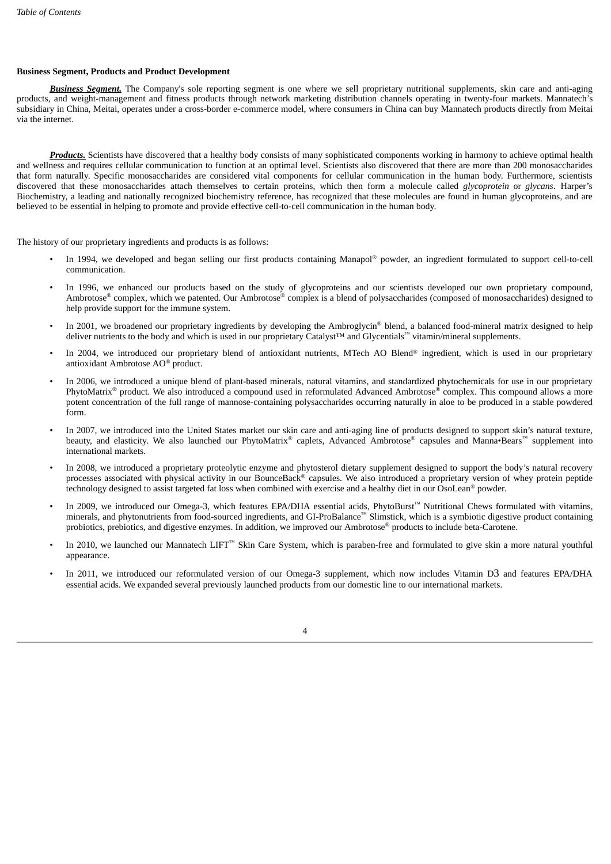# **Business Segment, Products and Product Development**

*Business Segment.* The Company's sole reporting segment is one where we sell proprietary nutritional supplements, skin care and anti-aging products, and weight-management and fitness products through network marketing distribution channels operating in twenty-four markets. Mannatech's subsidiary in China, Meitai, operates under a cross-border e-commerce model, where consumers in China can buy Mannatech products directly from Meitai via the internet.

*Products.* Scientists have discovered that a healthy body consists of many sophisticated components working in harmony to achieve optimal health and wellness and requires cellular communication to function at an optimal level. Scientists also discovered that there are more than 200 monosaccharides that form naturally. Specific monosaccharides are considered vital components for cellular communication in the human body. Furthermore, scientists discovered that these monosaccharides attach themselves to certain proteins, which then form a molecule called *glycoprotein* or *glycans*. Harper's Biochemistry, a leading and nationally recognized biochemistry reference, has recognized that these molecules are found in human glycoproteins, and are believed to be essential in helping to promote and provide effective cell-to-cell communication in the human body.

The history of our proprietary ingredients and products is as follows:

- In 1994, we developed and began selling our first products containing Manapol® powder, an ingredient formulated to support cell-to-cell communication.
- In 1996, we enhanced our products based on the study of glycoproteins and our scientists developed our own proprietary compound, Ambrotose® complex, which we patented. Our Ambrotose® complex is a blend of polysaccharides (composed of monosaccharides) designed to help provide support for the immune system.
- In 2001, we broadened our proprietary ingredients by developing the Ambroglycin® blend, a balanced food-mineral matrix designed to help deliver nutrients to the body and which is used in our proprietary Catalyst™ and Glycentials™ vitamin/mineral supplements.
- In 2004, we introduced our proprietary blend of antioxidant nutrients, MTech AO Blend® ingredient, which is used in our proprietary antioxidant Ambrotose  $AO^{\circledast}$  product.
- In 2006, we introduced a unique blend of plant-based minerals, natural vitamins, and standardized phytochemicals for use in our proprietary PhytoMatrix® product. We also introduced a compound used in reformulated Advanced Ambrotose® complex. This compound allows a more potent concentration of the full range of mannose-containing polysaccharides occurring naturally in aloe to be produced in a stable powdered form.
- In 2007, we introduced into the United States market our skin care and anti-aging line of products designed to support skin's natural texture, beauty, and elasticity. We also launched our PhytoMatrix® caplets, Advanced Ambrotose® capsules and Manna•Bears™ supplement into international markets.
- In 2008, we introduced a proprietary proteolytic enzyme and phytosterol dietary supplement designed to support the body's natural recovery processes associated with physical activity in our BounceBack® capsules. We also introduced a proprietary version of whey protein peptide technology designed to assist targeted fat loss when combined with exercise and a healthy diet in our OsoLean® powder.
- In 2009, we introduced our Omega-3, which features EPA/DHA essential acids, PhytoBurst™ Nutritional Chews formulated with vitamins, minerals, and phytonutrients from food-sourced ingredients, and GI-ProBalance™ Slimstick, which is a symbiotic digestive product containing probiotics, prebiotics, and digestive enzymes. In addition, we improved our Ambrotose® products to include beta-Carotene.
- $\bullet$  In 2010, we launched our Mannatech LIFT<sup> $m$ </sup> Skin Care System, which is paraben-free and formulated to give skin a more natural youthful appearance.
- In 2011, we introduced our reformulated version of our Omega-3 supplement, which now includes Vitamin D3 and features EPA/DHA essential acids. We expanded several previously launched products from our domestic line to our international markets.

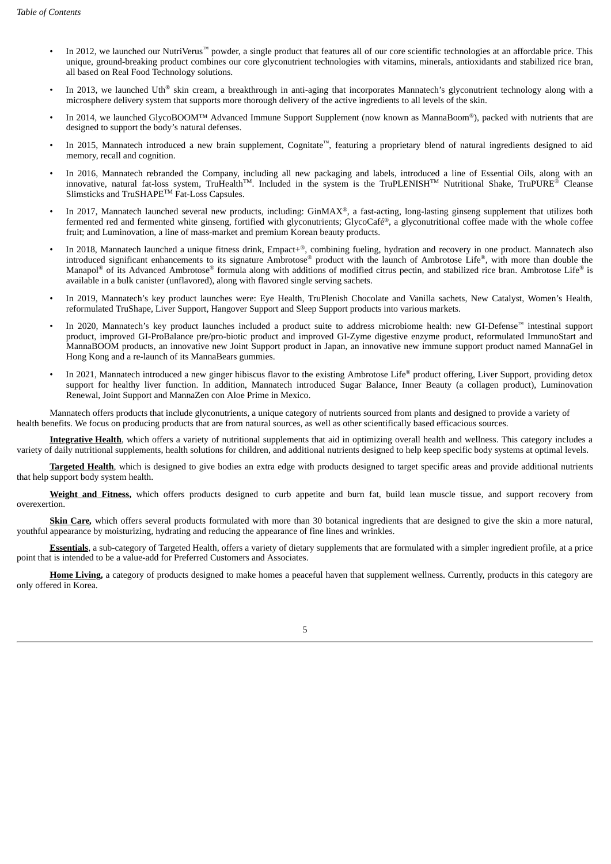- $\bullet$  In 2012, we launched our NutriVerus<sup>™</sup> powder, a single product that features all of our core scientific technologies at an affordable price. This unique, ground-breaking product combines our core glyconutrient technologies with vitamins, minerals, antioxidants and stabilized rice bran, all based on Real Food Technology solutions.
- In 2013, we launched Uth<sup>®</sup> skin cream, a breakthrough in anti-aging that incorporates Mannatech's glyconutrient technology along with a microsphere delivery system that supports more thorough delivery of the active ingredients to all levels of the skin.
- In 2014, we launched GlycoBOOM™ Advanced Immune Support Supplement (now known as MannaBoom®), packed with nutrients that are designed to support the body's natural defenses.
- In 2015, Mannatech introduced a new brain supplement, Cognitate<sup>™</sup>, featuring a proprietary blend of natural ingredients designed to aid memory, recall and cognition.
- In 2016, Mannatech rebranded the Company, including all new packaging and labels, introduced a line of Essential Oils, along with an innovative, natural fat-loss system, TruHealth $^{TM}$ . Included in the system is the TruPLENISH $^{TM}$  Nutritional Shake, TruPURE® Cleanse Slimsticks and  $TruSHAPE^{TM}$  Fat-Loss Capsules.
- In 2017, Mannatech launched several new products, including: GinMAX®, a fast-acting, long-lasting ginseng supplement that utilizes both fermented red and fermented white ginseng, fortified with glyconutrients; GlycoCafé®, a glyconutritional coffee made with the whole coffee fruit; and Luminovation, a line of mass-market and premium Korean beauty products.
- In 2018, Mannatech launched a unique fitness drink, Empact+®, combining fueling, hydration and recovery in one product. Mannatech also introduced significant enhancements to its signature Ambrotose® product with the launch of Ambrotose Life®, with more than double the Manapol® of its Advanced Ambrotose® formula along with additions of modified citrus pectin, and stabilized rice bran. Ambrotose Life® is available in a bulk canister (unflavored), along with flavored single serving sachets.
- In 2019, Mannatech's key product launches were: Eye Health, TruPlenish Chocolate and Vanilla sachets, New Catalyst, Women's Health, reformulated TruShape, Liver Support, Hangover Support and Sleep Support products into various markets.
- In 2020, Mannatech's key product launches included a product suite to address microbiome health: new GI-Defense™ intestinal support product, improved GI-ProBalance pre/pro-biotic product and improved GI-Zyme digestive enzyme product, reformulated ImmunoStart and MannaBOOM products, an innovative new Joint Support product in Japan, an innovative new immune support product named MannaGel in Hong Kong and a re-launch of its MannaBears gummies.
- In 2021, Mannatech introduced a new ginger hibiscus flavor to the existing Ambrotose Life® product offering, Liver Support, providing detox support for healthy liver function. In addition, Mannatech introduced Sugar Balance, Inner Beauty (a collagen product), Luminovation Renewal, Joint Support and MannaZen con Aloe Prime in Mexico.

Mannatech offers products that include glyconutrients, a unique category of nutrients sourced from plants and designed to provide a variety of health benefits. We focus on producing products that are from natural sources, as well as other scientifically based efficacious sources.

**Integrative Health**, which offers a variety of nutritional supplements that aid in optimizing overall health and wellness. This category includes a variety of daily nutritional supplements, health solutions for children, and additional nutrients designed to help keep specific body systems at optimal levels.

**Targeted Health**, which is designed to give bodies an extra edge with products designed to target specific areas and provide additional nutrients that help support body system health.

**Weight and Fitness,** which offers products designed to curb appetite and burn fat, build lean muscle tissue, and support recovery from overexertion.

**Skin Care***,* which offers several products formulated with more than 30 botanical ingredients that are designed to give the skin a more natural, youthful appearance by moisturizing, hydrating and reducing the appearance of fine lines and wrinkles.

**Essentials**, a sub-category of Targeted Health, offers a variety of dietary supplements that are formulated with a simpler ingredient profile, at a price point that is intended to be a value-add for Preferred Customers and Associates.

**Home Living,** a category of products designed to make homes a peaceful haven that supplement wellness. Currently, products in this category are only offered in Korea.

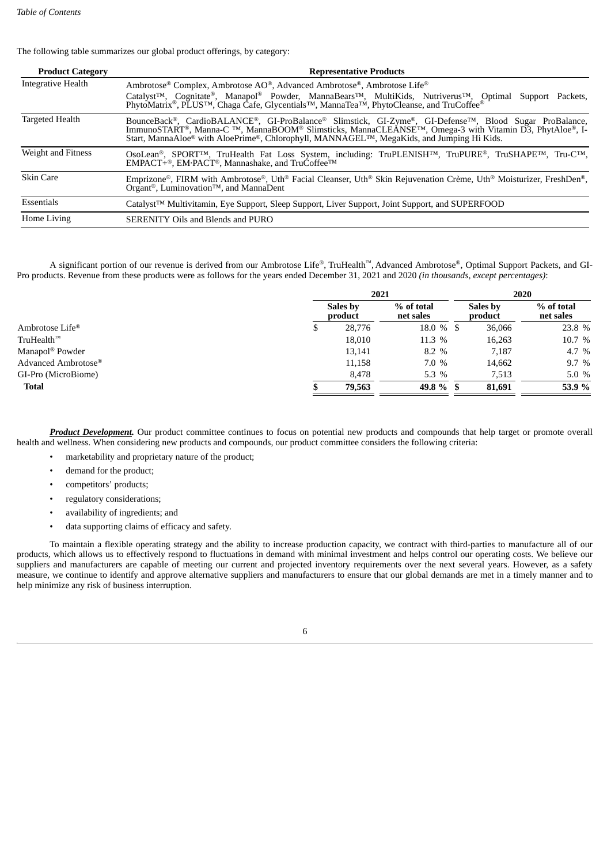The following table summarizes our global product offerings, by category:

| <b>Product Category</b> | <b>Representative Products</b>                                                                                                                                                                                                                                                                                          |  |  |  |  |  |
|-------------------------|-------------------------------------------------------------------------------------------------------------------------------------------------------------------------------------------------------------------------------------------------------------------------------------------------------------------------|--|--|--|--|--|
| Integrative Health      | Ambrotose® Complex, Ambrotose AO®, Advanced Ambrotose®, Ambrotose Life®                                                                                                                                                                                                                                                 |  |  |  |  |  |
|                         | Catalyst™, Cognitate®, Manapol® Powder, MannaBears™, MultiKids, Nutriverus™, Optimal Support Packets,<br>PhytoMatrix®, PLUS™, Chaga Cafe, Glycentials™, MannaTea™, PhytoCleanse, and TruCoffee®                                                                                                                         |  |  |  |  |  |
| Targeted Health         | BounceBack®, CardioBALANCE®, GI-ProBalance® Slimstick, GI-Zyme®, GI-Defense™, Blood Sugar ProBalance,<br>ImmunoSTART®, Manna-C <sup>™</sup> , MannaBOOM® Slimsticks, MannaCLEĂNSE™, Omega-3 with Vitamin D3, PhytAloe®, I-<br>Start, MannaAloe® with AloePrime®, Chlorophyll, MANNAGEL™, MegaKids, and Jumping Hi Kids. |  |  |  |  |  |
| Weight and Fitness      | OsoLean®, SPORT™, TruHealth Fat Loss System, including: TruPLENISH™, TruPURE®, TruSHAPE™, Tru-C™,<br>EMPACT <sup>+®</sup> , EM·PACT <sup>®</sup> , Mannashake, and TruCoffee <sup>™</sup>                                                                                                                               |  |  |  |  |  |
| Skin Care               | Emprizone®, FIRM with Ambrotose®, Uth® Facial Cleanser, Uth® Skin Rejuvenation Crème, Uth® Moisturizer, FreshDen®,<br>Organt <sup>®</sup> , Luminovation <sup>TM</sup> , and MannaDent                                                                                                                                  |  |  |  |  |  |
| Essentials              | Catalyst™ Multivitamin, Eye Support, Sleep Support, Liver Support, Joint Support, and SUPERFOOD                                                                                                                                                                                                                         |  |  |  |  |  |
| Home Living             | <b>SERENITY Oils and Blends and PURO</b>                                                                                                                                                                                                                                                                                |  |  |  |  |  |

A significant portion of our revenue is derived from our Ambrotose Life®, TruHealth™, Advanced Ambrotose®, Optimal Support Packets, and GI-Pro products. Revenue from these products were as follows for the years ended December 31, 2021 and 2020 *(in thousands, except percentages)*:

|                                 | 2021                |        |                         | 2020                |        |                         |
|---------------------------------|---------------------|--------|-------------------------|---------------------|--------|-------------------------|
|                                 | Sales by<br>product |        | % of total<br>net sales | Sales by<br>product |        | % of total<br>net sales |
| Ambrotose Life <sup>®</sup>     | J                   | 28,776 | $18.0 \%$ \$            |                     | 36,066 | 23.8 %                  |
| TruHealth <sup>m</sup>          |                     | 18,010 | 11.3 %                  |                     | 16,263 | 10.7 %                  |
| Manapol <sup>®</sup> Powder     |                     | 13,141 | 8.2%                    |                     | 7,187  | 4.7 %                   |
| Advanced Ambrotose <sup>®</sup> |                     | 11,158 | 7.0 %                   |                     | 14,662 | 9.7%                    |
| GI-Pro (MicroBiome)             |                     | 8.478  | 5.3 %                   |                     | 7,513  | 5.0%                    |
| <b>Total</b>                    |                     | 79,563 | 49.8 %                  |                     | 81,691 | 53.9 %                  |

*Product Development.* Our product committee continues to focus on potential new products and compounds that help target or promote overall health and wellness. When considering new products and compounds, our product committee considers the following criteria:

- marketability and proprietary nature of the product;
- demand for the product;
- competitors' products;
- regulatory considerations;
- availability of ingredients; and
- data supporting claims of efficacy and safety.

To maintain a flexible operating strategy and the ability to increase production capacity, we contract with third-parties to manufacture all of our products, which allows us to effectively respond to fluctuations in demand with minimal investment and helps control our operating costs. We believe our suppliers and manufacturers are capable of meeting our current and projected inventory requirements over the next several years. However, as a safety measure, we continue to identify and approve alternative suppliers and manufacturers to ensure that our global demands are met in a timely manner and to help minimize any risk of business interruption.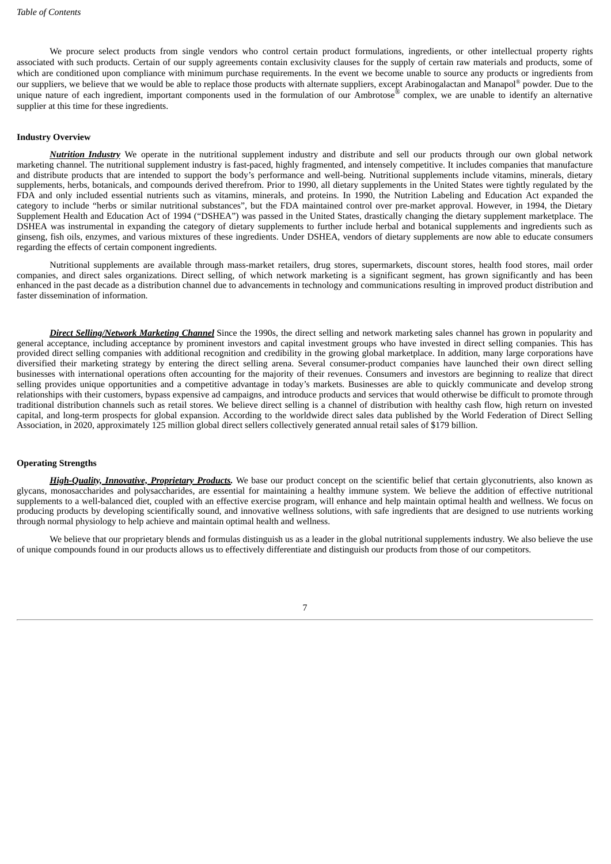We procure select products from single vendors who control certain product formulations, ingredients, or other intellectual property rights associated with such products. Certain of our supply agreements contain exclusivity clauses for the supply of certain raw materials and products, some of which are conditioned upon compliance with minimum purchase requirements. In the event we become unable to source any products or ingredients from our suppliers, we believe that we would be able to replace those products with alternate suppliers, except Arabinogalactan and Manapol® powder. Due to the unique nature of each ingredient, important components used in the formulation of our Ambrotose® complex, we are unable to identify an alternative supplier at this time for these ingredients.

#### **Industry Overview**

*Nutrition Industry* We operate in the nutritional supplement industry and distribute and sell our products through our own global network marketing channel. The nutritional supplement industry is fast-paced, highly fragmented, and intensely competitive. It includes companies that manufacture and distribute products that are intended to support the body's performance and well-being. Nutritional supplements include vitamins, minerals, dietary supplements, herbs, botanicals, and compounds derived therefrom. Prior to 1990, all dietary supplements in the United States were tightly regulated by the FDA and only included essential nutrients such as vitamins, minerals, and proteins. In 1990, the Nutrition Labeling and Education Act expanded the category to include "herbs or similar nutritional substances", but the FDA maintained control over pre-market approval. However, in 1994, the Dietary Supplement Health and Education Act of 1994 ("DSHEA") was passed in the United States, drastically changing the dietary supplement marketplace. The DSHEA was instrumental in expanding the category of dietary supplements to further include herbal and botanical supplements and ingredients such as ginseng, fish oils, enzymes, and various mixtures of these ingredients. Under DSHEA, vendors of dietary supplements are now able to educate consumers regarding the effects of certain component ingredients.

Nutritional supplements are available through mass-market retailers, drug stores, supermarkets, discount stores, health food stores, mail order companies, and direct sales organizations. Direct selling, of which network marketing is a significant segment, has grown significantly and has been enhanced in the past decade as a distribution channel due to advancements in technology and communications resulting in improved product distribution and faster dissemination of information.

*Direct Selling/Network Marketing Channel* Since the 1990s, the direct selling and network marketing sales channel has grown in popularity and general acceptance, including acceptance by prominent investors and capital investment groups who have invested in direct selling companies. This has provided direct selling companies with additional recognition and credibility in the growing global marketplace. In addition, many large corporations have diversified their marketing strategy by entering the direct selling arena. Several consumer-product companies have launched their own direct selling businesses with international operations often accounting for the majority of their revenues. Consumers and investors are beginning to realize that direct selling provides unique opportunities and a competitive advantage in today's markets. Businesses are able to quickly communicate and develop strong relationships with their customers, bypass expensive ad campaigns, and introduce products and services that would otherwise be difficult to promote through traditional distribution channels such as retail stores. We believe direct selling is a channel of distribution with healthy cash flow, high return on invested capital, and long-term prospects for global expansion. According to the worldwide direct sales data published by the World Federation of Direct Selling Association, in 2020, approximately 125 million global direct sellers collectively generated annual retail sales of \$179 billion.

#### **Operating Strengths**

*High-Quality, Innovative, Proprietary Products.* We base our product concept on the scientific belief that certain glyconutrients, also known as glycans, monosaccharides and polysaccharides, are essential for maintaining a healthy immune system. We believe the addition of effective nutritional supplements to a well-balanced diet, coupled with an effective exercise program, will enhance and help maintain optimal health and wellness. We focus on producing products by developing scientifically sound, and innovative wellness solutions, with safe ingredients that are designed to use nutrients working through normal physiology to help achieve and maintain optimal health and wellness.

We believe that our proprietary blends and formulas distinguish us as a leader in the global nutritional supplements industry. We also believe the use of unique compounds found in our products allows us to effectively differentiate and distinguish our products from those of our competitors.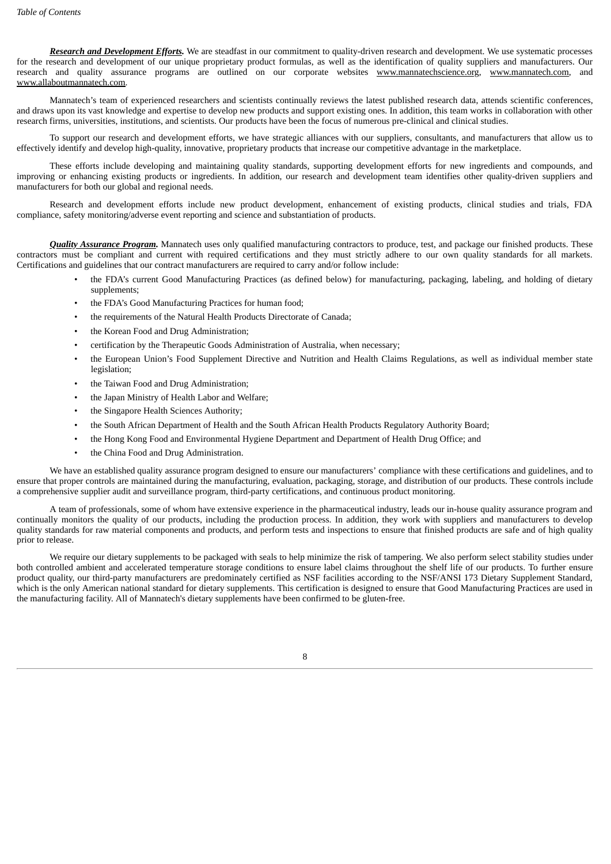*Research and Development Efforts.* We are steadfast in our commitment to quality-driven research and development. We use systematic processes for the research and development of our unique proprietary product formulas, as well as the identification of quality suppliers and manufacturers. Our research and quality assurance programs are outlined on our corporate websites www.mannatechscience.org, www.mannatech.com, and www.allaboutmannatech.com.

Mannatech's team of experienced researchers and scientists continually reviews the latest published research data, attends scientific conferences, and draws upon its vast knowledge and expertise to develop new products and support existing ones. In addition, this team works in collaboration with other research firms, universities, institutions, and scientists. Our products have been the focus of numerous pre-clinical and clinical studies.

To support our research and development efforts, we have strategic alliances with our suppliers, consultants, and manufacturers that allow us to effectively identify and develop high-quality, innovative, proprietary products that increase our competitive advantage in the marketplace.

These efforts include developing and maintaining quality standards, supporting development efforts for new ingredients and compounds, and improving or enhancing existing products or ingredients. In addition, our research and development team identifies other quality-driven suppliers and manufacturers for both our global and regional needs.

Research and development efforts include new product development, enhancement of existing products, clinical studies and trials, FDA compliance, safety monitoring/adverse event reporting and science and substantiation of products.

*Quality Assurance Program.* Mannatech uses only qualified manufacturing contractors to produce, test, and package our finished products. These contractors must be compliant and current with required certifications and they must strictly adhere to our own quality standards for all markets. Certifications and guidelines that our contract manufacturers are required to carry and/or follow include:

- the FDA's current Good Manufacturing Practices (as defined below) for manufacturing, packaging, labeling, and holding of dietary supplements;
	- the FDA's Good Manufacturing Practices for human food;
- the requirements of the Natural Health Products Directorate of Canada;
- the Korean Food and Drug Administration;
- certification by the Therapeutic Goods Administration of Australia, when necessary;
- the European Union's Food Supplement Directive and Nutrition and Health Claims Regulations, as well as individual member state legislation;
- the Taiwan Food and Drug Administration;
- the Japan Ministry of Health Labor and Welfare;
- the Singapore Health Sciences Authority;
- the South African Department of Health and the South African Health Products Regulatory Authority Board;
- the Hong Kong Food and Environmental Hygiene Department and Department of Health Drug Office; and
- the China Food and Drug Administration.

We have an established quality assurance program designed to ensure our manufacturers' compliance with these certifications and guidelines, and to ensure that proper controls are maintained during the manufacturing, evaluation, packaging, storage, and distribution of our products. These controls include a comprehensive supplier audit and surveillance program, third-party certifications, and continuous product monitoring.

A team of professionals, some of whom have extensive experience in the pharmaceutical industry, leads our in-house quality assurance program and continually monitors the quality of our products, including the production process. In addition, they work with suppliers and manufacturers to develop quality standards for raw material components and products, and perform tests and inspections to ensure that finished products are safe and of high quality prior to release.

We require our dietary supplements to be packaged with seals to help minimize the risk of tampering. We also perform select stability studies under both controlled ambient and accelerated temperature storage conditions to ensure label claims throughout the shelf life of our products. To further ensure product quality, our third-party manufacturers are predominately certified as NSF facilities according to the NSF/ANSI 173 Dietary Supplement Standard, which is the only American national standard for dietary supplements. This certification is designed to ensure that Good Manufacturing Practices are used in the manufacturing facility. All of Mannatech's dietary supplements have been confirmed to be gluten-free.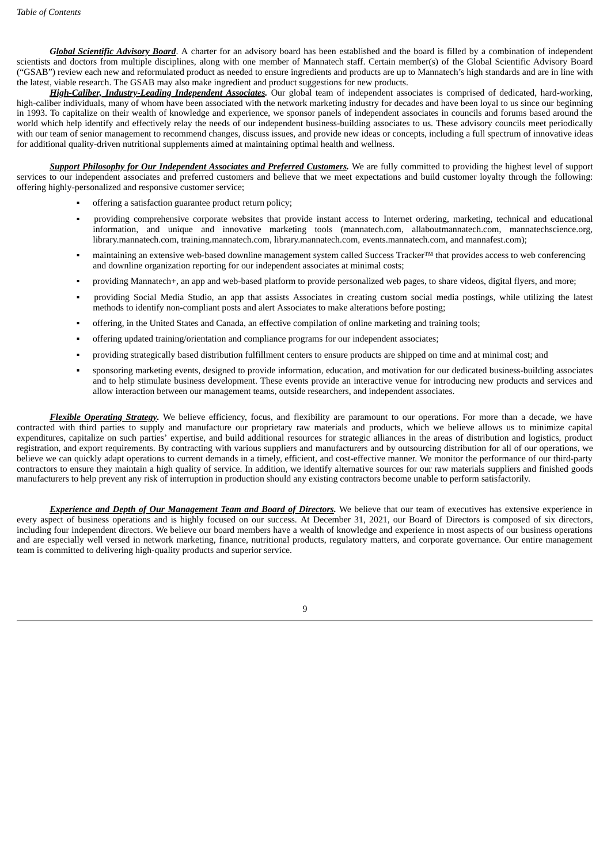*Global Scientific Advisory Board*. A charter for an advisory board has been established and the board is filled by a combination of independent scientists and doctors from multiple disciplines, along with one member of Mannatech staff. Certain member(s) of the Global Scientific Advisory Board ("GSAB") review each new and reformulated product as needed to ensure ingredients and products are up to Mannatech's high standards and are in line with the latest, viable research. The GSAB may also make ingredient and product suggestions for new products.

*High-Caliber, Industry-Leading Independent Associates.* Our global team of independent associates is comprised of dedicated, hard-working, high-caliber individuals, many of whom have been associated with the network marketing industry for decades and have been loyal to us since our beginning in 1993. To capitalize on their wealth of knowledge and experience, we sponsor panels of independent associates in councils and forums based around the world which help identify and effectively relay the needs of our independent business-building associates to us. These advisory councils meet periodically with our team of senior management to recommend changes, discuss issues, and provide new ideas or concepts, including a full spectrum of innovative ideas for additional quality-driven nutritional supplements aimed at maintaining optimal health and wellness.

*Support Philosophy for Our Independent Associates and Preferred Customers.* We are fully committed to providing the highest level of support services to our independent associates and preferred customers and believe that we meet expectations and build customer loyalty through the following: offering highly-personalized and responsive customer service;

- offering a satisfaction guarantee product return policy;
- providing comprehensive corporate websites that provide instant access to Internet ordering, marketing, technical and educational information, and unique and innovative marketing tools (mannatech.com, allaboutmannatech.com, mannatechscience.org, library.mannatech.com, training.mannatech.com, library.mannatech.com, events.mannatech.com, and mannafest.com);
- maintaining an extensive web-based downline management system called Success Tracker™ that provides access to web conferencing and downline organization reporting for our independent associates at minimal costs;
- providing Mannatech+, an app and web-based platform to provide personalized web pages, to share videos, digital flyers, and more;
- providing Social Media Studio, an app that assists Associates in creating custom social media postings, while utilizing the latest methods to identify non-compliant posts and alert Associates to make alterations before posting;
- offering, in the United States and Canada, an effective compilation of online marketing and training tools;
- offering updated training/orientation and compliance programs for our independent associates;
- providing strategically based distribution fulfillment centers to ensure products are shipped on time and at minimal cost; and
- sponsoring marketing events, designed to provide information, education, and motivation for our dedicated business-building associates and to help stimulate business development. These events provide an interactive venue for introducing new products and services and allow interaction between our management teams, outside researchers, and independent associates.

*Flexible Operating Strategy.* We believe efficiency, focus, and flexibility are paramount to our operations. For more than a decade, we have contracted with third parties to supply and manufacture our proprietary raw materials and products, which we believe allows us to minimize capital expenditures, capitalize on such parties' expertise, and build additional resources for strategic alliances in the areas of distribution and logistics, product registration, and export requirements. By contracting with various suppliers and manufacturers and by outsourcing distribution for all of our operations, we believe we can quickly adapt operations to current demands in a timely, efficient, and cost-effective manner. We monitor the performance of our third-party contractors to ensure they maintain a high quality of service. In addition, we identify alternative sources for our raw materials suppliers and finished goods manufacturers to help prevent any risk of interruption in production should any existing contractors become unable to perform satisfactorily.

*Experience and Depth of Our Management Team and Board of Directors.* We believe that our team of executives has extensive experience in every aspect of business operations and is highly focused on our success. At December 31, 2021, our Board of Directors is composed of six directors, including four independent directors. We believe our board members have a wealth of knowledge and experience in most aspects of our business operations and are especially well versed in network marketing, finance, nutritional products, regulatory matters, and corporate governance. Our entire management team is committed to delivering high-quality products and superior service.

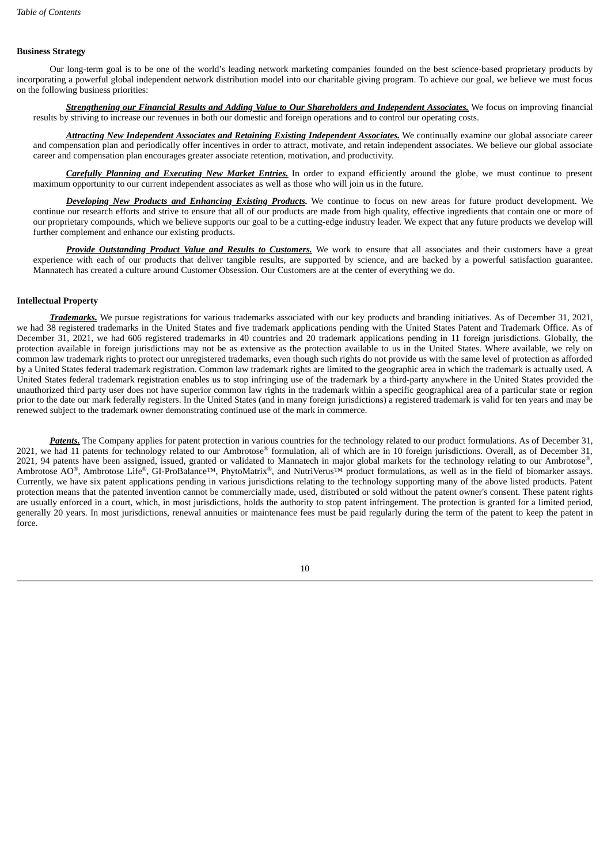## **Business Strategy**

Our long-term goal is to be one of the world's leading network marketing companies founded on the best science-based proprietary products by incorporating a powerful global independent network distribution model into our charitable giving program. To achieve our goal, we believe we must focus on the following business priorities:

*Strengthening our Financial Results and Adding Value to Our Shareholders and Independent Associates.* We focus on improving financial results by striving to increase our revenues in both our domestic and foreign operations and to control our operating costs.

*Attracting New Independent Associates and Retaining Existing Independent Associates.* We continually examine our global associate career and compensation plan and periodically offer incentives in order to attract, motivate, and retain independent associates. We believe our global associate career and compensation plan encourages greater associate retention, motivation, and productivity.

*Carefully Planning and Executing New Market Entries.* In order to expand efficiently around the globe, we must continue to present maximum opportunity to our current independent associates as well as those who will join us in the future.

*Developing New Products and Enhancing Existing Products.* We continue to focus on new areas for future product development. We continue our research efforts and strive to ensure that all of our products are made from high quality, effective ingredients that contain one or more of our proprietary compounds, which we believe supports our goal to be a cutting-edge industry leader. We expect that any future products we develop will further complement and enhance our existing products.

*Provide Outstanding Product Value and Results to Customers.* We work to ensure that all associates and their customers have a great experience with each of our products that deliver tangible results, are supported by science, and are backed by a powerful satisfaction guarantee. Mannatech has created a culture around Customer Obsession. Our Customers are at the center of everything we do.

### **Intellectual Property**

*Trademarks.* We pursue registrations for various trademarks associated with our key products and branding initiatives. As of December 31, 2021, we had 38 registered trademarks in the United States and five trademark applications pending with the United States Patent and Trademark Office. As of December 31, 2021, we had 606 registered trademarks in 40 countries and 20 trademark applications pending in 11 foreign jurisdictions. Globally, the protection available in foreign jurisdictions may not be as extensive as the protection available to us in the United States. Where available, we rely on common law trademark rights to protect our unregistered trademarks, even though such rights do not provide us with the same level of protection as afforded by a United States federal trademark registration. Common law trademark rights are limited to the geographic area in which the trademark is actually used. A United States federal trademark registration enables us to stop infringing use of the trademark by a third-party anywhere in the United States provided the unauthorized third party user does not have superior common law rights in the trademark within a specific geographical area of a particular state or region prior to the date our mark federally registers. In the United States (and in many foreign jurisdictions) a registered trademark is valid for ten years and may be renewed subject to the trademark owner demonstrating continued use of the mark in commerce.

**Patents.** The Company applies for patent protection in various countries for the technology related to our product formulations. As of December 31, 2021, we had 11 patents for technology related to our Ambrotose® formulation, all of which are in 10 foreign jurisdictions. Overall, as of December 31, 2021, 94 patents have been assigned, issued, granted or validated to Mannatech in major global markets for the technology relating to our Ambrotose<sup>®</sup>, Ambrotose AO®, Ambrotose Life®, GI-ProBalance™, PhytoMatrix®, and NutriVerus™ product formulations, as well as in the field of biomarker assays. Currently, we have six patent applications pending in various jurisdictions relating to the technology supporting many of the above listed products. Patent protection means that the patented invention cannot be commercially made, used, distributed or sold without the patent owner's consent. These patent rights are usually enforced in a court, which, in most jurisdictions, holds the authority to stop patent infringement. The protection is granted for a limited period, generally 20 years. In most jurisdictions, renewal annuities or maintenance fees must be paid regularly during the term of the patent to keep the patent in force.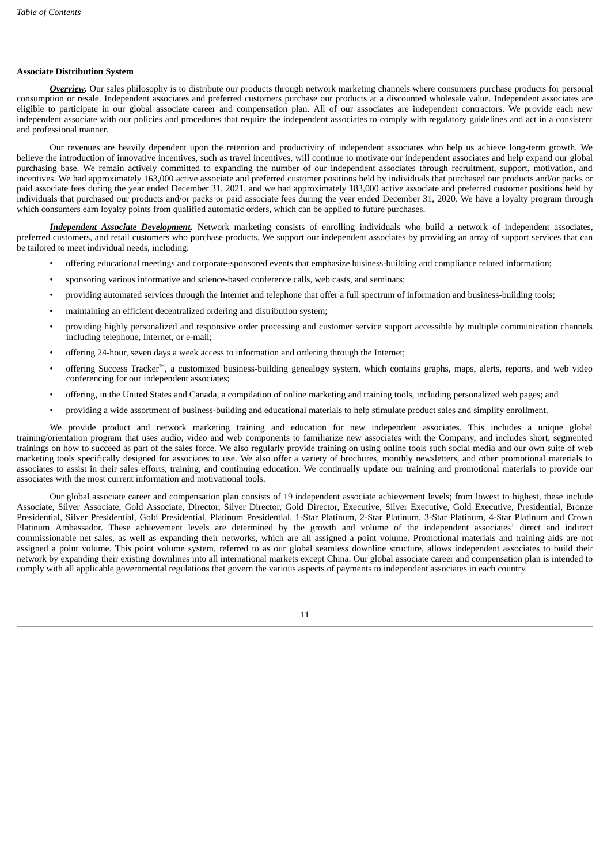#### **Associate Distribution System**

*Overview.* Our sales philosophy is to distribute our products through network marketing channels where consumers purchase products for personal consumption or resale. Independent associates and preferred customers purchase our products at a discounted wholesale value. Independent associates are eligible to participate in our global associate career and compensation plan. All of our associates are independent contractors. We provide each new independent associate with our policies and procedures that require the independent associates to comply with regulatory guidelines and act in a consistent and professional manner.

Our revenues are heavily dependent upon the retention and productivity of independent associates who help us achieve long-term growth. We believe the introduction of innovative incentives, such as travel incentives, will continue to motivate our independent associates and help expand our global purchasing base. We remain actively committed to expanding the number of our independent associates through recruitment, support, motivation, and incentives. We had approximately 163,000 active associate and preferred customer positions held by individuals that purchased our products and/or packs or paid associate fees during the year ended December 31, 2021, and we had approximately 183,000 active associate and preferred customer positions held by individuals that purchased our products and/or packs or paid associate fees during the year ended December 31, 2020. We have a loyalty program through which consumers earn loyalty points from qualified automatic orders, which can be applied to future purchases.

*Independent Associate Development.* Network marketing consists of enrolling individuals who build a network of independent associates, preferred customers, and retail customers who purchase products. We support our independent associates by providing an array of support services that can be tailored to meet individual needs, including:

- offering educational meetings and corporate-sponsored events that emphasize business-building and compliance related information;
- sponsoring various informative and science-based conference calls, web casts, and seminars;
- providing automated services through the Internet and telephone that offer a full spectrum of information and business-building tools;
- maintaining an efficient decentralized ordering and distribution system;
- providing highly personalized and responsive order processing and customer service support accessible by multiple communication channels including telephone, Internet, or e-mail;
- offering 24-hour, seven days a week access to information and ordering through the Internet;
- offering Success Tracker<sup>™</sup>, a customized business-building genealogy system, which contains graphs, maps, alerts, reports, and web video conferencing for our independent associates;
- offering, in the United States and Canada, a compilation of online marketing and training tools, including personalized web pages; and
- providing a wide assortment of business-building and educational materials to help stimulate product sales and simplify enrollment.

We provide product and network marketing training and education for new independent associates. This includes a unique global training/orientation program that uses audio, video and web components to familiarize new associates with the Company, and includes short, segmented trainings on how to succeed as part of the sales force. We also regularly provide training on using online tools such social media and our own suite of web marketing tools specifically designed for associates to use. We also offer a variety of brochures, monthly newsletters, and other promotional materials to associates to assist in their sales efforts, training, and continuing education. We continually update our training and promotional materials to provide our associates with the most current information and motivational tools.

Our global associate career and compensation plan consists of 19 independent associate achievement levels; from lowest to highest, these include Associate, Silver Associate, Gold Associate, Director, Silver Director, Gold Director, Executive, Silver Executive, Gold Executive, Presidential, Bronze Presidential, Silver Presidential, Gold Presidential, Platinum Presidential, 1-Star Platinum, 2-Star Platinum, 3-Star Platinum, 4-Star Platinum and Crown Platinum Ambassador. These achievement levels are determined by the growth and volume of the independent associates' direct and indirect commissionable net sales, as well as expanding their networks, which are all assigned a point volume. Promotional materials and training aids are not assigned a point volume. This point volume system, referred to as our global seamless downline structure, allows independent associates to build their network by expanding their existing downlines into all international markets except China. Our global associate career and compensation plan is intended to comply with all applicable governmental regulations that govern the various aspects of payments to independent associates in each country.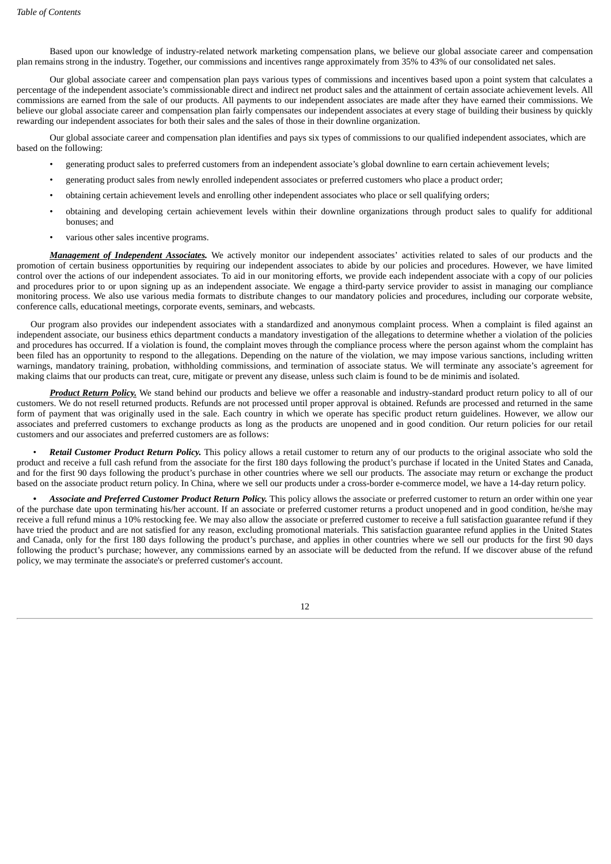Based upon our knowledge of industry-related network marketing compensation plans, we believe our global associate career and compensation plan remains strong in the industry. Together, our commissions and incentives range approximately from 35% to 43% of our consolidated net sales.

Our global associate career and compensation plan pays various types of commissions and incentives based upon a point system that calculates a percentage of the independent associate's commissionable direct and indirect net product sales and the attainment of certain associate achievement levels. All commissions are earned from the sale of our products. All payments to our independent associates are made after they have earned their commissions. We believe our global associate career and compensation plan fairly compensates our independent associates at every stage of building their business by quickly rewarding our independent associates for both their sales and the sales of those in their downline organization.

Our global associate career and compensation plan identifies and pays six types of commissions to our qualified independent associates, which are based on the following:

- generating product sales to preferred customers from an independent associate's global downline to earn certain achievement levels;
- generating product sales from newly enrolled independent associates or preferred customers who place a product order;
- obtaining certain achievement levels and enrolling other independent associates who place or sell qualifying orders;
- obtaining and developing certain achievement levels within their downline organizations through product sales to qualify for additional bonuses; and
- various other sales incentive programs.

*Management of Independent Associates.* We actively monitor our independent associates' activities related to sales of our products and the promotion of certain business opportunities by requiring our independent associates to abide by our policies and procedures. However, we have limited control over the actions of our independent associates. To aid in our monitoring efforts, we provide each independent associate with a copy of our policies and procedures prior to or upon signing up as an independent associate. We engage a third-party service provider to assist in managing our compliance monitoring process. We also use various media formats to distribute changes to our mandatory policies and procedures, including our corporate website, conference calls, educational meetings, corporate events, seminars, and webcasts.

Our program also provides our independent associates with a standardized and anonymous complaint process. When a complaint is filed against an independent associate, our business ethics department conducts a mandatory investigation of the allegations to determine whether a violation of the policies and procedures has occurred. If a violation is found, the complaint moves through the compliance process where the person against whom the complaint has been filed has an opportunity to respond to the allegations. Depending on the nature of the violation, we may impose various sanctions, including written warnings, mandatory training, probation, withholding commissions, and termination of associate status. We will terminate any associate's agreement for making claims that our products can treat, cure, mitigate or prevent any disease, unless such claim is found to be de minimis and isolated.

*Product Return Policy.* We stand behind our products and believe we offer a reasonable and industry-standard product return policy to all of our customers. We do not resell returned products. Refunds are not processed until proper approval is obtained. Refunds are processed and returned in the same form of payment that was originally used in the sale. Each country in which we operate has specific product return guidelines. However, we allow our associates and preferred customers to exchange products as long as the products are unopened and in good condition. Our return policies for our retail customers and our associates and preferred customers are as follows:

• *Retail Customer Product Return Policy.* This policy allows a retail customer to return any of our products to the original associate who sold the product and receive a full cash refund from the associate for the first 180 days following the product's purchase if located in the United States and Canada, and for the first 90 days following the product's purchase in other countries where we sell our products. The associate may return or exchange the product based on the associate product return policy. In China, where we sell our products under a cross-border e-commerce model, we have a 14-day return policy.

*• Associate and Preferred Customer Product Return Policy.* This policy allows the associate or preferred customer to return an order within one year of the purchase date upon terminating his/her account. If an associate or preferred customer returns a product unopened and in good condition, he/she may receive a full refund minus a 10% restocking fee. We may also allow the associate or preferred customer to receive a full satisfaction guarantee refund if they have tried the product and are not satisfied for any reason, excluding promotional materials. This satisfaction guarantee refund applies in the United States and Canada, only for the first 180 days following the product's purchase, and applies in other countries where we sell our products for the first 90 days following the product's purchase; however, any commissions earned by an associate will be deducted from the refund. If we discover abuse of the refund policy, we may terminate the associate's or preferred customer's account.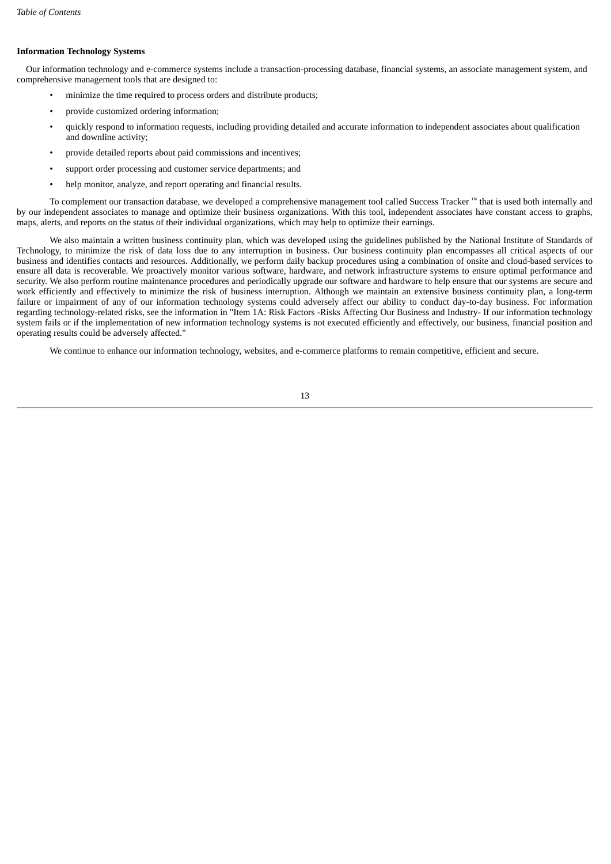## **Information Technology Systems**

Our information technology and e-commerce systems include a transaction-processing database, financial systems, an associate management system, and comprehensive management tools that are designed to:

- minimize the time required to process orders and distribute products;
- provide customized ordering information;
- quickly respond to information requests, including providing detailed and accurate information to independent associates about qualification and downline activity;
- provide detailed reports about paid commissions and incentives;
- support order processing and customer service departments; and
- help monitor, analyze, and report operating and financial results.

To complement our transaction database, we developed a comprehensive management tool called Success Tracker ™ that is used both internally and by our independent associates to manage and optimize their business organizations. With this tool, independent associates have constant access to graphs, maps, alerts, and reports on the status of their individual organizations, which may help to optimize their earnings.

We also maintain a written business continuity plan, which was developed using the guidelines published by the National Institute of Standards of Technology, to minimize the risk of data loss due to any interruption in business. Our business continuity plan encompasses all critical aspects of our business and identifies contacts and resources. Additionally, we perform daily backup procedures using a combination of onsite and cloud-based services to ensure all data is recoverable. We proactively monitor various software, hardware, and network infrastructure systems to ensure optimal performance and security. We also perform routine maintenance procedures and periodically upgrade our software and hardware to help ensure that our systems are secure and work efficiently and effectively to minimize the risk of business interruption. Although we maintain an extensive business continuity plan, a long-term failure or impairment of any of our information technology systems could adversely affect our ability to conduct day-to-day business. For information regarding technology-related risks, see the information in "Item 1A: Risk Factors -Risks Affecting Our Business and Industry- If our information technology system fails or if the implementation of new information technology systems is not executed efficiently and effectively, our business, financial position and operating results could be adversely affected."

We continue to enhance our information technology, websites, and e-commerce platforms to remain competitive, efficient and secure.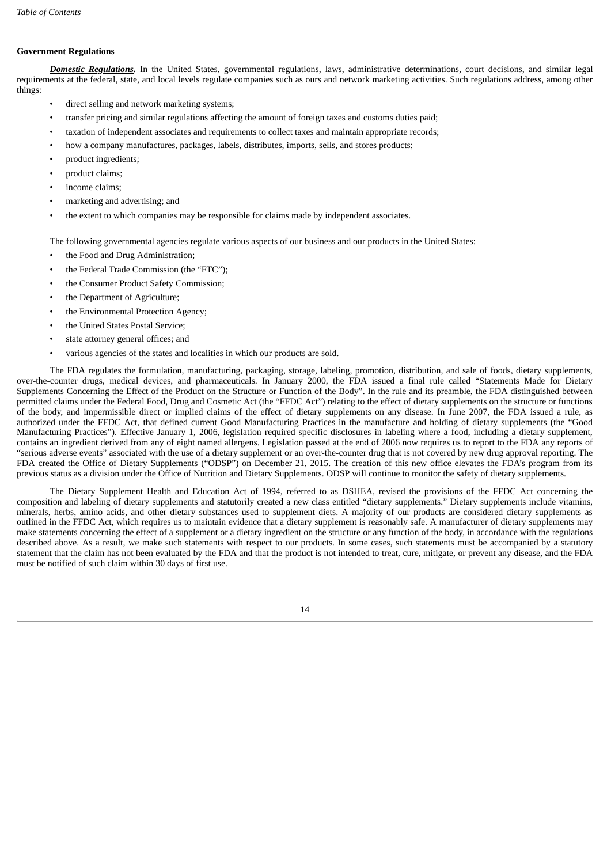## **Government Regulations**

*Domestic Regulations.* In the United States, governmental regulations, laws, administrative determinations, court decisions, and similar legal requirements at the federal, state, and local levels regulate companies such as ours and network marketing activities. Such regulations address, among other things:

- direct selling and network marketing systems;
- transfer pricing and similar regulations affecting the amount of foreign taxes and customs duties paid;
- taxation of independent associates and requirements to collect taxes and maintain appropriate records;
- how a company manufactures, packages, labels, distributes, imports, sells, and stores products;
- product ingredients;
- product claims;
- income claims:
- marketing and advertising; and
- the extent to which companies may be responsible for claims made by independent associates.

The following governmental agencies regulate various aspects of our business and our products in the United States:

- the Food and Drug Administration;
- the Federal Trade Commission (the "FTC");
- the Consumer Product Safety Commission;
- the Department of Agriculture;
- the Environmental Protection Agency;
- the United States Postal Service;
- state attorney general offices; and
- various agencies of the states and localities in which our products are sold.

The FDA regulates the formulation, manufacturing, packaging, storage, labeling, promotion, distribution, and sale of foods, dietary supplements, over-the-counter drugs, medical devices, and pharmaceuticals. In January 2000, the FDA issued a final rule called "Statements Made for Dietary Supplements Concerning the Effect of the Product on the Structure or Function of the Body". In the rule and its preamble, the FDA distinguished between permitted claims under the Federal Food, Drug and Cosmetic Act (the "FFDC Act") relating to the effect of dietary supplements on the structure or functions of the body, and impermissible direct or implied claims of the effect of dietary supplements on any disease. In June 2007, the FDA issued a rule, as authorized under the FFDC Act, that defined current Good Manufacturing Practices in the manufacture and holding of dietary supplements (the "Good Manufacturing Practices"). Effective January 1, 2006, legislation required specific disclosures in labeling where a food, including a dietary supplement, contains an ingredient derived from any of eight named allergens. Legislation passed at the end of 2006 now requires us to report to the FDA any reports of "serious adverse events" associated with the use of a dietary supplement or an over-the-counter drug that is not covered by new drug approval reporting. The FDA created the Office of Dietary Supplements ("ODSP") on December 21, 2015. The creation of this new office elevates the FDA's program from its previous status as a division under the Office of Nutrition and Dietary Supplements. ODSP will continue to monitor the safety of dietary supplements.

The Dietary Supplement Health and Education Act of 1994, referred to as DSHEA, revised the provisions of the FFDC Act concerning the composition and labeling of dietary supplements and statutorily created a new class entitled "dietary supplements." Dietary supplements include vitamins, minerals, herbs, amino acids, and other dietary substances used to supplement diets. A majority of our products are considered dietary supplements as outlined in the FFDC Act, which requires us to maintain evidence that a dietary supplement is reasonably safe. A manufacturer of dietary supplements may make statements concerning the effect of a supplement or a dietary ingredient on the structure or any function of the body, in accordance with the regulations described above. As a result, we make such statements with respect to our products. In some cases, such statements must be accompanied by a statutory statement that the claim has not been evaluated by the FDA and that the product is not intended to treat, cure, mitigate, or prevent any disease, and the FDA must be notified of such claim within 30 days of first use.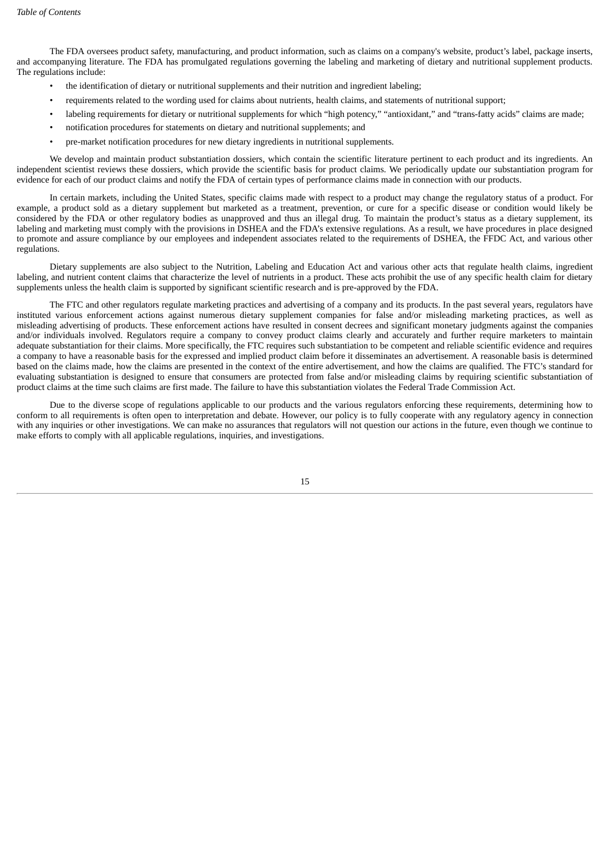The FDA oversees product safety, manufacturing, and product information, such as claims on a company's website, product's label, package inserts, and accompanying literature. The FDA has promulgated regulations governing the labeling and marketing of dietary and nutritional supplement products. The regulations include:

- the identification of dietary or nutritional supplements and their nutrition and ingredient labeling;
- requirements related to the wording used for claims about nutrients, health claims, and statements of nutritional support;
- labeling requirements for dietary or nutritional supplements for which "high potency," "antioxidant," and "trans-fatty acids" claims are made;
- notification procedures for statements on dietary and nutritional supplements; and
- pre-market notification procedures for new dietary ingredients in nutritional supplements.

We develop and maintain product substantiation dossiers, which contain the scientific literature pertinent to each product and its ingredients. An independent scientist reviews these dossiers, which provide the scientific basis for product claims. We periodically update our substantiation program for evidence for each of our product claims and notify the FDA of certain types of performance claims made in connection with our products.

In certain markets, including the United States, specific claims made with respect to a product may change the regulatory status of a product. For example, a product sold as a dietary supplement but marketed as a treatment, prevention, or cure for a specific disease or condition would likely be considered by the FDA or other regulatory bodies as unapproved and thus an illegal drug. To maintain the product's status as a dietary supplement, its labeling and marketing must comply with the provisions in DSHEA and the FDA's extensive regulations. As a result, we have procedures in place designed to promote and assure compliance by our employees and independent associates related to the requirements of DSHEA, the FFDC Act, and various other regulations.

Dietary supplements are also subject to the Nutrition, Labeling and Education Act and various other acts that regulate health claims, ingredient labeling, and nutrient content claims that characterize the level of nutrients in a product. These acts prohibit the use of any specific health claim for dietary supplements unless the health claim is supported by significant scientific research and is pre-approved by the FDA.

The FTC and other regulators regulate marketing practices and advertising of a company and its products. In the past several years, regulators have instituted various enforcement actions against numerous dietary supplement companies for false and/or misleading marketing practices, as well as misleading advertising of products. These enforcement actions have resulted in consent decrees and significant monetary judgments against the companies and/or individuals involved. Regulators require a company to convey product claims clearly and accurately and further require marketers to maintain adequate substantiation for their claims. More specifically, the FTC requires such substantiation to be competent and reliable scientific evidence and requires a company to have a reasonable basis for the expressed and implied product claim before it disseminates an advertisement. A reasonable basis is determined based on the claims made, how the claims are presented in the context of the entire advertisement, and how the claims are qualified. The FTC's standard for evaluating substantiation is designed to ensure that consumers are protected from false and/or misleading claims by requiring scientific substantiation of product claims at the time such claims are first made. The failure to have this substantiation violates the Federal Trade Commission Act.

Due to the diverse scope of regulations applicable to our products and the various regulators enforcing these requirements, determining how to conform to all requirements is often open to interpretation and debate. However, our policy is to fully cooperate with any regulatory agency in connection with any inquiries or other investigations. We can make no assurances that regulators will not question our actions in the future, even though we continue to make efforts to comply with all applicable regulations, inquiries, and investigations.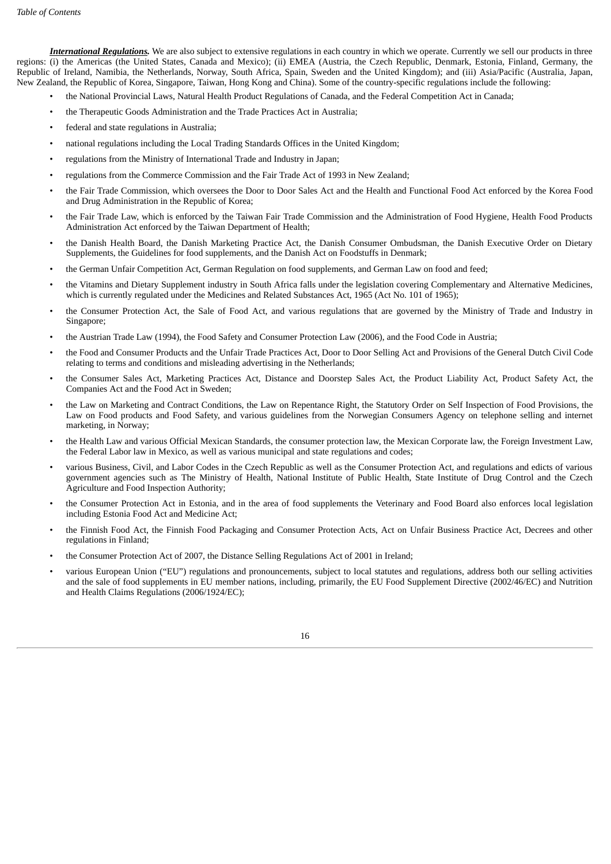*International Regulations.* We are also subject to extensive regulations in each country in which we operate. Currently we sell our products in three regions: (i) the Americas (the United States, Canada and Mexico); (ii) EMEA (Austria, the Czech Republic, Denmark, Estonia, Finland, Germany, the Republic of Ireland, Namibia, the Netherlands, Norway, South Africa, Spain, Sweden and the United Kingdom); and (iii) Asia/Pacific (Australia, Japan, New Zealand, the Republic of Korea, Singapore, Taiwan, Hong Kong and China). Some of the country-specific regulations include the following:

- the National Provincial Laws, Natural Health Product Regulations of Canada, and the Federal Competition Act in Canada;
- the Therapeutic Goods Administration and the Trade Practices Act in Australia;
- federal and state regulations in Australia;
- national regulations including the Local Trading Standards Offices in the United Kingdom;
- regulations from the Ministry of International Trade and Industry in Japan;
- regulations from the Commerce Commission and the Fair Trade Act of 1993 in New Zealand;
- the Fair Trade Commission, which oversees the Door to Door Sales Act and the Health and Functional Food Act enforced by the Korea Food and Drug Administration in the Republic of Korea;
- the Fair Trade Law, which is enforced by the Taiwan Fair Trade Commission and the Administration of Food Hygiene, Health Food Products Administration Act enforced by the Taiwan Department of Health;
- the Danish Health Board, the Danish Marketing Practice Act, the Danish Consumer Ombudsman, the Danish Executive Order on Dietary Supplements, the Guidelines for food supplements, and the Danish Act on Foodstuffs in Denmark;
- the German Unfair Competition Act, German Regulation on food supplements, and German Law on food and feed;
- the Vitamins and Dietary Supplement industry in South Africa falls under the legislation covering Complementary and Alternative Medicines, which is currently regulated under the Medicines and Related Substances Act, 1965 (Act No. 101 of 1965);
- the Consumer Protection Act, the Sale of Food Act, and various regulations that are governed by the Ministry of Trade and Industry in Singapore;
- the Austrian Trade Law (1994), the Food Safety and Consumer Protection Law (2006), and the Food Code in Austria;
- the Food and Consumer Products and the Unfair Trade Practices Act, Door to Door Selling Act and Provisions of the General Dutch Civil Code relating to terms and conditions and misleading advertising in the Netherlands;
- the Consumer Sales Act, Marketing Practices Act, Distance and Doorstep Sales Act, the Product Liability Act, Product Safety Act, the Companies Act and the Food Act in Sweden;
- the Law on Marketing and Contract Conditions, the Law on Repentance Right, the Statutory Order on Self Inspection of Food Provisions, the Law on Food products and Food Safety, and various guidelines from the Norwegian Consumers Agency on telephone selling and internet marketing, in Norway;
- the Health Law and various Official Mexican Standards, the consumer protection law, the Mexican Corporate law, the Foreign Investment Law, the Federal Labor law in Mexico, as well as various municipal and state regulations and codes;
- various Business, Civil, and Labor Codes in the Czech Republic as well as the Consumer Protection Act, and regulations and edicts of various government agencies such as The Ministry of Health, National Institute of Public Health, State Institute of Drug Control and the Czech Agriculture and Food Inspection Authority;
- the Consumer Protection Act in Estonia, and in the area of food supplements the Veterinary and Food Board also enforces local legislation including Estonia Food Act and Medicine Act;
- the Finnish Food Act, the Finnish Food Packaging and Consumer Protection Acts, Act on Unfair Business Practice Act, Decrees and other regulations in Finland;
- the Consumer Protection Act of 2007, the Distance Selling Regulations Act of 2001 in Ireland;
- various European Union ("EU") regulations and pronouncements, subject to local statutes and regulations, address both our selling activities and the sale of food supplements in EU member nations, including, primarily, the EU Food Supplement Directive (2002/46/EC) and Nutrition and Health Claims Regulations (2006/1924/EC);

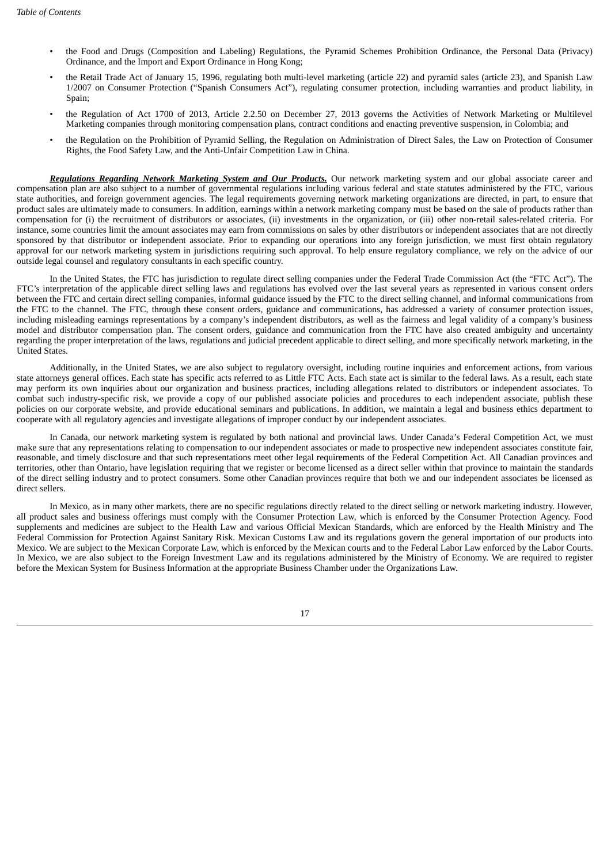- the Food and Drugs (Composition and Labeling) Regulations, the Pyramid Schemes Prohibition Ordinance, the Personal Data (Privacy) Ordinance, and the Import and Export Ordinance in Hong Kong;
- the Retail Trade Act of January 15, 1996, regulating both multi-level marketing (article 22) and pyramid sales (article 23), and Spanish Law 1/2007 on Consumer Protection ("Spanish Consumers Act"), regulating consumer protection, including warranties and product liability, in Spain;
- the Regulation of Act 1700 of 2013, Article 2.2.50 on December 27, 2013 governs the Activities of Network Marketing or Multilevel Marketing companies through monitoring compensation plans, contract conditions and enacting preventive suspension, in Colombia; and
- the Regulation on the Prohibition of Pyramid Selling, the Regulation on Administration of Direct Sales, the Law on Protection of Consumer Rights, the Food Safety Law, and the Anti-Unfair Competition Law in China.

*Regulations Regarding Network Marketing System and Our Products.* Our network marketing system and our global associate career and compensation plan are also subject to a number of governmental regulations including various federal and state statutes administered by the FTC, various state authorities, and foreign government agencies. The legal requirements governing network marketing organizations are directed, in part, to ensure that product sales are ultimately made to consumers. In addition, earnings within a network marketing company must be based on the sale of products rather than compensation for (i) the recruitment of distributors or associates, (ii) investments in the organization, or (iii) other non-retail sales-related criteria. For instance, some countries limit the amount associates may earn from commissions on sales by other distributors or independent associates that are not directly sponsored by that distributor or independent associate. Prior to expanding our operations into any foreign jurisdiction, we must first obtain regulatory approval for our network marketing system in jurisdictions requiring such approval. To help ensure regulatory compliance, we rely on the advice of our outside legal counsel and regulatory consultants in each specific country.

In the United States, the FTC has jurisdiction to regulate direct selling companies under the Federal Trade Commission Act (the "FTC Act"). The FTC's interpretation of the applicable direct selling laws and regulations has evolved over the last several years as represented in various consent orders between the FTC and certain direct selling companies, informal guidance issued by the FTC to the direct selling channel, and informal communications from the FTC to the channel. The FTC, through these consent orders, guidance and communications, has addressed a variety of consumer protection issues, including misleading earnings representations by a company's independent distributors, as well as the fairness and legal validity of a company's business model and distributor compensation plan. The consent orders, guidance and communication from the FTC have also created ambiguity and uncertainty regarding the proper interpretation of the laws, regulations and judicial precedent applicable to direct selling, and more specifically network marketing, in the United States.

Additionally, in the United States, we are also subject to regulatory oversight, including routine inquiries and enforcement actions, from various state attorneys general offices. Each state has specific acts referred to as Little FTC Acts. Each state act is similar to the federal laws. As a result, each state may perform its own inquiries about our organization and business practices, including allegations related to distributors or independent associates. To combat such industry-specific risk, we provide a copy of our published associate policies and procedures to each independent associate, publish these policies on our corporate website, and provide educational seminars and publications. In addition, we maintain a legal and business ethics department to cooperate with all regulatory agencies and investigate allegations of improper conduct by our independent associates.

In Canada, our network marketing system is regulated by both national and provincial laws. Under Canada's Federal Competition Act, we must make sure that any representations relating to compensation to our independent associates or made to prospective new independent associates constitute fair, reasonable, and timely disclosure and that such representations meet other legal requirements of the Federal Competition Act. All Canadian provinces and territories, other than Ontario, have legislation requiring that we register or become licensed as a direct seller within that province to maintain the standards of the direct selling industry and to protect consumers. Some other Canadian provinces require that both we and our independent associates be licensed as direct sellers.

In Mexico, as in many other markets, there are no specific regulations directly related to the direct selling or network marketing industry. However, all product sales and business offerings must comply with the Consumer Protection Law, which is enforced by the Consumer Protection Agency. Food supplements and medicines are subject to the Health Law and various Official Mexican Standards, which are enforced by the Health Ministry and The Federal Commission for Protection Against Sanitary Risk. Mexican Customs Law and its regulations govern the general importation of our products into Mexico. We are subject to the Mexican Corporate Law, which is enforced by the Mexican courts and to the Federal Labor Law enforced by the Labor Courts. In Mexico, we are also subject to the Foreign Investment Law and its regulations administered by the Ministry of Economy. We are required to register before the Mexican System for Business Information at the appropriate Business Chamber under the Organizations Law.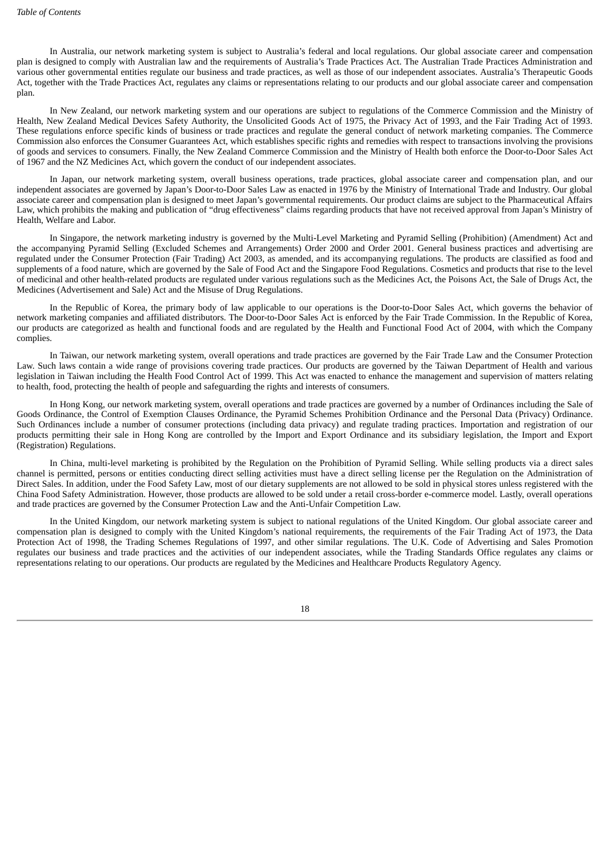In Australia, our network marketing system is subject to Australia's federal and local regulations. Our global associate career and compensation plan is designed to comply with Australian law and the requirements of Australia's Trade Practices Act. The Australian Trade Practices Administration and various other governmental entities regulate our business and trade practices, as well as those of our independent associates. Australia's Therapeutic Goods Act, together with the Trade Practices Act, regulates any claims or representations relating to our products and our global associate career and compensation plan.

In New Zealand, our network marketing system and our operations are subject to regulations of the Commerce Commission and the Ministry of Health, New Zealand Medical Devices Safety Authority, the Unsolicited Goods Act of 1975, the Privacy Act of 1993, and the Fair Trading Act of 1993. These regulations enforce specific kinds of business or trade practices and regulate the general conduct of network marketing companies. The Commerce Commission also enforces the Consumer Guarantees Act, which establishes specific rights and remedies with respect to transactions involving the provisions of goods and services to consumers. Finally, the New Zealand Commerce Commission and the Ministry of Health both enforce the Door-to-Door Sales Act of 1967 and the NZ Medicines Act, which govern the conduct of our independent associates.

In Japan, our network marketing system, overall business operations, trade practices, global associate career and compensation plan, and our independent associates are governed by Japan's Door-to-Door Sales Law as enacted in 1976 by the Ministry of International Trade and Industry. Our global associate career and compensation plan is designed to meet Japan's governmental requirements. Our product claims are subject to the Pharmaceutical Affairs Law, which prohibits the making and publication of "drug effectiveness" claims regarding products that have not received approval from Japan's Ministry of Health, Welfare and Labor.

In Singapore, the network marketing industry is governed by the Multi-Level Marketing and Pyramid Selling (Prohibition) (Amendment) Act and the accompanying Pyramid Selling (Excluded Schemes and Arrangements) Order 2000 and Order 2001. General business practices and advertising are regulated under the Consumer Protection (Fair Trading) Act 2003, as amended, and its accompanying regulations. The products are classified as food and supplements of a food nature, which are governed by the Sale of Food Act and the Singapore Food Regulations. Cosmetics and products that rise to the level of medicinal and other health-related products are regulated under various regulations such as the Medicines Act, the Poisons Act, the Sale of Drugs Act, the Medicines (Advertisement and Sale) Act and the Misuse of Drug Regulations.

In the Republic of Korea, the primary body of law applicable to our operations is the Door-to-Door Sales Act, which governs the behavior of network marketing companies and affiliated distributors. The Door-to-Door Sales Act is enforced by the Fair Trade Commission. In the Republic of Korea, our products are categorized as health and functional foods and are regulated by the Health and Functional Food Act of 2004, with which the Company complies.

In Taiwan, our network marketing system, overall operations and trade practices are governed by the Fair Trade Law and the Consumer Protection Law. Such laws contain a wide range of provisions covering trade practices. Our products are governed by the Taiwan Department of Health and various legislation in Taiwan including the Health Food Control Act of 1999. This Act was enacted to enhance the management and supervision of matters relating to health, food, protecting the health of people and safeguarding the rights and interests of consumers.

In Hong Kong, our network marketing system, overall operations and trade practices are governed by a number of Ordinances including the Sale of Goods Ordinance, the Control of Exemption Clauses Ordinance, the Pyramid Schemes Prohibition Ordinance and the Personal Data (Privacy) Ordinance. Such Ordinances include a number of consumer protections (including data privacy) and regulate trading practices. Importation and registration of our products permitting their sale in Hong Kong are controlled by the Import and Export Ordinance and its subsidiary legislation, the Import and Export (Registration) Regulations.

In China, multi-level marketing is prohibited by the Regulation on the Prohibition of Pyramid Selling. While selling products via a direct sales channel is permitted, persons or entities conducting direct selling activities must have a direct selling license per the Regulation on the Administration of Direct Sales. In addition, under the Food Safety Law, most of our dietary supplements are not allowed to be sold in physical stores unless registered with the China Food Safety Administration. However, those products are allowed to be sold under a retail cross-border e-commerce model. Lastly, overall operations and trade practices are governed by the Consumer Protection Law and the Anti-Unfair Competition Law.

In the United Kingdom, our network marketing system is subject to national regulations of the United Kingdom. Our global associate career and compensation plan is designed to comply with the United Kingdom's national requirements, the requirements of the Fair Trading Act of 1973, the Data Protection Act of 1998, the Trading Schemes Regulations of 1997, and other similar regulations. The U.K. Code of Advertising and Sales Promotion regulates our business and trade practices and the activities of our independent associates, while the Trading Standards Office regulates any claims or representations relating to our operations. Our products are regulated by the Medicines and Healthcare Products Regulatory Agency.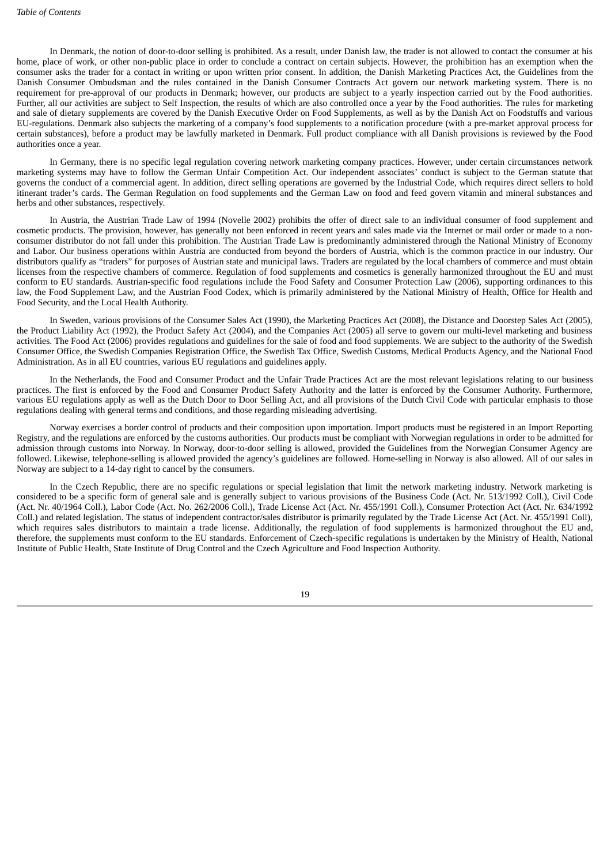In Denmark, the notion of door-to-door selling is prohibited. As a result, under Danish law, the trader is not allowed to contact the consumer at his home, place of work, or other non-public place in order to conclude a contract on certain subjects. However, the prohibition has an exemption when the consumer asks the trader for a contact in writing or upon written prior consent. In addition, the Danish Marketing Practices Act, the Guidelines from the Danish Consumer Ombudsman and the rules contained in the Danish Consumer Contracts Act govern our network marketing system. There is no requirement for pre-approval of our products in Denmark; however, our products are subject to a yearly inspection carried out by the Food authorities. Further, all our activities are subject to Self Inspection, the results of which are also controlled once a year by the Food authorities. The rules for marketing and sale of dietary supplements are covered by the Danish Executive Order on Food Supplements, as well as by the Danish Act on Foodstuffs and various EU-regulations. Denmark also subjects the marketing of a company's food supplements to a notification procedure (with a pre-market approval process for certain substances), before a product may be lawfully marketed in Denmark. Full product compliance with all Danish provisions is reviewed by the Food authorities once a year.

In Germany, there is no specific legal regulation covering network marketing company practices. However, under certain circumstances network marketing systems may have to follow the German Unfair Competition Act. Our independent associates' conduct is subject to the German statute that governs the conduct of a commercial agent. In addition, direct selling operations are governed by the Industrial Code, which requires direct sellers to hold itinerant trader's cards. The German Regulation on food supplements and the German Law on food and feed govern vitamin and mineral substances and herbs and other substances, respectively.

In Austria, the Austrian Trade Law of 1994 (Novelle 2002) prohibits the offer of direct sale to an individual consumer of food supplement and cosmetic products. The provision, however, has generally not been enforced in recent years and sales made via the Internet or mail order or made to a nonconsumer distributor do not fall under this prohibition. The Austrian Trade Law is predominantly administered through the National Ministry of Economy and Labor. Our business operations within Austria are conducted from beyond the borders of Austria, which is the common practice in our industry. Our distributors qualify as "traders" for purposes of Austrian state and municipal laws. Traders are regulated by the local chambers of commerce and must obtain licenses from the respective chambers of commerce. Regulation of food supplements and cosmetics is generally harmonized throughout the EU and must conform to EU standards. Austrian-specific food regulations include the Food Safety and Consumer Protection Law (2006), supporting ordinances to this law, the Food Supplement Law, and the Austrian Food Codex, which is primarily administered by the National Ministry of Health, Office for Health and Food Security, and the Local Health Authority.

In Sweden, various provisions of the Consumer Sales Act (1990), the Marketing Practices Act (2008), the Distance and Doorstep Sales Act (2005), the Product Liability Act (1992), the Product Safety Act (2004), and the Companies Act (2005) all serve to govern our multi-level marketing and business activities. The Food Act (2006) provides regulations and guidelines for the sale of food and food supplements. We are subject to the authority of the Swedish Consumer Office, the Swedish Companies Registration Office, the Swedish Tax Office, Swedish Customs, Medical Products Agency, and the National Food Administration. As in all EU countries, various EU regulations and guidelines apply.

In the Netherlands, the Food and Consumer Product and the Unfair Trade Practices Act are the most relevant legislations relating to our business practices. The first is enforced by the Food and Consumer Product Safety Authority and the latter is enforced by the Consumer Authority. Furthermore, various EU regulations apply as well as the Dutch Door to Door Selling Act, and all provisions of the Dutch Civil Code with particular emphasis to those regulations dealing with general terms and conditions, and those regarding misleading advertising.

Norway exercises a border control of products and their composition upon importation. Import products must be registered in an Import Reporting Registry, and the regulations are enforced by the customs authorities. Our products must be compliant with Norwegian regulations in order to be admitted for admission through customs into Norway. In Norway, door-to-door selling is allowed, provided the Guidelines from the Norwegian Consumer Agency are followed. Likewise, telephone-selling is allowed provided the agency's guidelines are followed. Home-selling in Norway is also allowed. All of our sales in Norway are subject to a 14-day right to cancel by the consumers.

In the Czech Republic, there are no specific regulations or special legislation that limit the network marketing industry. Network marketing is considered to be a specific form of general sale and is generally subject to various provisions of the Business Code (Act. Nr. 513/1992 Coll.), Civil Code (Act. Nr. 40/1964 Coll.), Labor Code (Act. No. 262/2006 Coll.), Trade License Act (Act. Nr. 455/1991 Coll.), Consumer Protection Act (Act. Nr. 634/1992 Coll.) and related legislation. The status of independent contractor/sales distributor is primarily regulated by the Trade License Act (Act. Nr. 455/1991 Coll), which requires sales distributors to maintain a trade license. Additionally, the regulation of food supplements is harmonized throughout the EU and, therefore, the supplements must conform to the EU standards. Enforcement of Czech-specific regulations is undertaken by the Ministry of Health, National Institute of Public Health, State Institute of Drug Control and the Czech Agriculture and Food Inspection Authority.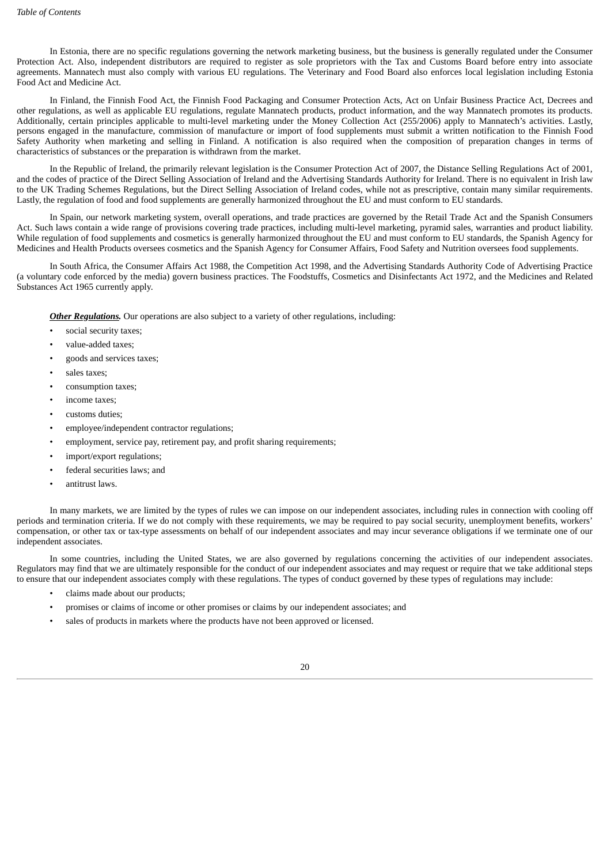In Estonia, there are no specific regulations governing the network marketing business, but the business is generally regulated under the Consumer Protection Act. Also, independent distributors are required to register as sole proprietors with the Tax and Customs Board before entry into associate agreements. Mannatech must also comply with various EU regulations. The Veterinary and Food Board also enforces local legislation including Estonia Food Act and Medicine Act.

In Finland, the Finnish Food Act, the Finnish Food Packaging and Consumer Protection Acts, Act on Unfair Business Practice Act, Decrees and other regulations, as well as applicable EU regulations, regulate Mannatech products, product information, and the way Mannatech promotes its products. Additionally, certain principles applicable to multi-level marketing under the Money Collection Act (255/2006) apply to Mannatech's activities. Lastly, persons engaged in the manufacture, commission of manufacture or import of food supplements must submit a written notification to the Finnish Food Safety Authority when marketing and selling in Finland. A notification is also required when the composition of preparation changes in terms of characteristics of substances or the preparation is withdrawn from the market.

In the Republic of Ireland, the primarily relevant legislation is the Consumer Protection Act of 2007, the Distance Selling Regulations Act of 2001, and the codes of practice of the Direct Selling Association of Ireland and the Advertising Standards Authority for Ireland. There is no equivalent in Irish law to the UK Trading Schemes Regulations, but the Direct Selling Association of Ireland codes, while not as prescriptive, contain many similar requirements. Lastly, the regulation of food and food supplements are generally harmonized throughout the EU and must conform to EU standards.

In Spain, our network marketing system, overall operations, and trade practices are governed by the Retail Trade Act and the Spanish Consumers Act. Such laws contain a wide range of provisions covering trade practices, including multi-level marketing, pyramid sales, warranties and product liability. While regulation of food supplements and cosmetics is generally harmonized throughout the EU and must conform to EU standards, the Spanish Agency for Medicines and Health Products oversees cosmetics and the Spanish Agency for Consumer Affairs, Food Safety and Nutrition oversees food supplements.

In South Africa, the Consumer Affairs Act 1988, the Competition Act 1998, and the Advertising Standards Authority Code of Advertising Practice (a voluntary code enforced by the media) govern business practices. The Foodstuffs, Cosmetics and Disinfectants Act 1972, and the Medicines and Related Substances Act 1965 currently apply.

*Other Regulations.* Our operations are also subject to a variety of other regulations, including:

- social security taxes;
- value-added taxes;
- goods and services taxes;
- sales taxes:
- consumption taxes;
- income taxes;
- customs duties;
- employee/independent contractor regulations;
- employment, service pay, retirement pay, and profit sharing requirements;
- import/export regulations;
- federal securities laws; and
- antitrust laws.

In many markets, we are limited by the types of rules we can impose on our independent associates, including rules in connection with cooling off periods and termination criteria. If we do not comply with these requirements, we may be required to pay social security, unemployment benefits, workers' compensation, or other tax or tax-type assessments on behalf of our independent associates and may incur severance obligations if we terminate one of our independent associates.

In some countries, including the United States, we are also governed by regulations concerning the activities of our independent associates. Regulators may find that we are ultimately responsible for the conduct of our independent associates and may request or require that we take additional steps to ensure that our independent associates comply with these regulations. The types of conduct governed by these types of regulations may include:

- claims made about our products;
- promises or claims of income or other promises or claims by our independent associates; and
- sales of products in markets where the products have not been approved or licensed.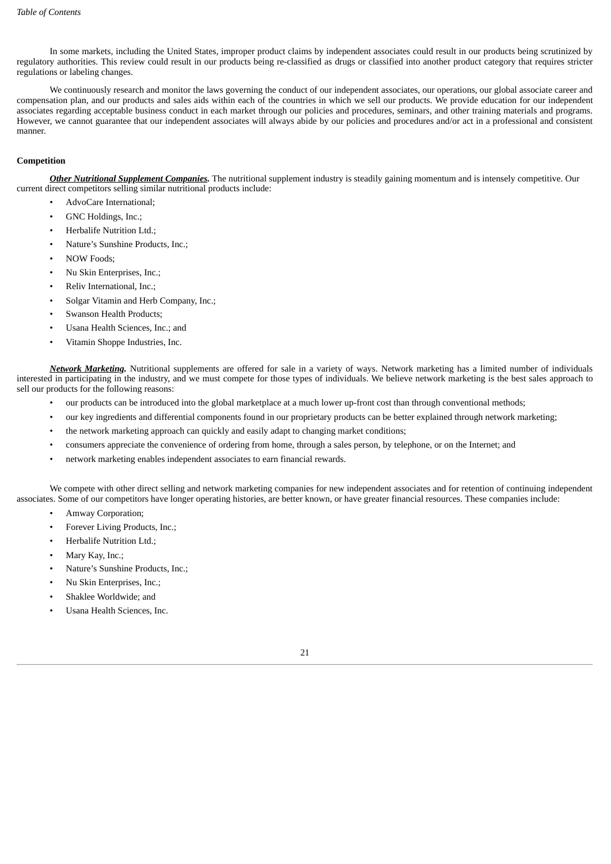In some markets, including the United States, improper product claims by independent associates could result in our products being scrutinized by regulatory authorities. This review could result in our products being re-classified as drugs or classified into another product category that requires stricter regulations or labeling changes.

We continuously research and monitor the laws governing the conduct of our independent associates, our operations, our global associate career and compensation plan, and our products and sales aids within each of the countries in which we sell our products. We provide education for our independent associates regarding acceptable business conduct in each market through our policies and procedures, seminars, and other training materials and programs. However, we cannot guarantee that our independent associates will always abide by our policies and procedures and/or act in a professional and consistent manner.

### **Competition**

*Other Nutritional Supplement Companies.* The nutritional supplement industry is steadily gaining momentum and is intensely competitive. Our current direct competitors selling similar nutritional products include:

- AdvoCare International;
- GNC Holdings, Inc.;
- Herbalife Nutrition Ltd.;
- Nature's Sunshine Products, Inc.;
- NOW Foods;
- Nu Skin Enterprises, Inc.;
- Reliv International, Inc.;
- Solgar Vitamin and Herb Company, Inc.;
- Swanson Health Products;
- Usana Health Sciences, Inc.; and
- Vitamin Shoppe Industries, Inc.

*Network Marketing.* Nutritional supplements are offered for sale in a variety of ways. Network marketing has a limited number of individuals interested in participating in the industry, and we must compete for those types of individuals. We believe network marketing is the best sales approach to sell our products for the following reasons:

- our products can be introduced into the global marketplace at a much lower up-front cost than through conventional methods;
- our key ingredients and differential components found in our proprietary products can be better explained through network marketing;
- the network marketing approach can quickly and easily adapt to changing market conditions;
- consumers appreciate the convenience of ordering from home, through a sales person, by telephone, or on the Internet; and
- network marketing enables independent associates to earn financial rewards.

We compete with other direct selling and network marketing companies for new independent associates and for retention of continuing independent associates. Some of our competitors have longer operating histories, are better known, or have greater financial resources. These companies include:

- Amway Corporation;
- Forever Living Products, Inc.;
- Herbalife Nutrition Ltd.;
- Mary Kay, Inc.;
- Nature's Sunshine Products, Inc.;
- Nu Skin Enterprises, Inc.;
- Shaklee Worldwide; and
- Usana Health Sciences, Inc.

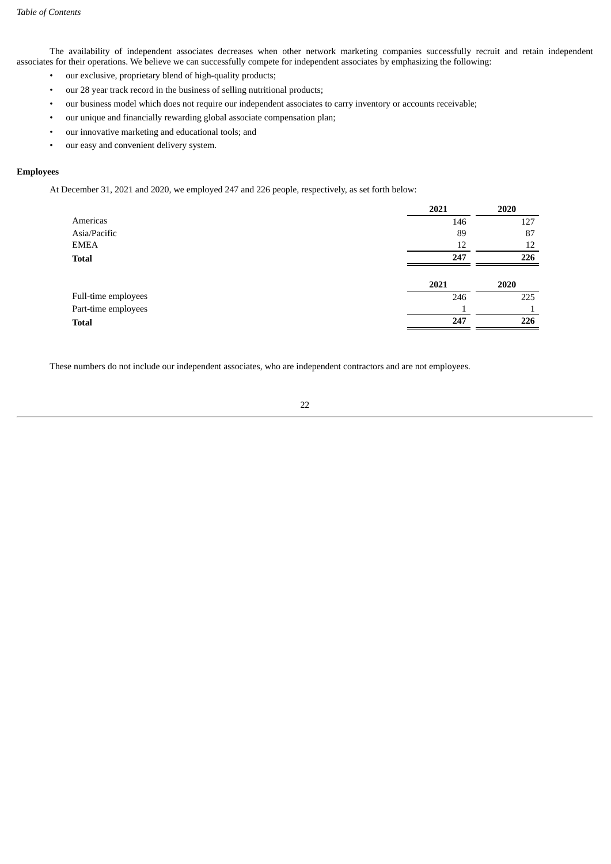The availability of independent associates decreases when other network marketing companies successfully recruit and retain independent associates for their operations. We believe we can successfully compete for independent associates by emphasizing the following:

- our exclusive, proprietary blend of high-quality products;
- our 28 year track record in the business of selling nutritional products;
- our business model which does not require our independent associates to carry inventory or accounts receivable;
- our unique and financially rewarding global associate compensation plan;
- our innovative marketing and educational tools; and
- our easy and convenient delivery system.

### **Employees**

At December 31, 2021 and 2020, we employed 247 and 226 people, respectively, as set forth below:

|                     | 2021 | 2020 |
|---------------------|------|------|
| Americas            | 146  | 127  |
| Asia/Pacific        | 89   | 87   |
| EMEA                | 12   | 12   |
| <b>Total</b>        | 247  | 226  |
|                     |      |      |
|                     | 2021 | 2020 |
| Full-time employees | 246  | 225  |
| Part-time employees |      |      |
| Total               | 247  | 226  |
|                     |      |      |

<span id="page-23-0"></span>These numbers do not include our independent associates, who are independent contractors and are not employees.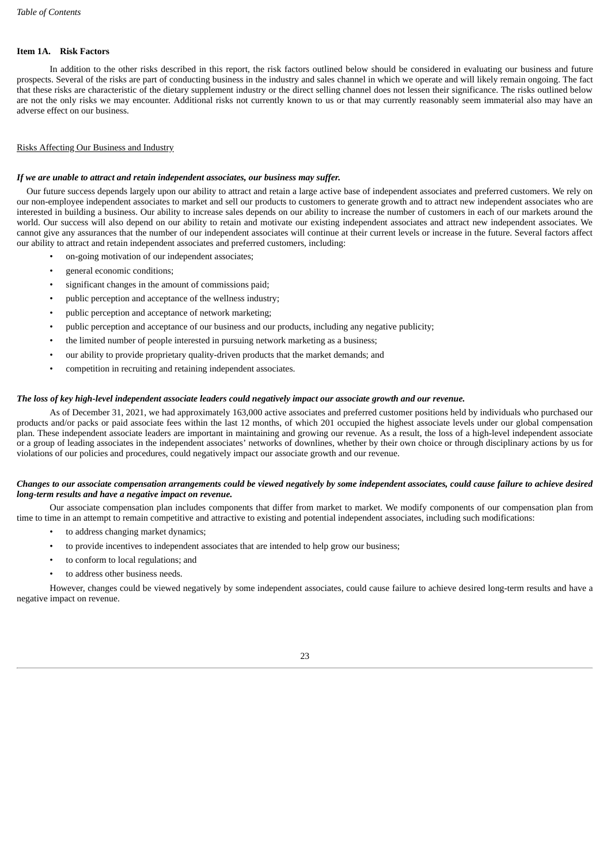### **Item 1A. Risk Factors**

In addition to the other risks described in this report, the risk factors outlined below should be considered in evaluating our business and future prospects. Several of the risks are part of conducting business in the industry and sales channel in which we operate and will likely remain ongoing. The fact that these risks are characteristic of the dietary supplement industry or the direct selling channel does not lessen their significance. The risks outlined below are not the only risks we may encounter. Additional risks not currently known to us or that may currently reasonably seem immaterial also may have an adverse effect on our business.

### Risks Affecting Our Business and Industry

#### *If we are unable to attract and retain independent associates, our business may suffer.*

Our future success depends largely upon our ability to attract and retain a large active base of independent associates and preferred customers. We rely on our non-employee independent associates to market and sell our products to customers to generate growth and to attract new independent associates who are interested in building a business. Our ability to increase sales depends on our ability to increase the number of customers in each of our markets around the world. Our success will also depend on our ability to retain and motivate our existing independent associates and attract new independent associates. We cannot give any assurances that the number of our independent associates will continue at their current levels or increase in the future. Several factors affect our ability to attract and retain independent associates and preferred customers, including:

- on-going motivation of our independent associates;
- general economic conditions;
- significant changes in the amount of commissions paid;
- public perception and acceptance of the wellness industry;
- public perception and acceptance of network marketing;
- public perception and acceptance of our business and our products, including any negative publicity;
- the limited number of people interested in pursuing network marketing as a business;
- our ability to provide proprietary quality-driven products that the market demands; and
- competition in recruiting and retaining independent associates.

### The loss of key high-level independent associate leaders could negatively impact our associate growth and our revenue.

As of December 31, 2021, we had approximately 163,000 active associates and preferred customer positions held by individuals who purchased our products and/or packs or paid associate fees within the last 12 months, of which 201 occupied the highest associate levels under our global compensation plan. These independent associate leaders are important in maintaining and growing our revenue. As a result, the loss of a high-level independent associate or a group of leading associates in the independent associates' networks of downlines, whether by their own choice or through disciplinary actions by us for violations of our policies and procedures, could negatively impact our associate growth and our revenue.

### Changes to our associate compensation arrangements could be viewed negatively by some independent associates, could cause failure to achieve desired *long-term results and have a negative impact on revenue.*

Our associate compensation plan includes components that differ from market to market. We modify components of our compensation plan from time to time in an attempt to remain competitive and attractive to existing and potential independent associates, including such modifications:

- to address changing market dynamics;
- to provide incentives to independent associates that are intended to help grow our business;
- to conform to local regulations; and
- to address other business needs.

However, changes could be viewed negatively by some independent associates, could cause failure to achieve desired long-term results and have a negative impact on revenue.

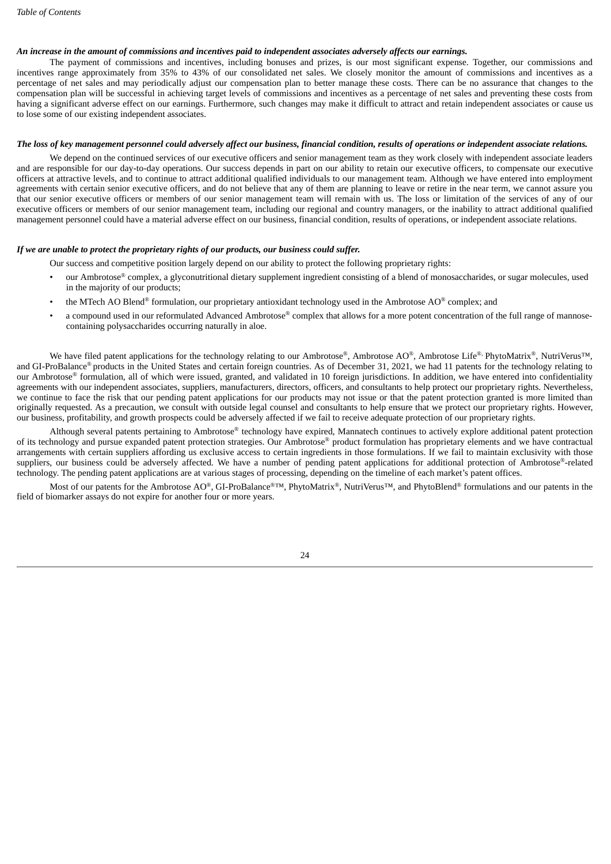### An increase in the amount of commissions and incentives paid to independent associates adversely affects our earnings.

The payment of commissions and incentives, including bonuses and prizes, is our most significant expense. Together, our commissions and incentives range approximately from 35% to 43% of our consolidated net sales. We closely monitor the amount of commissions and incentives as a percentage of net sales and may periodically adjust our compensation plan to better manage these costs. There can be no assurance that changes to the compensation plan will be successful in achieving target levels of commissions and incentives as a percentage of net sales and preventing these costs from having a significant adverse effect on our earnings. Furthermore, such changes may make it difficult to attract and retain independent associates or cause us to lose some of our existing independent associates.

### The loss of key management personnel could adversely affect our business, financial condition, results of operations or independent associate relations.

We depend on the continued services of our executive officers and senior management team as they work closely with independent associate leaders and are responsible for our day-to-day operations. Our success depends in part on our ability to retain our executive officers, to compensate our executive officers at attractive levels, and to continue to attract additional qualified individuals to our management team. Although we have entered into employment agreements with certain senior executive officers, and do not believe that any of them are planning to leave or retire in the near term, we cannot assure you that our senior executive officers or members of our senior management team will remain with us. The loss or limitation of the services of any of our executive officers or members of our senior management team, including our regional and country managers, or the inability to attract additional qualified management personnel could have a material adverse effect on our business, financial condition, results of operations, or independent associate relations.

### *If we are unable to protect the proprietary rights of our products, our business could suffer.*

Our success and competitive position largely depend on our ability to protect the following proprietary rights:

- our Ambrotose® complex, a glyconutritional dietary supplement ingredient consisting of a blend of monosaccharides, or sugar molecules, used in the majority of our products;
- the MTech AO Blend<sup>®</sup> formulation, our proprietary antioxidant technology used in the Ambrotose AO<sup>®</sup> complex; and
- a compound used in our reformulated Advanced Ambrotose® complex that allows for a more potent concentration of the full range of mannosecontaining polysaccharides occurring naturally in aloe.

We have filed patent applications for the technology relating to our Ambrotose®, Ambrotose AO®, Ambrotose Life® PhytoMatrix®, NutriVerus™, and GI-ProBalance® products in the United States and certain foreign countries. As of December 31, 2021, we had 11 patents for the technology relating to our Ambrotose® formulation, all of which were issued, granted, and validated in 10 foreign jurisdictions. In addition, we have entered into confidentiality agreements with our independent associates, suppliers, manufacturers, directors, officers, and consultants to help protect our proprietary rights. Nevertheless, we continue to face the risk that our pending patent applications for our products may not issue or that the patent protection granted is more limited than originally requested. As a precaution, we consult with outside legal counsel and consultants to help ensure that we protect our proprietary rights. However, our business, profitability, and growth prospects could be adversely affected if we fail to receive adequate protection of our proprietary rights.

Although several patents pertaining to Ambrotose® technology have expired, Mannatech continues to actively explore additional patent protection of its technology and pursue expanded patent protection strategies. Our Ambrotose® product formulation has proprietary elements and we have contractual arrangements with certain suppliers affording us exclusive access to certain ingredients in those formulations. If we fail to maintain exclusivity with those suppliers, our business could be adversely affected. We have a number of pending patent applications for additional protection of Ambrotose®-related technology. The pending patent applications are at various stages of processing, depending on the timeline of each market's patent offices.

Most of our patents for the Ambrotose AO®, GI-ProBalance®™, PhytoMatrix®, NutriVerus™, and PhytoBlend® formulations and our patents in the field of biomarker assays do not expire for another four or more years.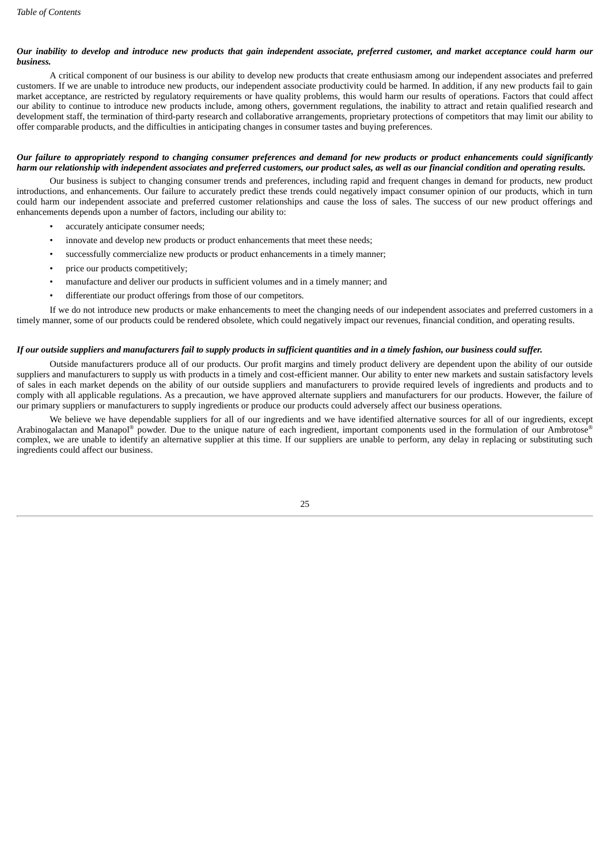### Our inability to develop and introduce new products that gain independent associate, preferred customer, and market acceptance could harm our *business.*

A critical component of our business is our ability to develop new products that create enthusiasm among our independent associates and preferred customers. If we are unable to introduce new products, our independent associate productivity could be harmed. In addition, if any new products fail to gain market acceptance, are restricted by regulatory requirements or have quality problems, this would harm our results of operations. Factors that could affect our ability to continue to introduce new products include, among others, government regulations, the inability to attract and retain qualified research and development staff, the termination of third-party research and collaborative arrangements, proprietary protections of competitors that may limit our ability to offer comparable products, and the difficulties in anticipating changes in consumer tastes and buying preferences.

#### Our failure to appropriately respond to changing consumer preferences and demand for new products or product enhancements could significantly harm our relationship with independent associates and preferred customers, our product sales, as well as our financial condition and operating results.

Our business is subject to changing consumer trends and preferences, including rapid and frequent changes in demand for products, new product introductions, and enhancements. Our failure to accurately predict these trends could negatively impact consumer opinion of our products, which in turn could harm our independent associate and preferred customer relationships and cause the loss of sales. The success of our new product offerings and enhancements depends upon a number of factors, including our ability to:

- accurately anticipate consumer needs;
- innovate and develop new products or product enhancements that meet these needs;
- successfully commercialize new products or product enhancements in a timely manner;
- price our products competitively;
- manufacture and deliver our products in sufficient volumes and in a timely manner; and
- differentiate our product offerings from those of our competitors.

If we do not introduce new products or make enhancements to meet the changing needs of our independent associates and preferred customers in a timely manner, some of our products could be rendered obsolete, which could negatively impact our revenues, financial condition, and operating results.

### If our outside suppliers and manufacturers fail to supply products in sufficient quantities and in a timely fashion, our business could suffer.

Outside manufacturers produce all of our products. Our profit margins and timely product delivery are dependent upon the ability of our outside suppliers and manufacturers to supply us with products in a timely and cost-efficient manner. Our ability to enter new markets and sustain satisfactory levels of sales in each market depends on the ability of our outside suppliers and manufacturers to provide required levels of ingredients and products and to comply with all applicable regulations. As a precaution, we have approved alternate suppliers and manufacturers for our products. However, the failure of our primary suppliers or manufacturers to supply ingredients or produce our products could adversely affect our business operations.

We believe we have dependable suppliers for all of our ingredients and we have identified alternative sources for all of our ingredients, except Arabinogalactan and Manapol® powder. Due to the unique nature of each ingredient, important components used in the formulation of our Ambrotose® complex, we are unable to identify an alternative supplier at this time. If our suppliers are unable to perform, any delay in replacing or substituting such ingredients could affect our business.

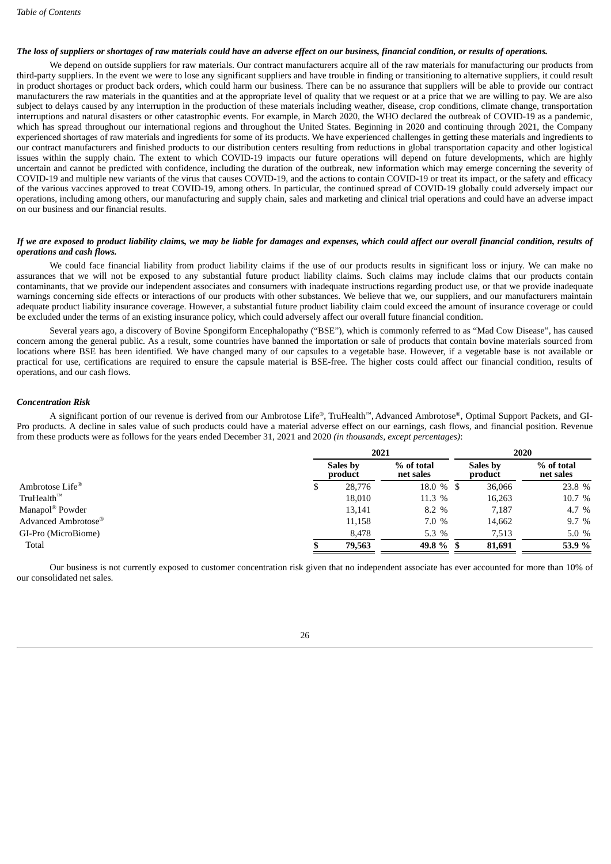#### The loss of suppliers or shortages of raw materials could have an adverse effect on our business, financial condition, or results of operations.

We depend on outside suppliers for raw materials. Our contract manufacturers acquire all of the raw materials for manufacturing our products from third-party suppliers. In the event we were to lose any significant suppliers and have trouble in finding or transitioning to alternative suppliers, it could result in product shortages or product back orders, which could harm our business. There can be no assurance that suppliers will be able to provide our contract manufacturers the raw materials in the quantities and at the appropriate level of quality that we request or at a price that we are willing to pay. We are also subject to delays caused by any interruption in the production of these materials including weather, disease, crop conditions, climate change, transportation interruptions and natural disasters or other catastrophic events. For example, in March 2020, the WHO declared the outbreak of COVID-19 as a pandemic, which has spread throughout our international regions and throughout the United States. Beginning in 2020 and continuing through 2021, the Company experienced shortages of raw materials and ingredients for some of its products. We have experienced challenges in getting these materials and ingredients to our contract manufacturers and finished products to our distribution centers resulting from reductions in global transportation capacity and other logistical issues within the supply chain. The extent to which COVID-19 impacts our future operations will depend on future developments, which are highly uncertain and cannot be predicted with confidence, including the duration of the outbreak, new information which may emerge concerning the severity of COVID-19 and multiple new variants of the virus that causes COVID-19, and the actions to contain COVID-19 or treat its impact, or the safety and efficacy of the various vaccines approved to treat COVID-19, among others. In particular, the continued spread of COVID-19 globally could adversely impact our operations, including among others, our manufacturing and supply chain, sales and marketing and clinical trial operations and could have an adverse impact on our business and our financial results.

### If we are exposed to product liability claims, we may be liable for damages and expenses, which could affect our overall financial condition, results of *operations and cash flows.*

We could face financial liability from product liability claims if the use of our products results in significant loss or injury. We can make no assurances that we will not be exposed to any substantial future product liability claims. Such claims may include claims that our products contain contaminants, that we provide our independent associates and consumers with inadequate instructions regarding product use, or that we provide inadequate warnings concerning side effects or interactions of our products with other substances. We believe that we, our suppliers, and our manufacturers maintain adequate product liability insurance coverage. However, a substantial future product liability claim could exceed the amount of insurance coverage or could be excluded under the terms of an existing insurance policy, which could adversely affect our overall future financial condition.

Several years ago, a discovery of Bovine Spongiform Encephalopathy ("BSE"), which is commonly referred to as "Mad Cow Disease", has caused concern among the general public. As a result, some countries have banned the importation or sale of products that contain bovine materials sourced from locations where BSE has been identified. We have changed many of our capsules to a vegetable base. However, if a vegetable base is not available or practical for use, certifications are required to ensure the capsule material is BSE-free. The higher costs could affect our financial condition, results of operations, and our cash flows.

#### *Concentration Risk*

A significant portion of our revenue is derived from our Ambrotose Life®, TruHealth™, Advanced Ambrotose®, Optimal Support Packets, and GI-Pro products. A decline in sales value of such products could have a material adverse effect on our earnings, cash flows, and financial position. Revenue from these products were as follows for the years ended December 31, 2021 and 2020 *(in thousands, except percentages)*:

|                                 | 2021                |        |                         | 2020                |        |                         |
|---------------------------------|---------------------|--------|-------------------------|---------------------|--------|-------------------------|
|                                 | Sales by<br>product |        | % of total<br>net sales | Sales by<br>product |        | % of total<br>net sales |
| Ambrotose Life <sup>®</sup>     |                     | 28,776 | 18.0 % \$               |                     | 36,066 | 23.8 %                  |
| TruHealth <sup>™</sup>          |                     | 18,010 | 11.3 %                  |                     | 16,263 | 10.7 %                  |
| Manapol <sup>®</sup> Powder     |                     | 13,141 | 8.2%                    |                     | 7,187  | 4.7 %                   |
| Advanced Ambrotose <sup>®</sup> |                     | 11,158 | 7.0 %                   |                     | 14,662 | 9.7%                    |
| GI-Pro (MicroBiome)             |                     | 8.478  | 5.3%                    |                     | 7,513  | 5.0%                    |
| Total                           |                     | 79,563 | 49.8 %                  |                     | 81,691 | 53.9 %                  |

Our business is not currently exposed to customer concentration risk given that no independent associate has ever accounted for more than 10% of our consolidated net sales.

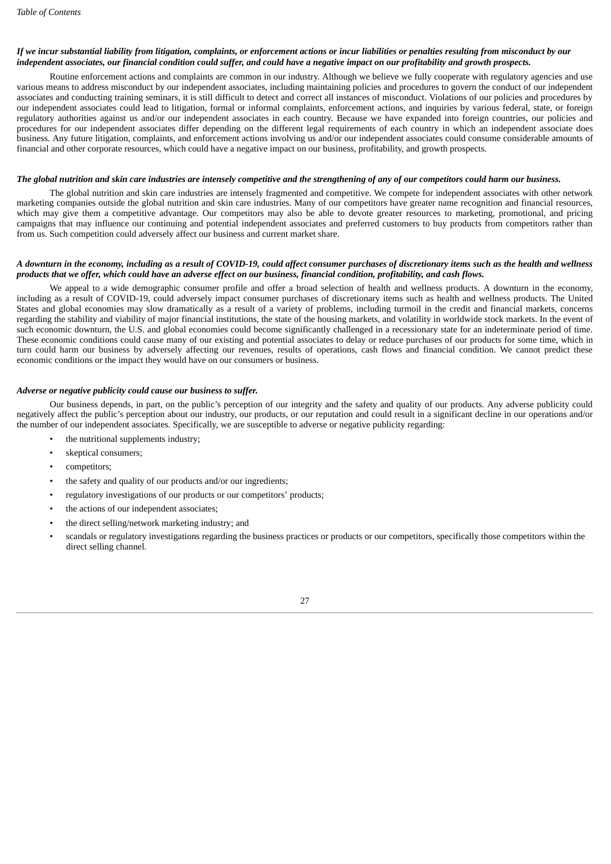## If we incur substantial liability from litigation, complaints, or enforcement actions or incur liabilities or penalties resulting from misconduct by our independent associates, our financial condition could suffer, and could have a negative impact on our profitability and growth prospects.

Routine enforcement actions and complaints are common in our industry. Although we believe we fully cooperate with regulatory agencies and use various means to address misconduct by our independent associates, including maintaining policies and procedures to govern the conduct of our independent associates and conducting training seminars, it is still difficult to detect and correct all instances of misconduct. Violations of our policies and procedures by our independent associates could lead to litigation, formal or informal complaints, enforcement actions, and inquiries by various federal, state, or foreign regulatory authorities against us and/or our independent associates in each country. Because we have expanded into foreign countries, our policies and procedures for our independent associates differ depending on the different legal requirements of each country in which an independent associate does business. Any future litigation, complaints, and enforcement actions involving us and/or our independent associates could consume considerable amounts of financial and other corporate resources, which could have a negative impact on our business, profitability, and growth prospects.

# The global nutrition and skin care industries are intensely competitive and the strengthening of any of our competitors could harm our business.

The global nutrition and skin care industries are intensely fragmented and competitive. We compete for independent associates with other network marketing companies outside the global nutrition and skin care industries. Many of our competitors have greater name recognition and financial resources, which may give them a competitive advantage. Our competitors may also be able to devote greater resources to marketing, promotional, and pricing campaigns that may influence our continuing and potential independent associates and preferred customers to buy products from competitors rather than from us. Such competition could adversely affect our business and current market share.

### A downturn in the economy, including as a result of COVID-19, could affect consumer purchases of discretionary items such as the health and wellness products that we offer, which could have an adverse effect on our business, financial condition, profitability, and cash flows.

We appeal to a wide demographic consumer profile and offer a broad selection of health and wellness products. A downturn in the economy, including as a result of COVID-19, could adversely impact consumer purchases of discretionary items such as health and wellness products. The United States and global economies may slow dramatically as a result of a variety of problems, including turmoil in the credit and financial markets, concerns regarding the stability and viability of major financial institutions, the state of the housing markets, and volatility in worldwide stock markets. In the event of such economic downturn, the U.S. and global economies could become significantly challenged in a recessionary state for an indeterminate period of time. These economic conditions could cause many of our existing and potential associates to delay or reduce purchases of our products for some time, which in turn could harm our business by adversely affecting our revenues, results of operations, cash flows and financial condition. We cannot predict these economic conditions or the impact they would have on our consumers or business.

### *Adverse or negative publicity could cause our business to suffer.*

Our business depends, in part, on the public's perception of our integrity and the safety and quality of our products. Any adverse publicity could negatively affect the public's perception about our industry, our products, or our reputation and could result in a significant decline in our operations and/or the number of our independent associates. Specifically, we are susceptible to adverse or negative publicity regarding:

- the nutritional supplements industry;
- skeptical consumers;
- competitors;
- the safety and quality of our products and/or our ingredients;
- regulatory investigations of our products or our competitors' products;
- the actions of our independent associates;
- the direct selling/network marketing industry; and
- scandals or regulatory investigations regarding the business practices or products or our competitors, specifically those competitors within the direct selling channel.

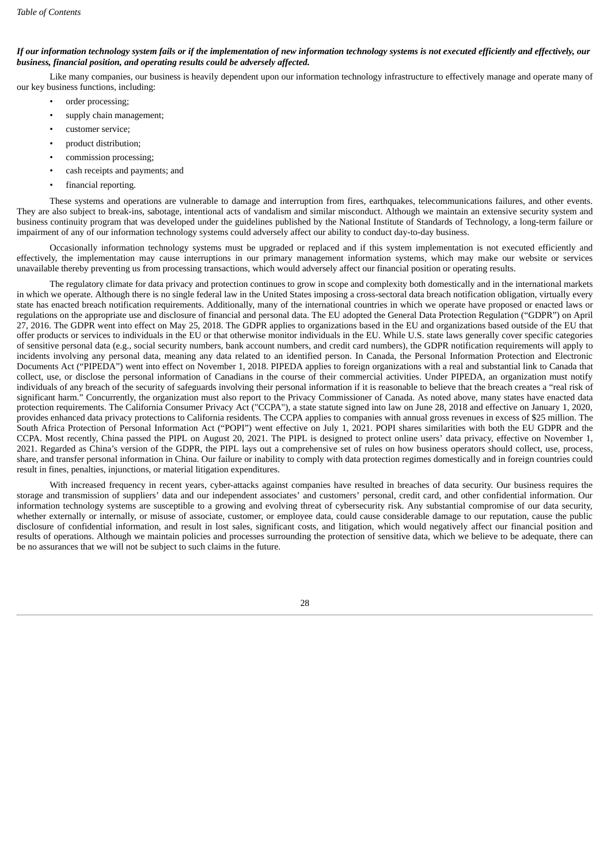## If our information technology system fails or if the implementation of new information technology systems is not executed efficiently and effectively, our *business, financial position, and operating results could be adversely affected.*

Like many companies, our business is heavily dependent upon our information technology infrastructure to effectively manage and operate many of our key business functions, including:

- order processing;
- supply chain management;
- customer service;
- product distribution;
- commission processing;
- cash receipts and payments; and
- financial reporting.

These systems and operations are vulnerable to damage and interruption from fires, earthquakes, telecommunications failures, and other events. They are also subject to break-ins, sabotage, intentional acts of vandalism and similar misconduct. Although we maintain an extensive security system and business continuity program that was developed under the guidelines published by the National Institute of Standards of Technology, a long-term failure or impairment of any of our information technology systems could adversely affect our ability to conduct day-to-day business.

Occasionally information technology systems must be upgraded or replaced and if this system implementation is not executed efficiently and effectively, the implementation may cause interruptions in our primary management information systems, which may make our website or services unavailable thereby preventing us from processing transactions, which would adversely affect our financial position or operating results.

The regulatory climate for data privacy and protection continues to grow in scope and complexity both domestically and in the international markets in which we operate. Although there is no single federal law in the United States imposing a cross-sectoral data breach notification obligation, virtually every state has enacted breach notification requirements. Additionally, many of the international countries in which we operate have proposed or enacted laws or regulations on the appropriate use and disclosure of financial and personal data. The EU adopted the General Data Protection Regulation ("GDPR") on April 27, 2016. The GDPR went into effect on May 25, 2018. The GDPR applies to organizations based in the EU and organizations based outside of the EU that offer products or services to individuals in the EU or that otherwise monitor individuals in the EU. While U.S. state laws generally cover specific categories of sensitive personal data (e.g., social security numbers, bank account numbers, and credit card numbers), the GDPR notification requirements will apply to incidents involving any personal data, meaning any data related to an identified person. In Canada, the Personal Information Protection and Electronic Documents Act ("PIPEDA") went into effect on November 1, 2018. PIPEDA applies to foreign organizations with a real and substantial link to Canada that collect, use, or disclose the personal information of Canadians in the course of their commercial activities. Under PIPEDA, an organization must notify individuals of any breach of the security of safeguards involving their personal information if it is reasonable to believe that the breach creates a "real risk of significant harm." Concurrently, the organization must also report to the Privacy Commissioner of Canada. As noted above, many states have enacted data protection requirements. The California Consumer Privacy Act ("CCPA"), a state statute signed into law on June 28, 2018 and effective on January 1, 2020, provides enhanced data privacy protections to California residents. The CCPA applies to companies with annual gross revenues in excess of \$25 million. The South Africa Protection of Personal Information Act ("POPI") went effective on July 1, 2021. POPI shares similarities with both the EU GDPR and the CCPA. Most recently, China passed the PIPL on August 20, 2021. The PIPL is designed to protect online users' data privacy, effective on November 1, 2021. Regarded as China's version of the GDPR, the PIPL lays out a comprehensive set of rules on how business operators should collect, use, process, share, and transfer personal information in China. Our failure or inability to comply with data protection regimes domestically and in foreign countries could result in fines, penalties, injunctions, or material litigation expenditures.

With increased frequency in recent years, cyber-attacks against companies have resulted in breaches of data security. Our business requires the storage and transmission of suppliers' data and our independent associates' and customers' personal, credit card, and other confidential information. Our information technology systems are susceptible to a growing and evolving threat of cybersecurity risk. Any substantial compromise of our data security, whether externally or internally, or misuse of associate, customer, or employee data, could cause considerable damage to our reputation, cause the public disclosure of confidential information, and result in lost sales, significant costs, and litigation, which would negatively affect our financial position and results of operations. Although we maintain policies and processes surrounding the protection of sensitive data, which we believe to be adequate, there can be no assurances that we will not be subject to such claims in the future.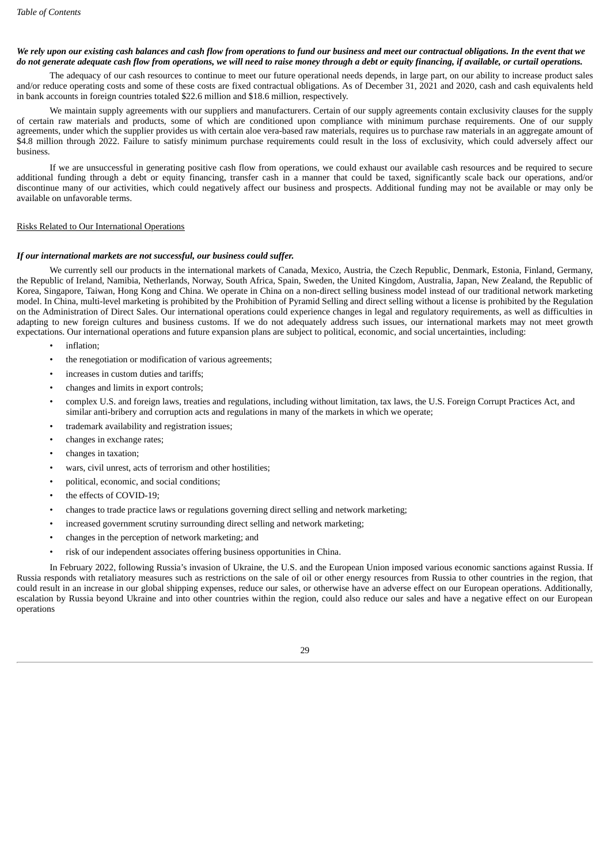## We rely upon our existing cash balances and cash flow from operations to fund our business and meet our contractual obligations. In the event that we do not generate adequate cash flow from operations, we will need to raise money through a debt or equity financing, if available, or curtail operations.

The adequacy of our cash resources to continue to meet our future operational needs depends, in large part, on our ability to increase product sales and/or reduce operating costs and some of these costs are fixed contractual obligations. As of December 31, 2021 and 2020, cash and cash equivalents held in bank accounts in foreign countries totaled \$22.6 million and \$18.6 million, respectively.

We maintain supply agreements with our suppliers and manufacturers. Certain of our supply agreements contain exclusivity clauses for the supply of certain raw materials and products, some of which are conditioned upon compliance with minimum purchase requirements. One of our supply agreements, under which the supplier provides us with certain aloe vera-based raw materials, requires us to purchase raw materials in an aggregate amount of \$4.8 million through 2022. Failure to satisfy minimum purchase requirements could result in the loss of exclusivity, which could adversely affect our business.

If we are unsuccessful in generating positive cash flow from operations, we could exhaust our available cash resources and be required to secure additional funding through a debt or equity financing, transfer cash in a manner that could be taxed, significantly scale back our operations, and/or discontinue many of our activities, which could negatively affect our business and prospects. Additional funding may not be available or may only be available on unfavorable terms.

### Risks Related to Our International Operations

### *If our international markets are not successful, our business could suffer.*

We currently sell our products in the international markets of Canada, Mexico, Austria, the Czech Republic, Denmark, Estonia, Finland, Germany, the Republic of Ireland, Namibia, Netherlands, Norway, South Africa, Spain, Sweden, the United Kingdom, Australia, Japan, New Zealand, the Republic of Korea, Singapore, Taiwan, Hong Kong and China. We operate in China on a non-direct selling business model instead of our traditional network marketing model. In China, multi-level marketing is prohibited by the Prohibition of Pyramid Selling and direct selling without a license is prohibited by the Regulation on the Administration of Direct Sales. Our international operations could experience changes in legal and regulatory requirements, as well as difficulties in adapting to new foreign cultures and business customs. If we do not adequately address such issues, our international markets may not meet growth expectations. Our international operations and future expansion plans are subject to political, economic, and social uncertainties, including:

- inflation:
- the renegotiation or modification of various agreements;
- increases in custom duties and tariffs;
- changes and limits in export controls;
- complex U.S. and foreign laws, treaties and regulations, including without limitation, tax laws, the U.S. Foreign Corrupt Practices Act, and similar anti-bribery and corruption acts and regulations in many of the markets in which we operate;
- trademark availability and registration issues;
- changes in exchange rates;
- changes in taxation;
- wars, civil unrest, acts of terrorism and other hostilities;
- political, economic, and social conditions;
- the effects of COVID-19;
- changes to trade practice laws or regulations governing direct selling and network marketing;
- increased government scrutiny surrounding direct selling and network marketing;
- changes in the perception of network marketing; and
- risk of our independent associates offering business opportunities in China.

In February 2022, following Russia's invasion of Ukraine, the U.S. and the European Union imposed various economic sanctions against Russia. If Russia responds with retaliatory measures such as restrictions on the sale of oil or other energy resources from Russia to other countries in the region, that could result in an increase in our global shipping expenses, reduce our sales, or otherwise have an adverse effect on our European operations. Additionally, escalation by Russia beyond Ukraine and into other countries within the region, could also reduce our sales and have a negative effect on our European operations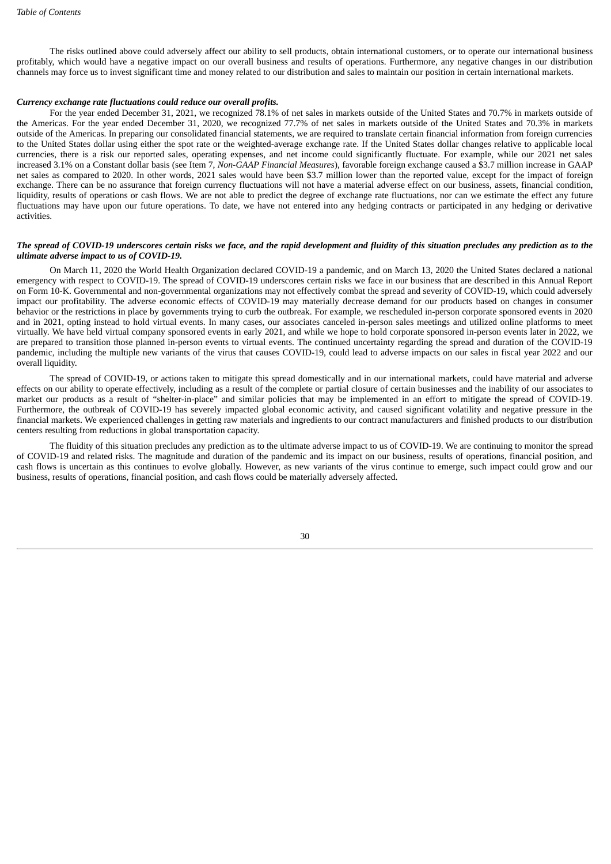The risks outlined above could adversely affect our ability to sell products, obtain international customers, or to operate our international business profitably, which would have a negative impact on our overall business and results of operations. Furthermore, any negative changes in our distribution channels may force us to invest significant time and money related to our distribution and sales to maintain our position in certain international markets.

#### *Currency exchange rate fluctuations could reduce our overall profits.*

For the year ended December 31, 2021, we recognized 78.1% of net sales in markets outside of the United States and 70.7% in markets outside of the Americas. For the year ended December 31, 2020, we recognized 77.7% of net sales in markets outside of the United States and 70.3% in markets outside of the Americas. In preparing our consolidated financial statements, we are required to translate certain financial information from foreign currencies to the United States dollar using either the spot rate or the weighted-average exchange rate. If the United States dollar changes relative to applicable local currencies, there is a risk our reported sales, operating expenses, and net income could significantly fluctuate. For example, while our 2021 net sales increased 3.1% on a Constant dollar basis (see Item 7, *Non-GAAP Financial Measures*), favorable foreign exchange caused a \$3.7 million increase in GAAP net sales as compared to 2020. In other words, 2021 sales would have been \$3.7 million lower than the reported value, except for the impact of foreign exchange. There can be no assurance that foreign currency fluctuations will not have a material adverse effect on our business, assets, financial condition, liquidity, results of operations or cash flows. We are not able to predict the degree of exchange rate fluctuations, nor can we estimate the effect any future fluctuations may have upon our future operations. To date, we have not entered into any hedging contracts or participated in any hedging or derivative activities.

#### The spread of COVID-19 underscores certain risks we face, and the rapid development and fluidity of this situation precludes any prediction as to the *ultimate adverse impact to us of COVID-19.*

On March 11, 2020 the World Health Organization declared COVID-19 a pandemic, and on March 13, 2020 the United States declared a national emergency with respect to COVID-19. The spread of COVID-19 underscores certain risks we face in our business that are described in this Annual Report on Form 10-K. Governmental and non-governmental organizations may not effectively combat the spread and severity of COVID-19, which could adversely impact our profitability. The adverse economic effects of COVID-19 may materially decrease demand for our products based on changes in consumer behavior or the restrictions in place by governments trying to curb the outbreak. For example, we rescheduled in-person corporate sponsored events in 2020 and in 2021, opting instead to hold virtual events. In many cases, our associates canceled in-person sales meetings and utilized online platforms to meet virtually. We have held virtual company sponsored events in early 2021, and while we hope to hold corporate sponsored in-person events later in 2022, we are prepared to transition those planned in-person events to virtual events. The continued uncertainty regarding the spread and duration of the COVID-19 pandemic, including the multiple new variants of the virus that causes COVID-19, could lead to adverse impacts on our sales in fiscal year 2022 and our overall liquidity.

The spread of COVID-19, or actions taken to mitigate this spread domestically and in our international markets, could have material and adverse effects on our ability to operate effectively, including as a result of the complete or partial closure of certain businesses and the inability of our associates to market our products as a result of "shelter-in-place" and similar policies that may be implemented in an effort to mitigate the spread of COVID-19. Furthermore, the outbreak of COVID-19 has severely impacted global economic activity, and caused significant volatility and negative pressure in the financial markets. We experienced challenges in getting raw materials and ingredients to our contract manufacturers and finished products to our distribution centers resulting from reductions in global transportation capacity.

The fluidity of this situation precludes any prediction as to the ultimate adverse impact to us of COVID-19. We are continuing to monitor the spread of COVID-19 and related risks. The magnitude and duration of the pandemic and its impact on our business, results of operations, financial position, and cash flows is uncertain as this continues to evolve globally. However, as new variants of the virus continue to emerge, such impact could grow and our business, results of operations, financial position, and cash flows could be materially adversely affected.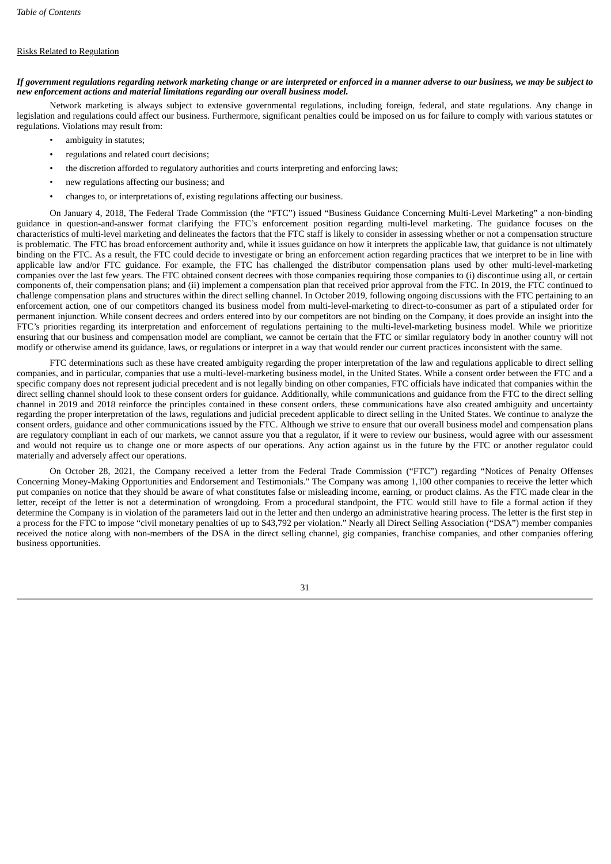# Risks Related to Regulation

# If government regulations regarding network marketing change or are interpreted or enforced in a manner adverse to our business, we may be subject to *new enforcement actions and material limitations regarding our overall business model.*

Network marketing is always subject to extensive governmental regulations, including foreign, federal, and state regulations. Any change in legislation and regulations could affect our business. Furthermore, significant penalties could be imposed on us for failure to comply with various statutes or regulations. Violations may result from:

- ambiguity in statutes;
- regulations and related court decisions;
- the discretion afforded to regulatory authorities and courts interpreting and enforcing laws;
- new regulations affecting our business; and
- changes to, or interpretations of, existing regulations affecting our business.

On January 4, 2018, The Federal Trade Commission (the "FTC") issued "Business Guidance Concerning Multi-Level Marketing" a non-binding guidance in question-and-answer format clarifying the FTC's enforcement position regarding multi-level marketing. The guidance focuses on the characteristics of multi-level marketing and delineates the factors that the FTC staff is likely to consider in assessing whether or not a compensation structure is problematic. The FTC has broad enforcement authority and, while it issues guidance on how it interprets the applicable law, that guidance is not ultimately binding on the FTC. As a result, the FTC could decide to investigate or bring an enforcement action regarding practices that we interpret to be in line with applicable law and/or FTC guidance. For example, the FTC has challenged the distributor compensation plans used by other multi-level-marketing companies over the last few years. The FTC obtained consent decrees with those companies requiring those companies to (i) discontinue using all, or certain components of, their compensation plans; and (ii) implement a compensation plan that received prior approval from the FTC. In 2019, the FTC continued to challenge compensation plans and structures within the direct selling channel. In October 2019, following ongoing discussions with the FTC pertaining to an enforcement action, one of our competitors changed its business model from multi-level-marketing to direct-to-consumer as part of a stipulated order for permanent injunction. While consent decrees and orders entered into by our competitors are not binding on the Company, it does provide an insight into the FTC's priorities regarding its interpretation and enforcement of regulations pertaining to the multi-level-marketing business model. While we prioritize ensuring that our business and compensation model are compliant, we cannot be certain that the FTC or similar regulatory body in another country will not modify or otherwise amend its guidance, laws, or regulations or interpret in a way that would render our current practices inconsistent with the same.

FTC determinations such as these have created ambiguity regarding the proper interpretation of the law and regulations applicable to direct selling companies, and in particular, companies that use a multi-level-marketing business model, in the United States. While a consent order between the FTC and a specific company does not represent judicial precedent and is not legally binding on other companies, FTC officials have indicated that companies within the direct selling channel should look to these consent orders for guidance. Additionally, while communications and guidance from the FTC to the direct selling channel in 2019 and 2018 reinforce the principles contained in these consent orders, these communications have also created ambiguity and uncertainty regarding the proper interpretation of the laws, regulations and judicial precedent applicable to direct selling in the United States. We continue to analyze the consent orders, guidance and other communications issued by the FTC. Although we strive to ensure that our overall business model and compensation plans are regulatory compliant in each of our markets, we cannot assure you that a regulator, if it were to review our business, would agree with our assessment and would not require us to change one or more aspects of our operations. Any action against us in the future by the FTC or another regulator could materially and adversely affect our operations.

On October 28, 2021, the Company received a letter from the Federal Trade Commission ("FTC") regarding "Notices of Penalty Offenses Concerning Money-Making Opportunities and Endorsement and Testimonials." The Company was among 1,100 other companies to receive the letter which put companies on notice that they should be aware of what constitutes false or misleading income, earning, or product claims. As the FTC made clear in the letter, receipt of the letter is not a determination of wrongdoing. From a procedural standpoint, the FTC would still have to file a formal action if they determine the Company is in violation of the parameters laid out in the letter and then undergo an administrative hearing process. The letter is the first step in a process for the FTC to impose "civil monetary penalties of up to \$43,792 per violation." Nearly all Direct Selling Association ("DSA") member companies received the notice along with non-members of the DSA in the direct selling channel, gig companies, franchise companies, and other companies offering business opportunities.

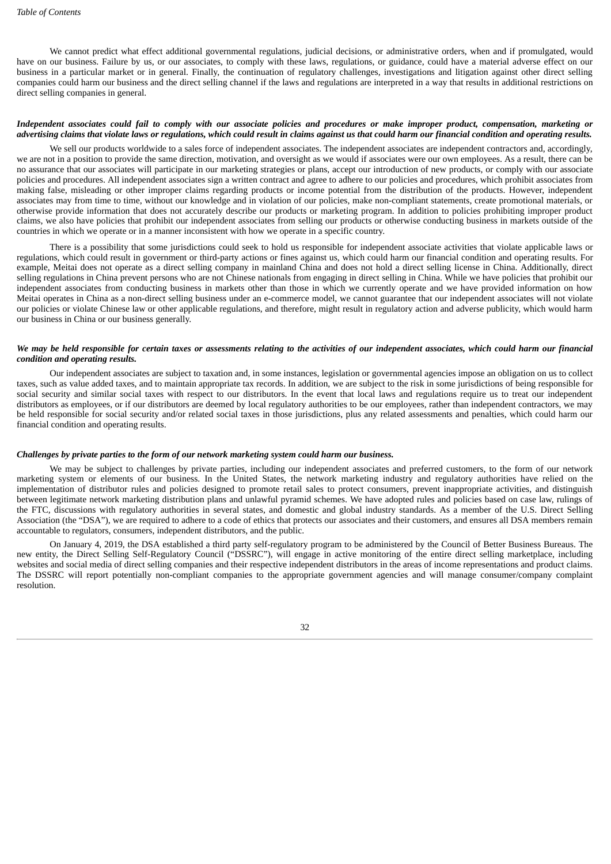We cannot predict what effect additional governmental regulations, judicial decisions, or administrative orders, when and if promulgated, would have on our business. Failure by us, or our associates, to comply with these laws, regulations, or guidance, could have a material adverse effect on our business in a particular market or in general. Finally, the continuation of regulatory challenges, investigations and litigation against other direct selling companies could harm our business and the direct selling channel if the laws and regulations are interpreted in a way that results in additional restrictions on direct selling companies in general.

### Independent associates could fail to comply with our associate policies and procedures or make improper product, compensation, marketing or advertising claims that violate laws or regulations, which could result in claims against us that could harm our financial condition and operating results.

We sell our products worldwide to a sales force of independent associates. The independent associates are independent contractors and, accordingly, we are not in a position to provide the same direction, motivation, and oversight as we would if associates were our own employees. As a result, there can be no assurance that our associates will participate in our marketing strategies or plans, accept our introduction of new products, or comply with our associate policies and procedures. All independent associates sign a written contract and agree to adhere to our policies and procedures, which prohibit associates from making false, misleading or other improper claims regarding products or income potential from the distribution of the products. However, independent associates may from time to time, without our knowledge and in violation of our policies, make non-compliant statements, create promotional materials, or otherwise provide information that does not accurately describe our products or marketing program. In addition to policies prohibiting improper product claims, we also have policies that prohibit our independent associates from selling our products or otherwise conducting business in markets outside of the countries in which we operate or in a manner inconsistent with how we operate in a specific country.

There is a possibility that some jurisdictions could seek to hold us responsible for independent associate activities that violate applicable laws or regulations, which could result in government or third-party actions or fines against us, which could harm our financial condition and operating results. For example, Meitai does not operate as a direct selling company in mainland China and does not hold a direct selling license in China. Additionally, direct selling regulations in China prevent persons who are not Chinese nationals from engaging in direct selling in China. While we have policies that prohibit our independent associates from conducting business in markets other than those in which we currently operate and we have provided information on how Meitai operates in China as a non-direct selling business under an e-commerce model, we cannot guarantee that our independent associates will not violate our policies or violate Chinese law or other applicable regulations, and therefore, might result in regulatory action and adverse publicity, which would harm our business in China or our business generally.

### We may be held responsible for certain taxes or assessments relating to the activities of our independent associates, which could harm our financial *condition and operating results.*

Our independent associates are subject to taxation and, in some instances, legislation or governmental agencies impose an obligation on us to collect taxes, such as value added taxes, and to maintain appropriate tax records. In addition, we are subject to the risk in some jurisdictions of being responsible for social security and similar social taxes with respect to our distributors. In the event that local laws and regulations require us to treat our independent distributors as employees, or if our distributors are deemed by local regulatory authorities to be our employees, rather than independent contractors, we may be held responsible for social security and/or related social taxes in those jurisdictions, plus any related assessments and penalties, which could harm our financial condition and operating results.

#### *Challenges by private parties to the form of our network marketing system could harm our business.*

We may be subject to challenges by private parties, including our independent associates and preferred customers, to the form of our network marketing system or elements of our business. In the United States, the network marketing industry and regulatory authorities have relied on the implementation of distributor rules and policies designed to promote retail sales to protect consumers, prevent inappropriate activities, and distinguish between legitimate network marketing distribution plans and unlawful pyramid schemes. We have adopted rules and policies based on case law, rulings of the FTC, discussions with regulatory authorities in several states, and domestic and global industry standards. As a member of the U.S. Direct Selling Association (the "DSA"), we are required to adhere to a code of ethics that protects our associates and their customers, and ensures all DSA members remain accountable to regulators, consumers, independent distributors, and the public.

On January 4, 2019, the DSA established a third party self-regulatory program to be administered by the Council of Better Business Bureaus. The new entity, the Direct Selling Self-Regulatory Council ("DSSRC"), will engage in active monitoring of the entire direct selling marketplace, including websites and social media of direct selling companies and their respective independent distributors in the areas of income representations and product claims. The DSSRC will report potentially non-compliant companies to the appropriate government agencies and will manage consumer/company complaint resolution.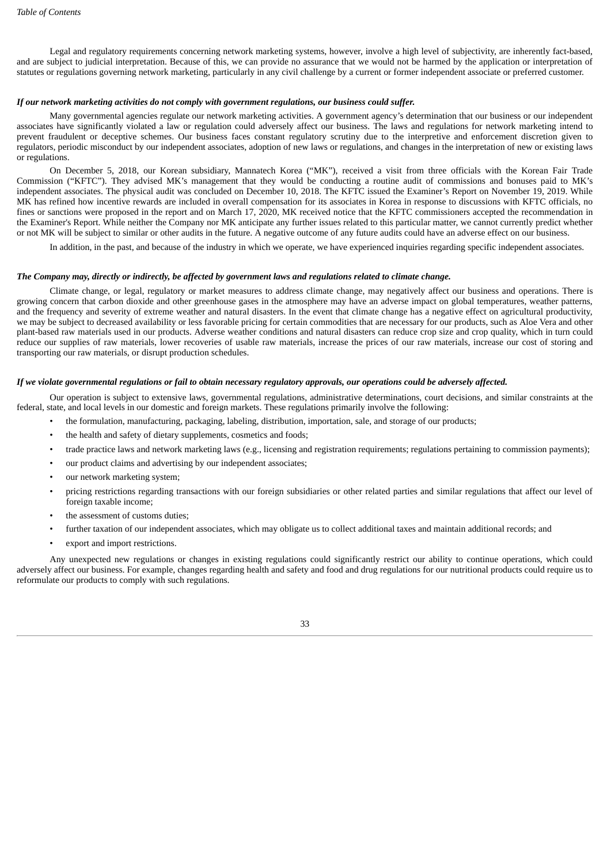Legal and regulatory requirements concerning network marketing systems, however, involve a high level of subjectivity, are inherently fact-based, and are subject to judicial interpretation. Because of this, we can provide no assurance that we would not be harmed by the application or interpretation of statutes or regulations governing network marketing, particularly in any civil challenge by a current or former independent associate or preferred customer.

#### *If our network marketing activities do not comply with government regulations, our business could suffer.*

Many governmental agencies regulate our network marketing activities. A government agency's determination that our business or our independent associates have significantly violated a law or regulation could adversely affect our business. The laws and regulations for network marketing intend to prevent fraudulent or deceptive schemes. Our business faces constant regulatory scrutiny due to the interpretive and enforcement discretion given to regulators, periodic misconduct by our independent associates, adoption of new laws or regulations, and changes in the interpretation of new or existing laws or regulations.

On December 5, 2018, our Korean subsidiary, Mannatech Korea ("MK"), received a visit from three officials with the Korean Fair Trade Commission ("KFTC"). They advised MK's management that they would be conducting a routine audit of commissions and bonuses paid to MK's independent associates. The physical audit was concluded on December 10, 2018. The KFTC issued the Examiner's Report on November 19, 2019. While MK has refined how incentive rewards are included in overall compensation for its associates in Korea in response to discussions with KFTC officials, no fines or sanctions were proposed in the report and on March 17, 2020, MK received notice that the KFTC commissioners accepted the recommendation in the Examiner's Report. While neither the Company nor MK anticipate any further issues related to this particular matter, we cannot currently predict whether or not MK will be subject to similar or other audits in the future. A negative outcome of any future audits could have an adverse effect on our business.

In addition, in the past, and because of the industry in which we operate, we have experienced inquiries regarding specific independent associates.

#### The Company may, directly or indirectly, be affected by government laws and reaulations related to climate change.

Climate change, or legal, regulatory or market measures to address climate change, may negatively affect our business and operations. There is growing concern that carbon dioxide and other greenhouse gases in the atmosphere may have an adverse impact on global temperatures, weather patterns, and the frequency and severity of extreme weather and natural disasters. In the event that climate change has a negative effect on agricultural productivity, we may be subject to decreased availability or less favorable pricing for certain commodities that are necessary for our products, such as Aloe Vera and other plant-based raw materials used in our products. Adverse weather conditions and natural disasters can reduce crop size and crop quality, which in turn could reduce our supplies of raw materials, lower recoveries of usable raw materials, increase the prices of our raw materials, increase our cost of storing and transporting our raw materials, or disrupt production schedules.

#### If we violate governmental regulations or fail to obtain necessary regulatory approvals, our operations could be adversely affected.

Our operation is subject to extensive laws, governmental regulations, administrative determinations, court decisions, and similar constraints at the federal, state, and local levels in our domestic and foreign markets. These regulations primarily involve the following:

- the formulation, manufacturing, packaging, labeling, distribution, importation, sale, and storage of our products;
- the health and safety of dietary supplements, cosmetics and foods;
- trade practice laws and network marketing laws (e.g., licensing and registration requirements; regulations pertaining to commission payments);
- our product claims and advertising by our independent associates;
- our network marketing system;
- pricing restrictions regarding transactions with our foreign subsidiaries or other related parties and similar regulations that affect our level of foreign taxable income;
- the assessment of customs duties;
- further taxation of our independent associates, which may obligate us to collect additional taxes and maintain additional records; and
- export and import restrictions.

Any unexpected new regulations or changes in existing regulations could significantly restrict our ability to continue operations, which could adversely affect our business. For example, changes regarding health and safety and food and drug regulations for our nutritional products could require us to reformulate our products to comply with such regulations.

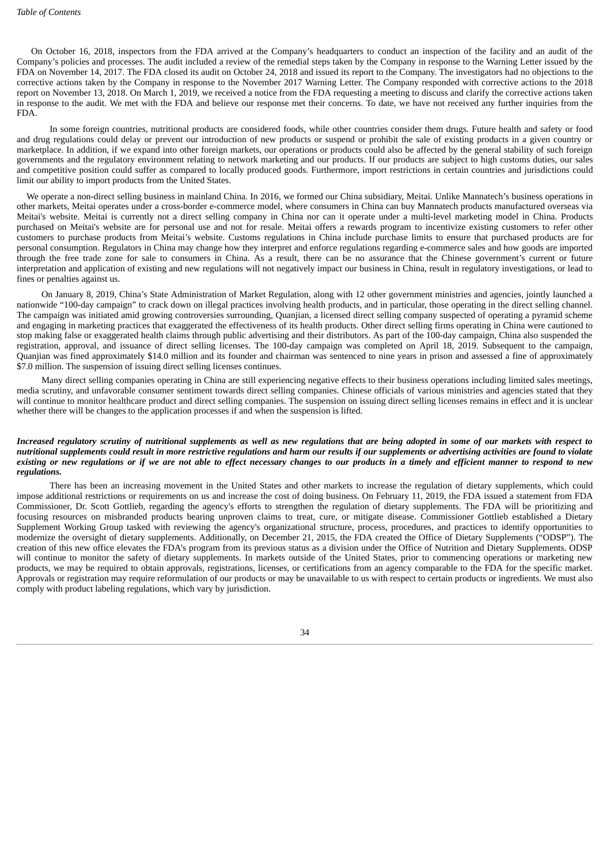On October 16, 2018, inspectors from the FDA arrived at the Company's headquarters to conduct an inspection of the facility and an audit of the Company's policies and processes. The audit included a review of the remedial steps taken by the Company in response to the Warning Letter issued by the FDA on November 14, 2017. The FDA closed its audit on October 24, 2018 and issued its report to the Company. The investigators had no objections to the corrective actions taken by the Company in response to the November 2017 Warning Letter. The Company responded with corrective actions to the 2018 report on November 13, 2018. On March 1, 2019, we received a notice from the FDA requesting a meeting to discuss and clarify the corrective actions taken in response to the audit. We met with the FDA and believe our response met their concerns. To date, we have not received any further inquiries from the FDA.

In some foreign countries, nutritional products are considered foods, while other countries consider them drugs. Future health and safety or food and drug regulations could delay or prevent our introduction of new products or suspend or prohibit the sale of existing products in a given country or marketplace. In addition, if we expand into other foreign markets, our operations or products could also be affected by the general stability of such foreign governments and the regulatory environment relating to network marketing and our products. If our products are subject to high customs duties, our sales and competitive position could suffer as compared to locally produced goods. Furthermore, import restrictions in certain countries and jurisdictions could limit our ability to import products from the United States.

We operate a non-direct selling business in mainland China. In 2016, we formed our China subsidiary, Meitai. Unlike Mannatech's business operations in other markets, Meitai operates under a cross-border e-commerce model, where consumers in China can buy Mannatech products manufactured overseas via Meitai's website. Meitai is currently not a direct selling company in China nor can it operate under a multi-level marketing model in China. Products purchased on Meitai's website are for personal use and not for resale. Meitai offers a rewards program to incentivize existing customers to refer other customers to purchase products from Meitai's website. Customs regulations in China include purchase limits to ensure that purchased products are for personal consumption. Regulators in China may change how they interpret and enforce regulations regarding e-commerce sales and how goods are imported through the free trade zone for sale to consumers in China. As a result, there can be no assurance that the Chinese government's current or future interpretation and application of existing and new regulations will not negatively impact our business in China, result in regulatory investigations, or lead to fines or penalties against us.

On January 8, 2019, China's State Administration of Market Regulation, along with 12 other government ministries and agencies, jointly launched a nationwide "100-day campaign" to crack down on illegal practices involving health products, and in particular, those operating in the direct selling channel. The campaign was initiated amid growing controversies surrounding, Quanjian, a licensed direct selling company suspected of operating a pyramid scheme and engaging in marketing practices that exaggerated the effectiveness of its health products. Other direct selling firms operating in China were cautioned to stop making false or exaggerated health claims through public advertising and their distributors. As part of the 100-day campaign, China also suspended the registration, approval, and issuance of direct selling licenses. The 100-day campaign was completed on April 18, 2019. Subsequent to the campaign, Quanjian was fined approximately \$14.0 million and its founder and chairman was sentenced to nine years in prison and assessed a fine of approximately \$7.0 million. The suspension of issuing direct selling licenses continues.

Many direct selling companies operating in China are still experiencing negative effects to their business operations including limited sales meetings, media scrutiny, and unfavorable consumer sentiment towards direct selling companies. Chinese officials of various ministries and agencies stated that they will continue to monitor healthcare product and direct selling companies. The suspension on issuing direct selling licenses remains in effect and it is unclear whether there will be changes to the application processes if and when the suspension is lifted.

#### Increased regulatory scrutiny of nutritional supplements as well as new regulations that are being adopted in some of our markets with respect to nutritional supplements could result in more restrictive regulations and harm our results if our supplements or advertising activities are found to violate existing or new regulations or if we are not able to effect necessary changes to our products in a timely and efficient manner to respond to new *regulations.*

There has been an increasing movement in the United States and other markets to increase the regulation of dietary supplements, which could impose additional restrictions or requirements on us and increase the cost of doing business. On February 11, 2019, the FDA issued a statement from FDA Commissioner, Dr. Scott Gottlieb, regarding the agency's efforts to strengthen the regulation of dietary supplements. The FDA will be prioritizing and focusing resources on misbranded products bearing unproven claims to treat, cure, or mitigate disease. Commissioner Gottlieb established a Dietary Supplement Working Group tasked with reviewing the agency's organizational structure, process, procedures, and practices to identify opportunities to modernize the oversight of dietary supplements. Additionally, on December 21, 2015, the FDA created the Office of Dietary Supplements ("ODSP"). The creation of this new office elevates the FDA's program from its previous status as a division under the Office of Nutrition and Dietary Supplements. ODSP will continue to monitor the safety of dietary supplements. In markets outside of the United States, prior to commencing operations or marketing new products, we may be required to obtain approvals, registrations, licenses, or certifications from an agency comparable to the FDA for the specific market. Approvals or registration may require reformulation of our products or may be unavailable to us with respect to certain products or ingredients. We must also comply with product labeling regulations, which vary by jurisdiction.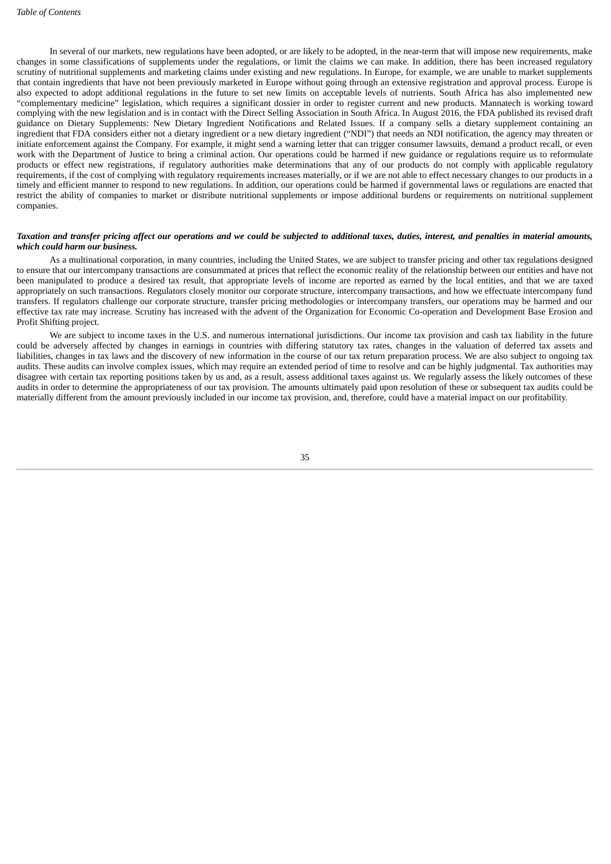In several of our markets, new regulations have been adopted, or are likely to be adopted, in the near-term that will impose new requirements, make changes in some classifications of supplements under the regulations, or limit the claims we can make. In addition, there has been increased regulatory scrutiny of nutritional supplements and marketing claims under existing and new regulations. In Europe, for example, we are unable to market supplements that contain ingredients that have not been previously marketed in Europe without going through an extensive registration and approval process. Europe is also expected to adopt additional regulations in the future to set new limits on acceptable levels of nutrients. South Africa has also implemented new "complementary medicine" legislation, which requires a significant dossier in order to register current and new products. Mannatech is working toward complying with the new legislation and is in contact with the Direct Selling Association in South Africa. In August 2016, the FDA published its revised draft guidance on Dietary Supplements: New Dietary Ingredient Notifications and Related Issues. If a company sells a dietary supplement containing an ingredient that FDA considers either not a dietary ingredient or a new dietary ingredient ("NDI") that needs an NDI notification, the agency may threaten or initiate enforcement against the Company. For example, it might send a warning letter that can trigger consumer lawsuits, demand a product recall, or even work with the Department of Justice to bring a criminal action. Our operations could be harmed if new guidance or regulations require us to reformulate products or effect new registrations, if regulatory authorities make determinations that any of our products do not comply with applicable regulatory requirements, if the cost of complying with regulatory requirements increases materially, or if we are not able to effect necessary changes to our products in a timely and efficient manner to respond to new regulations. In addition, our operations could be harmed if governmental laws or regulations are enacted that restrict the ability of companies to market or distribute nutritional supplements or impose additional burdens or requirements on nutritional supplement companies.

#### Taxation and transfer pricing affect our operations and we could be subjected to additional taxes, duties, interest, and penalties in material amounts, *which could harm our business.*

As a multinational corporation, in many countries, including the United States, we are subject to transfer pricing and other tax regulations designed to ensure that our intercompany transactions are consummated at prices that reflect the economic reality of the relationship between our entities and have not been manipulated to produce a desired tax result, that appropriate levels of income are reported as earned by the local entities, and that we are taxed appropriately on such transactions. Regulators closely monitor our corporate structure, intercompany transactions, and how we effectuate intercompany fund transfers. If regulators challenge our corporate structure, transfer pricing methodologies or intercompany transfers, our operations may be harmed and our effective tax rate may increase. Scrutiny has increased with the advent of the Organization for Economic Co-operation and Development Base Erosion and Profit Shifting project.

We are subject to income taxes in the U.S. and numerous international jurisdictions. Our income tax provision and cash tax liability in the future could be adversely affected by changes in earnings in countries with differing statutory tax rates, changes in the valuation of deferred tax assets and liabilities, changes in tax laws and the discovery of new information in the course of our tax return preparation process. We are also subject to ongoing tax audits. These audits can involve complex issues, which may require an extended period of time to resolve and can be highly judgmental. Tax authorities may disagree with certain tax reporting positions taken by us and, as a result, assess additional taxes against us. We regularly assess the likely outcomes of these audits in order to determine the appropriateness of our tax provision. The amounts ultimately paid upon resolution of these or subsequent tax audits could be materially different from the amount previously included in our income tax provision, and, therefore, could have a material impact on our profitability.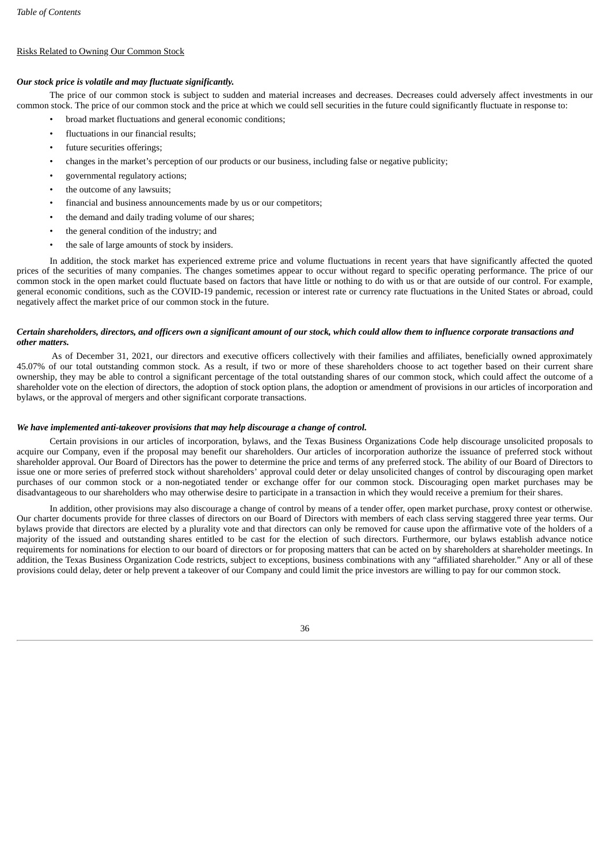### Risks Related to Owning Our Common Stock

#### *Our stock price is volatile and may fluctuate significantly.*

The price of our common stock is subject to sudden and material increases and decreases. Decreases could adversely affect investments in our common stock. The price of our common stock and the price at which we could sell securities in the future could significantly fluctuate in response to:

- broad market fluctuations and general economic conditions;
- fluctuations in our financial results;
- future securities offerings;
- changes in the market's perception of our products or our business, including false or negative publicity;
- governmental regulatory actions;
- the outcome of any lawsuits;
- financial and business announcements made by us or our competitors;
- the demand and daily trading volume of our shares;
- the general condition of the industry; and
- the sale of large amounts of stock by insiders.

In addition, the stock market has experienced extreme price and volume fluctuations in recent years that have significantly affected the quoted prices of the securities of many companies. The changes sometimes appear to occur without regard to specific operating performance. The price of our common stock in the open market could fluctuate based on factors that have little or nothing to do with us or that are outside of our control. For example, general economic conditions, such as the COVID-19 pandemic, recession or interest rate or currency rate fluctuations in the United States or abroad, could negatively affect the market price of our common stock in the future.

#### Certain shareholders, directors, and officers own a significant amount of our stock, which could allow them to influence corporate transactions and *other matters.*

As of December 31, 2021, our directors and executive officers collectively with their families and affiliates, beneficially owned approximately 45.07% of our total outstanding common stock. As a result, if two or more of these shareholders choose to act together based on their current share ownership, they may be able to control a significant percentage of the total outstanding shares of our common stock, which could affect the outcome of a shareholder vote on the election of directors, the adoption of stock option plans, the adoption or amendment of provisions in our articles of incorporation and bylaws, or the approval of mergers and other significant corporate transactions.

#### *We have implemented anti-takeover provisions that may help discourage a change of control.*

Certain provisions in our articles of incorporation, bylaws, and the Texas Business Organizations Code help discourage unsolicited proposals to acquire our Company, even if the proposal may benefit our shareholders. Our articles of incorporation authorize the issuance of preferred stock without shareholder approval. Our Board of Directors has the power to determine the price and terms of any preferred stock. The ability of our Board of Directors to issue one or more series of preferred stock without shareholders' approval could deter or delay unsolicited changes of control by discouraging open market purchases of our common stock or a non-negotiated tender or exchange offer for our common stock. Discouraging open market purchases may be disadvantageous to our shareholders who may otherwise desire to participate in a transaction in which they would receive a premium for their shares.

In addition, other provisions may also discourage a change of control by means of a tender offer, open market purchase, proxy contest or otherwise. Our charter documents provide for three classes of directors on our Board of Directors with members of each class serving staggered three year terms. Our bylaws provide that directors are elected by a plurality vote and that directors can only be removed for cause upon the affirmative vote of the holders of a majority of the issued and outstanding shares entitled to be cast for the election of such directors. Furthermore, our bylaws establish advance notice requirements for nominations for election to our board of directors or for proposing matters that can be acted on by shareholders at shareholder meetings. In addition, the Texas Business Organization Code restricts, subject to exceptions, business combinations with any "affiliated shareholder." Any or all of these provisions could delay, deter or help prevent a takeover of our Company and could limit the price investors are willing to pay for our common stock.

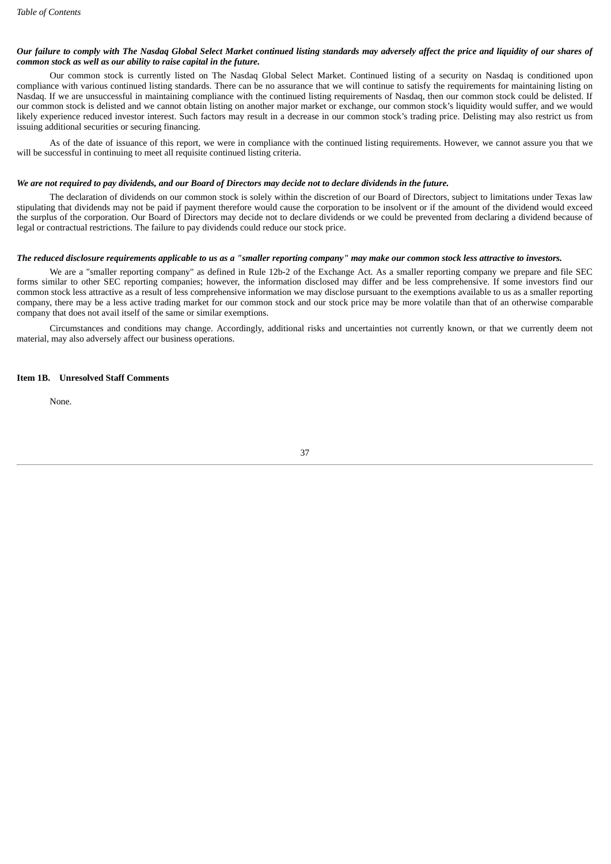### Our failure to comply with The Nasdag Global Select Market continued listing standards may adversely affect the price and liquidity of our shares of *common stock as well as our ability to raise capital in the future.*

Our common stock is currently listed on The Nasdaq Global Select Market. Continued listing of a security on Nasdaq is conditioned upon compliance with various continued listing standards. There can be no assurance that we will continue to satisfy the requirements for maintaining listing on Nasdaq. If we are unsuccessful in maintaining compliance with the continued listing requirements of Nasdaq, then our common stock could be delisted. If our common stock is delisted and we cannot obtain listing on another major market or exchange, our common stock's liquidity would suffer, and we would likely experience reduced investor interest. Such factors may result in a decrease in our common stock's trading price. Delisting may also restrict us from issuing additional securities or securing financing.

As of the date of issuance of this report, we were in compliance with the continued listing requirements. However, we cannot assure you that we will be successful in continuing to meet all requisite continued listing criteria.

#### We are not required to pay dividends, and our Board of Directors may decide not to declare dividends in the future.

The declaration of dividends on our common stock is solely within the discretion of our Board of Directors, subject to limitations under Texas law stipulating that dividends may not be paid if payment therefore would cause the corporation to be insolvent or if the amount of the dividend would exceed the surplus of the corporation. Our Board of Directors may decide not to declare dividends or we could be prevented from declaring a dividend because of legal or contractual restrictions. The failure to pay dividends could reduce our stock price.

#### The reduced disclosure requirements applicable to us as a "smaller reporting company" may make our common stock less attractive to investors.

We are a "smaller reporting company" as defined in Rule 12b-2 of the Exchange Act. As a smaller reporting company we prepare and file SEC forms similar to other SEC reporting companies; however, the information disclosed may differ and be less comprehensive. If some investors find our common stock less attractive as a result of less comprehensive information we may disclose pursuant to the exemptions available to us as a smaller reporting company, there may be a less active trading market for our common stock and our stock price may be more volatile than that of an otherwise comparable company that does not avail itself of the same or similar exemptions.

Circumstances and conditions may change. Accordingly, additional risks and uncertainties not currently known, or that we currently deem not material, may also adversely affect our business operations.

#### **Item 1B. Unresolved Staff Comments**

None.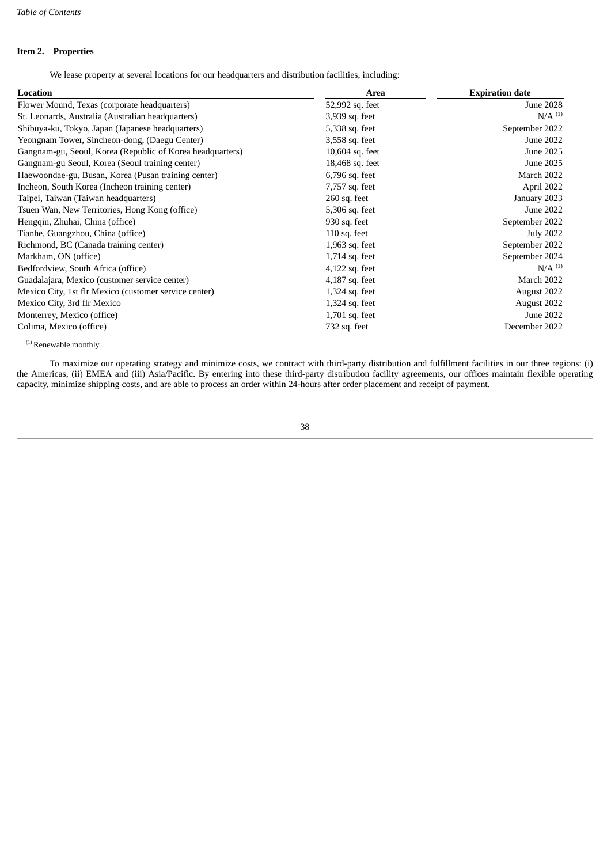## **Item 2. Properties**

We lease property at several locations for our headquarters and distribution facilities, including:

| Location                                                  | Area              | <b>Expiration date</b> |
|-----------------------------------------------------------|-------------------|------------------------|
| Flower Mound, Texas (corporate headquarters)              | 52,992 sq. feet   | June 2028              |
| St. Leonards, Australia (Australian headquarters)         | 3,939 sq. feet    | $N/A$ <sup>(1)</sup>   |
| Shibuya-ku, Tokyo, Japan (Japanese headquarters)          | 5,338 sq. feet    | September 2022         |
| Yeongnam Tower, Sincheon-dong, (Daegu Center)             | 3,558 sq. feet    | June 2022              |
| Gangnam-gu, Seoul, Korea (Republic of Korea headquarters) | $10,604$ sq. feet | June 2025              |
| Gangnam-gu Seoul, Korea (Seoul training center)           | 18,468 sq. feet   | June 2025              |
| Haewoondae-gu, Busan, Korea (Pusan training center)       | 6,796 sq. feet    | March 2022             |
| Incheon, South Korea (Incheon training center)            | 7,757 sq. feet    | April 2022             |
| Taipei, Taiwan (Taiwan headquarters)                      | 260 sq. feet      | January 2023           |
| Tsuen Wan, New Territories, Hong Kong (office)            | 5,306 sq. feet    | June 2022              |
| Henggin, Zhuhai, China (office)                           | 930 sq. feet      | September 2022         |
| Tianhe, Guangzhou, China (office)                         | $110$ sq. feet    | <b>July 2022</b>       |
| Richmond, BC (Canada training center)                     | 1,963 sq. feet    | September 2022         |
| Markham, ON (office)                                      | 1,714 sq. feet    | September 2024         |
| Bedfordview, South Africa (office)                        | 4,122 sq. feet    | $N/A$ $(1)$            |
| Guadalajara, Mexico (customer service center)             | 4,187 sq. feet    | March 2022             |
| Mexico City, 1st flr Mexico (customer service center)     | $1,324$ sq. feet  | August 2022            |
| Mexico City, 3rd flr Mexico                               | $1,324$ sq. feet  | August 2022            |
| Monterrey, Mexico (office)                                | $1,701$ sq. feet  | June 2022              |
| Colima, Mexico (office)                                   | 732 sq. feet      | December 2022          |

<sup>(1)</sup> Renewable monthly.

To maximize our operating strategy and minimize costs, we contract with third-party distribution and fulfillment facilities in our three regions: (i) the Americas, (ii) EMEA and (iii) Asia/Pacific. By entering into these third-party distribution facility agreements, our offices maintain flexible operating capacity, minimize shipping costs, and are able to process an order within 24-hours after order placement and receipt of payment.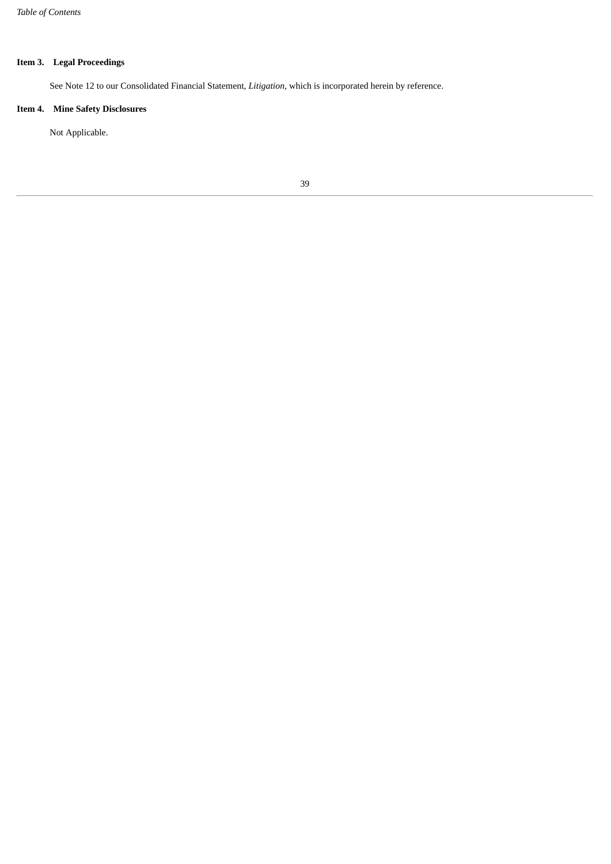# **Item 3. Legal Proceedings**

See Note 12 to our Consolidated Financial Statement, *Litigation*, which is incorporated herein by reference.

## **Item 4. Mine Safety Disclosures**

Not Applicable.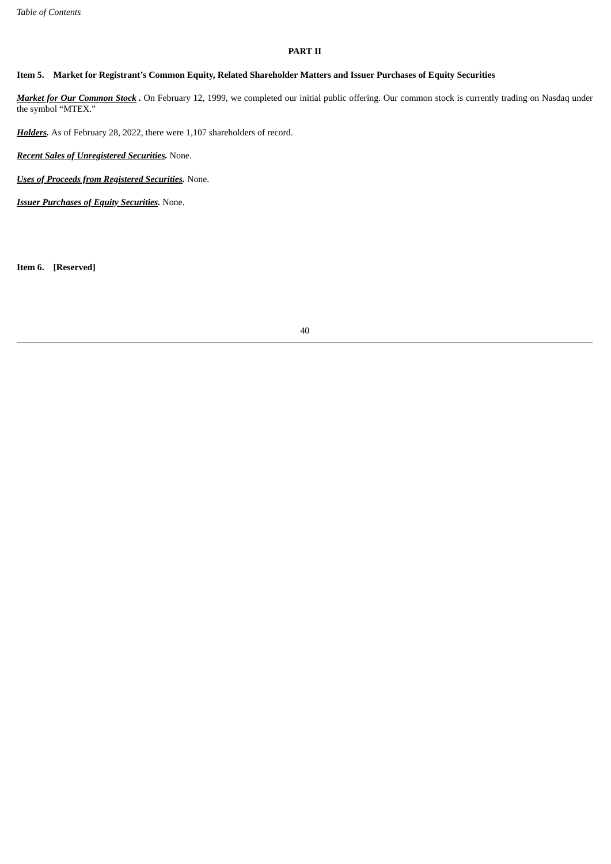## **PART II**

### Item 5. Market for Registrant's Common Equity, Related Shareholder Matters and Issuer Purchases of Equity Securities

*Market for Our Common Stock .* On February 12, 1999, we completed our initial public offering. Our common stock is currently trading on Nasdaq under the symbol "MTEX."

*Holders.* As of February 28, 2022, there were 1,107 shareholders of record.

*Recent Sales of Unregistered Securities.* None.

*Uses of Proceeds from Registered Securities.* None.

*Issuer Purchases of Equity Securities.* None.

**Item 6. [Reserved]**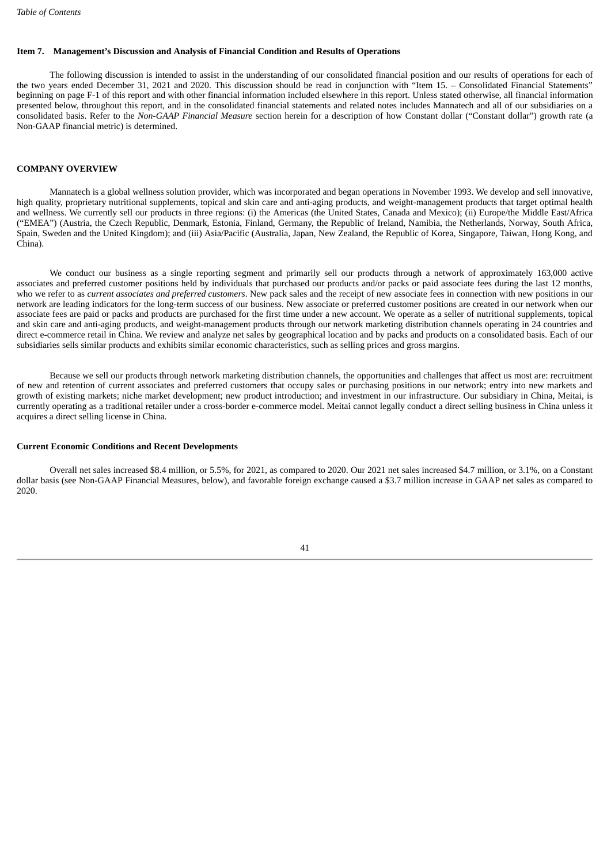#### **Item 7. Management's Discussion and Analysis of Financial Condition and Results of Operations**

The following discussion is intended to assist in the understanding of our consolidated financial position and our results of operations for each of the two years ended December 31, 2021 and 2020. This discussion should be read in conjunction with "Item 15. – Consolidated Financial Statements" beginning on page F-1 of this report and with other financial information included elsewhere in this report. Unless stated otherwise, all financial information presented below, throughout this report, and in the consolidated financial statements and related notes includes Mannatech and all of our subsidiaries on a consolidated basis. Refer to the *Non-GAAP Financial Measure* section herein for a description of how Constant dollar ("Constant dollar") growth rate (a Non-GAAP financial metric) is determined.

#### **COMPANY OVERVIEW**

Mannatech is a global wellness solution provider, which was incorporated and began operations in November 1993. We develop and sell innovative, high quality, proprietary nutritional supplements, topical and skin care and anti-aging products, and weight-management products that target optimal health and wellness. We currently sell our products in three regions: (i) the Americas (the United States, Canada and Mexico); (ii) Europe/the Middle East/Africa ("EMEA") (Austria, the Czech Republic, Denmark, Estonia, Finland, Germany, the Republic of Ireland, Namibia, the Netherlands, Norway, South Africa, Spain, Sweden and the United Kingdom); and (iii) Asia/Pacific (Australia, Japan, New Zealand, the Republic of Korea, Singapore, Taiwan, Hong Kong, and China).

We conduct our business as a single reporting segment and primarily sell our products through a network of approximately 163,000 active associates and preferred customer positions held by individuals that purchased our products and/or packs or paid associate fees during the last 12 months, who we refer to as *current associates and preferred customers*. New pack sales and the receipt of new associate fees in connection with new positions in our network are leading indicators for the long-term success of our business. New associate or preferred customer positions are created in our network when our associate fees are paid or packs and products are purchased for the first time under a new account. We operate as a seller of nutritional supplements, topical and skin care and anti-aging products, and weight-management products through our network marketing distribution channels operating in 24 countries and direct e-commerce retail in China. We review and analyze net sales by geographical location and by packs and products on a consolidated basis. Each of our subsidiaries sells similar products and exhibits similar economic characteristics, such as selling prices and gross margins.

Because we sell our products through network marketing distribution channels, the opportunities and challenges that affect us most are: recruitment of new and retention of current associates and preferred customers that occupy sales or purchasing positions in our network; entry into new markets and growth of existing markets; niche market development; new product introduction; and investment in our infrastructure. Our subsidiary in China, Meitai, is currently operating as a traditional retailer under a cross-border e-commerce model. Meitai cannot legally conduct a direct selling business in China unless it acquires a direct selling license in China.

#### **Current Economic Conditions and Recent Developments**

Overall net sales increased \$8.4 million, or 5.5%, for 2021, as compared to 2020. Our 2021 net sales increased \$4.7 million, or 3.1%, on a Constant dollar basis (see Non-GAAP Financial Measures, below), and favorable foreign exchange caused a \$3.7 million increase in GAAP net sales as compared to 2020.

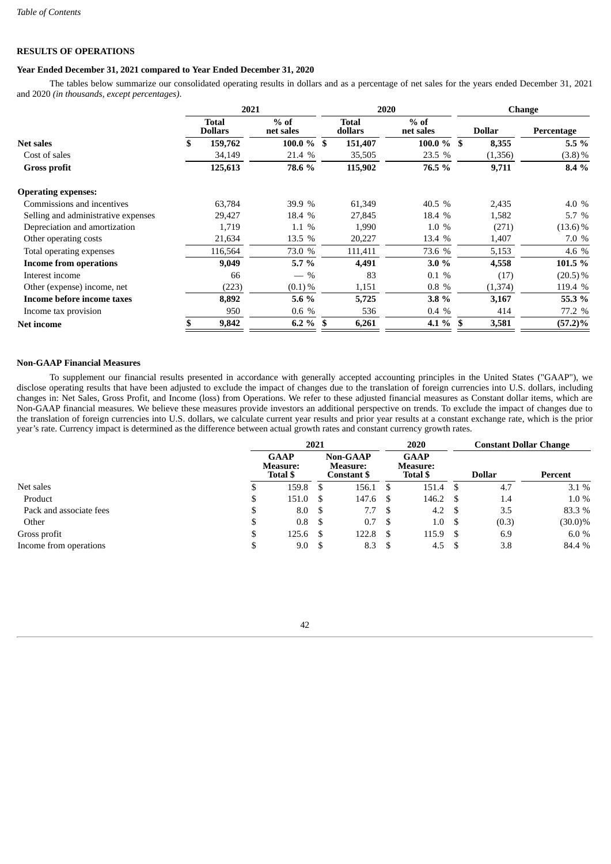## **RESULTS OF OPERATIONS**

## **Year Ended December 31, 2021 compared to Year Ended December 31, 2020**

The tables below summarize our consolidated operating results in dollars and as a percentage of net sales for the years ended December 31, 2021 and 2020 *(in thousands, except percentages)*.

|                                     |    | 2021                    |                     | 2020 |                  |                     | <b>Change</b> |               |            |  |
|-------------------------------------|----|-------------------------|---------------------|------|------------------|---------------------|---------------|---------------|------------|--|
|                                     |    | Total<br><b>Dollars</b> | $%$ of<br>net sales |      | Total<br>dollars | $%$ of<br>net sales |               | <b>Dollar</b> | Percentage |  |
| <b>Net sales</b>                    | S  | 159,762                 | $100.0 \%$ \$       |      | 151,407          | $100.0 \%$ \$       |               | 8,355         | 5.5%       |  |
| Cost of sales                       |    | 34,149                  | 21.4 %              |      | 35,505           | 23.5 %              |               | (1,356)       | $(3.8)\%$  |  |
| <b>Gross profit</b>                 |    | 125,613                 | 78.6 %              |      | 115,902          | 76.5 %              |               | 9,711         | 8.4%       |  |
| <b>Operating expenses:</b>          |    |                         |                     |      |                  |                     |               |               |            |  |
| Commissions and incentives          |    | 63,784                  | 39.9 %              |      | 61,349           | 40.5 %              |               | 2,435         | 4.0 %      |  |
| Selling and administrative expenses |    | 29,427                  | 18.4 %              |      | 27,845           | 18.4 %              |               | 1,582         | 5.7%       |  |
| Depreciation and amortization       |    | 1,719                   | 1.1 %               |      | 1,990            | 1.0 %               |               | (271)         | $(13.6)\%$ |  |
| Other operating costs               |    | 21,634                  | 13.5 %              |      | 20,227           | 13.4 %              |               | 1,407         | 7.0 %      |  |
| Total operating expenses            |    | 116,564                 | 73.0 %              |      | 111,411          | 73.6 %              |               | 5,153         | 4.6 %      |  |
| <b>Income from operations</b>       |    | 9,049                   | 5.7 %               |      | 4,491            | 3.0%                |               | 4,558         | 101.5 %    |  |
| Interest income                     |    | 66                      | $-$ %               |      | 83               | $0.1 \%$            |               | (17)          | (20.5) %   |  |
| Other (expense) income, net         |    | (223)                   | $(0.1)\%$           |      | 1,151            | $0.8 \%$            |               | (1,374)       | 119.4 %    |  |
| Income before income taxes          |    | 8,892                   | 5.6 %               |      | 5,725            | 3.8%                |               | 3,167         | 55.3 %     |  |
| Income tax provision                |    | 950                     | $0.6\%$             |      | 536              | $0.4\%$             |               | 414           | 77.2 %     |  |
| <b>Net income</b>                   | \$ | 9,842                   | 6.2 $%$             | -S   | 6,261            | 4.1 %               | - S           | 3,581         | $(57.2)\%$ |  |

### **Non-GAAP Financial Measures**

To supplement our financial results presented in accordance with generally accepted accounting principles in the United States ("GAAP"), we disclose operating results that have been adjusted to exclude the impact of changes due to the translation of foreign currencies into U.S. dollars, including changes in: Net Sales, Gross Profit, and Income (loss) from Operations. We refer to these adjusted financial measures as Constant dollar items, which are Non-GAAP financial measures. We believe these measures provide investors an additional perspective on trends. To exclude the impact of changes due to the translation of foreign currencies into U.S. dollars, we calculate current year results and prior year results at a constant exchange rate, which is the prior year's rate. Currency impact is determined as the difference between actual growth rates and constant currency growth rates.

|                         |    |                                                   | 2021 |                                                   |          | 2020                                       |  | <b>Constant Dollar Change</b> |         |  |  |
|-------------------------|----|---------------------------------------------------|------|---------------------------------------------------|----------|--------------------------------------------|--|-------------------------------|---------|--|--|
|                         |    | <b>GAAP</b><br><b>Measure:</b><br><b>Total \$</b> |      | <b>Non-GAAP</b><br><b>Measure:</b><br>Constant \$ |          | <b>GAAP</b><br><b>Measure:</b><br>Total \$ |  | Dollar                        | Percent |  |  |
| Net sales               | S  | 159.8                                             | S    | 156.1                                             | \$       | 151.4                                      |  | 4.7                           | 3.1 %   |  |  |
| Product                 | \$ | 151.0                                             | -S   | 147.6                                             | - \$     | 146.2                                      |  | 1.4                           | 1.0%    |  |  |
| Pack and associate fees | \$ | 8.0                                               | - \$ | 7.7                                               | - \$     | 4.2                                        |  | 3.5                           | 83.3 %  |  |  |
| Other                   | \$ | 0.8                                               | - 5  | 0.7                                               | <b>S</b> | $1.0\,$                                    |  | (0.3)                         | (30.0)% |  |  |
| Gross profit            | \$ | 125.6                                             | S    | 122.8                                             | -S       | 115.9                                      |  | 6.9                           | 6.0 $%$ |  |  |
| Income from operations  | \$ | 9.0                                               | - 5  | 8.3                                               | \$       | 4.5                                        |  | 3.8                           | 84.4 %  |  |  |

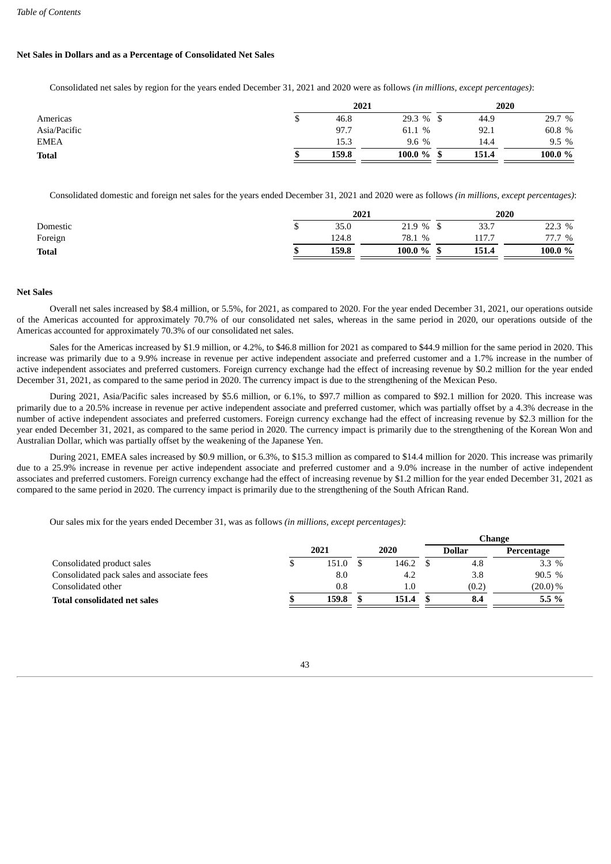## **Net Sales in Dollars and as a Percentage of Consolidated Net Sales**

Consolidated net sales by region for the years ended December 31, 2021 and 2020 were as follows *(in millions, except percentages)*:

|              | 2021  |              |      | 2020  |         |
|--------------|-------|--------------|------|-------|---------|
| Americas     | 46.8  | $29.3 \%$ \$ |      | 44.9  | 29.7 %  |
| Asia/Pacific | 97.7  | 61.1 %       |      | 92.1  | 60.8 %  |
| EMEA         | 15.3  | 9.6%         |      | 14.4  | $9.5\%$ |
| <b>Total</b> | 159.8 | $100.0 \%$   | - \$ | 151.4 | 100.0 % |

Consolidated domestic and foreign net sales for the years ended December 31, 2021 and 2020 were as follows *(in millions, except percentages)*:

|              | 2021  |                       |              | 2020  |            |
|--------------|-------|-----------------------|--------------|-------|------------|
| Domestic     | 35.0  | 21.9 %                |              | 33.7  | 22.3 %     |
| Foreign      | 124.8 | $\frac{9}{6}$<br>78.1 |              | 117.7 | 77.7 %     |
| <b>Total</b> | 159.8 | 100.0 %               | $\mathbf{r}$ | 151.4 | $100.0 \%$ |

#### **Net Sales**

Overall net sales increased by \$8.4 million, or 5.5%, for 2021, as compared to 2020. For the year ended December 31, 2021, our operations outside of the Americas accounted for approximately 70.7% of our consolidated net sales, whereas in the same period in 2020, our operations outside of the Americas accounted for approximately 70.3% of our consolidated net sales.

Sales for the Americas increased by \$1.9 million, or 4.2%, to \$46.8 million for 2021 as compared to \$44.9 million for the same period in 2020. This increase was primarily due to a 9.9% increase in revenue per active independent associate and preferred customer and a 1.7% increase in the number of active independent associates and preferred customers. Foreign currency exchange had the effect of increasing revenue by \$0.2 million for the year ended December 31, 2021, as compared to the same period in 2020. The currency impact is due to the strengthening of the Mexican Peso.

During 2021, Asia/Pacific sales increased by \$5.6 million, or 6.1%, to \$97.7 million as compared to \$92.1 million for 2020. This increase was primarily due to a 20.5% increase in revenue per active independent associate and preferred customer, which was partially offset by a 4.3% decrease in the number of active independent associates and preferred customers. Foreign currency exchange had the effect of increasing revenue by \$2.3 million for the year ended December 31, 2021, as compared to the same period in 2020. The currency impact is primarily due to the strengthening of the Korean Won and Australian Dollar, which was partially offset by the weakening of the Japanese Yen.

During 2021, EMEA sales increased by \$0.9 million, or 6.3%, to \$15.3 million as compared to \$14.4 million for 2020. This increase was primarily due to a 25.9% increase in revenue per active independent associate and preferred customer and a 9.0% increase in the number of active independent associates and preferred customers. Foreign currency exchange had the effect of increasing revenue by \$1.2 million for the year ended December 31, 2021 as compared to the same period in 2020. The currency impact is primarily due to the strengthening of the South African Rand.

Our sales mix for the years ended December 31, was as follows *(in millions, except percentages)*:

|                                            |       |         |               | Change     |
|--------------------------------------------|-------|---------|---------------|------------|
|                                            | 2021  | 2020    | <b>Dollar</b> | Percentage |
| Consolidated product sales                 | 151.0 | 146.2   | 4.8           | $3.3\%$    |
| Consolidated pack sales and associate fees | 8.0   | 4.2     | 3.8           | 90.5%      |
| Consolidated other                         | 0.8   | $1.0\,$ | (0.2)         | $(20.0)\%$ |
| Total consolidated net sales               | 159.8 | 151.4   | 8.4           | $5.5\%$    |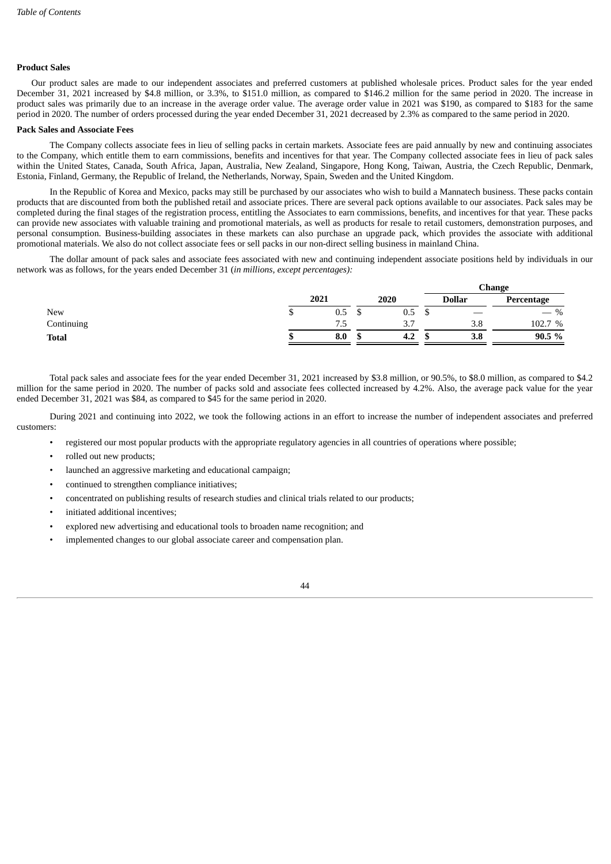#### **Product Sales**

Our product sales are made to our independent associates and preferred customers at published wholesale prices. Product sales for the year ended December 31, 2021 increased by \$4.8 million, or 3.3%, to \$151.0 million, as compared to \$146.2 million for the same period in 2020. The increase in product sales was primarily due to an increase in the average order value. The average order value in 2021 was \$190, as compared to \$183 for the same period in 2020. The number of orders processed during the year ended December 31, 2021 decreased by 2.3% as compared to the same period in 2020.

#### **Pack Sales and Associate Fees**

The Company collects associate fees in lieu of selling packs in certain markets. Associate fees are paid annually by new and continuing associates to the Company, which entitle them to earn commissions, benefits and incentives for that year. The Company collected associate fees in lieu of pack sales within the United States, Canada, South Africa, Japan, Australia, New Zealand, Singapore, Hong Kong, Taiwan, Austria, the Czech Republic, Denmark, Estonia, Finland, Germany, the Republic of Ireland, the Netherlands, Norway, Spain, Sweden and the United Kingdom.

In the Republic of Korea and Mexico, packs may still be purchased by our associates who wish to build a Mannatech business. These packs contain products that are discounted from both the published retail and associate prices. There are several pack options available to our associates. Pack sales may be completed during the final stages of the registration process, entitling the Associates to earn commissions, benefits, and incentives for that year. These packs can provide new associates with valuable training and promotional materials, as well as products for resale to retail customers, demonstration purposes, and personal consumption. Business-building associates in these markets can also purchase an upgrade pack, which provides the associate with additional promotional materials. We also do not collect associate fees or sell packs in our non-direct selling business in mainland China.

The dollar amount of pack sales and associate fees associated with new and continuing independent associate positions held by individuals in our network was as follows, for the years ended December 31 (*in millions, except percentages):*

**Change**

|          |             |               | Cilalige   |
|----------|-------------|---------------|------------|
| 2021     | 2020        | <b>Dollar</b> | Percentage |
| $_{0.5}$ | 0.5         |               | $-$ %      |
| 7.5      | 37<br>، ، ب | 3.8           | 102.7 %    |
| 8.0      | 4.2         | 3.8           | 90.5%      |
|          |             |               |            |

Total pack sales and associate fees for the year ended December 31, 2021 increased by \$3.8 million, or 90.5%, to \$8.0 million, as compared to \$4.2 million for the same period in 2020. The number of packs sold and associate fees collected increased by 4.2%. Also, the average pack value for the year ended December 31, 2021 was \$84, as compared to \$45 for the same period in 2020.

During 2021 and continuing into 2022, we took the following actions in an effort to increase the number of independent associates and preferred customers:

- registered our most popular products with the appropriate regulatory agencies in all countries of operations where possible;
- rolled out new products;
- launched an aggressive marketing and educational campaign;
- continued to strengthen compliance initiatives;
- concentrated on publishing results of research studies and clinical trials related to our products;
- initiated additional incentives;
- explored new advertising and educational tools to broaden name recognition; and
- implemented changes to our global associate career and compensation plan.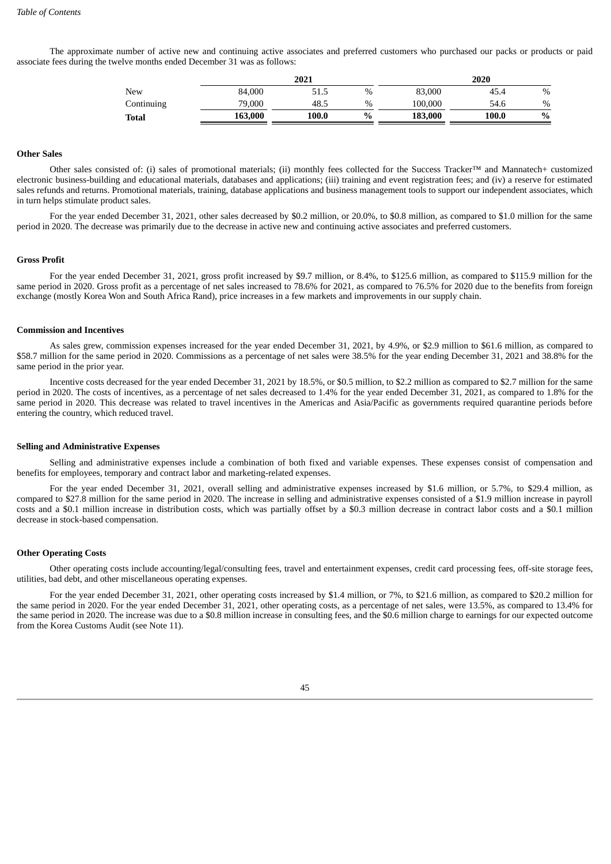The approximate number of active new and continuing active associates and preferred customers who purchased our packs or products or paid associate fees during the twelve months ended December 31 was as follows:

|              |         | 2021  |      |         | 2020  |      |
|--------------|---------|-------|------|---------|-------|------|
| New          | 84,000  | 51.5  | $\%$ | 83,000  | 45.4  | $\%$ |
| Continuing   | 79.000  | 48.5  | $\%$ | 100.000 | 54.6  | $\%$ |
| <b>Total</b> | 163.000 | 100.0 | $\%$ | 183,000 | 100.0 | $\%$ |

#### **Other Sales**

Other sales consisted of: (i) sales of promotional materials; (ii) monthly fees collected for the Success Tracker™ and Mannatech+ customized electronic business-building and educational materials, databases and applications; (iii) training and event registration fees; and (iv) a reserve for estimated sales refunds and returns. Promotional materials, training, database applications and business management tools to support our independent associates, which in turn helps stimulate product sales.

For the year ended December 31, 2021, other sales decreased by \$0.2 million, or 20.0%, to \$0.8 million, as compared to \$1.0 million for the same period in 2020. The decrease was primarily due to the decrease in active new and continuing active associates and preferred customers.

#### **Gross Profit**

For the year ended December 31, 2021, gross profit increased by \$9.7 million, or 8.4%, to \$125.6 million, as compared to \$115.9 million for the same period in 2020. Gross profit as a percentage of net sales increased to 78.6% for 2021, as compared to 76.5% for 2020 due to the benefits from foreign exchange (mostly Korea Won and South Africa Rand), price increases in a few markets and improvements in our supply chain.

#### **Commission and Incentives**

As sales grew, commission expenses increased for the year ended December 31, 2021, by 4.9%, or \$2.9 million to \$61.6 million, as compared to \$58.7 million for the same period in 2020. Commissions as a percentage of net sales were 38.5% for the year ending December 31, 2021 and 38.8% for the same period in the prior year.

Incentive costs decreased for the year ended December 31, 2021 by 18.5%, or \$0.5 million, to \$2.2 million as compared to \$2.7 million for the same period in 2020. The costs of incentives, as a percentage of net sales decreased to 1.4% for the year ended December 31, 2021, as compared to 1.8% for the same period in 2020. This decrease was related to travel incentives in the Americas and Asia/Pacific as governments required quarantine periods before entering the country, which reduced travel.

#### **Selling and Administrative Expenses**

Selling and administrative expenses include a combination of both fixed and variable expenses. These expenses consist of compensation and benefits for employees, temporary and contract labor and marketing-related expenses.

For the year ended December 31, 2021, overall selling and administrative expenses increased by \$1.6 million, or 5.7%, to \$29.4 million, as compared to \$27.8 million for the same period in 2020. The increase in selling and administrative expenses consisted of a \$1.9 million increase in payroll costs and a \$0.1 million increase in distribution costs, which was partially offset by a \$0.3 million decrease in contract labor costs and a \$0.1 million decrease in stock-based compensation.

#### **Other Operating Costs**

Other operating costs include accounting/legal/consulting fees, travel and entertainment expenses, credit card processing fees, off-site storage fees, utilities, bad debt, and other miscellaneous operating expenses.

For the year ended December 31, 2021, other operating costs increased by \$1.4 million, or 7%, to \$21.6 million, as compared to \$20.2 million for the same period in 2020. For the year ended December 31, 2021, other operating costs, as a percentage of net sales, were 13.5%, as compared to 13.4% for the same period in 2020. The increase was due to a \$0.8 million increase in consulting fees, and the \$0.6 million charge to earnings for our expected outcome from the Korea Customs Audit (see Note 11).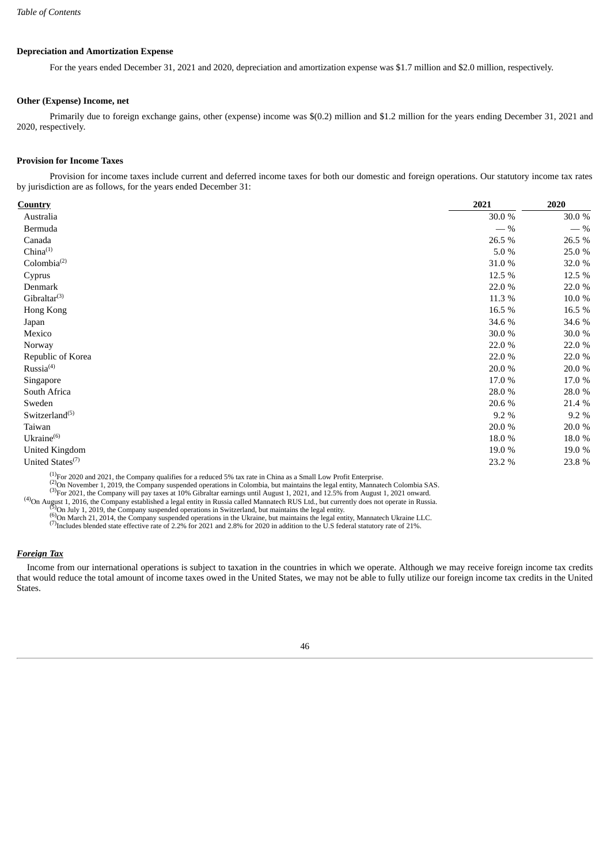### **Depreciation and Amortization Expense**

For the years ended December 31, 2021 and 2020, depreciation and amortization expense was \$1.7 million and \$2.0 million, respectively.

#### **Other (Expense) Income, net**

Primarily due to foreign exchange gains, other (expense) income was \$(0.2) million and \$1.2 million for the years ending December 31, 2021 and 2020, respectively.

#### **Provision for Income Taxes**

Provision for income taxes include current and deferred income taxes for both our domestic and foreign operations. Our statutory income tax rates by jurisdiction are as follows, for the years ended December 31:

| <b>Country</b>               | 2021   | 2020   |
|------------------------------|--------|--------|
| Australia                    | 30.0%  | 30.0 % |
| Bermuda                      | $-$ %  | $-$ %  |
| Canada                       | 26.5%  | 26.5 % |
| $China^{(1)}$                | 5.0%   | 25.0 % |
| $Colombia^{(2)}$             | 31.0%  | 32.0 % |
| Cyprus                       | 12.5 % | 12.5 % |
| Denmark                      | 22.0 % | 22.0 % |
| Gibraltar <sup>(3)</sup>     | 11.3 % | 10.0%  |
| Hong Kong                    | 16.5 % | 16.5 % |
| Japan                        | 34.6 % | 34.6 % |
| Mexico                       | 30.0%  | 30.0 % |
| Norway                       | 22.0 % | 22.0 % |
| Republic of Korea            | 22.0 % | 22.0 % |
| Russia <sup>(4)</sup>        | 20.0%  | 20.0%  |
| Singapore                    | 17.0 % | 17.0 % |
| South Africa                 | 28.0%  | 28.0%  |
| Sweden                       | 20.6 % | 21.4 % |
| Switzerland <sup>(5)</sup>   | 9.2 %  | 9.2 %  |
| Taiwan                       | 20.0%  | 20.0%  |
| $U$ kraine $^{(6)}$          | 18.0%  | 18.0%  |
| <b>United Kingdom</b>        | 19.0 % | 19.0 % |
| United States <sup>(7)</sup> | 23.2 % | 23.8 % |
| (1)                          |        |        |

 $\binom{1}{n}$  For 2020 and 2021, the Company qualifies for a reduced 5% tax rate in China as a Small Low Profit Enterprise. (2)

On November 1, 2019, the Company suspended operations in Colombia, but maintains the legal entity, Mannatech Colombia SAS. (3)

For 2021, the Company will pay taxes at 10% Gibraltar earnings until August 1, 2021, and 12.5% from August 1, 2021 onward.

On August 1, 2016, the Company established a legal entity in Russia called Mannatech RUS Ltd., but currently does not operate in Russia. (5)

On July 1, 2019, the Company suspended operations in Switzerland, but maintains the legal entity.

On March 21, 2014, the Company suspended operations in the Ukraine, but maintains the legal entity, Mannatech Ukraine LLC. (6)

( $7$ Includes blended state effective rate of 2.2% for 2021 and 2.8% for 2020 in addition to the U.S federal statutory rate of 21%.

#### *Foreign Tax*

 $(4)$ 

Income from our international operations is subject to taxation in the countries in which we operate. Although we may receive foreign income tax credits that would reduce the total amount of income taxes owed in the United States, we may not be able to fully utilize our foreign income tax credits in the United States.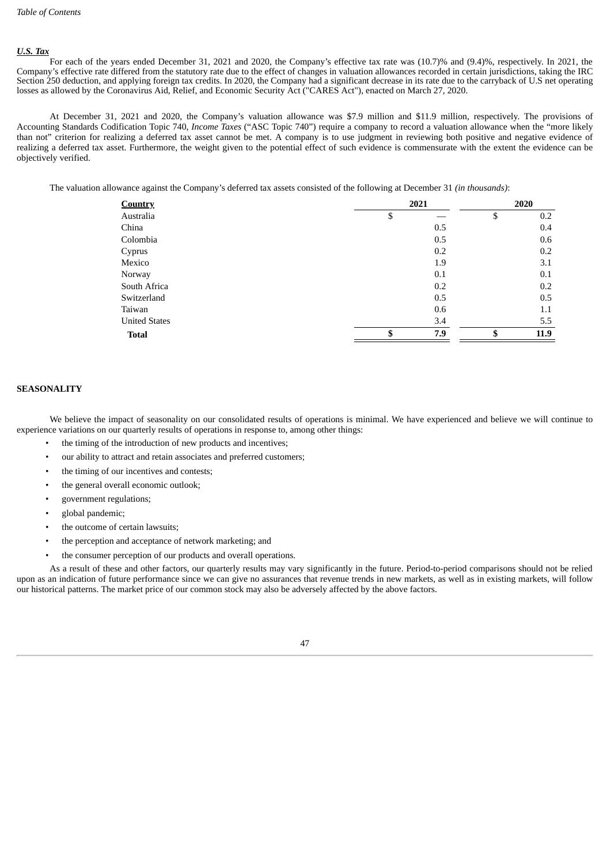### *U.S. Tax*

For each of the years ended December 31, 2021 and 2020, the Company's effective tax rate was (10.7)% and (9.4)%, respectively. In 2021, the Company's effective rate differed from the statutory rate due to the effect of changes in valuation allowances recorded in certain jurisdictions, taking the IRC Section 250 deduction, and applying foreign tax credits. In 2020, the Company had a significant decrease in its rate due to the carryback of U.S net operating losses as allowed by the Coronavirus Aid, Relief, and Economic Security Act ("CARES Act"), enacted on March 27, 2020.

At December 31, 2021 and 2020, the Company's valuation allowance was \$7.9 million and \$11.9 million, respectively. The provisions of Accounting Standards Codification Topic 740, *Income Taxes* ("ASC Topic 740") require a company to record a valuation allowance when the "more likely than not" criterion for realizing a deferred tax asset cannot be met. A company is to use judgment in reviewing both positive and negative evidence of realizing a deferred tax asset. Furthermore, the weight given to the potential effect of such evidence is commensurate with the extent the evidence can be objectively verified.

The valuation allowance against the Company's deferred tax assets consisted of the following at December 31 *(in thousands)*:

| <b>Country</b>       | 2021 |     | 2020       |  |
|----------------------|------|-----|------------|--|
| Australia            | \$   |     | \$<br>0.2  |  |
| China                |      | 0.5 | 0.4        |  |
| Colombia             |      | 0.5 | 0.6        |  |
| Cyprus               |      | 0.2 | 0.2        |  |
| Mexico               |      | 1.9 | 3.1        |  |
| Norway               |      | 0.1 | 0.1        |  |
| South Africa         |      | 0.2 | 0.2        |  |
| Switzerland          |      | 0.5 | 0.5        |  |
| Taiwan               |      | 0.6 | 1.1        |  |
| <b>United States</b> |      | 3.4 | 5.5        |  |
| <b>Total</b>         | \$   | 7.9 | \$<br>11.9 |  |

## **SEASONALITY**

We believe the impact of seasonality on our consolidated results of operations is minimal. We have experienced and believe we will continue to experience variations on our quarterly results of operations in response to, among other things:

- the timing of the introduction of new products and incentives;
- our ability to attract and retain associates and preferred customers;
- the timing of our incentives and contests;
- the general overall economic outlook;
- government regulations;
- global pandemic;
- the outcome of certain lawsuits;
- the perception and acceptance of network marketing; and
- the consumer perception of our products and overall operations.

As a result of these and other factors, our quarterly results may vary significantly in the future. Period-to-period comparisons should not be relied upon as an indication of future performance since we can give no assurances that revenue trends in new markets, as well as in existing markets, will follow our historical patterns. The market price of our common stock may also be adversely affected by the above factors.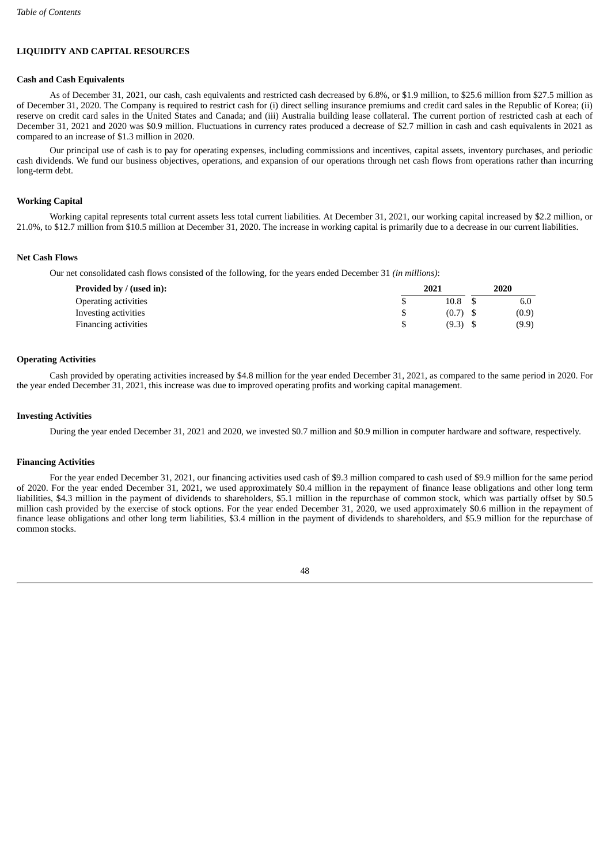### **LIQUIDITY AND CAPITAL RESOURCES**

#### **Cash and Cash Equivalents**

As of December 31, 2021, our cash, cash equivalents and restricted cash decreased by 6.8%, or \$1.9 million, to \$25.6 million from \$27.5 million as of December 31, 2020. The Company is required to restrict cash for (i) direct selling insurance premiums and credit card sales in the Republic of Korea; (ii) reserve on credit card sales in the United States and Canada; and (iii) Australia building lease collateral. The current portion of restricted cash at each of December 31, 2021 and 2020 was \$0.9 million. Fluctuations in currency rates produced a decrease of \$2.7 million in cash and cash equivalents in 2021 as compared to an increase of \$1.3 million in 2020.

Our principal use of cash is to pay for operating expenses, including commissions and incentives, capital assets, inventory purchases, and periodic cash dividends. We fund our business objectives, operations, and expansion of our operations through net cash flows from operations rather than incurring long-term debt.

#### **Working Capital**

Working capital represents total current assets less total current liabilities. At December 31, 2021, our working capital increased by \$2.2 million, or 21.0%, to \$12.7 million from \$10.5 million at December 31, 2020. The increase in working capital is primarily due to a decrease in our current liabilities.

#### **Net Cash Flows**

Our net consolidated cash flows consisted of the following, for the years ended December 31 *(in millions)*:

| <b>Provided by / (used in):</b> | 2021 |            |  |       |
|---------------------------------|------|------------|--|-------|
| <b>Operating activities</b>     |      | 10.8       |  | 6.0   |
| Investing activities            |      | $(0.7)$ \$ |  | (0.9) |
| <b>Financing activities</b>     |      | (9.3)      |  | (9.9) |

#### **Operating Activities**

Cash provided by operating activities increased by \$4.8 million for the year ended December 31, 2021, as compared to the same period in 2020. For the year ended December 31, 2021, this increase was due to improved operating profits and working capital management.

#### **Investing Activities**

During the year ended December 31, 2021 and 2020, we invested \$0.7 million and \$0.9 million in computer hardware and software, respectively.

#### **Financing Activities**

For the year ended December 31, 2021, our financing activities used cash of \$9.3 million compared to cash used of \$9.9 million for the same period of 2020. For the year ended December 31, 2021, we used approximately \$0.4 million in the repayment of finance lease obligations and other long term liabilities, \$4.3 million in the payment of dividends to shareholders, \$5.1 million in the repurchase of common stock, which was partially offset by \$0.5 million cash provided by the exercise of stock options. For the year ended December 31, 2020, we used approximately \$0.6 million in the repayment of finance lease obligations and other long term liabilities, \$3.4 million in the payment of dividends to shareholders, and \$5.9 million for the repurchase of common stocks.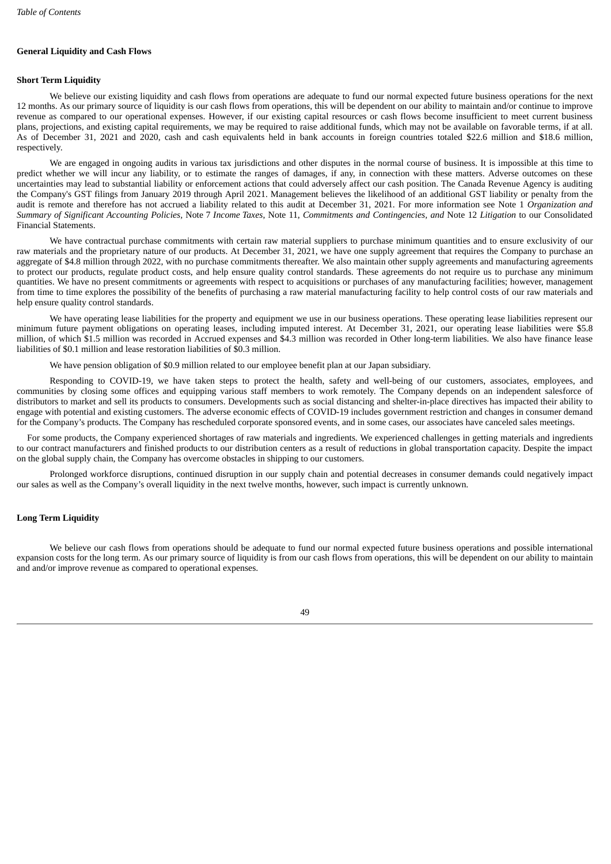### **General Liquidity and Cash Flows**

#### **Short Term Liquidity**

We believe our existing liquidity and cash flows from operations are adequate to fund our normal expected future business operations for the next 12 months. As our primary source of liquidity is our cash flows from operations, this will be dependent on our ability to maintain and/or continue to improve revenue as compared to our operational expenses. However, if our existing capital resources or cash flows become insufficient to meet current business plans, projections, and existing capital requirements, we may be required to raise additional funds, which may not be available on favorable terms, if at all. As of December 31, 2021 and 2020, cash and cash equivalents held in bank accounts in foreign countries totaled \$22.6 million and \$18.6 million, respectively.

We are engaged in ongoing audits in various tax jurisdictions and other disputes in the normal course of business. It is impossible at this time to predict whether we will incur any liability, or to estimate the ranges of damages, if any, in connection with these matters. Adverse outcomes on these uncertainties may lead to substantial liability or enforcement actions that could adversely affect our cash position. The Canada Revenue Agency is auditing the Company's GST filings from January 2019 through April 2021. Management believes the likelihood of an additional GST liability or penalty from the audit is remote and therefore has not accrued a liability related to this audit at December 31, 2021. For more information see Note 1 *Organization and* Summary of Significant Accounting Policies, Note 7 Income Taxes, Note 11, Commitments and Contingencies, and Note 12 Litigation to our Consolidated Financial Statements.

We have contractual purchase commitments with certain raw material suppliers to purchase minimum quantities and to ensure exclusivity of our raw materials and the proprietary nature of our products. At December 31, 2021, we have one supply agreement that requires the Company to purchase an aggregate of \$4.8 million through 2022, with no purchase commitments thereafter. We also maintain other supply agreements and manufacturing agreements to protect our products, regulate product costs, and help ensure quality control standards. These agreements do not require us to purchase any minimum quantities. We have no present commitments or agreements with respect to acquisitions or purchases of any manufacturing facilities; however, management from time to time explores the possibility of the benefits of purchasing a raw material manufacturing facility to help control costs of our raw materials and help ensure quality control standards.

We have operating lease liabilities for the property and equipment we use in our business operations. These operating lease liabilities represent our minimum future payment obligations on operating leases, including imputed interest. At December 31, 2021, our operating lease liabilities were \$5.8 million, of which \$1.5 million was recorded in Accrued expenses and \$4.3 million was recorded in Other long-term liabilities. We also have finance lease liabilities of \$0.1 million and lease restoration liabilities of \$0.3 million.

We have pension obligation of \$0.9 million related to our employee benefit plan at our Japan subsidiary.

Responding to COVID-19, we have taken steps to protect the health, safety and well-being of our customers, associates, employees, and communities by closing some offices and equipping various staff members to work remotely. The Company depends on an independent salesforce of distributors to market and sell its products to consumers. Developments such as social distancing and shelter-in-place directives has impacted their ability to engage with potential and existing customers. The adverse economic effects of COVID-19 includes government restriction and changes in consumer demand for the Company's products. The Company has rescheduled corporate sponsored events, and in some cases, our associates have canceled sales meetings.

For some products, the Company experienced shortages of raw materials and ingredients. We experienced challenges in getting materials and ingredients to our contract manufacturers and finished products to our distribution centers as a result of reductions in global transportation capacity. Despite the impact on the global supply chain, the Company has overcome obstacles in shipping to our customers.

Prolonged workforce disruptions, continued disruption in our supply chain and potential decreases in consumer demands could negatively impact our sales as well as the Company's overall liquidity in the next twelve months, however, such impact is currently unknown.

### **Long Term Liquidity**

We believe our cash flows from operations should be adequate to fund our normal expected future business operations and possible international expansion costs for the long term. As our primary source of liquidity is from our cash flows from operations, this will be dependent on our ability to maintain and and/or improve revenue as compared to operational expenses.

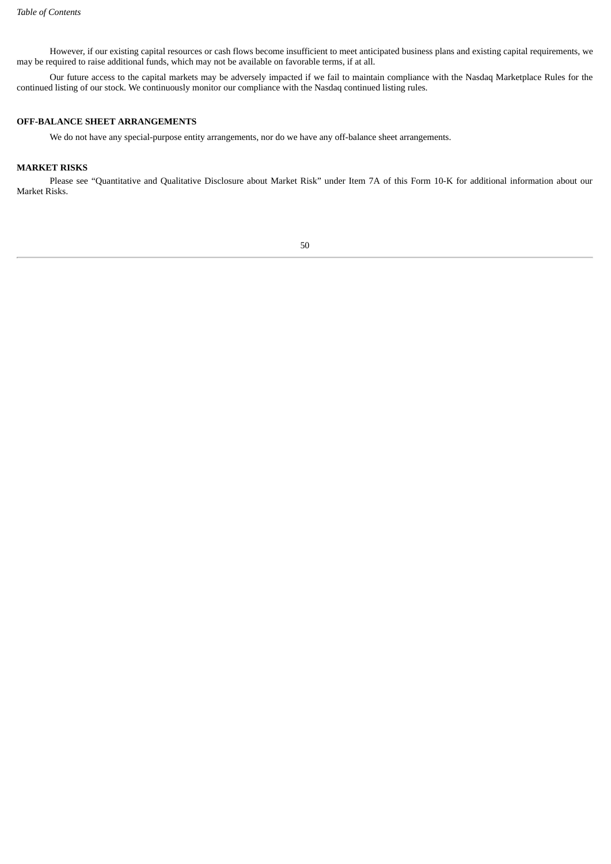However, if our existing capital resources or cash flows become insufficient to meet anticipated business plans and existing capital requirements, we may be required to raise additional funds, which may not be available on favorable terms, if at all.

Our future access to the capital markets may be adversely impacted if we fail to maintain compliance with the Nasdaq Marketplace Rules for the continued listing of our stock. We continuously monitor our compliance with the Nasdaq continued listing rules.

## **OFF-BALANCE SHEET ARRANGEMENTS**

We do not have any special-purpose entity arrangements, nor do we have any off-balance sheet arrangements.

## **MARKET RISKS**

Please see "Quantitative and Qualitative Disclosure about Market Risk" under Item 7A of this Form 10-K for additional information about our Market Risks.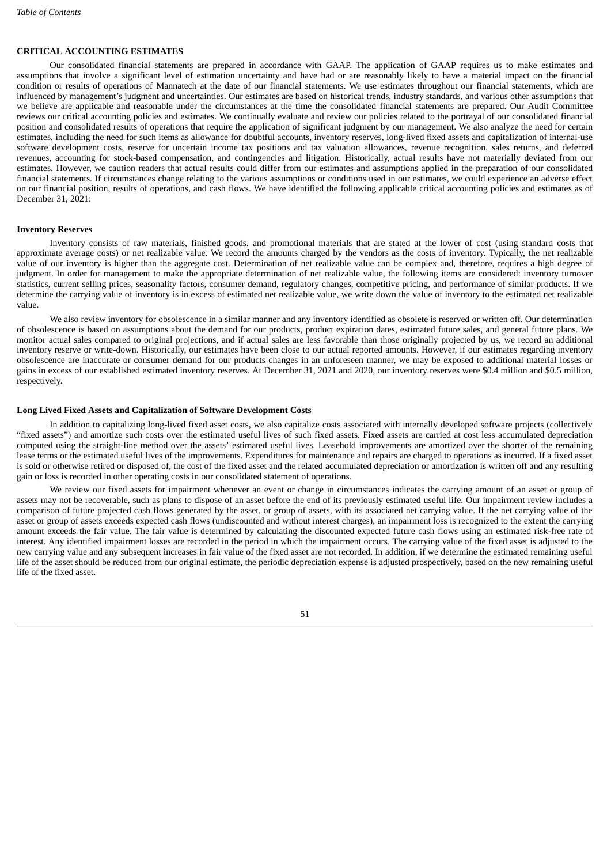## **CRITICAL ACCOUNTING ESTIMATES**

Our consolidated financial statements are prepared in accordance with GAAP. The application of GAAP requires us to make estimates and assumptions that involve a significant level of estimation uncertainty and have had or are reasonably likely to have a material impact on the financial condition or results of operations of Mannatech at the date of our financial statements. We use estimates throughout our financial statements, which are influenced by management's judgment and uncertainties. Our estimates are based on historical trends, industry standards, and various other assumptions that we believe are applicable and reasonable under the circumstances at the time the consolidated financial statements are prepared. Our Audit Committee reviews our critical accounting policies and estimates. We continually evaluate and review our policies related to the portrayal of our consolidated financial position and consolidated results of operations that require the application of significant judgment by our management. We also analyze the need for certain estimates, including the need for such items as allowance for doubtful accounts, inventory reserves, long-lived fixed assets and capitalization of internal-use software development costs, reserve for uncertain income tax positions and tax valuation allowances, revenue recognition, sales returns, and deferred revenues, accounting for stock-based compensation, and contingencies and litigation. Historically, actual results have not materially deviated from our estimates. However, we caution readers that actual results could differ from our estimates and assumptions applied in the preparation of our consolidated financial statements. If circumstances change relating to the various assumptions or conditions used in our estimates, we could experience an adverse effect on our financial position, results of operations, and cash flows. We have identified the following applicable critical accounting policies and estimates as of December 31, 2021:

#### **Inventory Reserves**

Inventory consists of raw materials, finished goods, and promotional materials that are stated at the lower of cost (using standard costs that approximate average costs) or net realizable value. We record the amounts charged by the vendors as the costs of inventory. Typically, the net realizable value of our inventory is higher than the aggregate cost. Determination of net realizable value can be complex and, therefore, requires a high degree of judgment. In order for management to make the appropriate determination of net realizable value, the following items are considered: inventory turnover statistics, current selling prices, seasonality factors, consumer demand, regulatory changes, competitive pricing, and performance of similar products. If we determine the carrying value of inventory is in excess of estimated net realizable value, we write down the value of inventory to the estimated net realizable value.

We also review inventory for obsolescence in a similar manner and any inventory identified as obsolete is reserved or written off. Our determination of obsolescence is based on assumptions about the demand for our products, product expiration dates, estimated future sales, and general future plans. We monitor actual sales compared to original projections, and if actual sales are less favorable than those originally projected by us, we record an additional inventory reserve or write-down. Historically, our estimates have been close to our actual reported amounts. However, if our estimates regarding inventory obsolescence are inaccurate or consumer demand for our products changes in an unforeseen manner, we may be exposed to additional material losses or gains in excess of our established estimated inventory reserves. At December 31, 2021 and 2020, our inventory reserves were \$0.4 million and \$0.5 million, respectively.

#### **Long Lived Fixed Assets and Capitalization of Software Development Costs**

In addition to capitalizing long-lived fixed asset costs, we also capitalize costs associated with internally developed software projects (collectively "fixed assets") and amortize such costs over the estimated useful lives of such fixed assets. Fixed assets are carried at cost less accumulated depreciation computed using the straight-line method over the assets' estimated useful lives. Leasehold improvements are amortized over the shorter of the remaining lease terms or the estimated useful lives of the improvements. Expenditures for maintenance and repairs are charged to operations as incurred. If a fixed asset is sold or otherwise retired or disposed of, the cost of the fixed asset and the related accumulated depreciation or amortization is written off and any resulting gain or loss is recorded in other operating costs in our consolidated statement of operations.

We review our fixed assets for impairment whenever an event or change in circumstances indicates the carrying amount of an asset or group of assets may not be recoverable, such as plans to dispose of an asset before the end of its previously estimated useful life. Our impairment review includes a comparison of future projected cash flows generated by the asset, or group of assets, with its associated net carrying value. If the net carrying value of the asset or group of assets exceeds expected cash flows (undiscounted and without interest charges), an impairment loss is recognized to the extent the carrying amount exceeds the fair value. The fair value is determined by calculating the discounted expected future cash flows using an estimated risk-free rate of interest. Any identified impairment losses are recorded in the period in which the impairment occurs. The carrying value of the fixed asset is adjusted to the new carrying value and any subsequent increases in fair value of the fixed asset are not recorded. In addition, if we determine the estimated remaining useful life of the asset should be reduced from our original estimate, the periodic depreciation expense is adjusted prospectively, based on the new remaining useful life of the fixed asset.

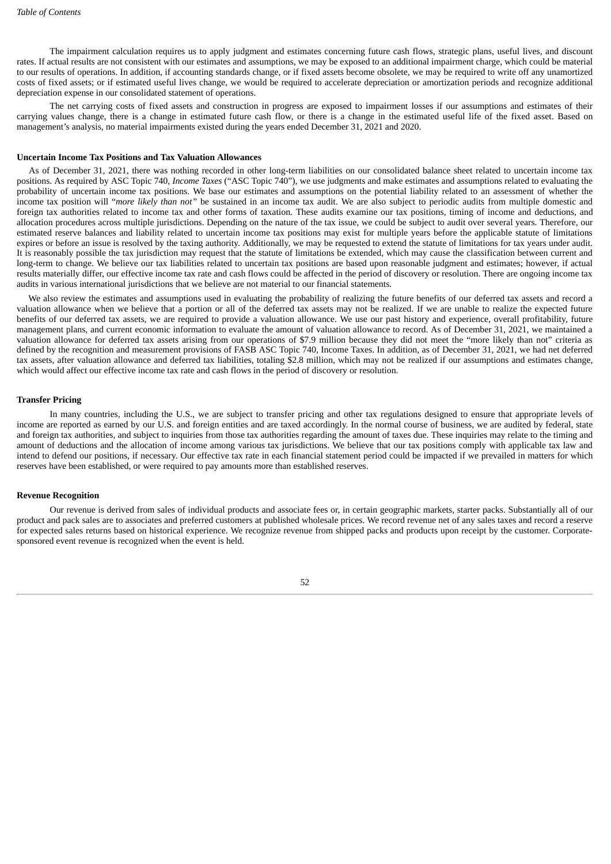The impairment calculation requires us to apply judgment and estimates concerning future cash flows, strategic plans, useful lives, and discount rates. If actual results are not consistent with our estimates and assumptions, we may be exposed to an additional impairment charge, which could be material to our results of operations. In addition, if accounting standards change, or if fixed assets become obsolete, we may be required to write off any unamortized costs of fixed assets; or if estimated useful lives change, we would be required to accelerate depreciation or amortization periods and recognize additional depreciation expense in our consolidated statement of operations.

The net carrying costs of fixed assets and construction in progress are exposed to impairment losses if our assumptions and estimates of their carrying values change, there is a change in estimated future cash flow, or there is a change in the estimated useful life of the fixed asset. Based on management's analysis, no material impairments existed during the years ended December 31, 2021 and 2020.

#### **Uncertain Income Tax Positions and Tax Valuation Allowances**

As of December 31, 2021, there was nothing recorded in other long-term liabilities on our consolidated balance sheet related to uncertain income tax positions. As required by ASC Topic 740, *Income Taxes* ("ASC Topic 740"), we use judgments and make estimates and assumptions related to evaluating the probability of uncertain income tax positions. We base our estimates and assumptions on the potential liability related to an assessment of whether the income tax position will "*more likely than not"* be sustained in an income tax audit. We are also subject to periodic audits from multiple domestic and foreign tax authorities related to income tax and other forms of taxation. These audits examine our tax positions, timing of income and deductions, and allocation procedures across multiple jurisdictions. Depending on the nature of the tax issue, we could be subject to audit over several years. Therefore, our estimated reserve balances and liability related to uncertain income tax positions may exist for multiple years before the applicable statute of limitations expires or before an issue is resolved by the taxing authority. Additionally, we may be requested to extend the statute of limitations for tax years under audit. It is reasonably possible the tax jurisdiction may request that the statute of limitations be extended, which may cause the classification between current and long-term to change. We believe our tax liabilities related to uncertain tax positions are based upon reasonable judgment and estimates; however, if actual results materially differ, our effective income tax rate and cash flows could be affected in the period of discovery or resolution. There are ongoing income tax audits in various international jurisdictions that we believe are not material to our financial statements.

We also review the estimates and assumptions used in evaluating the probability of realizing the future benefits of our deferred tax assets and record a valuation allowance when we believe that a portion or all of the deferred tax assets may not be realized. If we are unable to realize the expected future benefits of our deferred tax assets, we are required to provide a valuation allowance. We use our past history and experience, overall profitability, future management plans, and current economic information to evaluate the amount of valuation allowance to record. As of December 31, 2021, we maintained a valuation allowance for deferred tax assets arising from our operations of \$7.9 million because they did not meet the "more likely than not" criteria as defined by the recognition and measurement provisions of FASB ASC Topic 740, Income Taxes. In addition, as of December 31, 2021, we had net deferred tax assets, after valuation allowance and deferred tax liabilities, totaling \$2.8 million, which may not be realized if our assumptions and estimates change, which would affect our effective income tax rate and cash flows in the period of discovery or resolution.

#### **Transfer Pricing**

In many countries, including the U.S., we are subject to transfer pricing and other tax regulations designed to ensure that appropriate levels of income are reported as earned by our U.S. and foreign entities and are taxed accordingly. In the normal course of business, we are audited by federal, state and foreign tax authorities, and subject to inquiries from those tax authorities regarding the amount of taxes due. These inquiries may relate to the timing and amount of deductions and the allocation of income among various tax jurisdictions. We believe that our tax positions comply with applicable tax law and intend to defend our positions, if necessary. Our effective tax rate in each financial statement period could be impacted if we prevailed in matters for which reserves have been established, or were required to pay amounts more than established reserves.

#### **Revenue Recognition**

Our revenue is derived from sales of individual products and associate fees or, in certain geographic markets, starter packs. Substantially all of our product and pack sales are to associates and preferred customers at published wholesale prices. We record revenue net of any sales taxes and record a reserve for expected sales returns based on historical experience. We recognize revenue from shipped packs and products upon receipt by the customer. Corporatesponsored event revenue is recognized when the event is held.

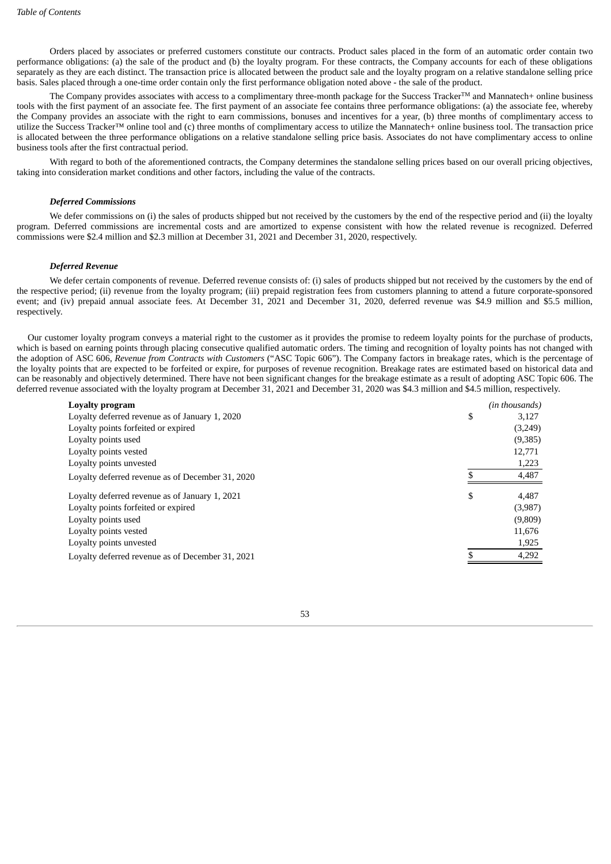Orders placed by associates or preferred customers constitute our contracts. Product sales placed in the form of an automatic order contain two performance obligations: (a) the sale of the product and (b) the loyalty program. For these contracts, the Company accounts for each of these obligations separately as they are each distinct. The transaction price is allocated between the product sale and the loyalty program on a relative standalone selling price basis. Sales placed through a one-time order contain only the first performance obligation noted above - the sale of the product.

The Company provides associates with access to a complimentary three-month package for the Success Tracker<sup>TM</sup> and Mannatech+ online business tools with the first payment of an associate fee. The first payment of an associate fee contains three performance obligations: (a) the associate fee, whereby the Company provides an associate with the right to earn commissions, bonuses and incentives for a year, (b) three months of complimentary access to utilize the Success Tracker™ online tool and (c) three months of complimentary access to utilize the Mannatech+ online business tool. The transaction price is allocated between the three performance obligations on a relative standalone selling price basis. Associates do not have complimentary access to online business tools after the first contractual period.

With regard to both of the aforementioned contracts, the Company determines the standalone selling prices based on our overall pricing objectives, taking into consideration market conditions and other factors, including the value of the contracts.

#### *Deferred Commissions*

We defer commissions on (i) the sales of products shipped but not received by the customers by the end of the respective period and (ii) the loyalty program. Deferred commissions are incremental costs and are amortized to expense consistent with how the related revenue is recognized. Deferred commissions were \$2.4 million and \$2.3 million at December 31, 2021 and December 31, 2020, respectively.

#### *Deferred Revenue*

We defer certain components of revenue. Deferred revenue consists of: (i) sales of products shipped but not received by the customers by the end of the respective period; (ii) revenue from the loyalty program; (iii) prepaid registration fees from customers planning to attend a future corporate-sponsored event; and (iv) prepaid annual associate fees. At December 31, 2021 and December 31, 2020, deferred revenue was \$4.9 million and \$5.5 million, respectively.

Our customer loyalty program conveys a material right to the customer as it provides the promise to redeem loyalty points for the purchase of products, which is based on earning points through placing consecutive qualified automatic orders. The timing and recognition of loyalty points has not changed with the adoption of ASC 606, *Revenue from Contracts with Customers* ("ASC Topic 606"). The Company factors in breakage rates, which is the percentage of the loyalty points that are expected to be forfeited or expire, for purposes of revenue recognition. Breakage rates are estimated based on historical data and can be reasonably and objectively determined. There have not been significant changes for the breakage estimate as a result of adopting ASC Topic 606. The deferred revenue associated with the loyalty program at December 31, 2021 and December 31, 2020 was \$4.3 million and \$4.5 million, respectively.

| <b>Loyalty program</b>                           | (in thousands) |
|--------------------------------------------------|----------------|
| Lovalty deferred revenue as of January 1, 2020   | \$<br>3,127    |
| Loyalty points forfeited or expired              | (3,249)        |
| Loyalty points used                              | (9,385)        |
| Loyalty points vested                            | 12,771         |
| Lovalty points unvested                          | 1,223          |
| Lovalty deferred revenue as of December 31, 2020 | 4,487          |
| Loyalty deferred revenue as of January 1, 2021   | \$<br>4,487    |
| Loyalty points forfeited or expired              | (3,987)        |
| Loyalty points used                              | (9,809)        |
| Loyalty points vested                            | 11,676         |
| Loyalty points unvested                          | 1,925          |
| Lovalty deferred revenue as of December 31, 2021 | 4,292          |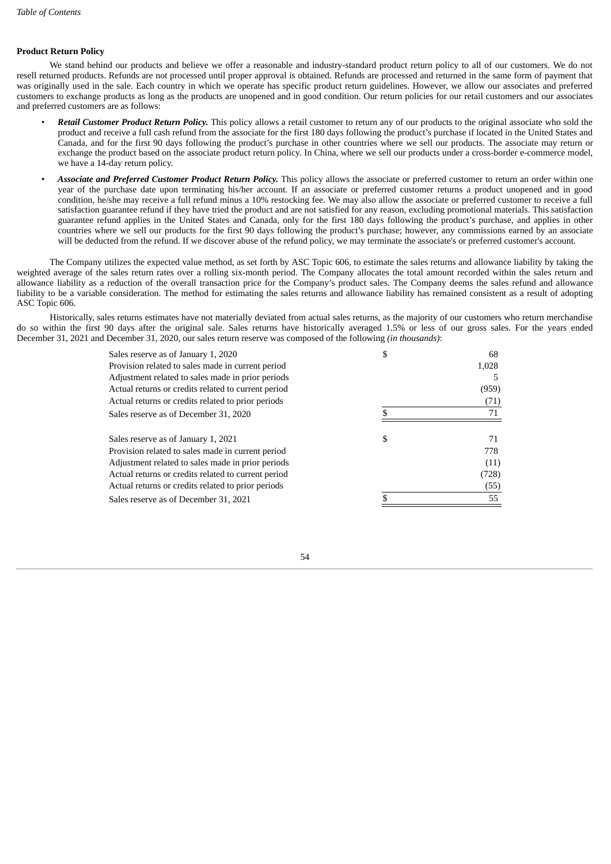## **Product Return Policy**

We stand behind our products and believe we offer a reasonable and industry-standard product return policy to all of our customers. We do not resell returned products. Refunds are not processed until proper approval is obtained. Refunds are processed and returned in the same form of payment that was originally used in the sale. Each country in which we operate has specific product return guidelines. However, we allow our associates and preferred customers to exchange products as long as the products are unopened and in good condition. Our return policies for our retail customers and our associates and preferred customers are as follows:

- *Retail Customer Product Return Policy.* This policy allows a retail customer to return any of our products to the original associate who sold the product and receive a full cash refund from the associate for the first 180 days following the product's purchase if located in the United States and Canada, and for the first 90 days following the product's purchase in other countries where we sell our products. The associate may return or exchange the product based on the associate product return policy. In China, where we sell our products under a cross-border e-commerce model, we have a 14-day return policy.
- *Associate and Preferred Customer Product Return Policy.* This policy allows the associate or preferred customer to return an order within one year of the purchase date upon terminating his/her account. If an associate or preferred customer returns a product unopened and in good condition, he/she may receive a full refund minus a 10% restocking fee. We may also allow the associate or preferred customer to receive a full satisfaction guarantee refund if they have tried the product and are not satisfied for any reason, excluding promotional materials. This satisfaction guarantee refund applies in the United States and Canada, only for the first 180 days following the product's purchase, and applies in other countries where we sell our products for the first 90 days following the product's purchase; however, any commissions earned by an associate will be deducted from the refund. If we discover abuse of the refund policy, we may terminate the associate's or preferred customer's account.

The Company utilizes the expected value method, as set forth by ASC Topic 606, to estimate the sales returns and allowance liability by taking the weighted average of the sales return rates over a rolling six-month period. The Company allocates the total amount recorded within the sales return and allowance liability as a reduction of the overall transaction price for the Company's product sales. The Company deems the sales refund and allowance liability to be a variable consideration. The method for estimating the sales returns and allowance liability has remained consistent as a result of adopting ASC Topic 606.

Historically, sales returns estimates have not materially deviated from actual sales returns, as the majority of our customers who return merchandise do so within the first 90 days after the original sale. Sales returns have historically averaged 1.5% or less of our gross sales. For the years ended December 31, 2021 and December 31, 2020, our sales return reserve was composed of the following *(in thousands)*:

| Sales reserve as of January 1, 2020                 | \$ | 68    |
|-----------------------------------------------------|----|-------|
| Provision related to sales made in current period   |    | 1,028 |
| Adjustment related to sales made in prior periods   |    | 5     |
| Actual returns or credits related to current period |    | (959) |
| Actual returns or credits related to prior periods  |    | (71)  |
| Sales reserve as of December 31, 2020               | ፍ  | 71    |
|                                                     |    |       |
| Sales reserve as of January 1, 2021                 | \$ | 71    |
| Provision related to sales made in current period   |    | 778   |
| Adjustment related to sales made in prior periods   |    | (11)  |
| Actual returns or credits related to current period |    | (728) |
| Actual returns or credits related to prior periods  |    | (55)  |
| Sales reserve as of December 31, 2021               | ¢  | 55    |
|                                                     |    |       |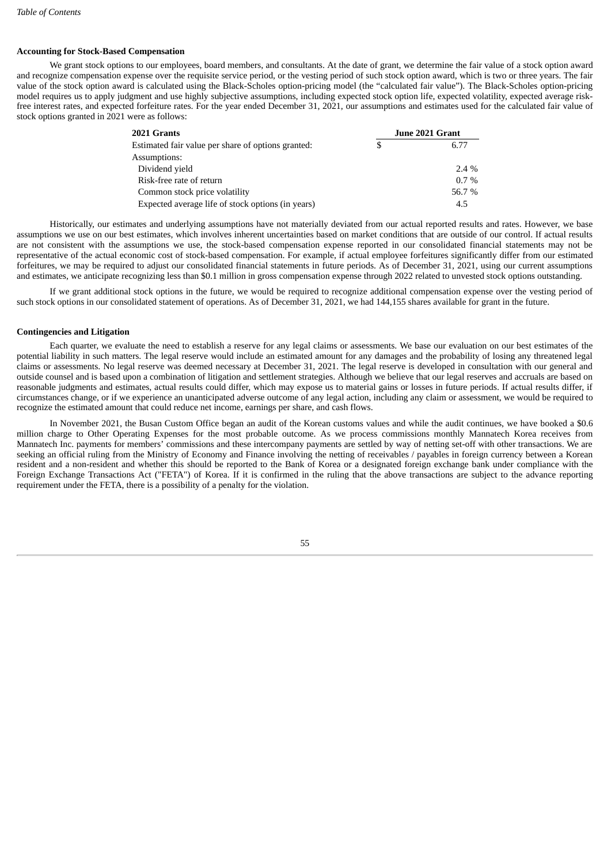## **Accounting for Stock-Based Compensation**

We grant stock options to our employees, board members, and consultants. At the date of grant, we determine the fair value of a stock option award and recognize compensation expense over the requisite service period, or the vesting period of such stock option award, which is two or three years. The fair value of the stock option award is calculated using the Black-Scholes option-pricing model (the "calculated fair value"). The Black-Scholes option-pricing model requires us to apply judgment and use highly subjective assumptions, including expected stock option life, expected volatility, expected average riskfree interest rates, and expected forfeiture rates. For the year ended December 31, 2021, our assumptions and estimates used for the calculated fair value of stock options granted in 2021 were as follows:

| 2021 Grants                                        |    | June 2021 Grant |
|----------------------------------------------------|----|-----------------|
| Estimated fair value per share of options granted: | S. | 6.77            |
| Assumptions:                                       |    |                 |
| Dividend yield                                     |    | $2.4\%$         |
| Risk-free rate of return                           |    | $0.7\%$         |
| Common stock price volatility                      |    | 56.7 %          |
| Expected average life of stock options (in years)  |    | 4.5             |

Historically, our estimates and underlying assumptions have not materially deviated from our actual reported results and rates. However, we base assumptions we use on our best estimates, which involves inherent uncertainties based on market conditions that are outside of our control. If actual results are not consistent with the assumptions we use, the stock-based compensation expense reported in our consolidated financial statements may not be representative of the actual economic cost of stock-based compensation. For example, if actual employee forfeitures significantly differ from our estimated forfeitures, we may be required to adjust our consolidated financial statements in future periods. As of December 31, 2021, using our current assumptions and estimates, we anticipate recognizing less than \$0.1 million in gross compensation expense through 2022 related to unvested stock options outstanding.

If we grant additional stock options in the future, we would be required to recognize additional compensation expense over the vesting period of such stock options in our consolidated statement of operations. As of December 31, 2021, we had 144,155 shares available for grant in the future.

#### **Contingencies and Litigation**

Each quarter, we evaluate the need to establish a reserve for any legal claims or assessments. We base our evaluation on our best estimates of the potential liability in such matters. The legal reserve would include an estimated amount for any damages and the probability of losing any threatened legal claims or assessments. No legal reserve was deemed necessary at December 31, 2021. The legal reserve is developed in consultation with our general and outside counsel and is based upon a combination of litigation and settlement strategies. Although we believe that our legal reserves and accruals are based on reasonable judgments and estimates, actual results could differ, which may expose us to material gains or losses in future periods. If actual results differ, if circumstances change, or if we experience an unanticipated adverse outcome of any legal action, including any claim or assessment, we would be required to recognize the estimated amount that could reduce net income, earnings per share, and cash flows.

In November 2021, the Busan Custom Office began an audit of the Korean customs values and while the audit continues, we have booked a \$0.6 million charge to Other Operating Expenses for the most probable outcome. As we process commissions monthly Mannatech Korea receives from Mannatech Inc. payments for members' commissions and these intercompany payments are settled by way of netting set-off with other transactions. We are seeking an official ruling from the Ministry of Economy and Finance involving the netting of receivables / payables in foreign currency between a Korean resident and a non-resident and whether this should be reported to the Bank of Korea or a designated foreign exchange bank under compliance with the Foreign Exchange Transactions Act ("FETA") of Korea. If it is confirmed in the ruling that the above transactions are subject to the advance reporting requirement under the FETA, there is a possibility of a penalty for the violation.

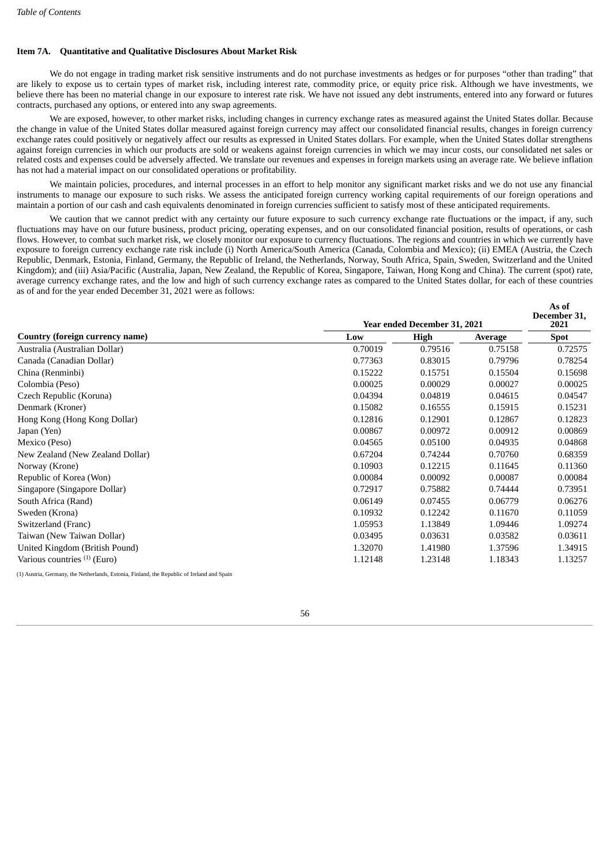### **Item 7A. Quantitative and Qualitative Disclosures About Market Risk**

We do not engage in trading market risk sensitive instruments and do not purchase investments as hedges or for purposes "other than trading" that are likely to expose us to certain types of market risk, including interest rate, commodity price, or equity price risk. Although we have investments, we believe there has been no material change in our exposure to interest rate risk. We have not issued any debt instruments, entered into any forward or futures contracts, purchased any options, or entered into any swap agreements.

We are exposed, however, to other market risks, including changes in currency exchange rates as measured against the United States dollar. Because the change in value of the United States dollar measured against foreign currency may affect our consolidated financial results, changes in foreign currency exchange rates could positively or negatively affect our results as expressed in United States dollars. For example, when the United States dollar strengthens against foreign currencies in which our products are sold or weakens against foreign currencies in which we may incur costs, our consolidated net sales or related costs and expenses could be adversely affected. We translate our revenues and expenses in foreign markets using an average rate. We believe inflation has not had a material impact on our consolidated operations or profitability.

We maintain policies, procedures, and internal processes in an effort to help monitor any significant market risks and we do not use any financial instruments to manage our exposure to such risks. We assess the anticipated foreign currency working capital requirements of our foreign operations and maintain a portion of our cash and cash equivalents denominated in foreign currencies sufficient to satisfy most of these anticipated requirements.

We caution that we cannot predict with any certainty our future exposure to such currency exchange rate fluctuations or the impact, if any, such fluctuations may have on our future business, product pricing, operating expenses, and on our consolidated financial position, results of operations, or cash flows. However, to combat such market risk, we closely monitor our exposure to currency fluctuations. The regions and countries in which we currently have exposure to foreign currency exchange rate risk include (i) North America/South America (Canada, Colombia and Mexico); (ii) EMEA (Austria, the Czech Republic, Denmark, Estonia, Finland, Germany, the Republic of Ireland, the Netherlands, Norway, South Africa, Spain, Sweden, Switzerland and the United Kingdom); and (iii) Asia/Pacific (Australia, Japan, New Zealand, the Republic of Korea, Singapore, Taiwan, Hong Kong and China). The current (spot) rate, average currency exchange rates, and the low and high of such currency exchange rates as compared to the United States dollar, for each of these countries as of and for the year ended December 31, 2021 were as follows:

|                                  |         |                              |         | As of<br>December 31, |
|----------------------------------|---------|------------------------------|---------|-----------------------|
|                                  |         | Year ended December 31, 2021 |         | 2021                  |
| Country (foreign currency name)  | Low     | High                         | Average | Spot                  |
| Australia (Australian Dollar)    | 0.70019 | 0.79516                      | 0.75158 | 0.72575               |
| Canada (Canadian Dollar)         | 0.77363 | 0.83015                      | 0.79796 | 0.78254               |
| China (Renminbi)                 | 0.15222 | 0.15751                      | 0.15504 | 0.15698               |
| Colombia (Peso)                  | 0.00025 | 0.00029                      | 0.00027 | 0.00025               |
| Czech Republic (Koruna)          | 0.04394 | 0.04819                      | 0.04615 | 0.04547               |
| Denmark (Kroner)                 | 0.15082 | 0.16555                      | 0.15915 | 0.15231               |
| Hong Kong (Hong Kong Dollar)     | 0.12816 | 0.12901                      | 0.12867 | 0.12823               |
| Japan (Yen)                      | 0.00867 | 0.00972                      | 0.00912 | 0.00869               |
| Mexico (Peso)                    | 0.04565 | 0.05100                      | 0.04935 | 0.04868               |
| New Zealand (New Zealand Dollar) | 0.67204 | 0.74244                      | 0.70760 | 0.68359               |
| Norway (Krone)                   | 0.10903 | 0.12215                      | 0.11645 | 0.11360               |
| Republic of Korea (Won)          | 0.00084 | 0.00092                      | 0.00087 | 0.00084               |
| Singapore (Singapore Dollar)     | 0.72917 | 0.75882                      | 0.74444 | 0.73951               |
| South Africa (Rand)              | 0.06149 | 0.07455                      | 0.06779 | 0.06276               |
| Sweden (Krona)                   | 0.10932 | 0.12242                      | 0.11670 | 0.11059               |
| Switzerland (Franc)              | 1.05953 | 1.13849                      | 1.09446 | 1.09274               |
| Taiwan (New Taiwan Dollar)       | 0.03495 | 0.03631                      | 0.03582 | 0.03611               |
| United Kingdom (British Pound)   | 1.32070 | 1.41980                      | 1.37596 | 1.34915               |
| Various countries (1) (Euro)     | 1.12148 | 1.23148                      | 1.18343 | 1.13257               |

(1) Austria, Germany, the Netherlands, Estonia, Finland, the Republic of Ireland and Spain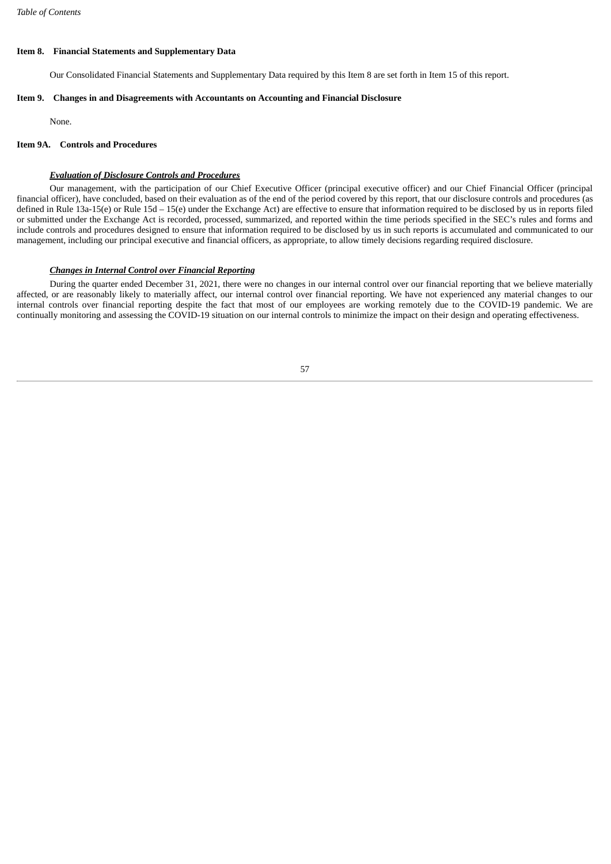## **Item 8. Financial Statements and Supplementary Data**

Our Consolidated Financial Statements and Supplementary Data required by this Item 8 are set forth in Item 15 of this report.

## **Item 9. Changes in and Disagreements with Accountants on Accounting and Financial Disclosure**

None.

#### **Item 9A. Controls and Procedures**

#### *Evaluation of Disclosure Controls and Procedures*

Our management, with the participation of our Chief Executive Officer (principal executive officer) and our Chief Financial Officer (principal financial officer), have concluded, based on their evaluation as of the end of the period covered by this report, that our disclosure controls and procedures (as defined in Rule 13a-15(e) or Rule 15d – 15(e) under the Exchange Act) are effective to ensure that information required to be disclosed by us in reports filed or submitted under the Exchange Act is recorded, processed, summarized, and reported within the time periods specified in the SEC's rules and forms and include controls and procedures designed to ensure that information required to be disclosed by us in such reports is accumulated and communicated to our management, including our principal executive and financial officers, as appropriate, to allow timely decisions regarding required disclosure.

#### *Changes in Internal Control over Financial Reporting*

During the quarter ended December 31, 2021, there were no changes in our internal control over our financial reporting that we believe materially affected, or are reasonably likely to materially affect, our internal control over financial reporting. We have not experienced any material changes to our internal controls over financial reporting despite the fact that most of our employees are working remotely due to the COVID-19 pandemic. We are continually monitoring and assessing the COVID-19 situation on our internal controls to minimize the impact on their design and operating effectiveness.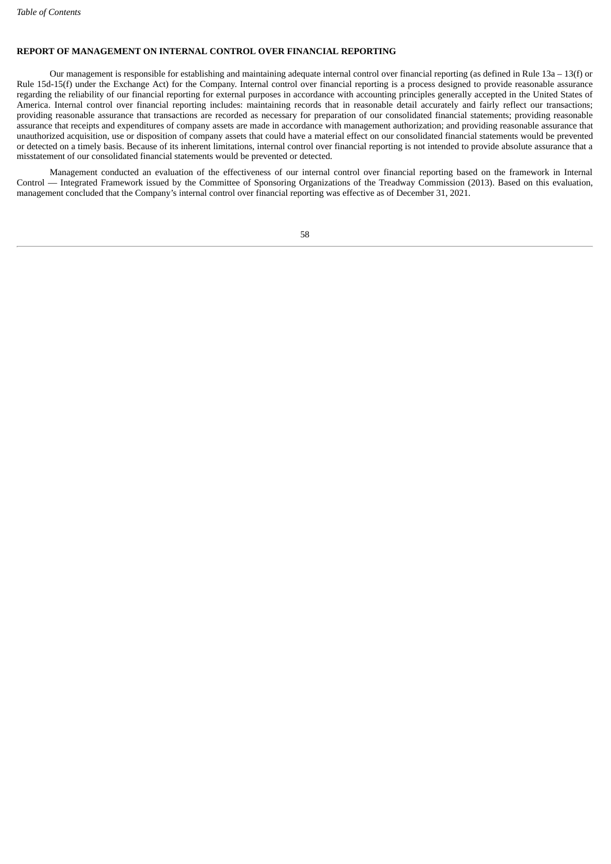### **REPORT OF MANAGEMENT ON INTERNAL CONTROL OVER FINANCIAL REPORTING**

Our management is responsible for establishing and maintaining adequate internal control over financial reporting (as defined in Rule 13a – 13(f) or Rule 15d-15(f) under the Exchange Act) for the Company. Internal control over financial reporting is a process designed to provide reasonable assurance regarding the reliability of our financial reporting for external purposes in accordance with accounting principles generally accepted in the United States of America. Internal control over financial reporting includes: maintaining records that in reasonable detail accurately and fairly reflect our transactions; providing reasonable assurance that transactions are recorded as necessary for preparation of our consolidated financial statements; providing reasonable assurance that receipts and expenditures of company assets are made in accordance with management authorization; and providing reasonable assurance that unauthorized acquisition, use or disposition of company assets that could have a material effect on our consolidated financial statements would be prevented or detected on a timely basis. Because of its inherent limitations, internal control over financial reporting is not intended to provide absolute assurance that a misstatement of our consolidated financial statements would be prevented or detected.

Management conducted an evaluation of the effectiveness of our internal control over financial reporting based on the framework in Internal Control — Integrated Framework issued by the Committee of Sponsoring Organizations of the Treadway Commission (2013). Based on this evaluation, management concluded that the Company's internal control over financial reporting was effective as of December 31, 2021.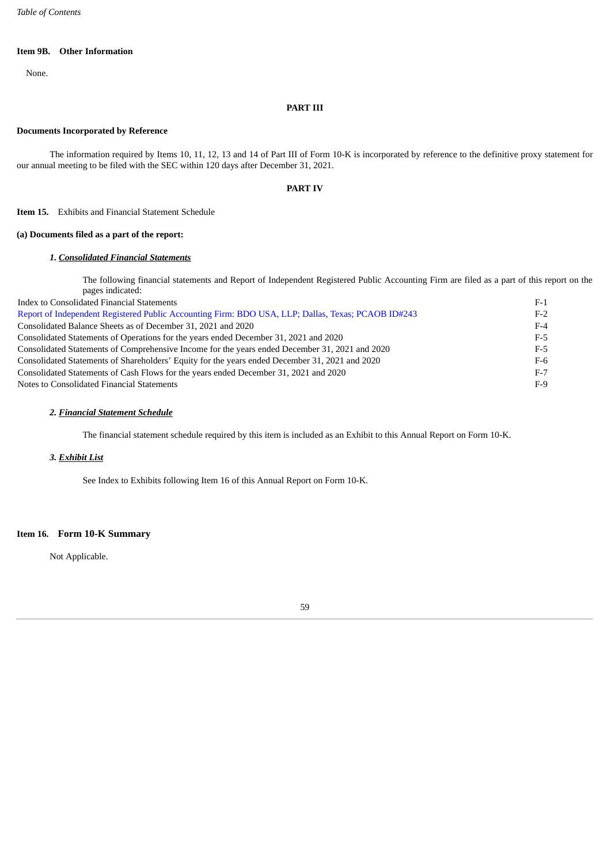#### **Item 9B. Other Information**

None.

## **PART III**

## **Documents Incorporated by Reference**

The information required by Items 10, 11, 12, 13 and 14 of Part III of Form 10-K is incorporated by reference to the definitive proxy statement for our annual meeting to be filed with the SEC within 120 days after December 31, 2021.

## **PART IV**

**Item 15.** Exhibits and Financial Statement Schedule

## **(a) Documents filed as a part of the report:**

### *1. Consolidated Financial Statements*

The following financial statements and Report of Independent Registered Public Accounting Firm are filed as a part of this report on the pages indicated: Index to [Consolidated](#page-64-0) Financial Statements F[-1](#page-64-0)

| Than Statements India Statements                                                                   | F-L.  |
|----------------------------------------------------------------------------------------------------|-------|
| Report of Independent Registered Public Accounting Firm: BDO USA, LLP; Dallas, Texas; PCAOB ID#243 | $F-2$ |
| Consolidated Balance Sheets as of December 31, 2021 and 2020                                       | $F-4$ |
| Consolidated Statements of Operations for the years ended December 31, 2021 and 2020               | $F-5$ |
| Consolidated Statements of Comprehensive Income for the years ended December 31, 2021 and 2020     | F-5   |
| Consolidated Statements of Shareholders' Equity for the years ended December 31, 2021 and 2020     | F-6   |
| Consolidated Statements of Cash Flows for the years ended December 31, 2021 and 2020               | $F-7$ |
| Notes to Consolidated Financial Statements                                                         | F-9   |
|                                                                                                    |       |

## *2. Financial Statement Schedule*

The financial statement schedule required by this item is included as an Exhibit to this Annual Report on Form 10-K.

## *3. Exhibit List*

See Index to Exhibits following Item 16 of this Annual Report on Form 10-K.

## **Item 16. Form 10-K Summary**

Not Applicable.

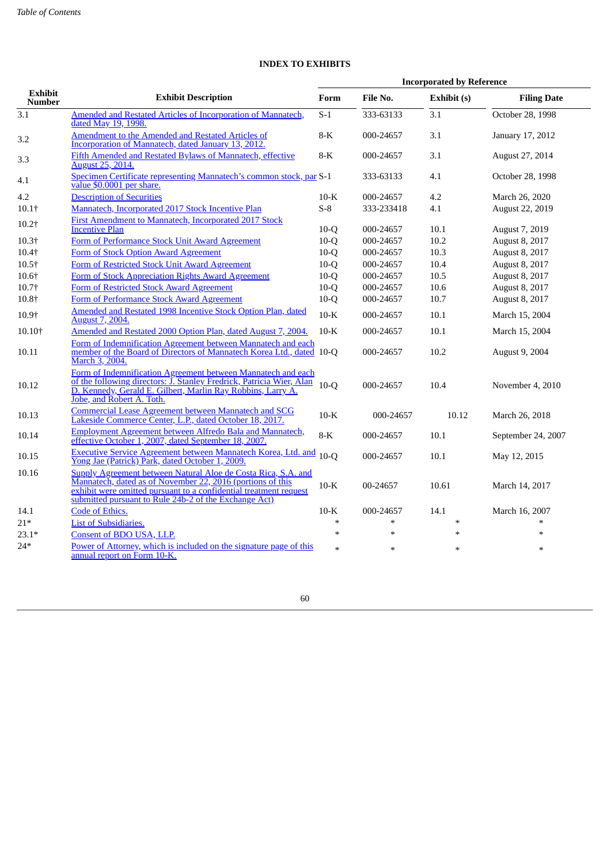# **INDEX TO EXHIBITS**

|                                 |                                                                                                                                                                                                                                                           | <b>Incorporated by Reference</b> |            |             |                    |  |
|---------------------------------|-----------------------------------------------------------------------------------------------------------------------------------------------------------------------------------------------------------------------------------------------------------|----------------------------------|------------|-------------|--------------------|--|
| <b>Exhibit</b><br><b>Number</b> | <b>Exhibit Description</b>                                                                                                                                                                                                                                | Form                             | File No.   | Exhibit (s) | <b>Filing Date</b> |  |
| 3.1                             | Amended and Restated Articles of Incorporation of Mannatech,<br>dated May 19, 1998.                                                                                                                                                                       | $S-1$                            | 333-63133  | 3.1         | October 28, 1998   |  |
| 3.2                             | <b>Amendment to the Amended and Restated Articles of</b><br>Incorporation of Mannatech, dated January 13, 2012.                                                                                                                                           | $8-K\,$                          | 000-24657  | 3.1         | January 17, 2012   |  |
| 3.3                             | Fifth Amended and Restated Bylaws of Mannatech, effective<br><b>August 25, 2014.</b>                                                                                                                                                                      | $8-K$                            | 000-24657  | 3.1         | August 27, 2014    |  |
| 4.1                             | Specimen Certificate representing Mannatech's common stock, par S-1<br>value \$0,0001 per share.                                                                                                                                                          |                                  | 333-63133  | 4.1         | October 28, 1998   |  |
| 4.2                             | <b>Description of Securities</b>                                                                                                                                                                                                                          | $10-K$                           | 000-24657  | 4.2         | March 26, 2020     |  |
| $10.1$ <sup>+</sup>             | Mannatech, Incorporated 2017 Stock Incentive Plan                                                                                                                                                                                                         | $S-8$                            | 333-233418 | 4.1         | August 22, 2019    |  |
| $10.2$ †                        | First Amendment to Mannatech, Incorporated 2017 Stock                                                                                                                                                                                                     |                                  |            | 10.1        |                    |  |
|                                 | <b>Incentive Plan</b>                                                                                                                                                                                                                                     | $10-Q$                           | 000-24657  |             | August 7, 2019     |  |
| 10.3 <sub>†</sub>               | Form of Performance Stock Unit Award Agreement                                                                                                                                                                                                            | $10-Q$                           | 000-24657  | 10.2        | August 8, 2017     |  |
| 10.4+                           | Form of Stock Option Award Agreement                                                                                                                                                                                                                      | $10-Q$                           | 000-24657  | 10.3        | August 8, 2017     |  |
| 10.5†                           | Form of Restricted Stock Unit Award Agreement                                                                                                                                                                                                             | $10-Q$                           | 000-24657  | 10.4        | August 8, 2017     |  |
| 10.6+                           | Form of Stock Appreciation Rights Award Agreement                                                                                                                                                                                                         | $10-Q$                           | 000-24657  | 10.5        | August 8, 2017     |  |
| 10.7†                           | Form of Restricted Stock Award Agreement                                                                                                                                                                                                                  | $10-Q$                           | 000-24657  | 10.6        | August 8, 2017     |  |
| 10.8+                           | Form of Performance Stock Award Agreement                                                                                                                                                                                                                 | $10-Q$                           | 000-24657  | 10.7        | August 8, 2017     |  |
| 10.9+                           | Amended and Restated 1998 Incentive Stock Option Plan, dated<br>August 7, 2004.                                                                                                                                                                           | $10-K$                           | 000-24657  | 10.1        | March 15, 2004     |  |
| 10.10+                          | Amended and Restated 2000 Option Plan, dated August 7, 2004.                                                                                                                                                                                              | $10-K$                           | 000-24657  | 10.1        | March 15, 2004     |  |
| 10.11                           | Form of Indemnification Agreement between Mannatech and each<br>member of the Board of Directors of Mannatech Korea Ltd., dated 10-Q<br>March 3, 2004.                                                                                                    |                                  | 000-24657  | 10.2        | August 9, 2004     |  |
| 10.12                           | Form of Indemnification Agreement between Mannatech and each<br>of the following directors: J. Stanley Fredrick, Patricia Wier, Alan<br>D. Kennedy, Gerald E. Gilbert, Marlin Ray Robbins, Larry A.<br>Jobe, and Robert A. Toth.                          | $10-Q$                           | 000-24657  | 10.4        | November 4, 2010   |  |
| 10.13                           | <b>Commercial Lease Agreement between Mannatech and SCG</b><br>Lakeside Commerce Center, L.P., dated October 18, 2017.                                                                                                                                    | $10-K$                           | 000-24657  | 10.12       | March 26, 2018     |  |
| 10.14                           | <b>Employment Agreement between Alfredo Bala and Mannatech,</b><br>effective October 1, 2007, dated September 18, 2007.                                                                                                                                   | $8-K\,$                          | 000-24657  | 10.1        | September 24, 2007 |  |
| 10.15                           | <b>Executive Service Agreement between Mannatech Korea, Ltd. and</b><br>Yong Jae (Patrick) Park, dated October 1, 2009.                                                                                                                                   | $10-Q$                           | 000-24657  | 10.1        | May 12, 2015       |  |
| 10.16                           | Supply Agreement between Natural Aloe de Costa Rica, S.A. and<br>Mannatech, dated as of November 22, 2016 (portions of this<br>exhibit were omitted pursuant to a confidential treatment request<br>submitted pursuant to Rule 24b-2 of the Exchange Act) | $10-K$                           | 00-24657   | 10.61       | March 14, 2017     |  |
| 14.1                            | Code of Ethics.                                                                                                                                                                                                                                           | $10-K$                           | 000-24657  | 14.1        | March 16, 2007     |  |
| $21*$                           | <b>List of Subsidiaries.</b>                                                                                                                                                                                                                              | $\ast$                           | *          | $\ast$      |                    |  |
| $23.1*$                         | <b>Consent of BDO USA, LLP.</b>                                                                                                                                                                                                                           | $\ast$                           | $\ast$     | $\ast$      |                    |  |
| $24*$                           | Power of Attorney, which is included on the signature page of this<br>annual report on Form 10-K.                                                                                                                                                         | $\ast$                           | $\ast$     | $\ast$      |                    |  |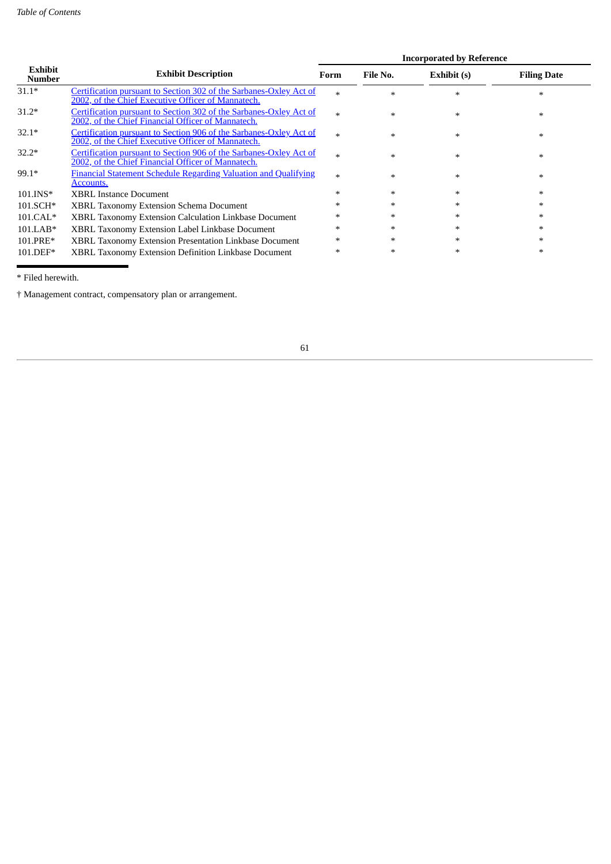|                   |                                                                                                                          | <b>Incorporated by Reference</b> |          |             |                    |  |  |
|-------------------|--------------------------------------------------------------------------------------------------------------------------|----------------------------------|----------|-------------|--------------------|--|--|
| Exhibit<br>Number | <b>Exhibit Description</b>                                                                                               | Form                             | File No. | Exhibit (s) | <b>Filing Date</b> |  |  |
| $31.1*$           | Certification pursuant to Section 302 of the Sarbanes-Oxley Act of<br>2002, of the Chief Executive Officer of Mannatech. | $\ast$                           |          | $\ast$      | $\ast$             |  |  |
| $31.2*$           | Certification pursuant to Section 302 of the Sarbanes-Oxley Act of<br>2002, of the Chief Financial Officer of Mannatech. | $\ast$                           | $\ast$   | $\ast$      | ∗                  |  |  |
| $32.1*$           | Certification pursuant to Section 906 of the Sarbanes-Oxley Act of<br>2002, of the Chief Executive Officer of Mannatech. | $\ast$                           |          | $\ast$      | $\ast$             |  |  |
| $32.2*$           | Certification pursuant to Section 906 of the Sarbanes-Oxley Act of<br>2002, of the Chief Financial Officer of Mannatech. | $\ast$                           |          | $\ast$      | ∗                  |  |  |
| $99.1*$           | Financial Statement Schedule Regarding Valuation and Qualifying<br>Accounts.                                             | $\ast$                           | $\ast$   | $\ast$      | $\ast$             |  |  |
| $101.INS*$        | <b>XBRL Instance Document</b>                                                                                            |                                  | $\ast$   | $\ast$      | $\ast$             |  |  |
| 101.SCH*          | XBRL Taxonomy Extension Schema Document                                                                                  | ∗                                | $\ast$   | $\ast$      | *                  |  |  |
| $101.CAL*$        | XBRL Taxonomy Extension Calculation Linkbase Document                                                                    |                                  | $\ast$   | $\ast$      | $\ast$             |  |  |
| $101.LAB*$        | XBRL Taxonomy Extension Label Linkbase Document                                                                          |                                  | $\ast$   |             |                    |  |  |
| 101.PRE*          | XBRL Taxonomy Extension Presentation Linkbase Document                                                                   |                                  |          |             |                    |  |  |
| 101.DEF*          | XBRL Taxonomy Extension Definition Linkbase Document                                                                     |                                  |          |             |                    |  |  |

\* Filed herewith.

<span id="page-62-0"></span>† Management contract, compensatory plan or arrangement.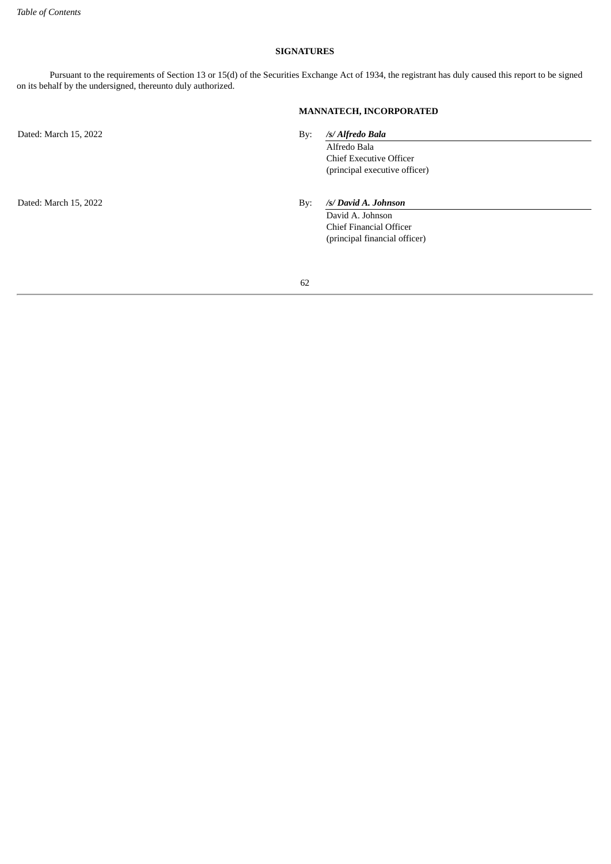## **SIGNATURES**

Pursuant to the requirements of Section 13 or 15(d) of the Securities Exchange Act of 1934, the registrant has duly caused this report to be signed on its behalf by the undersigned, thereunto duly authorized.

# **MANNATECH, INCORPORATED**

| Dated: March 15, 2022 | By: | /s/ Alfredo Bala<br>Alfredo Bala<br><b>Chief Executive Officer</b><br>(principal executive officer)  |
|-----------------------|-----|------------------------------------------------------------------------------------------------------|
| Dated: March 15, 2022 | By: | /s/ David A. Johnson<br>David A. Johnson<br>Chief Financial Officer<br>(principal financial officer) |
|                       | 62  |                                                                                                      |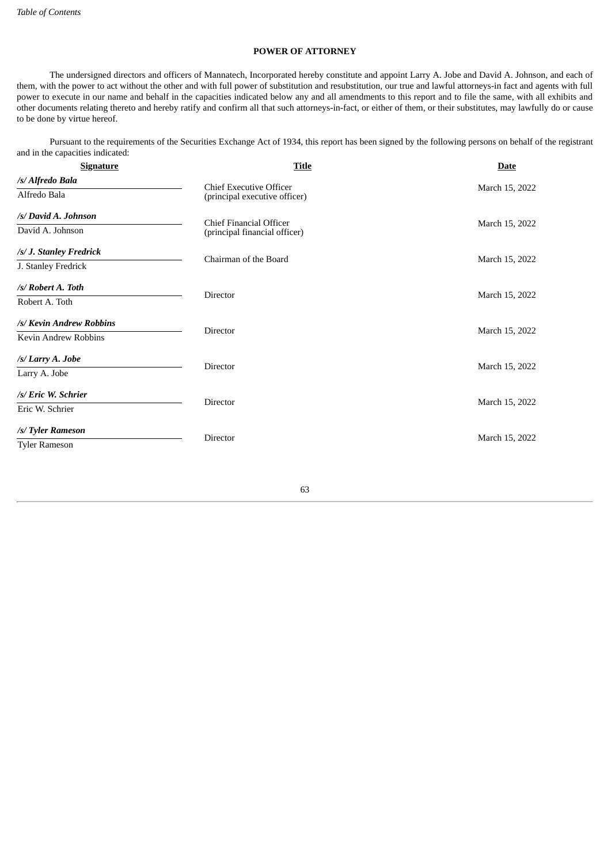## **POWER OF ATTORNEY**

The undersigned directors and officers of Mannatech, Incorporated hereby constitute and appoint Larry A. Jobe and David A. Johnson, and each of them, with the power to act without the other and with full power of substitution and resubstitution, our true and lawful attorneys-in fact and agents with full power to execute in our name and behalf in the capacities indicated below any and all amendments to this report and to file the same, with all exhibits and other documents relating thereto and hereby ratify and confirm all that such attorneys-in-fact, or either of them, or their substitutes, may lawfully do or cause to be done by virtue hereof.

Pursuant to the requirements of the Securities Exchange Act of 1934, this report has been signed by the following persons on behalf of the registrant and in the capacities indicated:

| <b>Signature</b>            | <b>Title</b>                   | <b>Date</b>    |
|-----------------------------|--------------------------------|----------------|
| /s/ Alfredo Bala            | <b>Chief Executive Officer</b> | March 15, 2022 |
| Alfredo Bala                | (principal executive officer)  |                |
| /s/ David A. Johnson        | Chief Financial Officer        | March 15, 2022 |
| David A. Johnson            | (principal financial officer)  |                |
| /s/ J. Stanley Fredrick     | Chairman of the Board          | March 15, 2022 |
| J. Stanley Fredrick         |                                |                |
| /s/ Robert A. Toth          | <b>Director</b>                | March 15, 2022 |
| Robert A. Toth              |                                |                |
| /s/ Kevin Andrew Robbins    | Director                       | March 15, 2022 |
| <b>Kevin Andrew Robbins</b> |                                |                |
| /s/ Larry A. Jobe           | <b>Director</b>                |                |
| Larry A. Jobe               |                                | March 15, 2022 |
| /s/ Eric W. Schrier         |                                |                |
| Eric W. Schrier             | Director                       | March 15, 2022 |
| /s/ Tyler Rameson           |                                |                |
| <b>Tyler Rameson</b>        | Director                       | March 15, 2022 |

<span id="page-64-0"></span>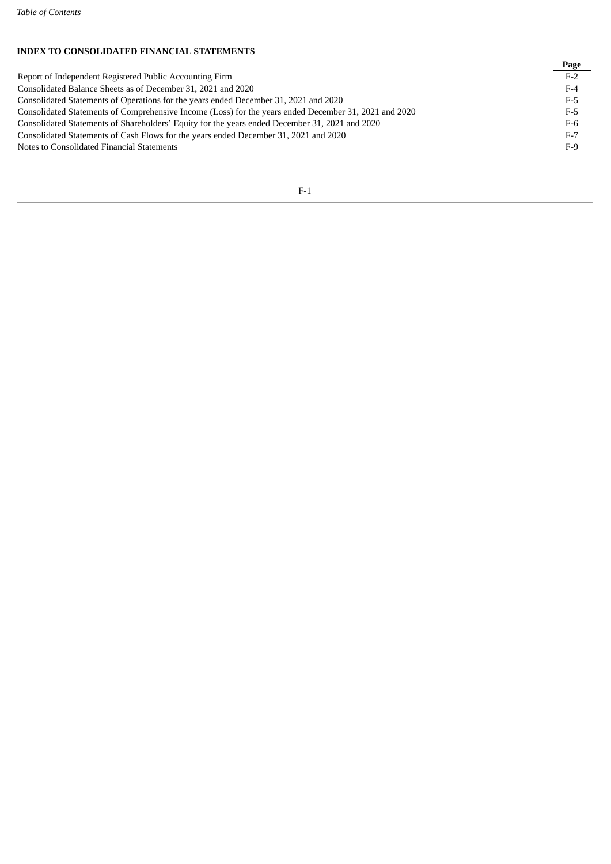# **INDEX TO CONSOLIDATED FINANCIAL STATEMENTS**

<span id="page-65-0"></span>

|                                                                                                       | Page  |
|-------------------------------------------------------------------------------------------------------|-------|
| Report of Independent Registered Public Accounting Firm                                               | $F-2$ |
| Consolidated Balance Sheets as of December 31, 2021 and 2020                                          | $F-4$ |
| Consolidated Statements of Operations for the years ended December 31, 2021 and 2020                  | $F-5$ |
| Consolidated Statements of Comprehensive Income (Loss) for the years ended December 31, 2021 and 2020 | $F-5$ |
| Consolidated Statements of Shareholders' Equity for the years ended December 31, 2021 and 2020        | $F-6$ |
| Consolidated Statements of Cash Flows for the years ended December 31, 2021 and 2020                  | $F-7$ |
| Notes to Consolidated Financial Statements                                                            | $F-9$ |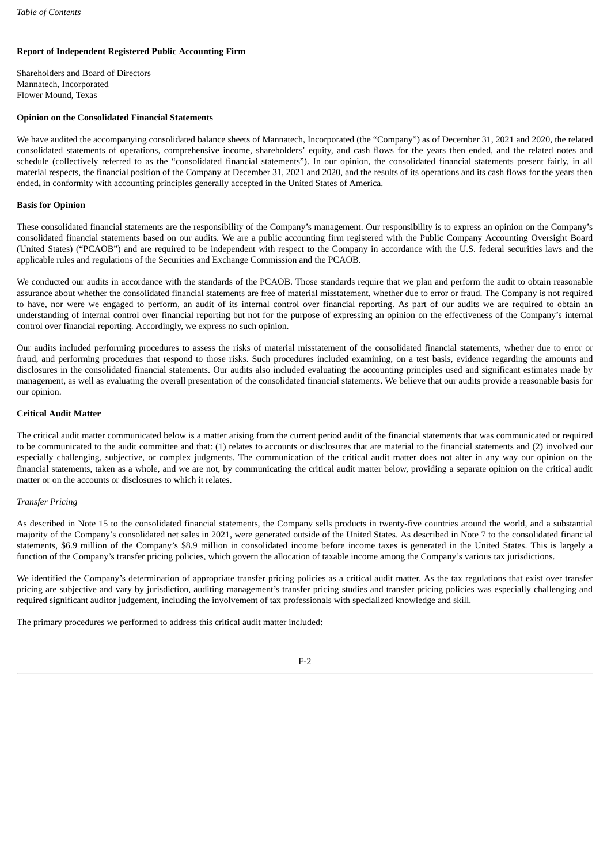## **Report of Independent Registered Public Accounting Firm**

Shareholders and Board of Directors Mannatech, Incorporated Flower Mound, Texas

### **Opinion on the Consolidated Financial Statements**

We have audited the accompanying consolidated balance sheets of Mannatech, Incorporated (the "Company") as of December 31, 2021 and 2020, the related consolidated statements of operations, comprehensive income, shareholders' equity, and cash flows for the years then ended, and the related notes and schedule (collectively referred to as the "consolidated financial statements"). In our opinion, the consolidated financial statements present fairly, in all material respects, the financial position of the Company at December 31, 2021 and 2020, and the results of its operations and its cash flows for the years then ended**,** in conformity with accounting principles generally accepted in the United States of America.

#### **Basis for Opinion**

These consolidated financial statements are the responsibility of the Company's management. Our responsibility is to express an opinion on the Company's consolidated financial statements based on our audits. We are a public accounting firm registered with the Public Company Accounting Oversight Board (United States) ("PCAOB") and are required to be independent with respect to the Company in accordance with the U.S. federal securities laws and the applicable rules and regulations of the Securities and Exchange Commission and the PCAOB.

We conducted our audits in accordance with the standards of the PCAOB. Those standards require that we plan and perform the audit to obtain reasonable assurance about whether the consolidated financial statements are free of material misstatement, whether due to error or fraud. The Company is not required to have, nor were we engaged to perform, an audit of its internal control over financial reporting. As part of our audits we are required to obtain an understanding of internal control over financial reporting but not for the purpose of expressing an opinion on the effectiveness of the Company's internal control over financial reporting. Accordingly, we express no such opinion.

Our audits included performing procedures to assess the risks of material misstatement of the consolidated financial statements, whether due to error or fraud, and performing procedures that respond to those risks. Such procedures included examining, on a test basis, evidence regarding the amounts and disclosures in the consolidated financial statements. Our audits also included evaluating the accounting principles used and significant estimates made by management, as well as evaluating the overall presentation of the consolidated financial statements. We believe that our audits provide a reasonable basis for our opinion.

#### **Critical Audit Matter**

The critical audit matter communicated below is a matter arising from the current period audit of the financial statements that was communicated or required to be communicated to the audit committee and that: (1) relates to accounts or disclosures that are material to the financial statements and (2) involved our especially challenging, subjective, or complex judgments. The communication of the critical audit matter does not alter in any way our opinion on the financial statements, taken as a whole, and we are not, by communicating the critical audit matter below, providing a separate opinion on the critical audit matter or on the accounts or disclosures to which it relates.

#### *Transfer Pricing*

As described in Note 15 to the consolidated financial statements, the Company sells products in twenty-five countries around the world, and a substantial majority of the Company's consolidated net sales in 2021, were generated outside of the United States. As described in Note 7 to the consolidated financial statements, \$6.9 million of the Company's \$8.9 million in consolidated income before income taxes is generated in the United States. This is largely a function of the Company's transfer pricing policies, which govern the allocation of taxable income among the Company's various tax jurisdictions.

We identified the Company's determination of appropriate transfer pricing policies as a critical audit matter. As the tax regulations that exist over transfer pricing are subjective and vary by jurisdiction, auditing management's transfer pricing studies and transfer pricing policies was especially challenging and required significant auditor judgement, including the involvement of tax professionals with specialized knowledge and skill.

The primary procedures we performed to address this critical audit matter included:

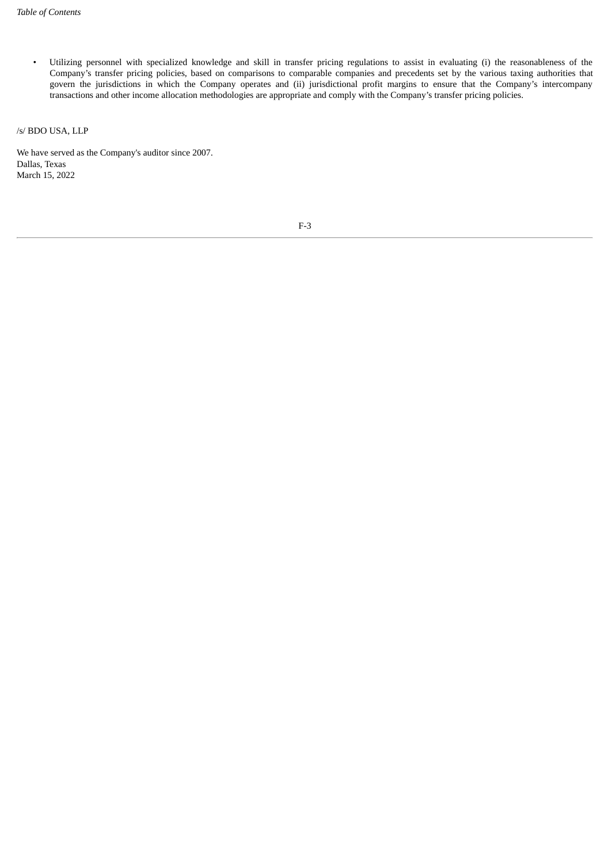• Utilizing personnel with specialized knowledge and skill in transfer pricing regulations to assist in evaluating (i) the reasonableness of the Company's transfer pricing policies, based on comparisons to comparable companies and precedents set by the various taxing authorities that govern the jurisdictions in which the Company operates and (ii) jurisdictional profit margins to ensure that the Company's intercompany transactions and other income allocation methodologies are appropriate and comply with the Company's transfer pricing policies.

/s/ BDO USA, LLP

<span id="page-67-0"></span>We have served as the Company's auditor since 2007. Dallas, Texas March 15, 2022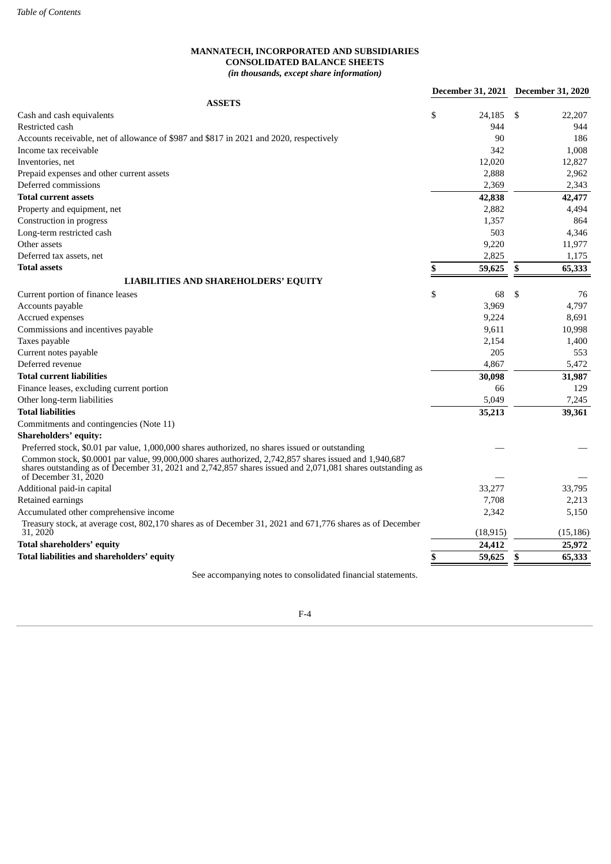## **MANNATECH, INCORPORATED AND SUBSIDIARIES CONSOLIDATED BALANCE SHEETS** *(in thousands, except share information)*

|                                                                                                                                                                                                                                             | December 31, 2021 December 31, 2020 |              |
|---------------------------------------------------------------------------------------------------------------------------------------------------------------------------------------------------------------------------------------------|-------------------------------------|--------------|
| <b>ASSETS</b>                                                                                                                                                                                                                               |                                     |              |
| Cash and cash equivalents                                                                                                                                                                                                                   | \$<br>24,185                        | \$<br>22,207 |
| Restricted cash                                                                                                                                                                                                                             | 944                                 | 944          |
| Accounts receivable, net of allowance of \$987 and \$817 in 2021 and 2020, respectively                                                                                                                                                     | 90                                  | 186          |
| Income tax receivable                                                                                                                                                                                                                       | 342                                 | 1,008        |
| Inventories, net                                                                                                                                                                                                                            | 12,020                              | 12,827       |
| Prepaid expenses and other current assets                                                                                                                                                                                                   | 2,888                               | 2,962        |
| Deferred commissions                                                                                                                                                                                                                        | 2,369                               | 2,343        |
| <b>Total current assets</b>                                                                                                                                                                                                                 | 42,838                              | 42,477       |
| Property and equipment, net                                                                                                                                                                                                                 | 2,882                               | 4,494        |
| Construction in progress                                                                                                                                                                                                                    | 1,357                               | 864          |
| Long-term restricted cash                                                                                                                                                                                                                   | 503                                 | 4,346        |
| Other assets                                                                                                                                                                                                                                | 9,220                               | 11,977       |
| Deferred tax assets, net                                                                                                                                                                                                                    | 2,825                               | 1,175        |
| <b>Total assets</b>                                                                                                                                                                                                                         | \$<br>59,625                        | \$<br>65,333 |
| <b>LIABILITIES AND SHAREHOLDERS' EQUITY</b>                                                                                                                                                                                                 |                                     |              |
| Current portion of finance leases                                                                                                                                                                                                           | \$<br>68                            | \$<br>76     |
| Accounts payable                                                                                                                                                                                                                            | 3,969                               | 4,797        |
| Accrued expenses                                                                                                                                                                                                                            | 9,224                               | 8,691        |
| Commissions and incentives payable                                                                                                                                                                                                          | 9,611                               | 10,998       |
| Taxes payable                                                                                                                                                                                                                               | 2,154                               | 1,400        |
| Current notes payable                                                                                                                                                                                                                       | 205                                 | 553          |
| Deferred revenue                                                                                                                                                                                                                            | 4,867                               | 5,472        |
| <b>Total current liabilities</b>                                                                                                                                                                                                            | 30,098                              | 31,987       |
| Finance leases, excluding current portion                                                                                                                                                                                                   | 66                                  | 129          |
| Other long-term liabilities                                                                                                                                                                                                                 | 5,049                               | 7,245        |
| <b>Total liabilities</b>                                                                                                                                                                                                                    | 35,213                              | 39,361       |
| Commitments and contingencies (Note 11)                                                                                                                                                                                                     |                                     |              |
| <b>Shareholders' equity:</b>                                                                                                                                                                                                                |                                     |              |
| Preferred stock, \$0.01 par value, 1,000,000 shares authorized, no shares issued or outstanding                                                                                                                                             |                                     |              |
| Common stock, \$0.0001 par value, 99,000,000 shares authorized, 2,742,857 shares issued and 1,940,687<br>shares outstanding as of December 31, 2021 and 2,742,857 shares issued and 2,071,081 shares outstanding as<br>of December 31, 2020 |                                     |              |
| Additional paid-in capital                                                                                                                                                                                                                  | 33,277                              | 33,795       |
| Retained earnings                                                                                                                                                                                                                           | 7,708                               | 2,213        |
| Accumulated other comprehensive income                                                                                                                                                                                                      | 2,342                               | 5,150        |
| Treasury stock, at average cost, 802,170 shares as of December 31, 2021 and 671,776 shares as of December<br>31, 2020                                                                                                                       | (18, 915)                           | (15, 186)    |
| Total shareholders' equity                                                                                                                                                                                                                  | 24,412                              | 25,972       |
| Total liabilities and shareholders' equity                                                                                                                                                                                                  | \$<br>59,625                        | \$<br>65,333 |
|                                                                                                                                                                                                                                             |                                     |              |

<span id="page-68-0"></span>See accompanying notes to consolidated financial statements.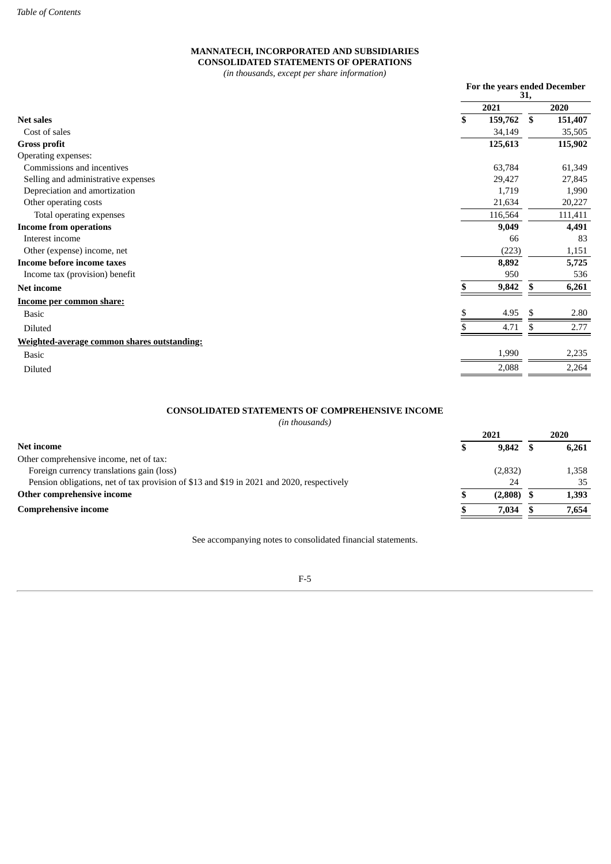## **MANNATECH, INCORPORATED AND SUBSIDIARIES CONSOLIDATED STATEMENTS OF OPERATIONS** *(in thousands, except per share information)*

|                                             |               | For the years ended December<br>31, |    |         |
|---------------------------------------------|---------------|-------------------------------------|----|---------|
|                                             | 2021          |                                     |    | 2020    |
| <b>Net sales</b>                            | \$<br>159,762 | \$                                  |    | 151,407 |
| Cost of sales                               | 34,149        |                                     |    | 35,505  |
| <b>Gross profit</b>                         | 125,613       |                                     |    | 115,902 |
| Operating expenses:                         |               |                                     |    |         |
| Commissions and incentives                  | 63,784        |                                     |    | 61,349  |
| Selling and administrative expenses         | 29,427        |                                     |    | 27,845  |
| Depreciation and amortization               | 1,719         |                                     |    | 1,990   |
| Other operating costs                       | 21,634        |                                     |    | 20,227  |
| Total operating expenses                    | 116,564       |                                     |    | 111,411 |
| <b>Income from operations</b>               | 9,049         |                                     |    | 4,491   |
| Interest income                             |               | 66                                  |    | 83      |
| Other (expense) income, net                 | (223)         |                                     |    | 1,151   |
| Income before income taxes                  | 8,892         |                                     |    | 5,725   |
| Income tax (provision) benefit              | 950           |                                     |    | 536     |
| <b>Net income</b>                           | 9,842<br>S    |                                     | \$ | 6,261   |
| <b>Income per common share:</b>             |               |                                     |    |         |
| <b>Basic</b>                                | 4.95<br>\$    | \$                                  |    | 2.80    |
| Diluted                                     | 4.71          | \$                                  |    | 2.77    |
| Weighted-average common shares outstanding: |               |                                     |    |         |
| <b>Basic</b>                                | 1,990         |                                     |    | 2,235   |
| Diluted                                     | 2,088         |                                     |    | 2,264   |
|                                             |               |                                     |    |         |

# **CONSOLIDATED STATEMENTS OF COMPREHENSIVE INCOME**

*(in thousands)*

<span id="page-69-0"></span>

|                                                                                           | 2021    | 2020  |
|-------------------------------------------------------------------------------------------|---------|-------|
| Net income                                                                                | 9.842   | 6.261 |
| Other comprehensive income, net of tax:                                                   |         |       |
| Foreign currency translations gain (loss)                                                 | (2,832) | 1,358 |
| Pension obligations, net of tax provision of \$13 and \$19 in 2021 and 2020, respectively | 24      | 35    |
| Other comprehensive income                                                                | (2,808) | 1,393 |
| <b>Comprehensive income</b>                                                               | 7.034   | 7.654 |

See accompanying notes to consolidated financial statements.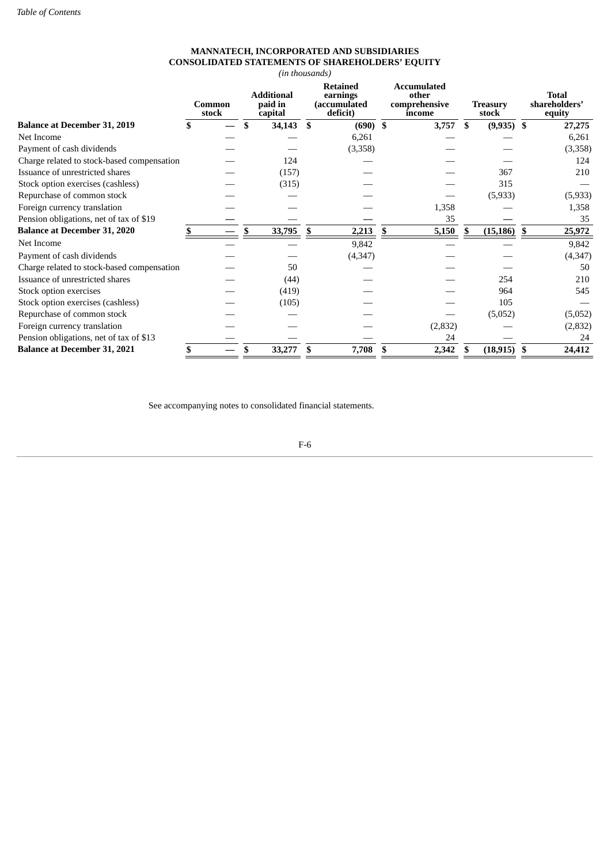### **MANNATECH, INCORPORATED AND SUBSIDIARIES CONSOLIDATED STATEMENTS OF SHAREHOLDERS' EQUITY** *(in thousands)*

**Common stock Additional paid in capital Retained earnings (accumulated deficit) Accumulated other comprehensive income Treasury stock Total shareholders' equity Balance at December 31, 2019 \$ — \$ 34,143 \$ (690) \$ 3,757 \$ (9,935) \$ 27,275** Net Income  $\qquad \qquad \qquad \qquad \qquad \qquad 6,261$   $\qquad \qquad \qquad \qquad \qquad \qquad 6,261$ Payment of cash dividends — — — (3,358) — — (3,358) Charge related to stock-based compensation  $\qquad -$  124  $\qquad \qquad \qquad -$  124 Issuance of unrestricted shares — (157) — — 367 210 Stock option exercises (cashless)  $\qquad -$  (315)  $\qquad \qquad -$  315 Repurchase of common stock  $\qquad \qquad \qquad \qquad \qquad$  (5,933) (5,933) Foreign currency translation  $\qquad \qquad \qquad \qquad$   $\qquad$   $\qquad$   $\qquad$   $\qquad$   $\qquad$   $\qquad$   $\qquad$   $\qquad$   $\qquad$   $\qquad$   $\qquad$   $\qquad$   $\qquad$   $\qquad$   $\qquad$   $\qquad$   $\qquad$   $\qquad$   $\qquad$   $\qquad$   $\qquad$   $\qquad$   $\qquad$   $\qquad$   $\qquad$   $\qquad$   $\qquad$   $\q$ Pension obligations, net of tax of \$19 **—** — **—** 35 **—** 35 **Balance at December 31, 2020 \$ — \$ 33,795 \$ 2,213 \$ 5,150 \$ (15,186) \$ 25,972** Net Income  $\qquad \qquad \qquad \qquad \qquad \qquad 9,842$   $\qquad \qquad \qquad \qquad \qquad \qquad 9,842$ Payment of cash dividends  $(4,347)$   $(4,347)$ Charge related to stock-based compensation  $\qquad -$  50  $\qquad \qquad \qquad -$  50 Issuance of unrestricted shares — (44) — (44) — 254 210 Stock option exercises — (419) — (419) — — 964 545 Stock option exercises (cashless)  $\qquad -$  (105)  $\qquad \qquad -$  (105 Repurchase of common stock — — — — — — — (5,052) (5,052) Foreign currency translation  $\qquad \qquad \qquad \qquad$   $(2,832)$   $\qquad \qquad$   $(2,832)$ Pension obligations, net of tax of \$13  $24$   $24$ **Balance at December 31, 2021 \$ — \$ 33,277 \$ 7,708 \$ 2,342 \$ (18,915) \$ 24,412**

<span id="page-70-0"></span>See accompanying notes to consolidated financial statements.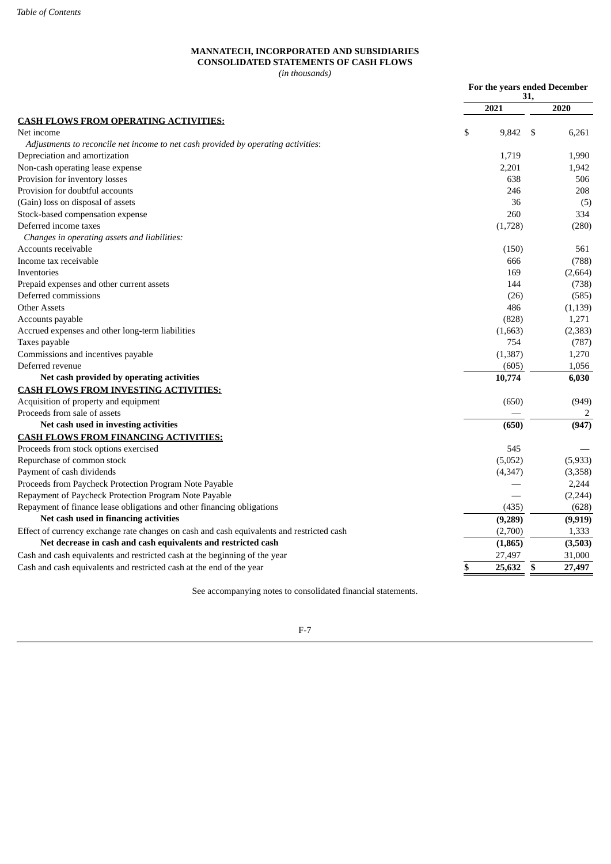## **MANNATECH, INCORPORATED AND SUBSIDIARIES CONSOLIDATED STATEMENTS OF CASH FLOWS** *(in thousands)*

|                                                                                           | For the years ended December<br>31, |               |
|-------------------------------------------------------------------------------------------|-------------------------------------|---------------|
|                                                                                           | 2021                                | 2020          |
| <b>CASH FLOWS FROM OPERATING ACTIVITIES:</b>                                              |                                     |               |
| Net income                                                                                | \$<br>9,842                         | 6,261<br>- \$ |
| Adjustments to reconcile net income to net cash provided by operating activities:         |                                     |               |
| Depreciation and amortization                                                             | 1,719                               | 1,990         |
| Non-cash operating lease expense                                                          | 2,201                               | 1,942         |
| Provision for inventory losses                                                            | 638                                 | 506           |
| Provision for doubtful accounts                                                           | 246                                 | 208           |
| (Gain) loss on disposal of assets                                                         | 36                                  | (5)           |
| Stock-based compensation expense                                                          | 260                                 | 334           |
| Deferred income taxes                                                                     | (1,728)                             | (280)         |
| Changes in operating assets and liabilities:                                              |                                     |               |
| Accounts receivable                                                                       | (150)                               | 561           |
| Income tax receivable                                                                     | 666                                 | (788)         |
| Inventories                                                                               | 169                                 | (2,664)       |
| Prepaid expenses and other current assets                                                 | 144                                 | (738)         |
| Deferred commissions                                                                      | (26)                                | (585)         |
| <b>Other Assets</b>                                                                       | 486                                 | (1, 139)      |
| Accounts payable                                                                          | (828)                               | 1,271         |
| Accrued expenses and other long-term liabilities                                          | (1,663)                             | (2, 383)      |
| Taxes payable                                                                             | 754                                 | (787)         |
| Commissions and incentives payable                                                        | (1, 387)                            | 1,270         |
| Deferred revenue                                                                          | (605)                               | 1,056         |
| Net cash provided by operating activities                                                 | 10,774                              | 6,030         |
| <b>CASH FLOWS FROM INVESTING ACTIVITIES:</b>                                              |                                     |               |
| Acquisition of property and equipment                                                     | (650)                               | (949)         |
| Proceeds from sale of assets                                                              |                                     | 2             |
| Net cash used in investing activities                                                     | (650)                               | (947)         |
| <b>CASH FLOWS FROM FINANCING ACTIVITIES:</b>                                              |                                     |               |
| Proceeds from stock options exercised                                                     | 545                                 |               |
| Repurchase of common stock                                                                | (5,052)                             | (5, 933)      |
| Payment of cash dividends                                                                 | (4, 347)                            | (3,358)       |
| Proceeds from Paycheck Protection Program Note Payable                                    |                                     | 2,244         |
| Repayment of Paycheck Protection Program Note Payable                                     |                                     | (2, 244)      |
| Repayment of finance lease obligations and other financing obligations                    | (435)                               | (628)         |
| Net cash used in financing activities                                                     | (9,289)                             | (9, 919)      |
| Effect of currency exchange rate changes on cash and cash equivalents and restricted cash | (2,700)                             | 1,333         |
| Net decrease in cash and cash equivalents and restricted cash                             | (1, 865)                            | (3,503)       |
| Cash and cash equivalents and restricted cash at the beginning of the year                | 27,497                              | 31,000        |
| Cash and cash equivalents and restricted cash at the end of the year                      | \$<br>25,632                        | \$<br>27,497  |
|                                                                                           |                                     |               |

See accompanying notes to consolidated financial statements.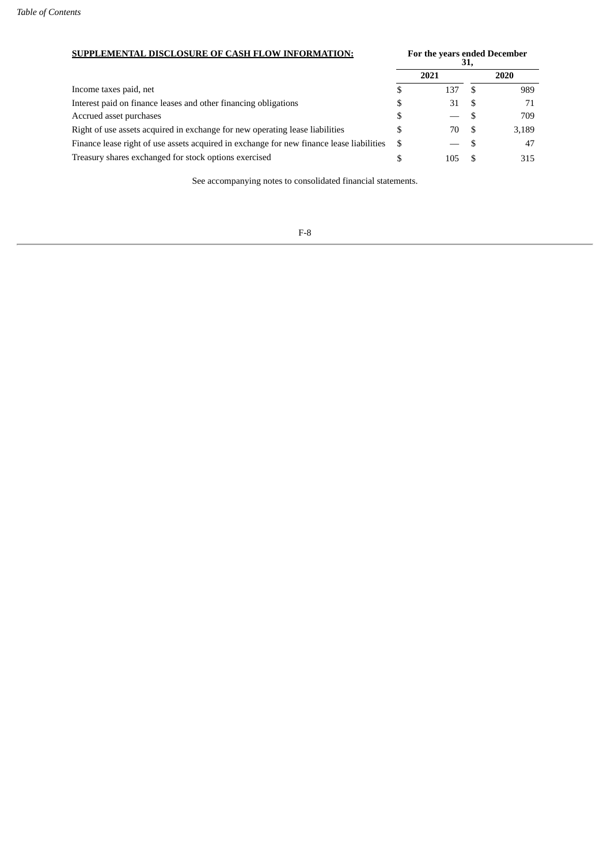| SUPPLEMENTAL DISCLOSURE OF CASH FLOW INFORMATION:                                        |    |      | For the years ended December<br>31. |       |  |  |
|------------------------------------------------------------------------------------------|----|------|-------------------------------------|-------|--|--|
|                                                                                          |    | 2021 |                                     | 2020  |  |  |
| Income taxes paid, net                                                                   |    | 137  |                                     | 989   |  |  |
| Interest paid on finance leases and other financing obligations                          | \$ | 31   | -S                                  |       |  |  |
| Accrued asset purchases                                                                  | \$ |      |                                     | 709   |  |  |
| Right of use assets acquired in exchange for new operating lease liabilities             |    | 70   | - \$                                | 3.189 |  |  |
| Finance lease right of use assets acquired in exchange for new finance lease liabilities | -S |      | S                                   | 47    |  |  |
| Treasury shares exchanged for stock options exercised                                    |    | 105  |                                     | 315   |  |  |

See accompanying notes to consolidated financial statements.

| I<br>۰.<br>× |  |
|--------------|--|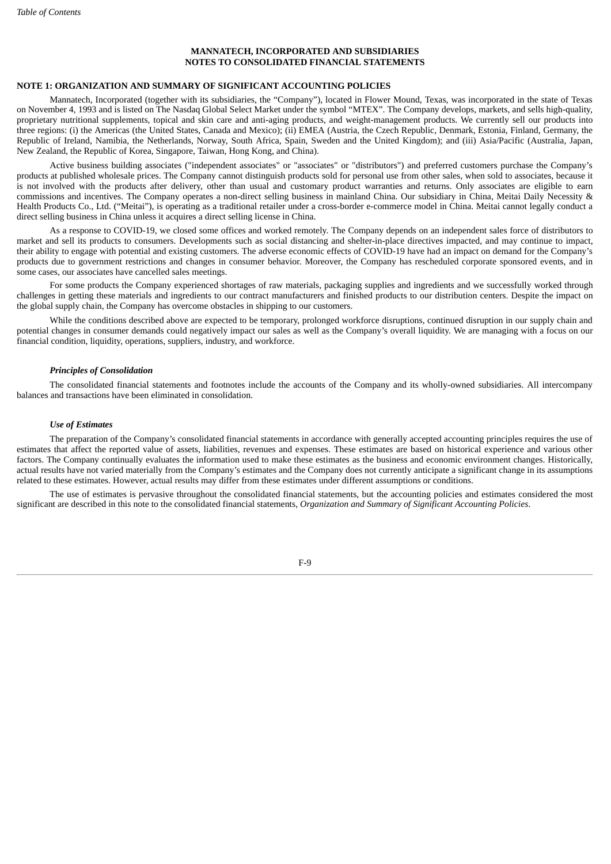## **MANNATECH, INCORPORATED AND SUBSIDIARIES NOTES TO CONSOLIDATED FINANCIAL STATEMENTS**

## **NOTE 1: ORGANIZATION AND SUMMARY OF SIGNIFICANT ACCOUNTING POLICIES**

Mannatech, Incorporated (together with its subsidiaries, the "Company"), located in Flower Mound, Texas, was incorporated in the state of Texas on November 4, 1993 and is listed on The Nasdaq Global Select Market under the symbol "MTEX". The Company develops, markets, and sells high-quality, proprietary nutritional supplements, topical and skin care and anti-aging products, and weight-management products. We currently sell our products into three regions: (i) the Americas (the United States, Canada and Mexico); (ii) EMEA (Austria, the Czech Republic, Denmark, Estonia, Finland, Germany, the Republic of Ireland, Namibia, the Netherlands, Norway, South Africa, Spain, Sweden and the United Kingdom); and (iii) Asia/Pacific (Australia, Japan, New Zealand, the Republic of Korea, Singapore, Taiwan, Hong Kong, and China).

Active business building associates ("independent associates" or "associates" or "distributors") and preferred customers purchase the Company's products at published wholesale prices. The Company cannot distinguish products sold for personal use from other sales, when sold to associates, because it is not involved with the products after delivery, other than usual and customary product warranties and returns. Only associates are eligible to earn commissions and incentives. The Company operates a non-direct selling business in mainland China. Our subsidiary in China, Meitai Daily Necessity & Health Products Co., Ltd. ("Meitai"), is operating as a traditional retailer under a cross-border e-commerce model in China. Meitai cannot legally conduct a direct selling business in China unless it acquires a direct selling license in China.

As a response to COVID-19, we closed some offices and worked remotely. The Company depends on an independent sales force of distributors to market and sell its products to consumers. Developments such as social distancing and shelter-in-place directives impacted, and may continue to impact, their ability to engage with potential and existing customers. The adverse economic effects of COVID-19 have had an impact on demand for the Company's products due to government restrictions and changes in consumer behavior. Moreover, the Company has rescheduled corporate sponsored events, and in some cases, our associates have cancelled sales meetings.

For some products the Company experienced shortages of raw materials, packaging supplies and ingredients and we successfully worked through challenges in getting these materials and ingredients to our contract manufacturers and finished products to our distribution centers. Despite the impact on the global supply chain, the Company has overcome obstacles in shipping to our customers.

While the conditions described above are expected to be temporary, prolonged workforce disruptions, continued disruption in our supply chain and potential changes in consumer demands could negatively impact our sales as well as the Company's overall liquidity. We are managing with a focus on our financial condition, liquidity, operations, suppliers, industry, and workforce.

### *Principles of Consolidation*

The consolidated financial statements and footnotes include the accounts of the Company and its wholly-owned subsidiaries. All intercompany balances and transactions have been eliminated in consolidation.

## *Use of Estimates*

The preparation of the Company's consolidated financial statements in accordance with generally accepted accounting principles requires the use of estimates that affect the reported value of assets, liabilities, revenues and expenses. These estimates are based on historical experience and various other factors. The Company continually evaluates the information used to make these estimates as the business and economic environment changes. Historically, actual results have not varied materially from the Company's estimates and the Company does not currently anticipate a significant change in its assumptions related to these estimates. However, actual results may differ from these estimates under different assumptions or conditions.

The use of estimates is pervasive throughout the consolidated financial statements, but the accounting policies and estimates considered the most significant are described in this note to the consolidated financial statements, *Organization and Summary of Significant Accounting Policies*.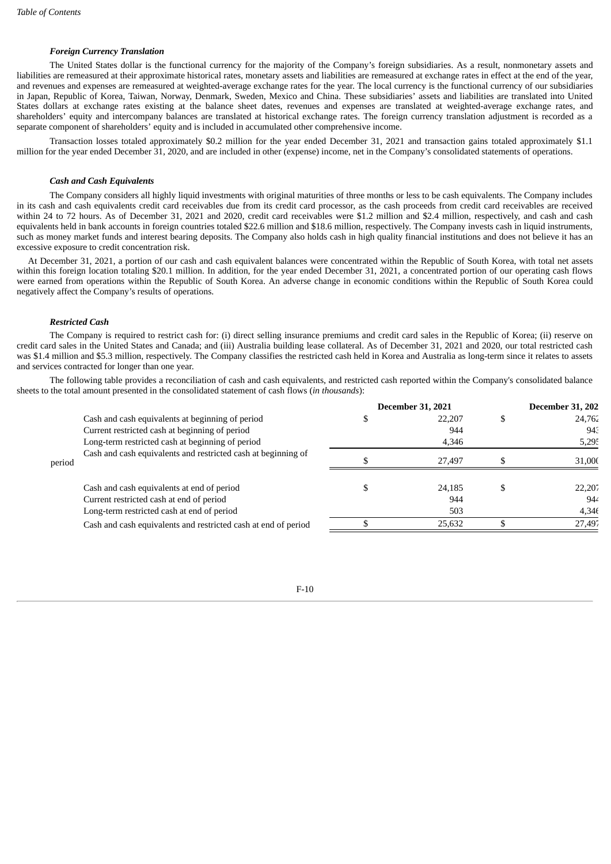# *Foreign Currency Translation*

The United States dollar is the functional currency for the majority of the Company's foreign subsidiaries. As a result, nonmonetary assets and liabilities are remeasured at their approximate historical rates, monetary assets and liabilities are remeasured at exchange rates in effect at the end of the year, and revenues and expenses are remeasured at weighted-average exchange rates for the year. The local currency is the functional currency of our subsidiaries in Japan, Republic of Korea, Taiwan, Norway, Denmark, Sweden, Mexico and China. These subsidiaries' assets and liabilities are translated into United States dollars at exchange rates existing at the balance sheet dates, revenues and expenses are translated at weighted-average exchange rates, and shareholders' equity and intercompany balances are translated at historical exchange rates. The foreign currency translation adjustment is recorded as a separate component of shareholders' equity and is included in accumulated other comprehensive income.

Transaction losses totaled approximately \$0.2 million for the year ended December 31, 2021 and transaction gains totaled approximately \$1.1 million for the year ended December 31, 2020, and are included in other (expense) income, net in the Company's consolidated statements of operations.

## *Cash and Cash Equivalents*

The Company considers all highly liquid investments with original maturities of three months or less to be cash equivalents. The Company includes in its cash and cash equivalents credit card receivables due from its credit card processor, as the cash proceeds from credit card receivables are received within 24 to 72 hours. As of December 31, 2021 and 2020, credit card receivables were \$1.2 million and \$2.4 million, respectively, and cash and cash equivalents held in bank accounts in foreign countries totaled \$22.6 million and \$18.6 million, respectively. The Company invests cash in liquid instruments, such as money market funds and interest bearing deposits. The Company also holds cash in high quality financial institutions and does not believe it has an excessive exposure to credit concentration risk.

At December 31, 2021, a portion of our cash and cash equivalent balances were concentrated within the Republic of South Korea, with total net assets within this foreign location totaling \$20.1 million. In addition, for the year ended December 31, 2021, a concentrated portion of our operating cash flows were earned from operations within the Republic of South Korea. An adverse change in economic conditions within the Republic of South Korea could negatively affect the Company's results of operations.

## *Restricted Cash*

The Company is required to restrict cash for: (i) direct selling insurance premiums and credit card sales in the Republic of Korea; (ii) reserve on credit card sales in the United States and Canada; and (iii) Australia building lease collateral. As of December 31, 2021 and 2020, our total restricted cash was \$1.4 million and \$5.3 million, respectively. The Company classifies the restricted cash held in Korea and Australia as long-term since it relates to assets and services contracted for longer than one year.

The following table provides a reconciliation of cash and cash equivalents, and restricted cash reported within the Company's consolidated balance sheets to the total amount presented in the consolidated statement of cash flows (*in thousands*):

|        |                                                                |  | <b>December 31, 2021</b> | <b>December 31, 202</b> |
|--------|----------------------------------------------------------------|--|--------------------------|-------------------------|
|        | Cash and cash equivalents at beginning of period               |  | 22,207                   | 24,762                  |
|        | Current restricted cash at beginning of period                 |  | 944                      | 943                     |
|        | Long-term restricted cash at beginning of period               |  | 4,346                    | 5,295                   |
| period | Cash and cash equivalents and restricted cash at beginning of  |  | 27,497                   | 31,000                  |
|        | Cash and cash equivalents at end of period                     |  | 24.185                   | 22,207                  |
|        | Current restricted cash at end of period                       |  | 944                      | 944                     |
|        | Long-term restricted cash at end of period                     |  | 503                      | 4,346                   |
|        | Cash and cash equivalents and restricted cash at end of period |  | 25,632                   | 27,497                  |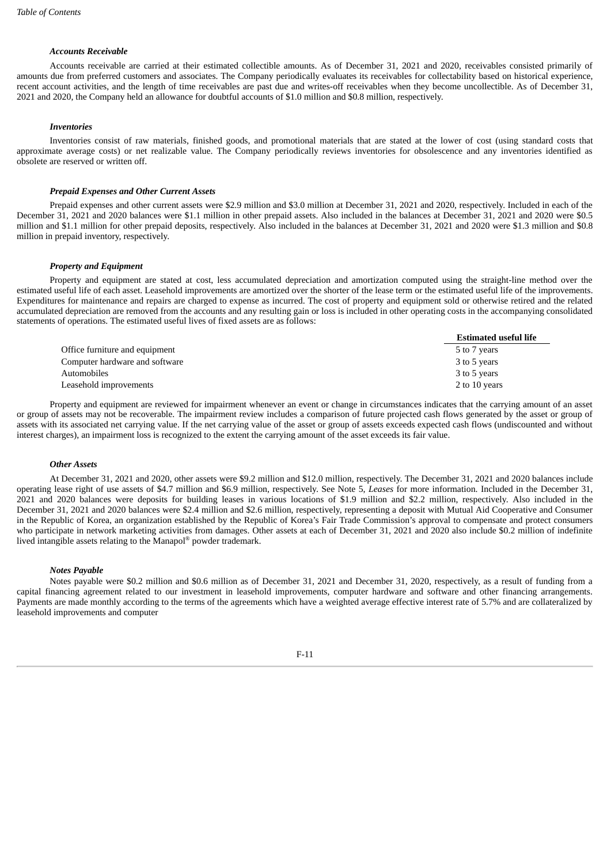## *Accounts Receivable*

Accounts receivable are carried at their estimated collectible amounts. As of December 31, 2021 and 2020, receivables consisted primarily of amounts due from preferred customers and associates. The Company periodically evaluates its receivables for collectability based on historical experience, recent account activities, and the length of time receivables are past due and writes-off receivables when they become uncollectible. As of December 31, 2021 and 2020, the Company held an allowance for doubtful accounts of \$1.0 million and \$0.8 million, respectively.

### *Inventories*

Inventories consist of raw materials, finished goods, and promotional materials that are stated at the lower of cost (using standard costs that approximate average costs) or net realizable value. The Company periodically reviews inventories for obsolescence and any inventories identified as obsolete are reserved or written off.

### *Prepaid Expenses and Other Current Assets*

Prepaid expenses and other current assets were \$2.9 million and \$3.0 million at December 31, 2021 and 2020, respectively. Included in each of the December 31, 2021 and 2020 balances were \$1.1 million in other prepaid assets. Also included in the balances at December 31, 2021 and 2020 were \$0.5 million and \$1.1 million for other prepaid deposits, respectively. Also included in the balances at December 31, 2021 and 2020 were \$1.3 million and \$0.8 million in prepaid inventory, respectively.

### *Property and Equipment*

Property and equipment are stated at cost, less accumulated depreciation and amortization computed using the straight-line method over the estimated useful life of each asset. Leasehold improvements are amortized over the shorter of the lease term or the estimated useful life of the improvements. Expenditures for maintenance and repairs are charged to expense as incurred. The cost of property and equipment sold or otherwise retired and the related accumulated depreciation are removed from the accounts and any resulting gain or loss is included in other operating costs in the accompanying consolidated statements of operations. The estimated useful lives of fixed assets are as follows:

|                                | <b>Estimated useful life</b> |
|--------------------------------|------------------------------|
| Office furniture and equipment | 5 to 7 years                 |
| Computer hardware and software | 3 to 5 years                 |
| Automobiles                    | 3 to 5 years                 |
| Leasehold improvements         | 2 to 10 years                |

Property and equipment are reviewed for impairment whenever an event or change in circumstances indicates that the carrying amount of an asset or group of assets may not be recoverable. The impairment review includes a comparison of future projected cash flows generated by the asset or group of assets with its associated net carrying value. If the net carrying value of the asset or group of assets exceeds expected cash flows (undiscounted and without interest charges), an impairment loss is recognized to the extent the carrying amount of the asset exceeds its fair value.

### *Other Assets*

At December 31, 2021 and 2020, other assets were \$9.2 million and \$12.0 million, respectively. The December 31, 2021 and 2020 balances include operating lease right of use assets of \$4.7 million and \$6.9 million, respectively. See Note 5, *Leases* for more information. Included in the December 31, 2021 and 2020 balances were deposits for building leases in various locations of \$1.9 million and \$2.2 million, respectively. Also included in the December 31, 2021 and 2020 balances were \$2.4 million and \$2.6 million, respectively, representing a deposit with Mutual Aid Cooperative and Consumer in the Republic of Korea, an organization established by the Republic of Korea's Fair Trade Commission's approval to compensate and protect consumers who participate in network marketing activities from damages. Other assets at each of December 31, 2021 and 2020 also include \$0.2 million of indefinite lived intangible assets relating to the Manapol® powder trademark.

### *Notes Payable*

Notes payable were \$0.2 million and \$0.6 million as of December 31, 2021 and December 31, 2020, respectively, as a result of funding from a capital financing agreement related to our investment in leasehold improvements, computer hardware and software and other financing arrangements. Payments are made monthly according to the terms of the agreements which have a weighted average effective interest rate of 5.7% and are collateralized by leasehold improvements and computer

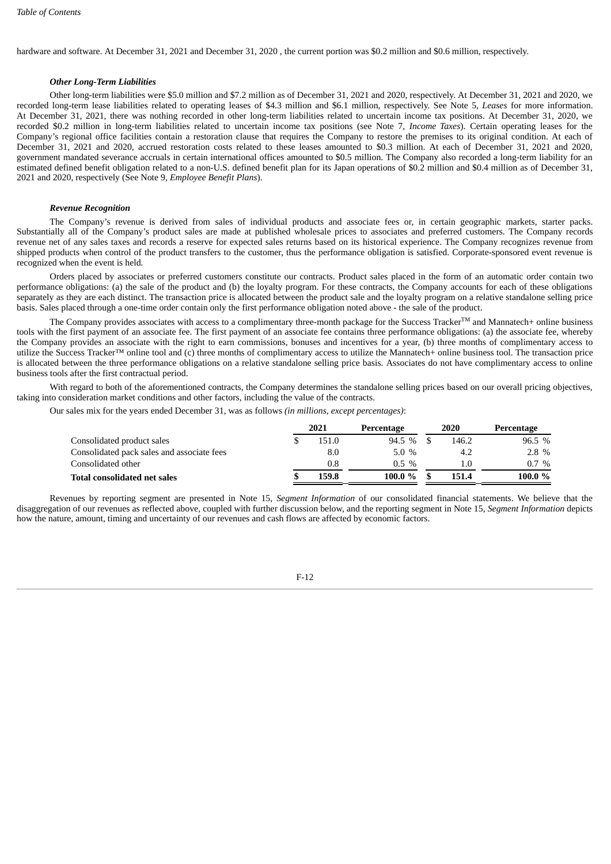hardware and software. At December 31, 2021 and December 31, 2020, the current portion was \$0.2 million and \$0.6 million, respectively.

### *Other Long-Term Liabilities*

Other long-term liabilities were \$5.0 million and \$7.2 million as of December 31, 2021 and 2020, respectively. At December 31, 2021 and 2020, we recorded long-term lease liabilities related to operating leases of \$4.3 million and \$6.1 million, respectively. See Note 5, *Leases* for more information. At December 31, 2021, there was nothing recorded in other long-term liabilities related to uncertain income tax positions. At December 31, 2020, we recorded \$0.2 million in long-term liabilities related to uncertain income tax positions (see Note 7, *Income Taxes*). Certain operating leases for the Company's regional office facilities contain a restoration clause that requires the Company to restore the premises to its original condition. At each of December 31, 2021 and 2020, accrued restoration costs related to these leases amounted to \$0.3 million. At each of December 31, 2021 and 2020, government mandated severance accruals in certain international offices amounted to \$0.5 million. The Company also recorded a long-term liability for an estimated defined benefit obligation related to a non-U.S. defined benefit plan for its Japan operations of \$0.2 million and \$0.4 million as of December 31, 2021 and 2020, respectively (See Note 9, *Employee Benefit Plans*).

## *Revenue Recognition*

The Company's revenue is derived from sales of individual products and associate fees or, in certain geographic markets, starter packs. Substantially all of the Company's product sales are made at published wholesale prices to associates and preferred customers. The Company records revenue net of any sales taxes and records a reserve for expected sales returns based on its historical experience. The Company recognizes revenue from shipped products when control of the product transfers to the customer, thus the performance obligation is satisfied. Corporate-sponsored event revenue is recognized when the event is held.

Orders placed by associates or preferred customers constitute our contracts. Product sales placed in the form of an automatic order contain two performance obligations: (a) the sale of the product and (b) the loyalty program. For these contracts, the Company accounts for each of these obligations separately as they are each distinct. The transaction price is allocated between the product sale and the loyalty program on a relative standalone selling price basis. Sales placed through a one-time order contain only the first performance obligation noted above - the sale of the product.

The Company provides associates with access to a complimentary three-month package for the Success Tracker<sup>TM</sup> and Mannatech+ online business tools with the first payment of an associate fee. The first payment of an associate fee contains three performance obligations: (a) the associate fee, whereby the Company provides an associate with the right to earn commissions, bonuses and incentives for a year, (b) three months of complimentary access to utilize the Success Tracker™ online tool and (c) three months of complimentary access to utilize the Mannatech+ online business tool. The transaction price is allocated between the three performance obligations on a relative standalone selling price basis. Associates do not have complimentary access to online business tools after the first contractual period.

With regard to both of the aforementioned contracts, the Company determines the standalone selling prices based on our overall pricing objectives, taking into consideration market conditions and other factors, including the value of the contracts.

Our sales mix for the years ended December 31, was as follows *(in millions, except percentages)*:

|                                            | 2021  | Percentage | 2020  | Percentage |
|--------------------------------------------|-------|------------|-------|------------|
| Consolidated product sales                 | 151.0 | 94.5%      | 146.2 | 96.5%      |
| Consolidated pack sales and associate fees | 8.0   | $5.0\%$    | 4.2   | $2.8\%$    |
| Consolidated other                         | 0.8   | $0.5\%$    | 1.0   | $0.7\%$    |
| <b>Total consolidated net sales</b>        | 159.8 | 100.0 %    | 151.4 | 100.0 %    |

Revenues by reporting segment are presented in Note 15, *Segment Information* of our consolidated financial statements. We believe that the disaggregation of our revenues as reflected above, coupled with further discussion below, and the reporting segment in Note 15, *Segment Information* depicts how the nature, amount, timing and uncertainty of our revenues and cash flows are affected by economic factors.

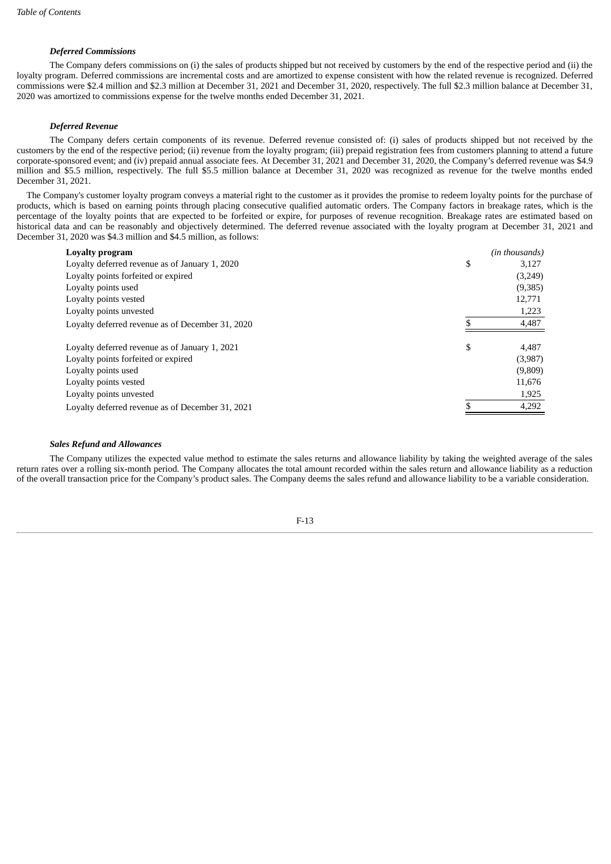# *Deferred Commissions*

The Company defers commissions on (i) the sales of products shipped but not received by customers by the end of the respective period and (ii) the loyalty program. Deferred commissions are incremental costs and are amortized to expense consistent with how the related revenue is recognized. Deferred commissions were \$2.4 million and \$2.3 million at December 31, 2021 and December 31, 2020, respectively. The full \$2.3 million balance at December 31, 2020 was amortized to commissions expense for the twelve months ended December 31, 2021.

### *Deferred Revenue*

The Company defers certain components of its revenue. Deferred revenue consisted of: (i) sales of products shipped but not received by the customers by the end of the respective period; (ii) revenue from the loyalty program; (iii) prepaid registration fees from customers planning to attend a future corporate-sponsored event; and (iv) prepaid annual associate fees. At December 31, 2021 and December 31, 2020, the Company's deferred revenue was \$4.9 million and \$5.5 million, respectively. The full \$5.5 million balance at December 31, 2020 was recognized as revenue for the twelve months ended December 31, 2021.

The Company's customer loyalty program conveys a material right to the customer as it provides the promise to redeem loyalty points for the purchase of products, which is based on earning points through placing consecutive qualified automatic orders. The Company factors in breakage rates, which is the percentage of the loyalty points that are expected to be forfeited or expire, for purposes of revenue recognition. Breakage rates are estimated based on historical data and can be reasonably and objectively determined. The deferred revenue associated with the loyalty program at December 31, 2021 and December 31, 2020 was \$4.3 million and \$4.5 million, as follows:

| <b>Loyalty program</b>                           | (in thousands) |
|--------------------------------------------------|----------------|
| Loyalty deferred revenue as of January 1, 2020   | \$<br>3,127    |
| Lovalty points forfeited or expired              | (3,249)        |
| Loyalty points used                              | (9,385)        |
| Loyalty points vested                            | 12,771         |
| Loyalty points unvested                          | 1,223          |
| Lovalty deferred revenue as of December 31, 2020 | 4,487          |
| Loyalty deferred revenue as of January 1, 2021   | \$<br>4,487    |
| Loyalty points forfeited or expired              | (3,987)        |
| Loyalty points used                              | (9,809)        |
| Loyalty points vested                            | 11,676         |
| Loyalty points unvested                          | 1,925          |
| Lovalty deferred revenue as of December 31, 2021 | 4,292          |
|                                                  |                |

### *Sales Refund and Allowances*

The Company utilizes the expected value method to estimate the sales returns and allowance liability by taking the weighted average of the sales return rates over a rolling six-month period. The Company allocates the total amount recorded within the sales return and allowance liability as a reduction of the overall transaction price for the Company's product sales. The Company deems the sales refund and allowance liability to be a variable consideration.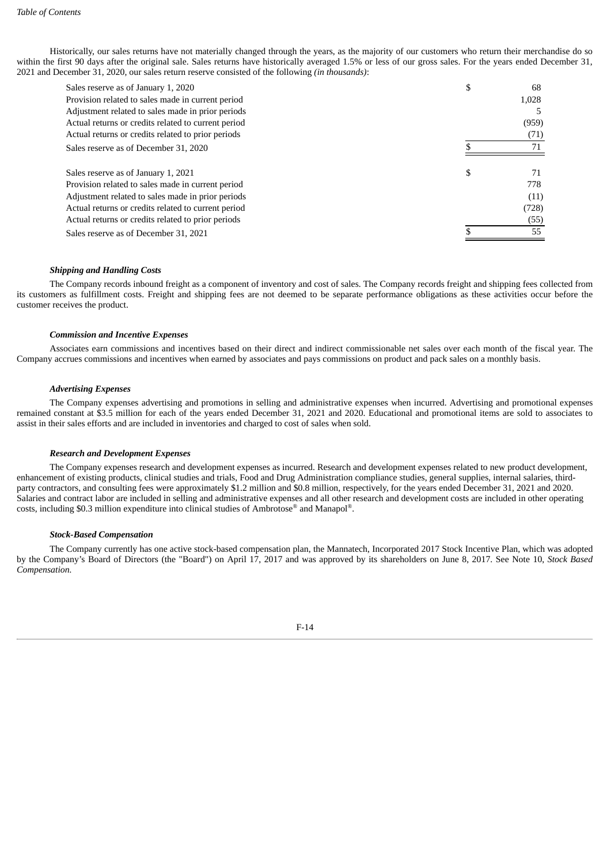Historically, our sales returns have not materially changed through the years, as the majority of our customers who return their merchandise do so within the first 90 days after the original sale. Sales returns have historically averaged 1.5% or less of our gross sales. For the years ended December 31, 2021 and December 31, 2020, our sales return reserve consisted of the following *(in thousands)*:

| Œ  | 68<br>1,028<br>5<br>(959) |
|----|---------------------------|
|    | (71)                      |
|    | 71                        |
| \$ | 71                        |
|    | 778                       |
|    | (11)                      |
|    | (728)                     |
|    | (55)                      |
|    | 55                        |
|    |                           |

### *Shipping and Handling Costs*

The Company records inbound freight as a component of inventory and cost of sales. The Company records freight and shipping fees collected from its customers as fulfillment costs. Freight and shipping fees are not deemed to be separate performance obligations as these activities occur before the customer receives the product.

## *Commission and Incentive Expenses*

Associates earn commissions and incentives based on their direct and indirect commissionable net sales over each month of the fiscal year. The Company accrues commissions and incentives when earned by associates and pays commissions on product and pack sales on a monthly basis.

## *Advertising Expenses*

The Company expenses advertising and promotions in selling and administrative expenses when incurred. Advertising and promotional expenses remained constant at \$3.5 million for each of the years ended December 31, 2021 and 2020. Educational and promotional items are sold to associates to assist in their sales efforts and are included in inventories and charged to cost of sales when sold.

#### *Research and Development Expenses*

The Company expenses research and development expenses as incurred. Research and development expenses related to new product development, enhancement of existing products, clinical studies and trials, Food and Drug Administration compliance studies, general supplies, internal salaries, thirdparty contractors, and consulting fees were approximately \$1.2 million and \$0.8 million, respectively, for the years ended December 31, 2021 and 2020. Salaries and contract labor are included in selling and administrative expenses and all other research and development costs are included in other operating costs, including \$0.3 million expenditure into clinical studies of Ambrotose® and Manapol®.

#### *Stock-Based Compensation*

The Company currently has one active stock-based compensation plan, the Mannatech, Incorporated 2017 Stock Incentive Plan, which was adopted by the Company's Board of Directors (the "Board") on April 17, 2017 and was approved by its shareholders on June 8, 2017. See Note 10, *Stock Based Compensation.*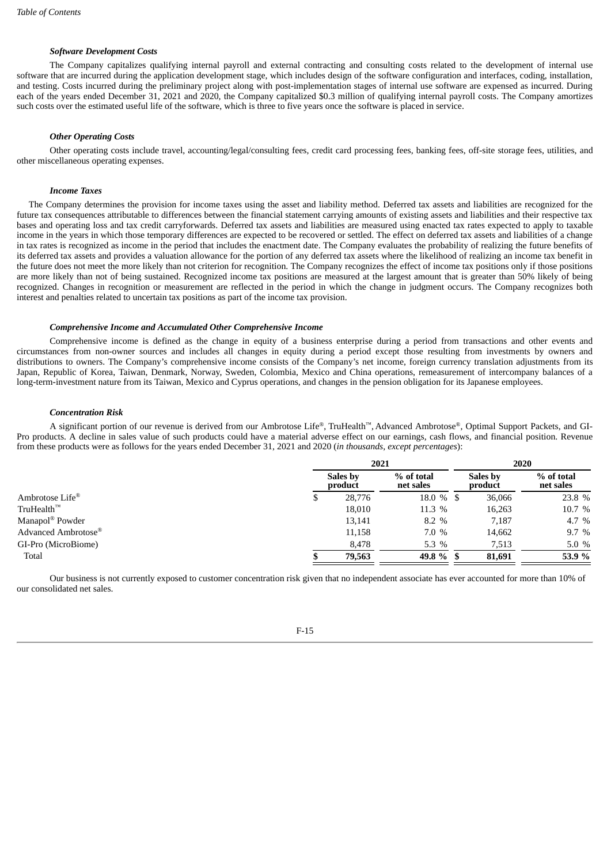## *Software Development Costs*

The Company capitalizes qualifying internal payroll and external contracting and consulting costs related to the development of internal use software that are incurred during the application development stage, which includes design of the software configuration and interfaces, coding, installation, and testing. Costs incurred during the preliminary project along with post-implementation stages of internal use software are expensed as incurred. During each of the years ended December 31, 2021 and 2020, the Company capitalized \$0.3 million of qualifying internal payroll costs. The Company amortizes such costs over the estimated useful life of the software, which is three to five years once the software is placed in service.

### *Other Operating Costs*

Other operating costs include travel, accounting/legal/consulting fees, credit card processing fees, banking fees, off-site storage fees, utilities, and other miscellaneous operating expenses.

## *Income Taxes*

The Company determines the provision for income taxes using the asset and liability method. Deferred tax assets and liabilities are recognized for the future tax consequences attributable to differences between the financial statement carrying amounts of existing assets and liabilities and their respective tax bases and operating loss and tax credit carryforwards. Deferred tax assets and liabilities are measured using enacted tax rates expected to apply to taxable income in the years in which those temporary differences are expected to be recovered or settled. The effect on deferred tax assets and liabilities of a change in tax rates is recognized as income in the period that includes the enactment date. The Company evaluates the probability of realizing the future benefits of its deferred tax assets and provides a valuation allowance for the portion of any deferred tax assets where the likelihood of realizing an income tax benefit in the future does not meet the more likely than not criterion for recognition. The Company recognizes the effect of income tax positions only if those positions are more likely than not of being sustained. Recognized income tax positions are measured at the largest amount that is greater than 50% likely of being recognized. Changes in recognition or measurement are reflected in the period in which the change in judgment occurs. The Company recognizes both interest and penalties related to uncertain tax positions as part of the income tax provision.

### *Comprehensive Income and Accumulated Other Comprehensive Income*

Comprehensive income is defined as the change in equity of a business enterprise during a period from transactions and other events and circumstances from non-owner sources and includes all changes in equity during a period except those resulting from investments by owners and distributions to owners. The Company's comprehensive income consists of the Company's net income, foreign currency translation adjustments from its Japan, Republic of Korea, Taiwan, Denmark, Norway, Sweden, Colombia, Mexico and China operations, remeasurement of intercompany balances of a long-term-investment nature from its Taiwan, Mexico and Cyprus operations, and changes in the pension obligation for its Japanese employees.

### *Concentration Risk*

A significant portion of our revenue is derived from our Ambrotose Life®, TruHealth™, Advanced Ambrotose®, Optimal Support Packets, and GI-Pro products. A decline in sales value of such products could have a material adverse effect on our earnings, cash flows, and financial position. Revenue from these products were as follows for the years ended December 31, 2021 and 2020 (*in thousands, except percentages*):

|                                 |   | 2021                |                         | 2020 |                     |                         |  |
|---------------------------------|---|---------------------|-------------------------|------|---------------------|-------------------------|--|
|                                 |   | Sales by<br>product | % of total<br>net sales |      | Sales by<br>product | % of total<br>net sales |  |
| Ambrotose Life <sup>®</sup>     | D | 28,776              | 18.0 % \$               |      | 36,066              | 23.8 %                  |  |
| $TruHealth^{\mathsf{m}}$        |   | 18,010              | 11.3 %                  |      | 16,263              | 10.7 %                  |  |
| Manapol® Powder                 |   | 13,141              | 8.2%                    |      | 7,187               | 4.7 %                   |  |
| Advanced Ambrotose <sup>®</sup> |   | 11,158              | 7.0 %                   |      | 14,662              | 9.7%                    |  |
| GI-Pro (MicroBiome)             |   | 8.478               | 5.3 %                   |      | 7,513               | 5.0%                    |  |
| Total                           |   | 79,563              | 49.8 %                  |      | 81,691              | 53.9 %                  |  |

Our business is not currently exposed to customer concentration risk given that no independent associate has ever accounted for more than 10% of our consolidated net sales.

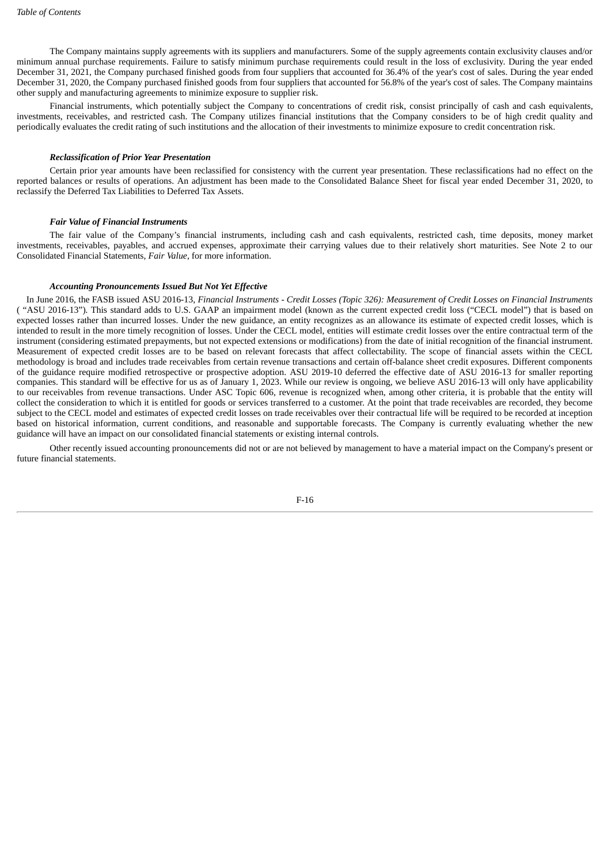The Company maintains supply agreements with its suppliers and manufacturers. Some of the supply agreements contain exclusivity clauses and/or minimum annual purchase requirements. Failure to satisfy minimum purchase requirements could result in the loss of exclusivity. During the year ended December 31, 2021, the Company purchased finished goods from four suppliers that accounted for 36.4% of the year's cost of sales. During the year ended December 31, 2020, the Company purchased finished goods from four suppliers that accounted for 56.8% of the year's cost of sales. The Company maintains other supply and manufacturing agreements to minimize exposure to supplier risk.

Financial instruments, which potentially subject the Company to concentrations of credit risk, consist principally of cash and cash equivalents, investments, receivables, and restricted cash. The Company utilizes financial institutions that the Company considers to be of high credit quality and periodically evaluates the credit rating of such institutions and the allocation of their investments to minimize exposure to credit concentration risk.

### *Reclassification of Prior Year Presentation*

Certain prior year amounts have been reclassified for consistency with the current year presentation. These reclassifications had no effect on the reported balances or results of operations. An adjustment has been made to the Consolidated Balance Sheet for fiscal year ended December 31, 2020, to reclassify the Deferred Tax Liabilities to Deferred Tax Assets.

### *Fair Value of Financial Instruments*

The fair value of the Company's financial instruments, including cash and cash equivalents, restricted cash, time deposits, money market investments, receivables, payables, and accrued expenses, approximate their carrying values due to their relatively short maturities. See Note 2 to our Consolidated Financial Statements, *Fair Value*, for more information.

### *Accounting Pronouncements Issued But Not Yet Effective*

In June 2016, the FASB issued ASU 2016-13, Financial Instruments - Credit Losses (Topic 326): Measurement of Credit Losses on Financial Instruments ( "ASU 2016-13")*.* This standard adds to U.S. GAAP an impairment model (known as the current expected credit loss ("CECL model") that is based on expected losses rather than incurred losses. Under the new guidance, an entity recognizes as an allowance its estimate of expected credit losses, which is intended to result in the more timely recognition of losses. Under the CECL model, entities will estimate credit losses over the entire contractual term of the instrument (considering estimated prepayments, but not expected extensions or modifications) from the date of initial recognition of the financial instrument. Measurement of expected credit losses are to be based on relevant forecasts that affect collectability. The scope of financial assets within the CECL methodology is broad and includes trade receivables from certain revenue transactions and certain off-balance sheet credit exposures. Different components of the guidance require modified retrospective or prospective adoption. ASU 2019-10 deferred the effective date of ASU 2016-13 for smaller reporting companies. This standard will be effective for us as of January 1, 2023. While our review is ongoing, we believe ASU 2016-13 will only have applicability to our receivables from revenue transactions. Under ASC Topic 606, revenue is recognized when, among other criteria, it is probable that the entity will collect the consideration to which it is entitled for goods or services transferred to a customer. At the point that trade receivables are recorded, they become subject to the CECL model and estimates of expected credit losses on trade receivables over their contractual life will be required to be recorded at inception based on historical information, current conditions, and reasonable and supportable forecasts. The Company is currently evaluating whether the new guidance will have an impact on our consolidated financial statements or existing internal controls.

Other recently issued accounting pronouncements did not or are not believed by management to have a material impact on the Company's present or future financial statements.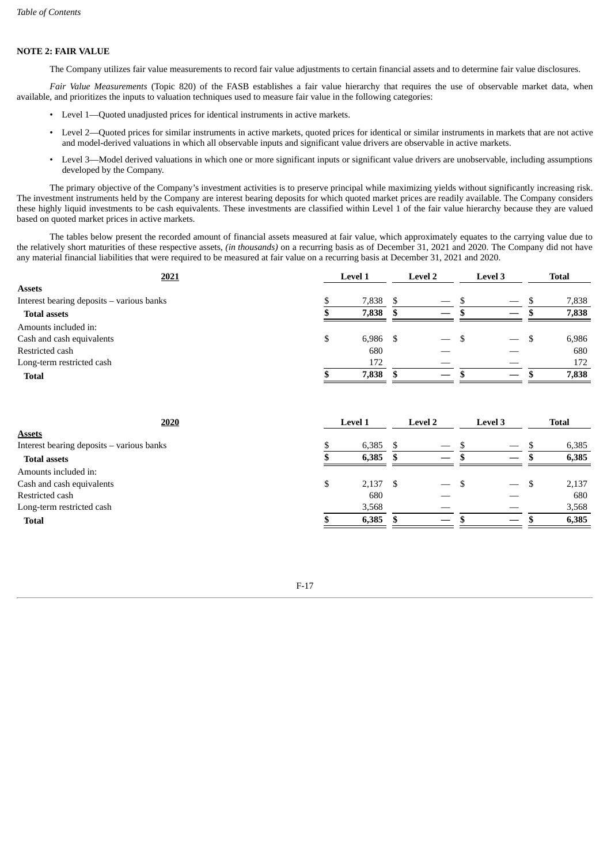# **NOTE 2: FAIR VALUE**

The Company utilizes fair value measurements to record fair value adjustments to certain financial assets and to determine fair value disclosures.

*Fair Value Measurements* (Topic 820) of the FASB establishes a fair value hierarchy that requires the use of observable market data, when available, and prioritizes the inputs to valuation techniques used to measure fair value in the following categories:

- Level 1—Quoted unadjusted prices for identical instruments in active markets.
- Level 2—Quoted prices for similar instruments in active markets, quoted prices for identical or similar instruments in markets that are not active and model-derived valuations in which all observable inputs and significant value drivers are observable in active markets.
- Level 3—Model derived valuations in which one or more significant inputs or significant value drivers are unobservable, including assumptions developed by the Company.

The primary objective of the Company's investment activities is to preserve principal while maximizing yields without significantly increasing risk. The investment instruments held by the Company are interest bearing deposits for which quoted market prices are readily available. The Company considers these highly liquid investments to be cash equivalents. These investments are classified within Level 1 of the fair value hierarchy because they are valued based on quoted market prices in active markets.

The tables below present the recorded amount of financial assets measured at fair value, which approximately equates to the carrying value due to the relatively short maturities of these respective assets, *(in thousands)* on a recurring basis as of December 31, 2021 and 2020. The Company did not have any material financial liabilities that were required to be measured at fair value on a recurring basis at December 31, 2021 and 2020.

| 2021                                      | <b>Level 1</b><br><b>Level 2</b> |       |    | <b>Level 3</b> |      | <b>Total</b> |      |       |
|-------------------------------------------|----------------------------------|-------|----|----------------|------|--------------|------|-------|
| <b>Assets</b>                             |                                  |       |    |                |      |              |      |       |
| Interest bearing deposits - various banks |                                  | 7,838 | S  |                |      |              |      | 7,838 |
| <b>Total assets</b>                       |                                  | 7,838 |    |                |      | —            |      | 7,838 |
| Amounts included in:                      |                                  |       |    |                |      |              |      |       |
| Cash and cash equivalents                 | \$                               | 6,986 | -S |                | - \$ |              | - \$ | 6,986 |
| Restricted cash                           |                                  | 680   |    |                |      |              |      | 680   |
| Long-term restricted cash                 |                                  | 172   |    |                |      |              |      | 172   |
| <b>Total</b>                              |                                  | 7,838 |    |                |      |              |      | 7,838 |
|                                           |                                  |       |    |                |      |              |      |       |

| 2020                                      | <b>Level 1</b><br><b>Level 2</b> |     | Level 3           |  | <b>Total</b>      |  |       |
|-------------------------------------------|----------------------------------|-----|-------------------|--|-------------------|--|-------|
| <b>Assets</b>                             |                                  |     |                   |  |                   |  |       |
| Interest bearing deposits - various banks | 6,385                            |     |                   |  |                   |  | 6,385 |
| <b>Total assets</b>                       | 6,385                            |     |                   |  |                   |  | 6,385 |
| Amounts included in:                      |                                  |     |                   |  |                   |  |       |
| Cash and cash equivalents                 | \$<br>2,137                      | - S | $\hspace{0.05cm}$ |  | $\hspace{0.05cm}$ |  | 2,137 |
| Restricted cash                           | 680                              |     |                   |  |                   |  | 680   |
| Long-term restricted cash                 | 3,568                            |     |                   |  |                   |  | 3,568 |
| <b>Total</b>                              | 6,385                            |     |                   |  |                   |  | 6,385 |
|                                           |                                  |     |                   |  |                   |  |       |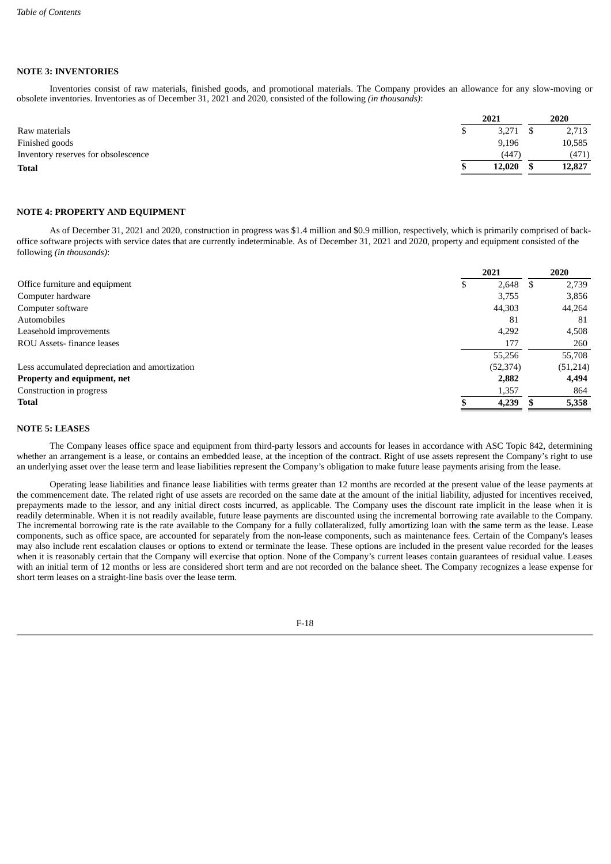### **NOTE 3: INVENTORIES**

Inventories consist of raw materials, finished goods, and promotional materials. The Company provides an allowance for any slow-moving or obsolete inventories. Inventories as of December 31, 2021 and 2020, consisted of the following *(in thousands)*:

|                                     | 2021 |        | 2020 |        |  |
|-------------------------------------|------|--------|------|--------|--|
| Raw materials                       |      | 3,271  |      | 2,713  |  |
| Finished goods                      |      | 9,196  |      | 10,585 |  |
| Inventory reserves for obsolescence |      | (447)  |      | (471)  |  |
| <b>Total</b>                        |      | 12,020 |      | 12,827 |  |

## **NOTE 4: PROPERTY AND EQUIPMENT**

As of December 31, 2021 and 2020, construction in progress was \$1.4 million and \$0.9 million, respectively, which is primarily comprised of backoffice software projects with service dates that are currently indeterminable. As of December 31, 2021 and 2020, property and equipment consisted of the following *(in thousands)*:

|                                                | 2021       |     | 2020     |
|------------------------------------------------|------------|-----|----------|
| Office furniture and equipment                 | 2,648<br>D | -55 | 2,739    |
| Computer hardware                              | 3,755      |     | 3,856    |
| Computer software                              | 44,303     |     | 44,264   |
| Automobiles                                    | 81         |     | 81       |
| Leasehold improvements                         | 4,292      |     | 4,508    |
| ROU Assets-finance leases                      | 177        |     | 260      |
|                                                | 55,256     |     | 55,708   |
| Less accumulated depreciation and amortization | (52, 374)  |     | (51,214) |
| Property and equipment, net                    | 2,882      |     | 4,494    |
| Construction in progress                       | 1,357      |     | 864      |
| <b>Total</b>                                   | 4,239      |     | 5,358    |

### **NOTE 5: LEASES**

The Company leases office space and equipment from third-party lessors and accounts for leases in accordance with ASC Topic 842, determining whether an arrangement is a lease, or contains an embedded lease, at the inception of the contract. Right of use assets represent the Company's right to use an underlying asset over the lease term and lease liabilities represent the Company's obligation to make future lease payments arising from the lease.

Operating lease liabilities and finance lease liabilities with terms greater than 12 months are recorded at the present value of the lease payments at the commencement date. The related right of use assets are recorded on the same date at the amount of the initial liability, adjusted for incentives received, prepayments made to the lessor, and any initial direct costs incurred, as applicable. The Company uses the discount rate implicit in the lease when it is readily determinable. When it is not readily available, future lease payments are discounted using the incremental borrowing rate available to the Company. The incremental borrowing rate is the rate available to the Company for a fully collateralized, fully amortizing loan with the same term as the lease. Lease components, such as office space, are accounted for separately from the non-lease components, such as maintenance fees. Certain of the Company's leases may also include rent escalation clauses or options to extend or terminate the lease. These options are included in the present value recorded for the leases when it is reasonably certain that the Company will exercise that option. None of the Company's current leases contain guarantees of residual value. Leases with an initial term of 12 months or less are considered short term and are not recorded on the balance sheet. The Company recognizes a lease expense for short term leases on a straight-line basis over the lease term.

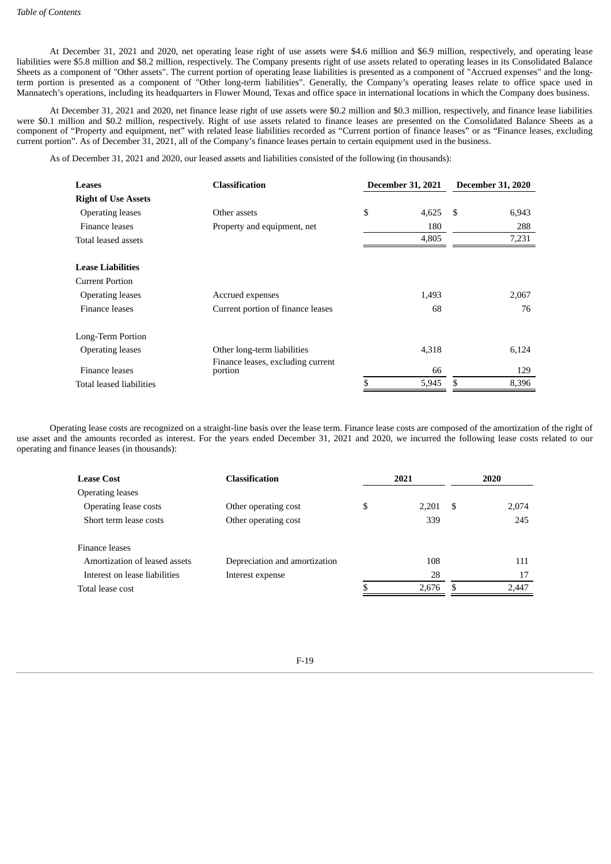At December 31, 2021 and 2020, net operating lease right of use assets were \$4.6 million and \$6.9 million, respectively, and operating lease liabilities were \$5.8 million and \$8.2 million, respectively. The Company presents right of use assets related to operating leases in its Consolidated Balance Sheets as a component of "Other assets". The current portion of operating lease liabilities is presented as a component of "Accrued expenses" and the longterm portion is presented as a component of "Other long-term liabilities". Generally, the Company's operating leases relate to office space used in Mannatech's operations, including its headquarters in Flower Mound, Texas and office space in international locations in which the Company does business.

At December 31, 2021 and 2020, net finance lease right of use assets were \$0.2 million and \$0.3 million, respectively, and finance lease liabilities were \$0.1 million and \$0.2 million, respectively. Right of use assets related to finance leases are presented on the Consolidated Balance Sheets as a component of "Property and equipment, net" with related lease liabilities recorded as "Current portion of finance leases" or as "Finance leases, excluding current portion". As of December 31, 2021, all of the Company's finance leases pertain to certain equipment used in the business.

As of December 31, 2021 and 2020, our leased assets and liabilities consisted of the following (in thousands):

| <b>Leases</b>              | <b>Classification</b>             | <b>December 31, 2021</b> |       | <b>December 31, 2020</b> |       |
|----------------------------|-----------------------------------|--------------------------|-------|--------------------------|-------|
| <b>Right of Use Assets</b> |                                   |                          |       |                          |       |
| <b>Operating leases</b>    | Other assets                      | \$                       | 4,625 | -\$                      | 6,943 |
| Finance leases             | Property and equipment, net       |                          | 180   |                          | 288   |
| Total leased assets        |                                   |                          | 4,805 |                          | 7,231 |
|                            |                                   |                          |       |                          |       |
| <b>Lease Liabilities</b>   |                                   |                          |       |                          |       |
| <b>Current Portion</b>     |                                   |                          |       |                          |       |
| <b>Operating leases</b>    | Accrued expenses                  |                          | 1,493 |                          | 2,067 |
| Finance leases             | Current portion of finance leases |                          | 68    |                          | 76    |
|                            |                                   |                          |       |                          |       |
| Long-Term Portion          |                                   |                          |       |                          |       |
| <b>Operating leases</b>    | Other long-term liabilities       |                          | 4,318 |                          | 6,124 |
|                            | Finance leases, excluding current |                          |       |                          |       |
| Finance leases             | portion                           |                          | 66    |                          | 129   |
| Total leased liabilities   |                                   | \$                       | 5,945 | \$                       | 8,396 |

Operating lease costs are recognized on a straight-line basis over the lease term. Finance lease costs are composed of the amortization of the right of use asset and the amounts recorded as interest. For the years ended December 31, 2021 and 2020, we incurred the following lease costs related to our operating and finance leases (in thousands):

| <b>Lease Cost</b>             | <b>Classification</b>         | 2021 |       |      | 2020  |  |
|-------------------------------|-------------------------------|------|-------|------|-------|--|
| <b>Operating leases</b>       |                               |      |       |      |       |  |
| Operating lease costs         | Other operating cost          | \$   | 2,201 | - \$ | 2.074 |  |
| Short term lease costs        | Other operating cost          |      | 339   |      | 245   |  |
| Finance leases                |                               |      |       |      |       |  |
| Amortization of leased assets | Depreciation and amortization |      | 108   |      | 111   |  |
| Interest on lease liabilities | Interest expense              |      | 28    |      | 17    |  |
| Total lease cost              |                               |      | 2,676 | S    | 2,447 |  |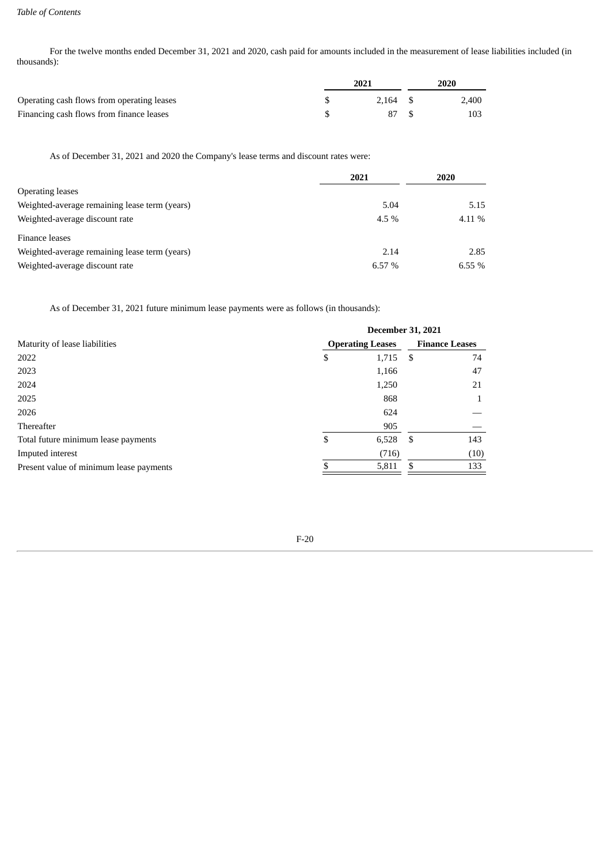For the twelve months ended December 31, 2021 and 2020, cash paid for amounts included in the measurement of lease liabilities included (in thousands):

|                                            | 2021       | 2020  |
|--------------------------------------------|------------|-------|
| Operating cash flows from operating leases | $2.164$ \$ | 2.400 |
| Financing cash flows from finance leases   |            | 103   |

As of December 31, 2021 and 2020 the Company's lease terms and discount rates were:

|                                               | 2021    | 2020   |
|-----------------------------------------------|---------|--------|
| <b>Operating leases</b>                       |         |        |
| Weighted-average remaining lease term (years) | 5.04    | 5.15   |
| Weighted-average discount rate                | $4.5\%$ | 4.11 % |
| Finance leases                                |         |        |
| Weighted-average remaining lease term (years) | 2.14    | 2.85   |
| Weighted-average discount rate                | 6.57 %  | 6.55%  |

As of December 31, 2021 future minimum lease payments were as follows (in thousands):

|                                         | <b>December 31, 2021</b> |       |      |                       |  |  |
|-----------------------------------------|--------------------------|-------|------|-----------------------|--|--|
| Maturity of lease liabilities           | <b>Operating Leases</b>  |       |      | <b>Finance Leases</b> |  |  |
| 2022                                    | \$                       | 1,715 | - \$ | 74                    |  |  |
| 2023                                    |                          | 1,166 |      | 47                    |  |  |
| 2024                                    |                          | 1,250 |      | 21                    |  |  |
| 2025                                    |                          | 868   |      |                       |  |  |
| 2026                                    |                          | 624   |      |                       |  |  |
| Thereafter                              |                          | 905   |      |                       |  |  |
| Total future minimum lease payments     | \$                       | 6,528 | S    | 143                   |  |  |
| Imputed interest                        |                          | (716) |      | (10)                  |  |  |
| Present value of minimum lease payments |                          | 5,811 |      | 133                   |  |  |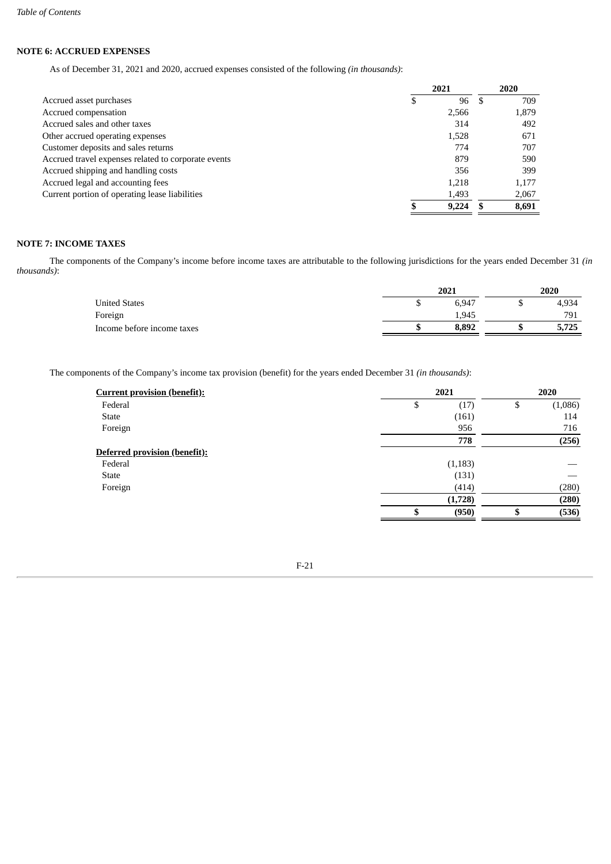# **NOTE 6: ACCRUED EXPENSES**

As of December 31, 2021 and 2020, accrued expenses consisted of the following *(in thousands)*:

|                                                     | 2021 |       | 2020 |       |
|-----------------------------------------------------|------|-------|------|-------|
| Accrued asset purchases                             |      | 96    |      | 709   |
| Accrued compensation                                |      | 2,566 |      | 1,879 |
| Accrued sales and other taxes                       |      | 314   |      | 492   |
| Other accrued operating expenses                    |      | 1,528 |      | 671   |
| Customer deposits and sales returns                 |      | 774   |      | 707   |
| Accrued travel expenses related to corporate events |      | 879   |      | 590   |
| Accrued shipping and handling costs                 |      | 356   |      | 399   |
| Accrued legal and accounting fees                   |      | 1,218 |      | 1,177 |
| Current portion of operating lease liabilities      |      | 1,493 |      | 2,067 |
|                                                     |      | 9,224 |      | 8,691 |

# **NOTE 7: INCOME TAXES**

The components of the Company's income before income taxes are attributable to the following jurisdictions for the years ended December 31 *(in thousands)*:

|                            | 2021 |       |  | 2020  |  |  |
|----------------------------|------|-------|--|-------|--|--|
| <b>United States</b>       |      | 6,947 |  | 4,934 |  |  |
| Foreign                    |      | 1,945 |  | 791   |  |  |
| Income before income taxes |      | 8.892 |  | 5,725 |  |  |

The components of the Company's income tax provision (benefit) for the years ended December 31 *(in thousands)*:

| <b>Current provision (benefit):</b> | 2021 |          | 2020   |         |  |
|-------------------------------------|------|----------|--------|---------|--|
| Federal                             | \$   | (17)     | ¢<br>D | (1,086) |  |
| <b>State</b>                        |      | (161)    |        | 114     |  |
| Foreign                             |      | 956      |        | 716     |  |
|                                     |      | 778      |        | (256)   |  |
| Deferred provision (benefit):       |      |          |        |         |  |
| Federal                             |      | (1, 183) |        |         |  |
| <b>State</b>                        |      | (131)    |        |         |  |
| Foreign                             |      | (414)    |        | (280)   |  |
|                                     |      | (1,728)  |        | (280)   |  |
|                                     |      | (950)    |        | (536)   |  |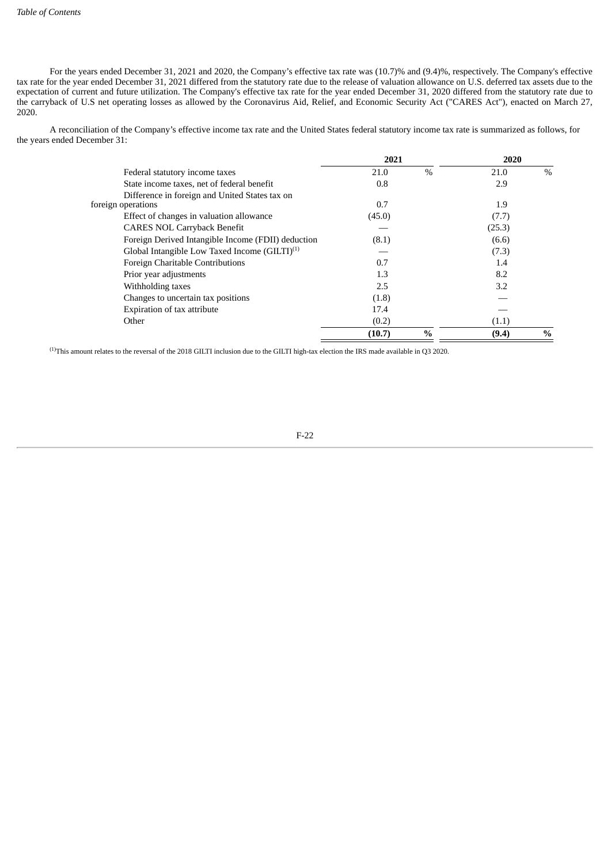For the years ended December 31, 2021 and 2020, the Company's effective tax rate was (10.7)% and (9.4)%, respectively. The Company's effective tax rate for the year ended December 31, 2021 differed from the statutory rate due to the release of valuation allowance on U.S. deferred tax assets due to the expectation of current and future utilization. The Company's effective tax rate for the year ended December 31, 2020 differed from the statutory rate due to the carryback of U.S net operating losses as allowed by the Coronavirus Aid, Relief, and Economic Security Act ("CARES Act"), enacted on March 27, 2020.

A reconciliation of the Company's effective income tax rate and the United States federal statutory income tax rate is summarized as follows, for the years ended December 31:

|                                                    | 2021   |               | 2020   |      |
|----------------------------------------------------|--------|---------------|--------|------|
| Federal statutory income taxes                     | 21.0   | $\frac{0}{0}$ | 21.0   | $\%$ |
| State income taxes, net of federal benefit         | 0.8    |               | 2.9    |      |
| Difference in foreign and United States tax on     |        |               |        |      |
| foreign operations                                 | 0.7    |               | 1.9    |      |
| Effect of changes in valuation allowance           | (45.0) |               | (7.7)  |      |
| <b>CARES NOL Carryback Benefit</b>                 |        |               | (25.3) |      |
| Foreign Derived Intangible Income (FDII) deduction | (8.1)  |               | (6.6)  |      |
| Global Intangible Low Taxed Income $(GILTI)^{(1)}$ |        |               | (7.3)  |      |
| <b>Foreign Charitable Contributions</b>            | 0.7    |               | 1.4    |      |
| Prior year adjustments                             | 1.3    |               | 8.2    |      |
| Withholding taxes                                  | 2.5    |               | 3.2    |      |
| Changes to uncertain tax positions                 | (1.8)  |               |        |      |
| Expiration of tax attribute                        | 17.4   |               |        |      |
| Other                                              | (0.2)  |               | (1.1)  |      |
|                                                    | (10.7) | $\%$          | (9.4)  | $\%$ |

<sup>(1)</sup>This amount relates to the reversal of the 2018 GILTI inclusion due to the GILTI high-tax election the IRS made available in Q3 2020.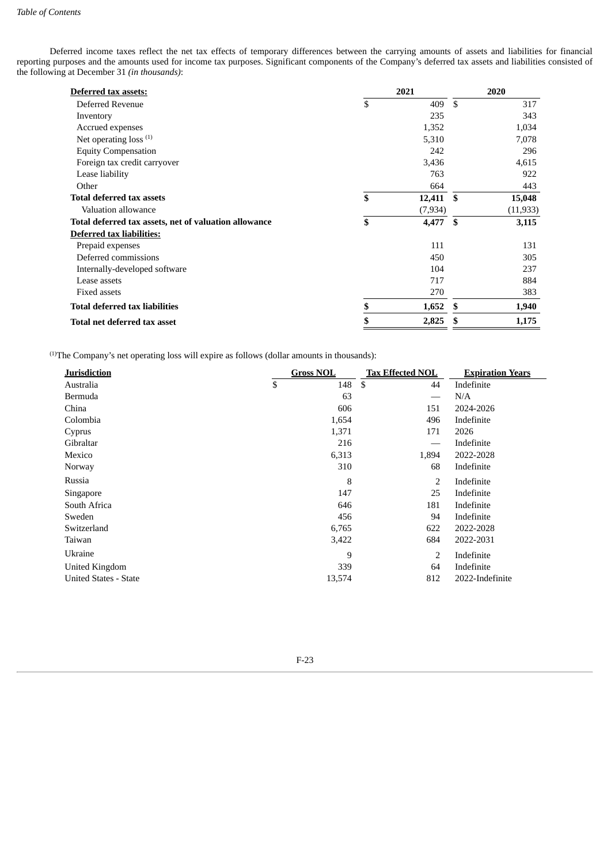Deferred income taxes reflect the net tax effects of temporary differences between the carrying amounts of assets and liabilities for financial reporting purposes and the amounts used for income tax purposes. Significant components of the Company's deferred tax assets and liabilities consisted of the following at December 31 *(in thousands)*:

| Deferred tax assets:                                  | 2021         |      |           |
|-------------------------------------------------------|--------------|------|-----------|
| Deferred Revenue                                      | \$<br>409    | -\$  | 317       |
| Inventory                                             | 235          |      | 343       |
| Accrued expenses                                      | 1,352        |      | 1,034     |
| Net operating loss <sup>(1)</sup>                     | 5,310        |      | 7,078     |
| <b>Equity Compensation</b>                            | 242          |      | 296       |
| Foreign tax credit carryover                          | 3,436        |      | 4,615     |
| Lease liability                                       | 763          |      | 922       |
| Other                                                 | 664          |      | 443       |
| <b>Total deferred tax assets</b>                      | \$<br>12,411 | - \$ | 15,048    |
| Valuation allowance                                   | (7, 934)     |      | (11, 933) |
| Total deferred tax assets, net of valuation allowance | \$<br>4,477  | - \$ | 3,115     |
| <b>Deferred tax liabilities:</b>                      |              |      |           |
| Prepaid expenses                                      | 111          |      | 131       |
| Deferred commissions                                  | 450          |      | 305       |
| Internally-developed software                         | 104          |      | 237       |
| Lease assets                                          | 717          |      | 884       |
| <b>Fixed assets</b>                                   | 270          |      | 383       |
| <b>Total deferred tax liabilities</b>                 | \$<br>1,652  | \$   | 1,940     |
| <b>Total net deferred tax asset</b>                   | \$<br>2,825  | \$   | 1,175     |

 $(1)$ The Company's net operating loss will expire as follows (dollar amounts in thousands):

| <b>Jurisdiction</b>          | <b>Gross NOL</b> | <b>Tax Effected NOL</b>  | <b>Expiration Years</b> |
|------------------------------|------------------|--------------------------|-------------------------|
| Australia                    | \$<br>148        | \$<br>44                 | Indefinite              |
| Bermuda                      | 63               | $\overline{\phantom{0}}$ | N/A                     |
| China                        | 606              | 151                      | 2024-2026               |
| Colombia                     | 1,654            | 496                      | Indefinite              |
| Cyprus                       | 1,371            | 171                      | 2026                    |
| Gibraltar                    | 216              |                          | Indefinite              |
| Mexico                       | 6,313            | 1,894                    | 2022-2028               |
| Norway                       | 310              | 68                       | Indefinite              |
| Russia                       | 8                | $\overline{2}$           | Indefinite              |
| Singapore                    | 147              | 25                       | Indefinite              |
| South Africa                 | 646              | 181                      | Indefinite              |
| Sweden                       | 456              | 94                       | Indefinite              |
| Switzerland                  | 6,765            | 622                      | 2022-2028               |
| Taiwan                       | 3,422            | 684                      | 2022-2031               |
| Ukraine                      | 9                | 2                        | Indefinite              |
| <b>United Kingdom</b>        | 339              | 64                       | Indefinite              |
| <b>United States - State</b> | 13,574           | 812                      | 2022-Indefinite         |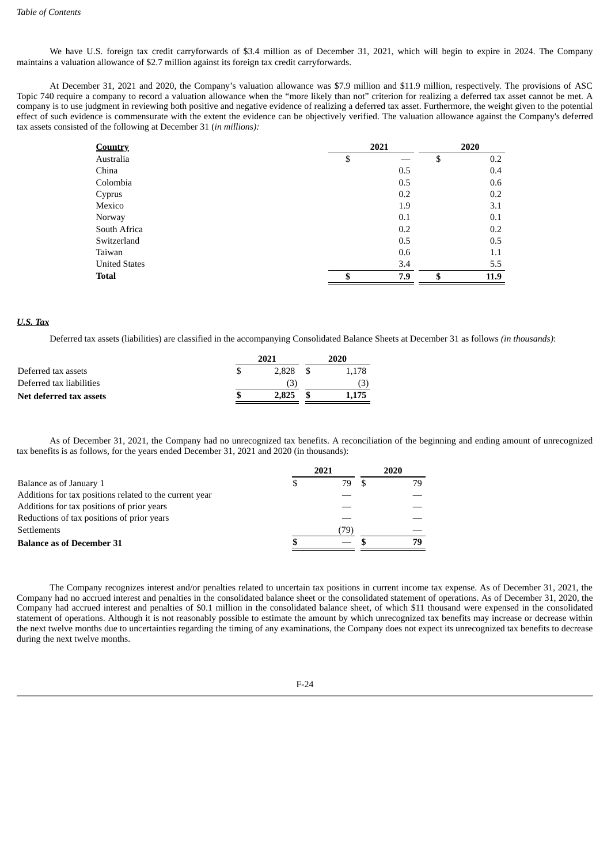We have U.S. foreign tax credit carryforwards of \$3.4 million as of December 31, 2021, which will begin to expire in 2024. The Company maintains a valuation allowance of \$2.7 million against its foreign tax credit carryforwards.

At December 31, 2021 and 2020, the Company's valuation allowance was \$7.9 million and \$11.9 million, respectively. The provisions of ASC Topic 740 require a company to record a valuation allowance when the "more likely than not" criterion for realizing a deferred tax asset cannot be met. A company is to use judgment in reviewing both positive and negative evidence of realizing a deferred tax asset. Furthermore, the weight given to the potential effect of such evidence is commensurate with the extent the evidence can be objectively verified. The valuation allowance against the Company's deferred tax assets consisted of the following at December 31 (*in millions):*

| <b>Country</b>       | 2021      | 2020 |      |  |
|----------------------|-----------|------|------|--|
| Australia            | \$        | \$   | 0.2  |  |
| China                | 0.5       |      | 0.4  |  |
| Colombia             | 0.5       |      | 0.6  |  |
| Cyprus               | 0.2       |      | 0.2  |  |
| Mexico               | 1.9       |      | 3.1  |  |
| Norway               | 0.1       |      | 0.1  |  |
| South Africa         | 0.2       |      | 0.2  |  |
| Switzerland          | 0.5       |      | 0.5  |  |
| Taiwan               | 0.6       |      | 1.1  |  |
| <b>United States</b> | 3.4       |      | 5.5  |  |
| <b>Total</b>         | \$<br>7.9 | \$   | 11.9 |  |

## *U.S. Tax*

Deferred tax assets (liabilities) are classified in the accompanying Consolidated Balance Sheets at December 31 as follows *(in thousands)*:

|                          | 2021 |       |  | 2020  |  |  |  |
|--------------------------|------|-------|--|-------|--|--|--|
| Deferred tax assets      |      | 2.828 |  | 1.178 |  |  |  |
| Deferred tax liabilities |      | (3)   |  |       |  |  |  |
| Net deferred tax assets  |      | 2.825 |  | 1.175 |  |  |  |

As of December 31, 2021, the Company had no unrecognized tax benefits. A reconciliation of the beginning and ending amount of unrecognized tax benefits is as follows, for the years ended December 31, 2021 and 2020 (in thousands):

|                                                         | 2021 |      | 2020 |
|---------------------------------------------------------|------|------|------|
| Balance as of January 1                                 |      | 79   | 79   |
| Additions for tax positions related to the current year |      |      |      |
| Additions for tax positions of prior years              |      |      |      |
| Reductions of tax positions of prior years              |      |      |      |
| Settlements                                             |      | (79) |      |
| <b>Balance as of December 31</b>                        |      |      | 79   |

The Company recognizes interest and/or penalties related to uncertain tax positions in current income tax expense. As of December 31, 2021, the Company had no accrued interest and penalties in the consolidated balance sheet or the consolidated statement of operations. As of December 31, 2020, the Company had accrued interest and penalties of \$0.1 million in the consolidated balance sheet, of which \$11 thousand were expensed in the consolidated statement of operations. Although it is not reasonably possible to estimate the amount by which unrecognized tax benefits may increase or decrease within the next twelve months due to uncertainties regarding the timing of any examinations, the Company does not expect its unrecognized tax benefits to decrease during the next twelve months.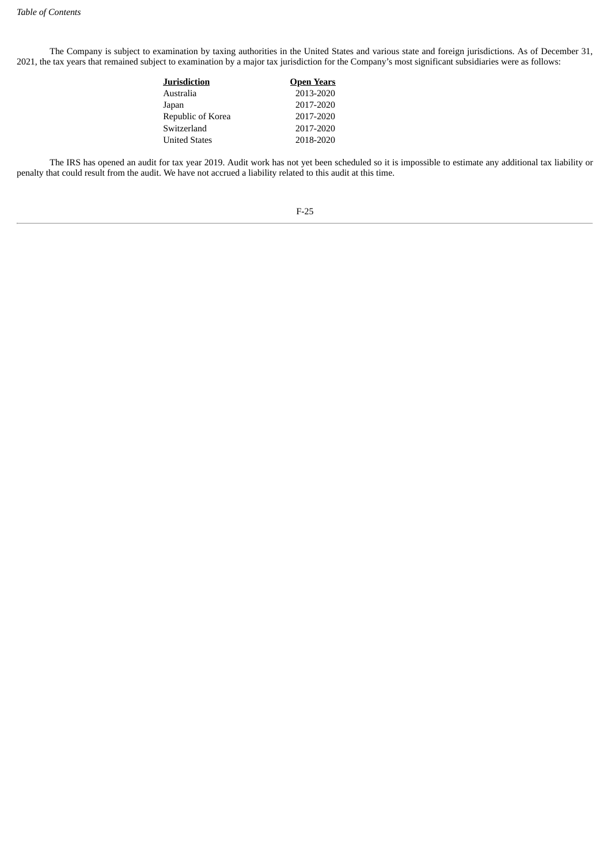The Company is subject to examination by taxing authorities in the United States and various state and foreign jurisdictions. As of December 31, 2021, the tax years that remained subject to examination by a major tax jurisdiction for the Company's most significant subsidiaries were as follows:

| <b>Jurisdiction</b>  | <b>Open Years</b> |
|----------------------|-------------------|
| Australia            | 2013-2020         |
| Japan                | 2017-2020         |
| Republic of Korea    | 2017-2020         |
| Switzerland          | 2017-2020         |
| <b>United States</b> | 2018-2020         |

The IRS has opened an audit for tax year 2019. Audit work has not yet been scheduled so it is impossible to estimate any additional tax liability or penalty that could result from the audit. We have not accrued a liability related to this audit at this time.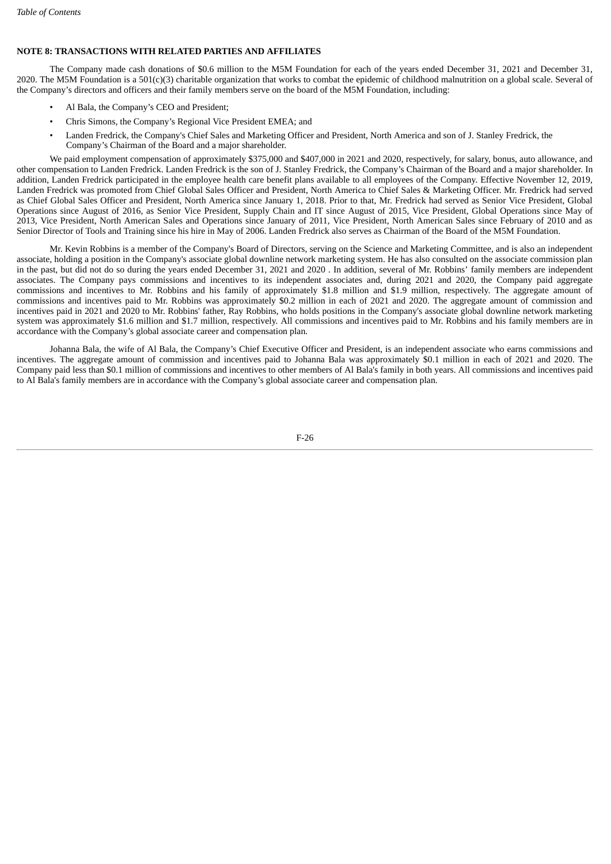# **NOTE 8: TRANSACTIONS WITH RELATED PARTIES AND AFFILIATES**

The Company made cash donations of \$0.6 million to the M5M Foundation for each of the years ended December 31, 2021 and December 31, 2020. The M5M Foundation is a 501(c)(3) charitable organization that works to combat the epidemic of childhood malnutrition on a global scale. Several of the Company's directors and officers and their family members serve on the board of the M5M Foundation, including:

- Al Bala, the Company's CEO and President;
- Chris Simons, the Company's Regional Vice President EMEA; and
- Landen Fredrick, the Company's Chief Sales and Marketing Officer and President, North America and son of J. Stanley Fredrick, the Company's Chairman of the Board and a major shareholder.

We paid employment compensation of approximately \$375,000 and \$407,000 in 2021 and 2020, respectively, for salary, bonus, auto allowance, and other compensation to Landen Fredrick. Landen Fredrick is the son of J. Stanley Fredrick, the Company's Chairman of the Board and a major shareholder. In addition, Landen Fredrick participated in the employee health care benefit plans available to all employees of the Company. Effective November 12, 2019, Landen Fredrick was promoted from Chief Global Sales Officer and President, North America to Chief Sales & Marketing Officer. Mr. Fredrick had served as Chief Global Sales Officer and President, North America since January 1, 2018. Prior to that, Mr. Fredrick had served as Senior Vice President, Global Operations since August of 2016, as Senior Vice President, Supply Chain and IT since August of 2015, Vice President, Global Operations since May of 2013, Vice President, North American Sales and Operations since January of 2011, Vice President, North American Sales since February of 2010 and as Senior Director of Tools and Training since his hire in May of 2006. Landen Fredrick also serves as Chairman of the Board of the M5M Foundation.

Mr. Kevin Robbins is a member of the Company's Board of Directors, serving on the Science and Marketing Committee, and is also an independent associate, holding a position in the Company's associate global downline network marketing system. He has also consulted on the associate commission plan in the past, but did not do so during the years ended December 31, 2021 and 2020 . In addition, several of Mr. Robbins' family members are independent associates. The Company pays commissions and incentives to its independent associates and, during 2021 and 2020, the Company paid aggregate commissions and incentives to Mr. Robbins and his family of approximately \$1.8 million and \$1.9 million, respectively. The aggregate amount of commissions and incentives paid to Mr. Robbins was approximately \$0.2 million in each of 2021 and 2020. The aggregate amount of commission and incentives paid in 2021 and 2020 to Mr. Robbins' father, Ray Robbins, who holds positions in the Company's associate global downline network marketing system was approximately \$1.6 million and \$1.7 million, respectively. All commissions and incentives paid to Mr. Robbins and his family members are in accordance with the Company's global associate career and compensation plan.

Johanna Bala, the wife of Al Bala, the Company's Chief Executive Officer and President, is an independent associate who earns commissions and incentives. The aggregate amount of commission and incentives paid to Johanna Bala was approximately \$0.1 million in each of 2021 and 2020. The Company paid less than \$0.1 million of commissions and incentives to other members of Al Bala's family in both years. All commissions and incentives paid to Al Bala's family members are in accordance with the Company's global associate career and compensation plan.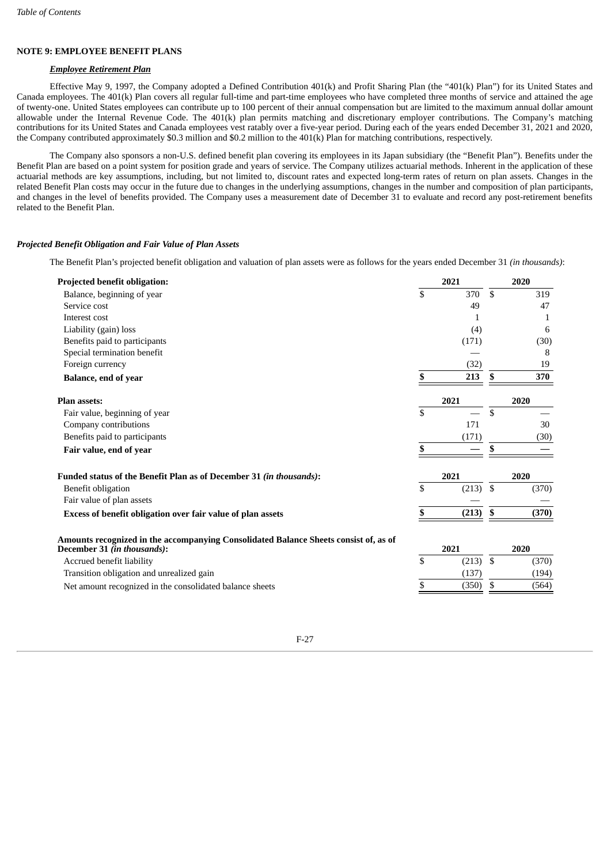# **NOTE 9: EMPLOYEE BENEFIT PLANS**

# *Employee Retirement Plan*

Effective May 9, 1997, the Company adopted a Defined Contribution 401(k) and Profit Sharing Plan (the "401(k) Plan") for its United States and Canada employees. The 401(k) Plan covers all regular full-time and part-time employees who have completed three months of service and attained the age of twenty-one. United States employees can contribute up to 100 percent of their annual compensation but are limited to the maximum annual dollar amount allowable under the Internal Revenue Code. The 401(k) plan permits matching and discretionary employer contributions. The Company's matching contributions for its United States and Canada employees vest ratably over a five-year period. During each of the years ended December 31, 2021 and 2020, the Company contributed approximately \$0.3 million and \$0.2 million to the 401(k) Plan for matching contributions, respectively.

The Company also sponsors a non-U.S. defined benefit plan covering its employees in its Japan subsidiary (the "Benefit Plan"). Benefits under the Benefit Plan are based on a point system for position grade and years of service. The Company utilizes actuarial methods. Inherent in the application of these actuarial methods are key assumptions, including, but not limited to, discount rates and expected long-term rates of return on plan assets. Changes in the related Benefit Plan costs may occur in the future due to changes in the underlying assumptions, changes in the number and composition of plan participants, and changes in the level of benefits provided. The Company uses a measurement date of December 31 to evaluate and record any post-retirement benefits related to the Benefit Plan.

## *Projected Benefit Obligation and Fair Value of Plan Assets*

The Benefit Plan's projected benefit obligation and valuation of plan assets were as follows for the years ended December 31 *(in thousands)*:

| <b>Projected benefit obligation:</b>                                                                                | 2021        |     | 2020  |
|---------------------------------------------------------------------------------------------------------------------|-------------|-----|-------|
| Balance, beginning of year                                                                                          | \$<br>370   | \$. | 319   |
| Service cost                                                                                                        | 49          |     | 47    |
| Interest cost                                                                                                       | 1           |     | 1     |
| Liability (gain) loss                                                                                               | (4)         |     | 6     |
| Benefits paid to participants                                                                                       | (171)       |     | (30)  |
| Special termination benefit                                                                                         |             |     | 8     |
| Foreign currency                                                                                                    | (32)        |     | 19    |
| <b>Balance, end of year</b>                                                                                         | \$<br>213   | \$  | 370   |
| <b>Plan assets:</b>                                                                                                 | 2021        |     | 2020  |
| Fair value, beginning of year                                                                                       | \$          | \$  |       |
| Company contributions                                                                                               | 171         |     | 30    |
| Benefits paid to participants                                                                                       | (171)       |     | (30)  |
| Fair value, end of year                                                                                             | \$          | \$  |       |
| Funded status of the Benefit Plan as of December 31 (in thousands):                                                 | 2021        |     | 2020  |
| Benefit obligation                                                                                                  | \$<br>(213) | \$  | (370) |
| Fair value of plan assets                                                                                           |             |     |       |
| <b>Excess of benefit obligation over fair value of plan assets</b>                                                  | (213)       | \$  | (370) |
| Amounts recognized in the accompanying Consolidated Balance Sheets consist of, as of<br>December 31 (in thousands): | 2021        |     | 2020  |
| Accrued benefit liability                                                                                           | \$<br>(213) | \$  | (370) |
| Transition obligation and unrealized gain                                                                           | (137)       |     | (194) |
| Net amount recognized in the consolidated balance sheets                                                            | \$<br>(350) | \$  | (564) |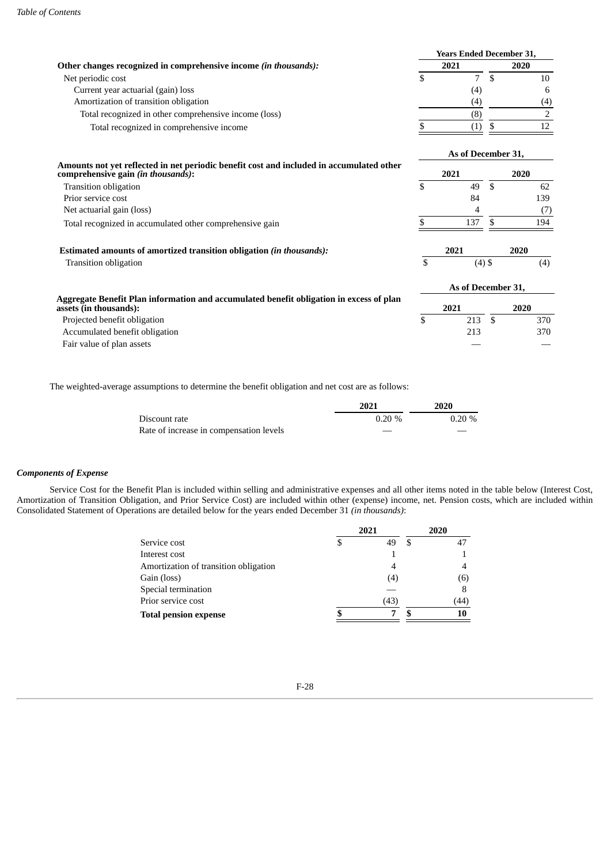|                                                                                                                                | <b>Years Ended December 31.</b> |                |                |
|--------------------------------------------------------------------------------------------------------------------------------|---------------------------------|----------------|----------------|
| Other changes recognized in comprehensive income (in thousands):                                                               | 2021                            |                | 2020           |
| Net periodic cost                                                                                                              | \$<br>$\overline{7}$            | $\mathfrak{L}$ | 10             |
| Current year actuarial (gain) loss                                                                                             | (4)                             |                | 6              |
| Amortization of transition obligation                                                                                          | (4)                             |                | (4)            |
| Total recognized in other comprehensive income (loss)                                                                          | (8)                             |                | $\overline{2}$ |
| Total recognized in comprehensive income                                                                                       | (1)                             | \$             | 12             |
|                                                                                                                                | As of December 31,              |                |                |
| Amounts not yet reflected in net periodic benefit cost and included in accumulated other<br>comprehensive gain (in thousands): | 2021                            |                | 2020           |
| <b>Transition obligation</b>                                                                                                   | \$<br>49                        | $\mathfrak{L}$ | 62             |
| Prior service cost                                                                                                             | 84                              |                | 139            |
| Net actuarial gain (loss)                                                                                                      | 4                               |                | (7)            |
| Total recognized in accumulated other comprehensive gain                                                                       | \$<br>137                       | \$             | 194            |
| Estimated amounts of amortized transition obligation (in thousands):                                                           | 2021                            |                | 2020           |
| <b>Transition obligation</b>                                                                                                   | \$<br>$(4)$ \$                  |                | (4)            |
|                                                                                                                                | As of December 31,              |                |                |
| Aggregate Benefit Plan information and accumulated benefit obligation in excess of plan<br>assets (in thousands):              | 2021                            |                | 2020           |
| Projected benefit obligation                                                                                                   | \$<br>213                       | -\$            | 370            |
| Accumulated benefit obligation                                                                                                 | 213                             |                | 370            |
| Fair value of plan assets                                                                                                      |                                 |                |                |
|                                                                                                                                |                                 |                |                |

The weighted-average assumptions to determine the benefit obligation and net cost are as follows:

|                                         | 2021      | 2020      |
|-----------------------------------------|-----------|-----------|
| Discount rate                           | $0.20 \%$ | $0.20 \%$ |
| Rate of increase in compensation levels |           |           |

# *Components of Expense*

Service Cost for the Benefit Plan is included within selling and administrative expenses and all other items noted in the table below (Interest Cost, Amortization of Transition Obligation, and Prior Service Cost) are included within other (expense) income, net. Pension costs, which are included within Consolidated Statement of Operations are detailed below for the years ended December 31 *(in thousands)*:

|                                       | 2021 | 2020 |   |     |
|---------------------------------------|------|------|---|-----|
| Service cost                          |      |      | S |     |
| Interest cost                         |      |      |   |     |
| Amortization of transition obligation |      |      |   |     |
| Gain (loss)                           |      | (4)  |   | (6) |
| Special termination                   |      |      |   | 8   |
| Prior service cost                    |      | (43) |   | 44) |
| <b>Total pension expense</b>          |      |      |   |     |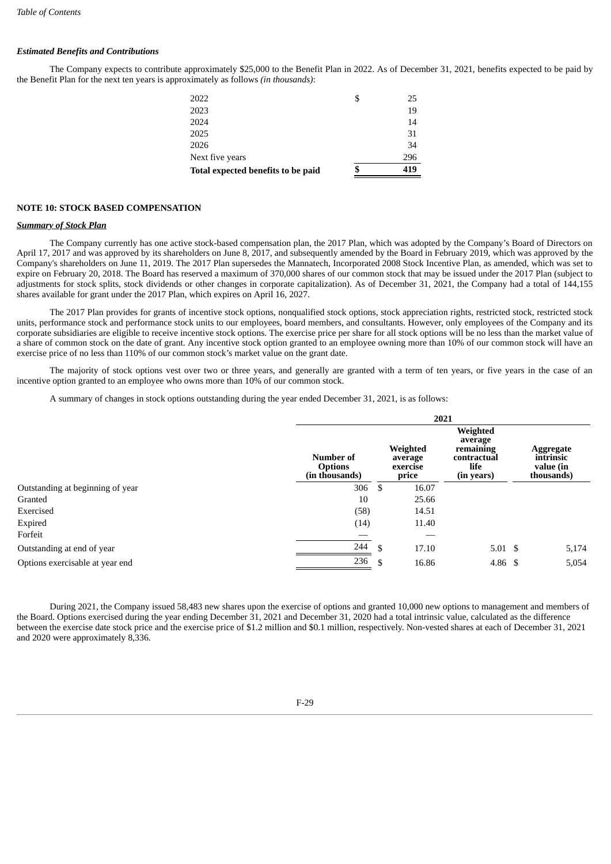### *Estimated Benefits and Contributions*

The Company expects to contribute approximately \$25,000 to the Benefit Plan in 2022. As of December 31, 2021, benefits expected to be paid by the Benefit Plan for the next ten years is approximately as follows *(in thousands)*:

| 2022                               | \$ | 25  |
|------------------------------------|----|-----|
| 2023                               |    | 19  |
| 2024                               |    | 14  |
| 2025                               |    | 31  |
| 2026                               |    | 34  |
| Next five years                    |    | 296 |
| Total expected benefits to be paid | S  | 419 |

# **NOTE 10: STOCK BASED COMPENSATION**

## *Summary of Stock Plan*

The Company currently has one active stock-based compensation plan, the 2017 Plan, which was adopted by the Company's Board of Directors on April 17, 2017 and was approved by its shareholders on June 8, 2017, and subsequently amended by the Board in February 2019, which was approved by the Company's shareholders on June 11, 2019. The 2017 Plan supersedes the Mannatech, Incorporated 2008 Stock Incentive Plan, as amended, which was set to expire on February 20, 2018. The Board has reserved a maximum of 370,000 shares of our common stock that may be issued under the 2017 Plan (subject to adjustments for stock splits, stock dividends or other changes in corporate capitalization). As of December 31, 2021, the Company had a total of 144,155 shares available for grant under the 2017 Plan, which expires on April 16, 2027.

The 2017 Plan provides for grants of incentive stock options, nonqualified stock options, stock appreciation rights, restricted stock, restricted stock units, performance stock and performance stock units to our employees, board members, and consultants. However, only employees of the Company and its corporate subsidiaries are eligible to receive incentive stock options. The exercise price per share for all stock options will be no less than the market value of a share of common stock on the date of grant. Any incentive stock option granted to an employee owning more than 10% of our common stock will have an exercise price of no less than 110% of our common stock's market value on the grant date.

The majority of stock options vest over two or three years, and generally are granted with a term of ten years, or five years in the case of an incentive option granted to an employee who owns more than 10% of our common stock.

A summary of changes in stock options outstanding during the year ended December 31, 2021, is as follows:

|                                  | 2021                                          |               |                                          |                                                                       |  |                                                          |  |
|----------------------------------|-----------------------------------------------|---------------|------------------------------------------|-----------------------------------------------------------------------|--|----------------------------------------------------------|--|
|                                  | Number of<br><b>Options</b><br>(in thousands) |               | Weighted<br>average<br>exercise<br>price | Weighted<br>average<br>remaining<br>contractual<br>life<br>(in years) |  | <b>Aggregate</b><br>intrinsic<br>value (in<br>thousands) |  |
| Outstanding at beginning of year | 306                                           | \$            | 16.07                                    |                                                                       |  |                                                          |  |
| Granted                          | 10                                            |               | 25.66                                    |                                                                       |  |                                                          |  |
| Exercised                        | (58)                                          |               | 14.51                                    |                                                                       |  |                                                          |  |
| Expired                          | (14)                                          |               | 11.40                                    |                                                                       |  |                                                          |  |
| Forfeit                          |                                               |               |                                          |                                                                       |  |                                                          |  |
| Outstanding at end of year       | 244                                           | <sup>\$</sup> | 17.10                                    | $5.01 \text{ }$ \$                                                    |  | 5,174                                                    |  |
| Options exercisable at year end  | 236                                           | \$            | 16.86                                    | 4.86 \$                                                               |  | 5,054                                                    |  |

During 2021, the Company issued 58,483 new shares upon the exercise of options and granted 10,000 new options to management and members of the Board. Options exercised during the year ending December 31, 2021 and December 31, 2020 had a total intrinsic value, calculated as the difference between the exercise date stock price and the exercise price of \$1.2 million and \$0.1 million, respectively. Non-vested shares at each of December 31, 2021 and 2020 were approximately 8,336.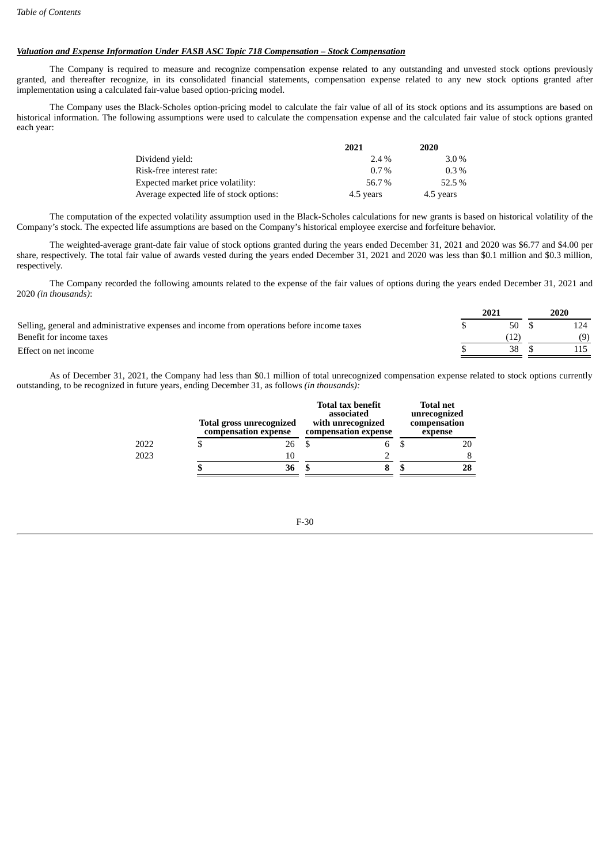# *Valuation and Expense Information Under FASB ASC Topic 718 Compensation – Stock Compensation*

The Company is required to measure and recognize compensation expense related to any outstanding and unvested stock options previously granted, and thereafter recognize, in its consolidated financial statements, compensation expense related to any new stock options granted after implementation using a calculated fair-value based option-pricing model.

The Company uses the Black-Scholes option-pricing model to calculate the fair value of all of its stock options and its assumptions are based on historical information. The following assumptions were used to calculate the compensation expense and the calculated fair value of stock options granted each year:

|                                         | 2021      | 2020      |
|-----------------------------------------|-----------|-----------|
| Dividend vield:                         | $2.4\%$   | $3.0\%$   |
| Risk-free interest rate:                | $0.7\%$   | $0.3\%$   |
| Expected market price volatility:       | 56.7%     | 52.5%     |
| Average expected life of stock options: | 4.5 years | 4.5 years |

The computation of the expected volatility assumption used in the Black-Scholes calculations for new grants is based on historical volatility of the Company's stock. The expected life assumptions are based on the Company's historical employee exercise and forfeiture behavior.

The weighted-average grant-date fair value of stock options granted during the years ended December 31, 2021 and 2020 was \$6.77 and \$4.00 per share, respectively. The total fair value of awards vested during the years ended December 31, 2021 and 2020 was less than \$0.1 million and \$0.3 million, respectively.

The Company recorded the following amounts related to the expense of the fair values of options during the years ended December 31, 2021 and 2020 *(in thousands)*:

|                                                                                             | 2021 | 2020 |
|---------------------------------------------------------------------------------------------|------|------|
| Selling, general and administrative expenses and income from operations before income taxes | 50   |      |
| Benefit for income taxes                                                                    |      | (9)  |
| Effect on net income                                                                        | 38   |      |

As of December 31, 2021, the Company had less than \$0.1 million of total unrecognized compensation expense related to stock options currently outstanding, to be recognized in future years, ending December 31, as follows *(in thousands):*

| 2022 | Total gross unrecognized<br>compensation expense | Total tax benefit<br>associated<br>with unrecognized<br>compensation expense |  |  | <b>Total net</b><br>unrecognized<br>compensation<br>expense |  |  |  |
|------|--------------------------------------------------|------------------------------------------------------------------------------|--|--|-------------------------------------------------------------|--|--|--|
|      | 26                                               |                                                                              |  |  |                                                             |  |  |  |
| 2023 | 10                                               |                                                                              |  |  |                                                             |  |  |  |
|      |                                                  |                                                                              |  |  |                                                             |  |  |  |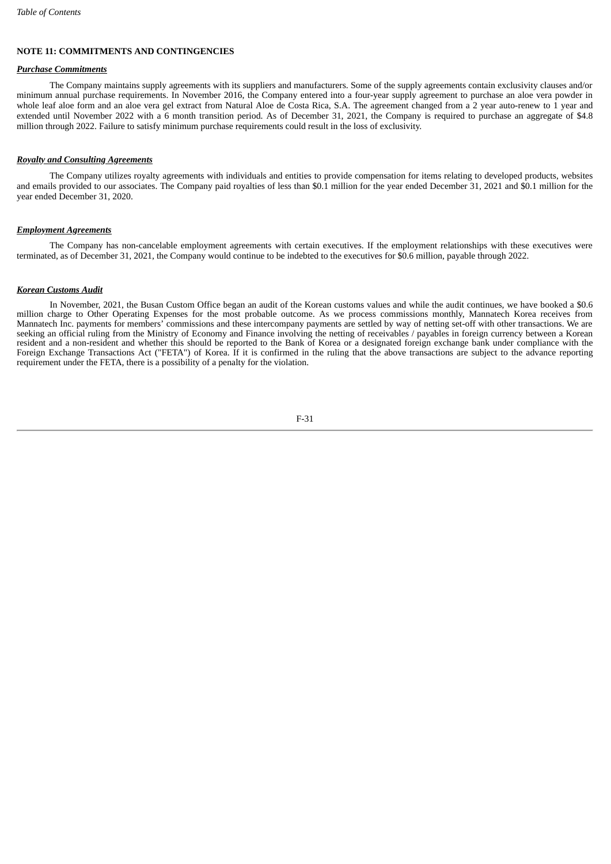## **NOTE 11: COMMITMENTS AND CONTINGENCIES**

### *Purchase Commitments*

The Company maintains supply agreements with its suppliers and manufacturers. Some of the supply agreements contain exclusivity clauses and/or minimum annual purchase requirements. In November 2016, the Company entered into a four-year supply agreement to purchase an aloe vera powder in whole leaf aloe form and an aloe vera gel extract from Natural Aloe de Costa Rica, S.A. The agreement changed from a 2 year auto-renew to 1 year and extended until November 2022 with a 6 month transition period. As of December 31, 2021, the Company is required to purchase an aggregate of \$4.8 million through 2022. Failure to satisfy minimum purchase requirements could result in the loss of exclusivity.

### *Royalty and Consulting Agreements*

The Company utilizes royalty agreements with individuals and entities to provide compensation for items relating to developed products, websites and emails provided to our associates. The Company paid royalties of less than \$0.1 million for the year ended December 31, 2021 and \$0.1 million for the year ended December 31, 2020.

### *Employment Agreements*

The Company has non-cancelable employment agreements with certain executives. If the employment relationships with these executives were terminated, as of December 31, 2021, the Company would continue to be indebted to the executives for \$0.6 million, payable through 2022.

### *Korean Customs Audit*

In November, 2021, the Busan Custom Office began an audit of the Korean customs values and while the audit continues, we have booked a \$0.6 million charge to Other Operating Expenses for the most probable outcome. As we process commissions monthly, Mannatech Korea receives from Mannatech Inc. payments for members' commissions and these intercompany payments are settled by way of netting set-off with other transactions. We are seeking an official ruling from the Ministry of Economy and Finance involving the netting of receivables / payables in foreign currency between a Korean resident and a non-resident and whether this should be reported to the Bank of Korea or a designated foreign exchange bank under compliance with the Foreign Exchange Transactions Act ("FETA") of Korea. If it is confirmed in the ruling that the above transactions are subject to the advance reporting requirement under the FETA, there is a possibility of a penalty for the violation.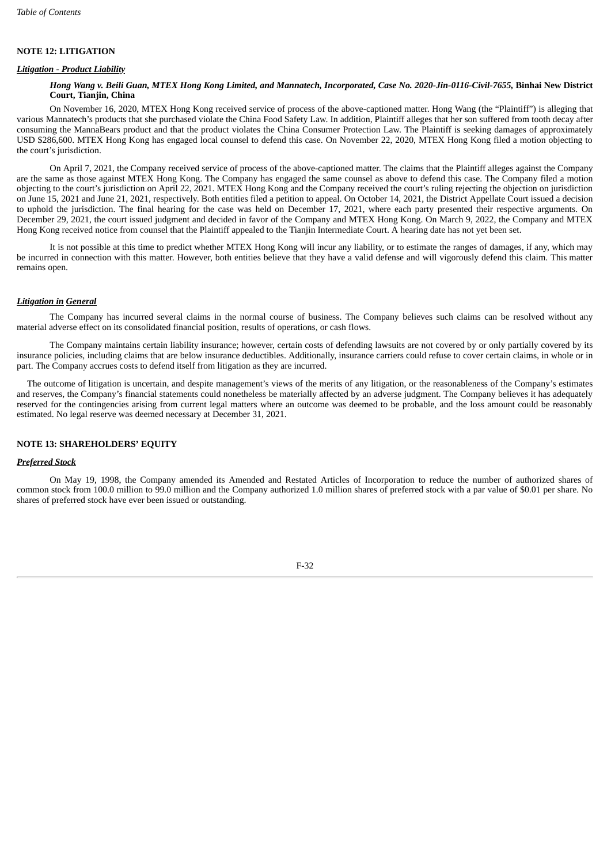## **NOTE 12: LITIGATION**

### *Litigation - Product Liability*

### Hong Wang v. Beili Guan, MTEX Hong Kong Limited, and Mannatech, Incorporated, Case No. 2020-Jin-0116-Civil-7655, Binhai New District **Court, Tianjin, China**

On November 16, 2020, MTEX Hong Kong received service of process of the above-captioned matter. Hong Wang (the "Plaintiff") is alleging that various Mannatech's products that she purchased violate the China Food Safety Law. In addition, Plaintiff alleges that her son suffered from tooth decay after consuming the MannaBears product and that the product violates the China Consumer Protection Law. The Plaintiff is seeking damages of approximately USD \$286,600. MTEX Hong Kong has engaged local counsel to defend this case. On November 22, 2020, MTEX Hong Kong filed a motion objecting to the court's jurisdiction.

On April 7, 2021, the Company received service of process of the above-captioned matter. The claims that the Plaintiff alleges against the Company are the same as those against MTEX Hong Kong. The Company has engaged the same counsel as above to defend this case. The Company filed a motion objecting to the court's jurisdiction on April 22, 2021. MTEX Hong Kong and the Company received the court's ruling rejecting the objection on jurisdiction on June 15, 2021 and June 21, 2021, respectively. Both entities filed a petition to appeal. On October 14, 2021, the District Appellate Court issued a decision to uphold the jurisdiction. The final hearing for the case was held on December 17, 2021, where each party presented their respective arguments. On December 29, 2021, the court issued judgment and decided in favor of the Company and MTEX Hong Kong. On March 9, 2022, the Company and MTEX Hong Kong received notice from counsel that the Plaintiff appealed to the Tianjin Intermediate Court. A hearing date has not yet been set.

It is not possible at this time to predict whether MTEX Hong Kong will incur any liability, or to estimate the ranges of damages, if any, which may be incurred in connection with this matter. However, both entities believe that they have a valid defense and will vigorously defend this claim. This matter remains open.

### *Litigation in General*

The Company has incurred several claims in the normal course of business. The Company believes such claims can be resolved without any material adverse effect on its consolidated financial position, results of operations, or cash flows.

The Company maintains certain liability insurance; however, certain costs of defending lawsuits are not covered by or only partially covered by its insurance policies, including claims that are below insurance deductibles. Additionally, insurance carriers could refuse to cover certain claims, in whole or in part. The Company accrues costs to defend itself from litigation as they are incurred.

The outcome of litigation is uncertain, and despite management's views of the merits of any litigation, or the reasonableness of the Company's estimates and reserves, the Company's financial statements could nonetheless be materially affected by an adverse judgment. The Company believes it has adequately reserved for the contingencies arising from current legal matters where an outcome was deemed to be probable, and the loss amount could be reasonably estimated. No legal reserve was deemed necessary at December 31, 2021.

### **NOTE 13: SHAREHOLDERS' EQUITY**

#### *Preferred Stock*

On May 19, 1998, the Company amended its Amended and Restated Articles of Incorporation to reduce the number of authorized shares of common stock from 100.0 million to 99.0 million and the Company authorized 1.0 million shares of preferred stock with a par value of \$0.01 per share. No shares of preferred stock have ever been issued or outstanding.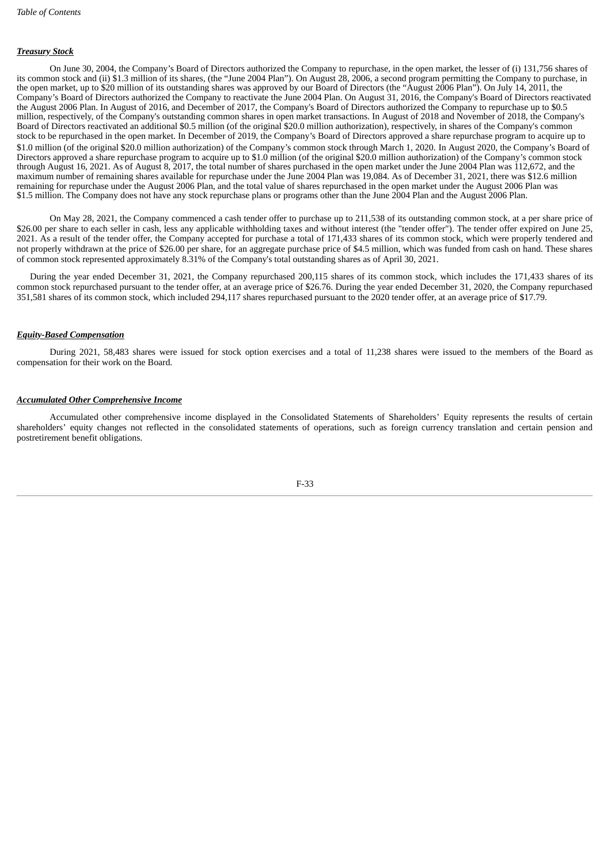# *Treasury Stock*

On June 30, 2004, the Company's Board of Directors authorized the Company to repurchase, in the open market, the lesser of (i) 131,756 shares of its common stock and (ii) \$1.3 million of its shares, (the "June 2004 Plan"). On August 28, 2006, a second program permitting the Company to purchase, in the open market, up to \$20 million of its outstanding shares was approved by our Board of Directors (the "August 2006 Plan"). On July 14, 2011, the Company's Board of Directors authorized the Company to reactivate the June 2004 Plan. On August 31, 2016, the Company's Board of Directors reactivated the August 2006 Plan. In August of 2016, and December of 2017, the Company's Board of Directors authorized the Company to repurchase up to \$0.5 million, respectively, of the Company's outstanding common shares in open market transactions. In August of 2018 and November of 2018, the Company's Board of Directors reactivated an additional \$0.5 million (of the original \$20.0 million authorization), respectively, in shares of the Company's common stock to be repurchased in the open market. In December of 2019, the Company's Board of Directors approved a share repurchase program to acquire up to \$1.0 million (of the original \$20.0 million authorization) of the Company's common stock through March 1, 2020. In August 2020, the Company's Board of Directors approved a share repurchase program to acquire up to \$1.0 million (of the original \$20.0 million authorization) of the Company's common stock through August 16, 2021. As of August 8, 2017, the total number of shares purchased in the open market under the June 2004 Plan was 112,672, and the maximum number of remaining shares available for repurchase under the June 2004 Plan was 19,084. As of December 31, 2021, there was \$12.6 million remaining for repurchase under the August 2006 Plan, and the total value of shares repurchased in the open market under the August 2006 Plan was \$1.5 million. The Company does not have any stock repurchase plans or programs other than the June 2004 Plan and the August 2006 Plan.

On May 28, 2021, the Company commenced a cash tender offer to purchase up to 211,538 of its outstanding common stock, at a per share price of \$26.00 per share to each seller in cash, less any applicable withholding taxes and without interest (the "tender offer"). The tender offer expired on June 25, 2021. As a result of the tender offer, the Company accepted for purchase a total of 171,433 shares of its common stock, which were properly tendered and not properly withdrawn at the price of \$26.00 per share, for an aggregate purchase price of \$4.5 million, which was funded from cash on hand. These shares of common stock represented approximately 8.31% of the Company's total outstanding shares as of April 30, 2021.

During the year ended December 31, 2021, the Company repurchased 200,115 shares of its common stock, which includes the 171,433 shares of its common stock repurchased pursuant to the tender offer, at an average price of \$26.76. During the year ended December 31, 2020, the Company repurchased 351,581 shares of its common stock, which included 294,117 shares repurchased pursuant to the 2020 tender offer, at an average price of \$17.79.

### *Equity-Based Compensation*

During 2021, 58,483 shares were issued for stock option exercises and a total of 11,238 shares were issued to the members of the Board as compensation for their work on the Board.

## *Accumulated Other Comprehensive Income*

Accumulated other comprehensive income displayed in the Consolidated Statements of Shareholders' Equity represents the results of certain shareholders' equity changes not reflected in the consolidated statements of operations, such as foreign currency translation and certain pension and postretirement benefit obligations.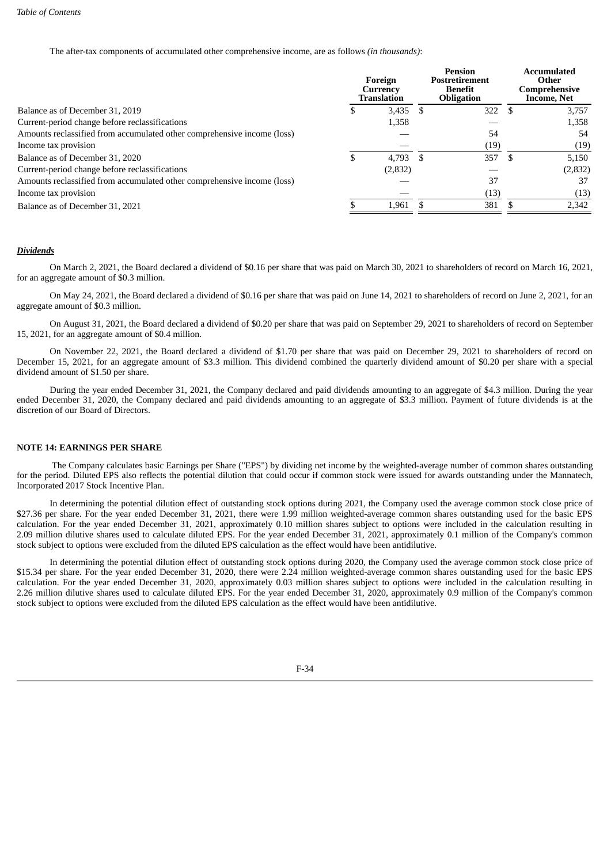The after-tax components of accumulated other comprehensive income, are as follows *(in thousands)*:

| Balance as of December 31, 2019                                         |  | Foreign<br>Currency<br>Translation | <b>Pension</b><br>Postretirement<br>Benefit<br><b>Obligation</b> |      | <b>Accumulated</b><br>Other<br>Comprehensive<br><b>Income, Net</b> |  |  |
|-------------------------------------------------------------------------|--|------------------------------------|------------------------------------------------------------------|------|--------------------------------------------------------------------|--|--|
|                                                                         |  | $3,435$ \$                         |                                                                  | 322  | 3.757                                                              |  |  |
| Current-period change before reclassifications                          |  | 1,358                              |                                                                  |      | 1,358                                                              |  |  |
| Amounts reclassified from accumulated other comprehensive income (loss) |  |                                    |                                                                  | 54   | 54                                                                 |  |  |
| Income tax provision                                                    |  |                                    |                                                                  | (19) | (19)                                                               |  |  |
| Balance as of December 31, 2020                                         |  | 4.793                              |                                                                  | 357  | 5,150                                                              |  |  |
| Current-period change before reclassifications                          |  | (2,832)                            |                                                                  |      | (2,832)                                                            |  |  |
| Amounts reclassified from accumulated other comprehensive income (loss) |  |                                    |                                                                  | 37   | 37                                                                 |  |  |
| Income tax provision                                                    |  |                                    |                                                                  | (13) | (13)                                                               |  |  |
| Balance as of December 31, 2021                                         |  | 1,961                              |                                                                  | 381  | 2,342                                                              |  |  |
|                                                                         |  |                                    |                                                                  |      |                                                                    |  |  |

# *Dividends*

On March 2, 2021, the Board declared a dividend of \$0.16 per share that was paid on March 30, 2021 to shareholders of record on March 16, 2021, for an aggregate amount of \$0.3 million.

On May 24, 2021, the Board declared a dividend of \$0.16 per share that was paid on June 14, 2021 to shareholders of record on June 2, 2021, for an aggregate amount of \$0.3 million.

On August 31, 2021, the Board declared a dividend of \$0.20 per share that was paid on September 29, 2021 to shareholders of record on September 15, 2021, for an aggregate amount of \$0.4 million.

On November 22, 2021, the Board declared a dividend of \$1.70 per share that was paid on December 29, 2021 to shareholders of record on December 15, 2021, for an aggregate amount of \$3.3 million. This dividend combined the quarterly dividend amount of \$0.20 per share with a special dividend amount of \$1.50 per share.

During the year ended December 31, 2021, the Company declared and paid dividends amounting to an aggregate of \$4.3 million. During the year ended December 31, 2020, the Company declared and paid dividends amounting to an aggregate of \$3.3 million. Payment of future dividends is at the discretion of our Board of Directors.

### **NOTE 14: EARNINGS PER SHARE**

The Company calculates basic Earnings per Share ("EPS") by dividing net income by the weighted-average number of common shares outstanding for the period. Diluted EPS also reflects the potential dilution that could occur if common stock were issued for awards outstanding under the Mannatech, Incorporated 2017 Stock Incentive Plan.

In determining the potential dilution effect of outstanding stock options during 2021, the Company used the average common stock close price of \$27.36 per share. For the year ended December 31, 2021, there were 1.99 million weighted-average common shares outstanding used for the basic EPS calculation. For the year ended December 31, 2021, approximately 0.10 million shares subject to options were included in the calculation resulting in 2.09 million dilutive shares used to calculate diluted EPS. For the year ended December 31, 2021, approximately 0.1 million of the Company's common stock subject to options were excluded from the diluted EPS calculation as the effect would have been antidilutive.

In determining the potential dilution effect of outstanding stock options during 2020, the Company used the average common stock close price of \$15.34 per share. For the year ended December 31, 2020, there were 2.24 million weighted-average common shares outstanding used for the basic EPS calculation. For the year ended December 31, 2020, approximately 0.03 million shares subject to options were included in the calculation resulting in 2.26 million dilutive shares used to calculate diluted EPS. For the year ended December 31, 2020, approximately 0.9 million of the Company's common stock subject to options were excluded from the diluted EPS calculation as the effect would have been antidilutive.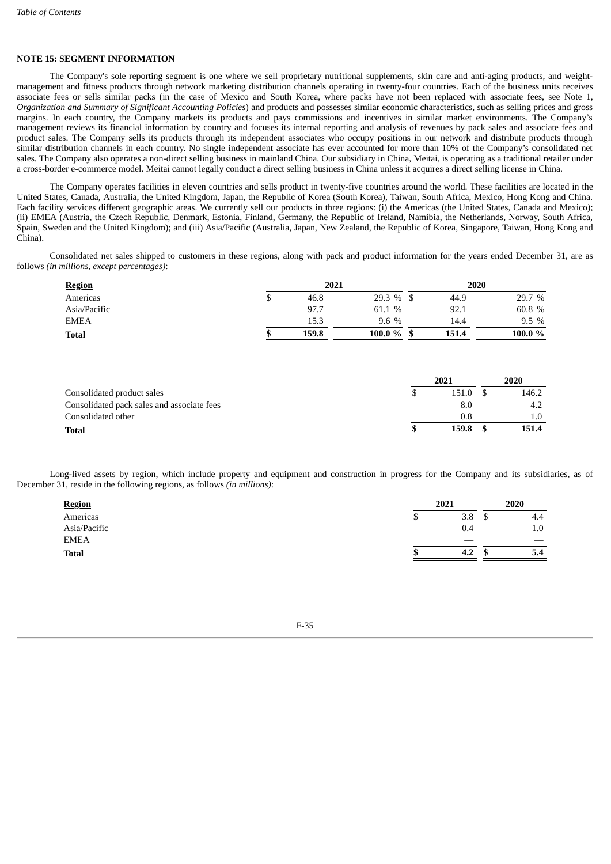### **NOTE 15: SEGMENT INFORMATION**

The Company's sole reporting segment is one where we sell proprietary nutritional supplements, skin care and anti-aging products, and weightmanagement and fitness products through network marketing distribution channels operating in twenty-four countries. Each of the business units receives associate fees or sells similar packs (in the case of Mexico and South Korea, where packs have not been replaced with associate fees, see Note 1, *Organization and Summary of Significant Accounting Policies*) and products and possesses similar economic characteristics, such as selling prices and gross margins. In each country, the Company markets its products and pays commissions and incentives in similar market environments. The Company's management reviews its financial information by country and focuses its internal reporting and analysis of revenues by pack sales and associate fees and product sales. The Company sells its products through its independent associates who occupy positions in our network and distribute products through similar distribution channels in each country. No single independent associate has ever accounted for more than 10% of the Company's consolidated net sales. The Company also operates a non-direct selling business in mainland China. Our subsidiary in China, Meitai, is operating as a traditional retailer under a cross-border e-commerce model. Meitai cannot legally conduct a direct selling business in China unless it acquires a direct selling license in China.

The Company operates facilities in eleven countries and sells product in twenty-five countries around the world. These facilities are located in the United States, Canada, Australia, the United Kingdom, Japan, the Republic of Korea (South Korea), Taiwan, South Africa, Mexico, Hong Kong and China. Each facility services different geographic areas. We currently sell our products in three regions: (i) the Americas (the United States, Canada and Mexico); (ii) EMEA (Austria, the Czech Republic, Denmark, Estonia, Finland, Germany, the Republic of Ireland, Namibia, the Netherlands, Norway, South Africa, Spain, Sweden and the United Kingdom); and (iii) Asia/Pacific (Australia, Japan, New Zealand, the Republic of Korea, Singapore, Taiwan, Hong Kong and China).

Consolidated net sales shipped to customers in these regions, along with pack and product information for the years ended December 31, are as follows *(in millions, except percentages)*:

| <b>Region</b> |   | 2021  |              |               | 2020  |         |  |  |
|---------------|---|-------|--------------|---------------|-------|---------|--|--|
| Americas      | C | 46.8  | $29.3 \%$ \$ |               | 44.9  | 29.7 %  |  |  |
| Asia/Pacific  |   | 97.7  | 61.1 %       |               | 92.1  | 60.8 %  |  |  |
| <b>EMEA</b>   |   | 15.3  | $9.6\%$      |               | 14.4  | $9.5\%$ |  |  |
| <b>Total</b>  |   | 159.8 | 100.0 %      | <sup>\$</sup> | 151.4 | 100.0 % |  |  |

|                                            | 2021  |  | 2020  |  |  |
|--------------------------------------------|-------|--|-------|--|--|
| Consolidated product sales                 | 151.0 |  | 146.2 |  |  |
| Consolidated pack sales and associate fees | 8.0   |  | 4.2   |  |  |
| Consolidated other                         | 0.8   |  | 1.0   |  |  |
| <b>Total</b>                               | 159.8 |  | 151.4 |  |  |
|                                            |       |  |       |  |  |

Long-lived assets by region, which include property and equipment and construction in progress for the Company and its subsidiaries, as of December 31, reside in the following regions, as follows *(in millions)*:

| <b>Region</b> |    | 2021 | 2020   |     |  |
|---------------|----|------|--------|-----|--|
| Americas      | دب | 3.8  | ¢<br>Φ | 4.4 |  |
| Asia/Pacific  |    | 0.4  |        | 1.0 |  |
| EMEA          |    |      |        |     |  |
| <b>Total</b>  | Ψ  | 4.2  |        | 5.4 |  |

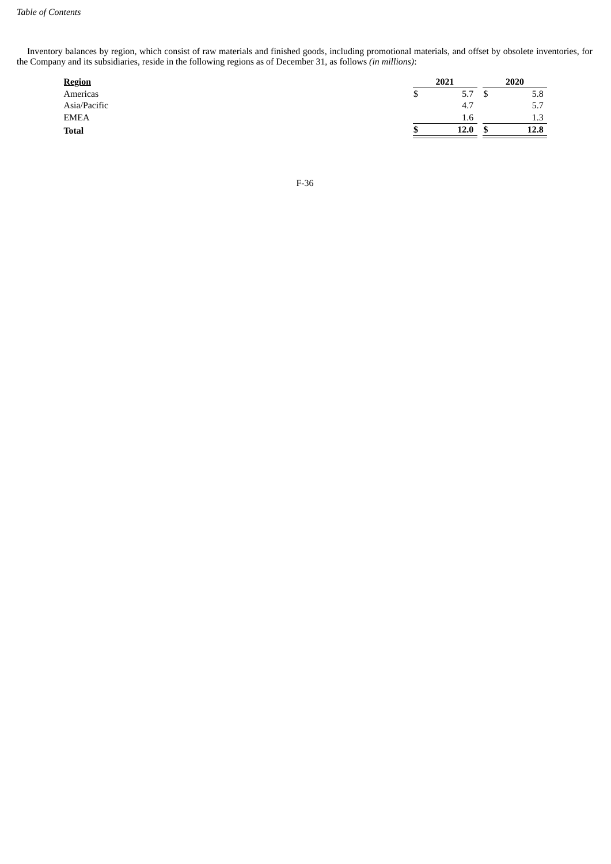*Table of Contents*

Inventory balances by region, which consist of raw materials and finished goods, including promotional materials, and offset by obsolete inventories, for the Company and its subsidiaries, reside in the following regions as of December 31, as follows *(in millions)*:

| <b>Region</b> | 2021 |            | 2020      |  |  |  |
|---------------|------|------------|-----------|--|--|--|
| Americas      | C    | 5.7<br>۰υ  | 5.8       |  |  |  |
| Asia/Pacific  |      | 4.7        | 5.7       |  |  |  |
| <b>EMEA</b>   |      | 1.6        | 12<br>ں ت |  |  |  |
| <b>Total</b>  | ъ    | 12.0<br>۰υ | 12.8      |  |  |  |

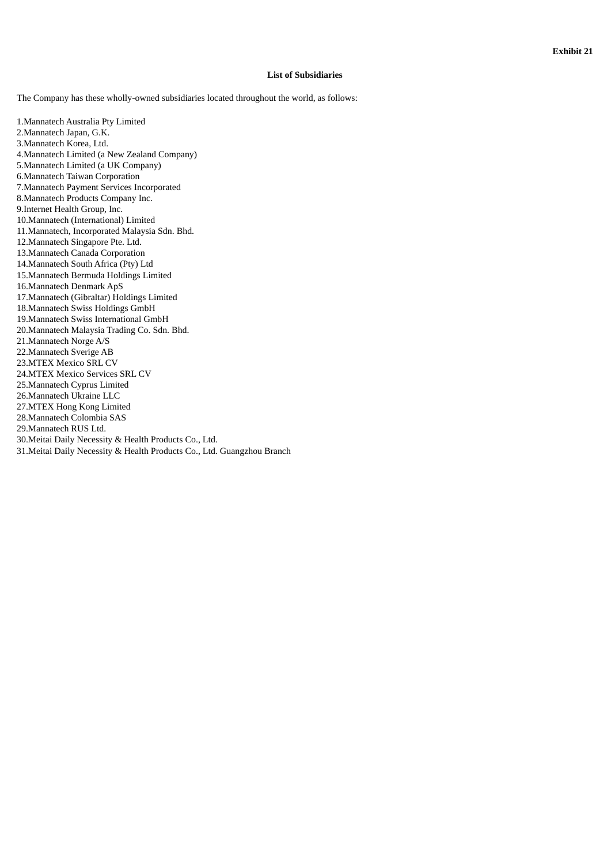### List of Subsidiaries

The Company has these wholly-owned subsidiaries located throughout the world, as follows:

1.Mannatech Australia Pty Limited 2.Mannatech Japan, G.K. 3.Mannatech Korea, Ltd. 4.Mannatech Limited (a New Zealand Company) 5.Mannatech Limited (a UK Company) 6.Mannatech Taiwan Corporation 7.Mannatech Payment Services Incorporated 8.Mannatech Products Company Inc. 9.Internet Health Group, Inc. 10.Mannatech (International) Limited 11.Mannatech, Incorporated Malaysia Sdn. Bhd. 12.Mannatech Singapore Pte. Ltd. 13.Mannatech Canada Corporation 14.Mannatech South Africa (Pty) Ltd 15.Mannatech Bermuda Holdings Limited 16.Mannatech Denmark ApS 17.Mannatech (Gibraltar) Holdings Limited 18.Mannatech Swiss Holdings GmbH 19.Mannatech Swiss International GmbH 20.Mannatech Malaysia Trading Co. Sdn. Bhd. 21.Mannatech Norge A/S 22.Mannatech Sverige AB 23.MTEX Mexico SRL CV 24.MTEX Mexico Services SRL CV 25.Mannatech Cyprus Limited 26.Mannatech Ukraine LLC 27.MTEX Hong Kong Limited 28.Mannatech Colombia SAS 29.Mannatech RUS Ltd. 30.Meitai Daily Necessity & Health Products Co., Ltd. 31.Meitai Daily Necessity & Health Products Co., Ltd. Guangzhou Branch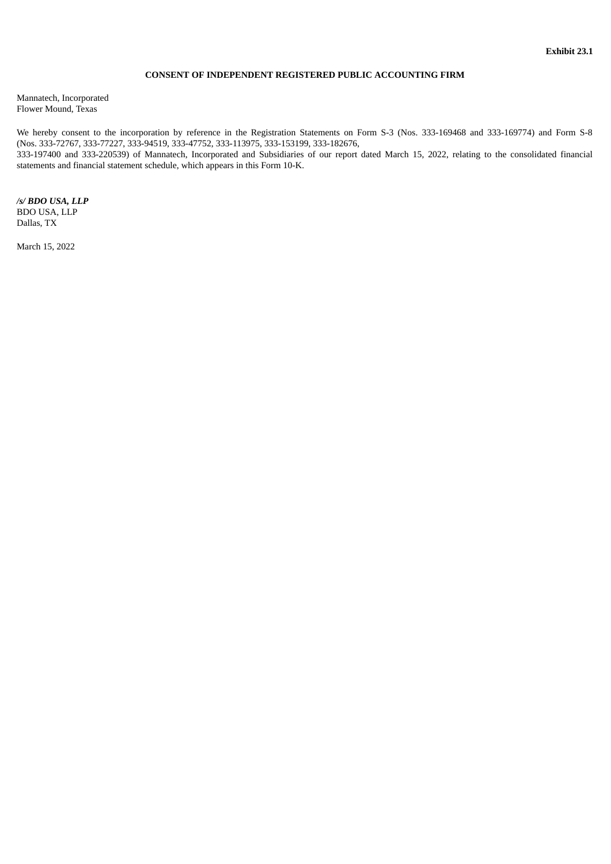## **CONSENT OF INDEPENDENT REGISTERED PUBLIC ACCOUNTING FIRM**

Mannatech, Incorporated Flower Mound, Texas

We hereby consent to the incorporation by reference in the Registration Statements on Form S-3 (Nos. 333-169468 and 333-169774) and Form S-8 (Nos. 333-72767, 333-77227, 333-94519, 333-47752, 333-113975, 333-153199, 333-182676,

333-197400 and 333-220539) of Mannatech, Incorporated and Subsidiaries of our report dated March 15, 2022, relating to the consolidated financial statements and financial statement schedule, which appears in this Form 10-K.

*/s/ BDO USA, LLP* BDO USA, LLP Dallas, TX

March 15, 2022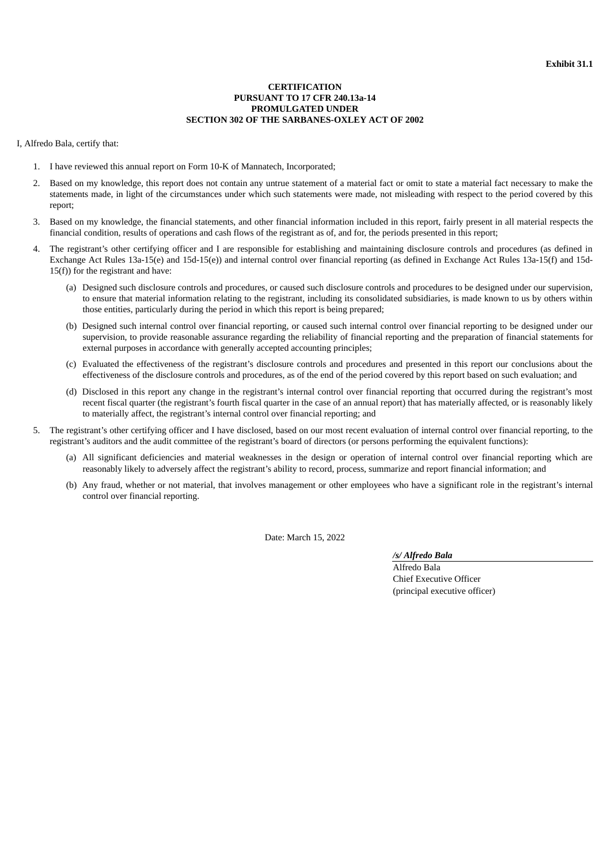## **CERTIFICATION PURSUANT TO 17 CFR 240.13a-14 PROMULGATED UNDER SECTION 302 OF THE SARBANES-OXLEY ACT OF 2002**

I, Alfredo Bala, certify that:

- 1. I have reviewed this annual report on Form 10-K of Mannatech, Incorporated;
- 2. Based on my knowledge, this report does not contain any untrue statement of a material fact or omit to state a material fact necessary to make the statements made, in light of the circumstances under which such statements were made, not misleading with respect to the period covered by this report;
- 3. Based on my knowledge, the financial statements, and other financial information included in this report, fairly present in all material respects the financial condition, results of operations and cash flows of the registrant as of, and for, the periods presented in this report;
- 4. The registrant's other certifying officer and I are responsible for establishing and maintaining disclosure controls and procedures (as defined in Exchange Act Rules 13a-15(e) and 15d-15(e)) and internal control over financial reporting (as defined in Exchange Act Rules 13a-15(f) and 15d-15(f)) for the registrant and have:
	- (a) Designed such disclosure controls and procedures, or caused such disclosure controls and procedures to be designed under our supervision, to ensure that material information relating to the registrant, including its consolidated subsidiaries, is made known to us by others within those entities, particularly during the period in which this report is being prepared;
	- (b) Designed such internal control over financial reporting, or caused such internal control over financial reporting to be designed under our supervision, to provide reasonable assurance regarding the reliability of financial reporting and the preparation of financial statements for external purposes in accordance with generally accepted accounting principles;
	- (c) Evaluated the effectiveness of the registrant's disclosure controls and procedures and presented in this report our conclusions about the effectiveness of the disclosure controls and procedures, as of the end of the period covered by this report based on such evaluation; and
	- (d) Disclosed in this report any change in the registrant's internal control over financial reporting that occurred during the registrant's most recent fiscal quarter (the registrant's fourth fiscal quarter in the case of an annual report) that has materially affected, or is reasonably likely to materially affect, the registrant's internal control over financial reporting; and
- 5. The registrant's other certifying officer and I have disclosed, based on our most recent evaluation of internal control over financial reporting, to the registrant's auditors and the audit committee of the registrant's board of directors (or persons performing the equivalent functions):
	- (a) All significant deficiencies and material weaknesses in the design or operation of internal control over financial reporting which are reasonably likely to adversely affect the registrant's ability to record, process, summarize and report financial information; and
	- (b) Any fraud, whether or not material, that involves management or other employees who have a significant role in the registrant's internal control over financial reporting.

Date: March 15, 2022

*/s/ Alfredo Bala*

Alfredo Bala Chief Executive Officer (principal executive officer)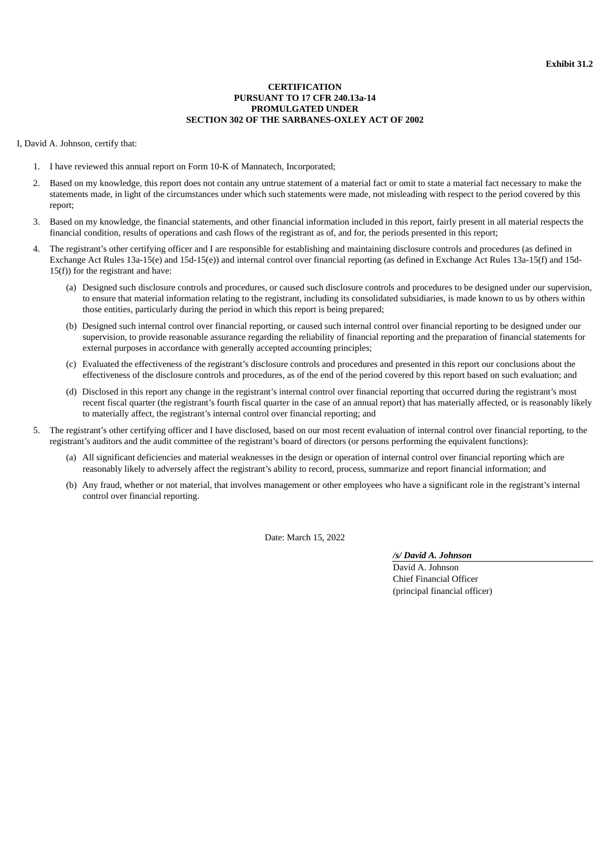## **CERTIFICATION PURSUANT TO 17 CFR 240.13a-14 PROMULGATED UNDER SECTION 302 OF THE SARBANES-OXLEY ACT OF 2002**

I, David A. Johnson, certify that:

- 1. I have reviewed this annual report on Form 10-K of Mannatech, Incorporated;
- 2. Based on my knowledge, this report does not contain any untrue statement of a material fact or omit to state a material fact necessary to make the statements made, in light of the circumstances under which such statements were made, not misleading with respect to the period covered by this report;
- 3. Based on my knowledge, the financial statements, and other financial information included in this report, fairly present in all material respects the financial condition, results of operations and cash flows of the registrant as of, and for, the periods presented in this report;
- 4. The registrant's other certifying officer and I are responsible for establishing and maintaining disclosure controls and procedures (as defined in Exchange Act Rules 13a-15(e) and 15d-15(e)) and internal control over financial reporting (as defined in Exchange Act Rules 13a-15(f) and 15d-15(f)) for the registrant and have:
	- (a) Designed such disclosure controls and procedures, or caused such disclosure controls and procedures to be designed under our supervision, to ensure that material information relating to the registrant, including its consolidated subsidiaries, is made known to us by others within those entities, particularly during the period in which this report is being prepared;
	- (b) Designed such internal control over financial reporting, or caused such internal control over financial reporting to be designed under our supervision, to provide reasonable assurance regarding the reliability of financial reporting and the preparation of financial statements for external purposes in accordance with generally accepted accounting principles;
	- (c) Evaluated the effectiveness of the registrant's disclosure controls and procedures and presented in this report our conclusions about the effectiveness of the disclosure controls and procedures, as of the end of the period covered by this report based on such evaluation; and
	- (d) Disclosed in this report any change in the registrant's internal control over financial reporting that occurred during the registrant's most recent fiscal quarter (the registrant's fourth fiscal quarter in the case of an annual report) that has materially affected, or is reasonably likely to materially affect, the registrant's internal control over financial reporting; and
- 5. The registrant's other certifying officer and I have disclosed, based on our most recent evaluation of internal control over financial reporting, to the registrant's auditors and the audit committee of the registrant's board of directors (or persons performing the equivalent functions):
	- (a) All significant deficiencies and material weaknesses in the design or operation of internal control over financial reporting which are reasonably likely to adversely affect the registrant's ability to record, process, summarize and report financial information; and
	- (b) Any fraud, whether or not material, that involves management or other employees who have a significant role in the registrant's internal control over financial reporting.

Date: March 15, 2022

*/s/ David A. Johnson*

David A. Johnson Chief Financial Officer (principal financial officer)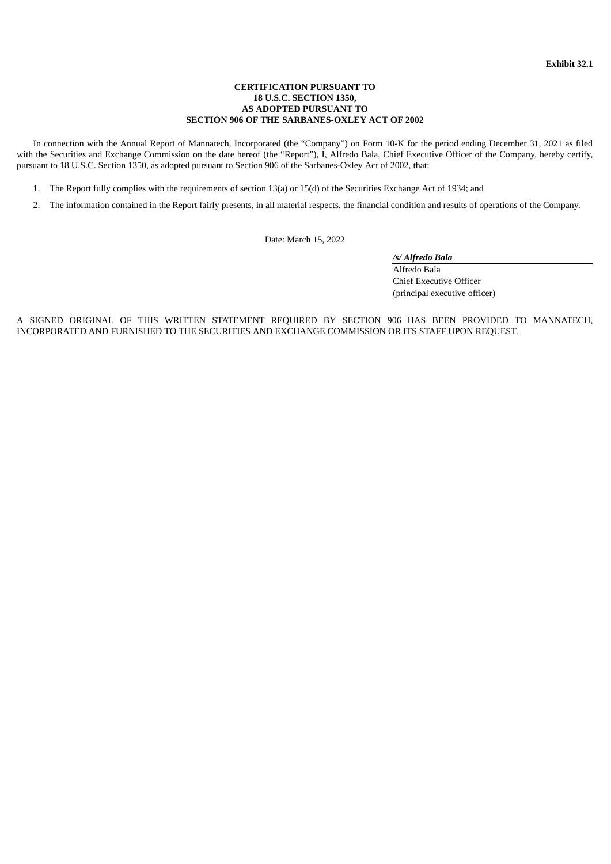## **CERTIFICATION PURSUANT TO 18 U.S.C. SECTION 1350, AS ADOPTED PURSUANT TO SECTION 906 OF THE SARBANES-OXLEY ACT OF 2002**

In connection with the Annual Report of Mannatech, Incorporated (the "Company") on Form 10-K for the period ending December 31, 2021 as filed with the Securities and Exchange Commission on the date hereof (the "Report"), I, Alfredo Bala, Chief Executive Officer of the Company, hereby certify, pursuant to 18 U.S.C. Section 1350, as adopted pursuant to Section 906 of the Sarbanes-Oxley Act of 2002, that:

- 1. The Report fully complies with the requirements of section 13(a) or 15(d) of the Securities Exchange Act of 1934; and
- 2. The information contained in the Report fairly presents, in all material respects, the financial condition and results of operations of the Company.

Date: March 15, 2022

*/s/ Alfredo Bala*

Alfredo Bala Chief Executive Officer (principal executive officer)

A SIGNED ORIGINAL OF THIS WRITTEN STATEMENT REQUIRED BY SECTION 906 HAS BEEN PROVIDED TO MANNATECH, INCORPORATED AND FURNISHED TO THE SECURITIES AND EXCHANGE COMMISSION OR ITS STAFF UPON REQUEST.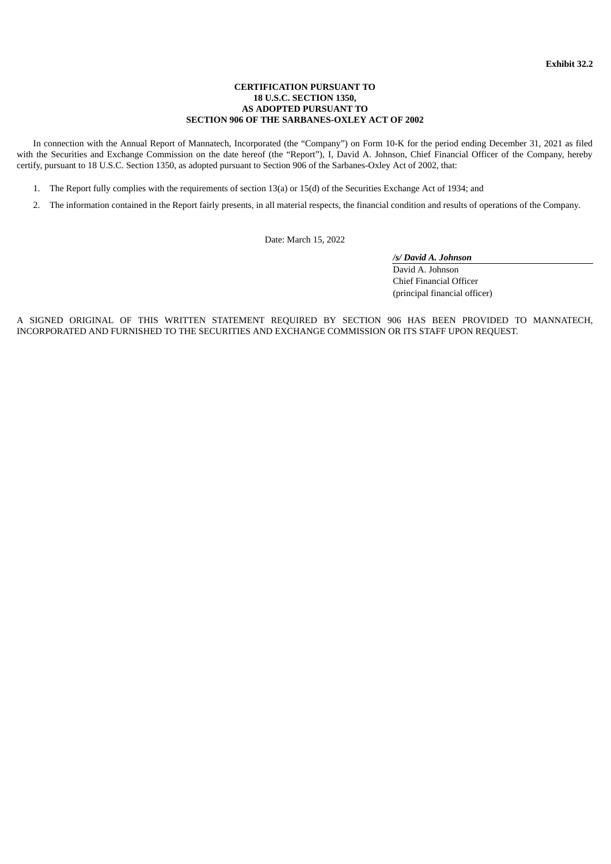## **CERTIFICATION PURSUANT TO 18 U.S.C. SECTION 1350, AS ADOPTED PURSUANT TO SECTION 906 OF THE SARBANES-OXLEY ACT OF 2002**

In connection with the Annual Report of Mannatech, Incorporated (the "Company") on Form 10-K for the period ending December 31, 2021 as filed with the Securities and Exchange Commission on the date hereof (the "Report"), I, David A. Johnson, Chief Financial Officer of the Company, hereby certify, pursuant to 18 U.S.C. Section 1350, as adopted pursuant to Section 906 of the Sarbanes-Oxley Act of 2002, that:

- 1. The Report fully complies with the requirements of section 13(a) or 15(d) of the Securities Exchange Act of 1934; and
- 2. The information contained in the Report fairly presents, in all material respects, the financial condition and results of operations of the Company.

Date: March 15, 2022

*/s/ David A. Johnson*

David A. Johnson Chief Financial Officer (principal financial officer)

A SIGNED ORIGINAL OF THIS WRITTEN STATEMENT REQUIRED BY SECTION 906 HAS BEEN PROVIDED TO MANNATECH, INCORPORATED AND FURNISHED TO THE SECURITIES AND EXCHANGE COMMISSION OR ITS STAFF UPON REQUEST.